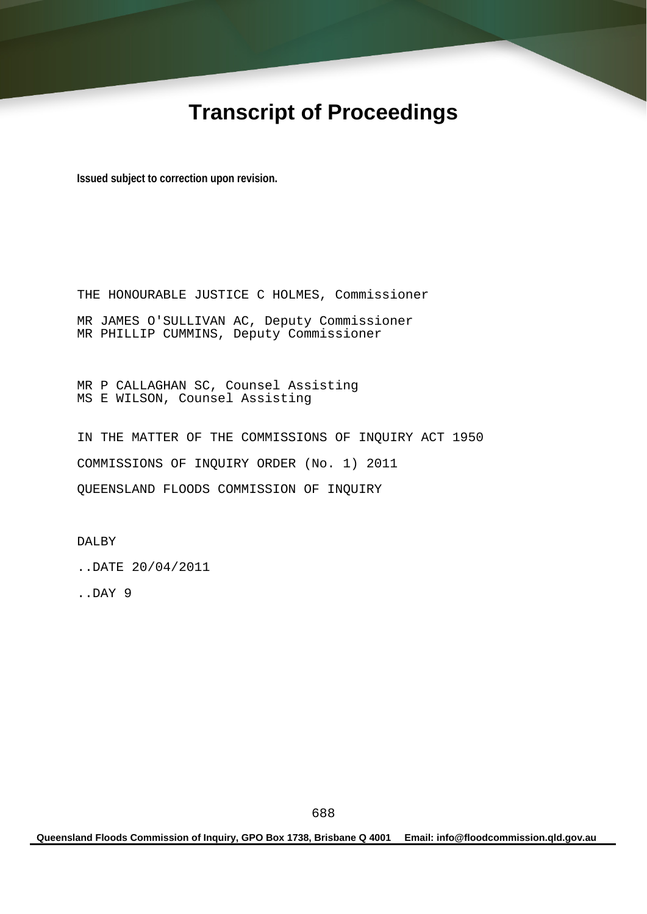# **Transcript of Proceedings**

**Issued subject to correction upon revision.** 

THE HONOURABLE JUSTICE C HOLMES, Commissioner MR JAMES O'SULLIVAN AC, Deputy Commissioner MR PHILLIP CUMMINS, Deputy Commissioner

MR P CALLAGHAN SC, Counsel Assisting MS E WILSON, Counsel Assisting

IN THE MATTER OF THE COMMISSIONS OF INQUIRY ACT 1950 COMMISSIONS OF INQUIRY ORDER (No. 1) 2011 QUEENSLAND FLOODS COMMISSION OF INQUIRY

DALBY

..DATE 20/04/2011

..DAY 9

**Queensland Floods Commission of Inquiry, GPO Box 1738, Brisbane Q 4001 Email: info@floodcommission.qld.gov.au**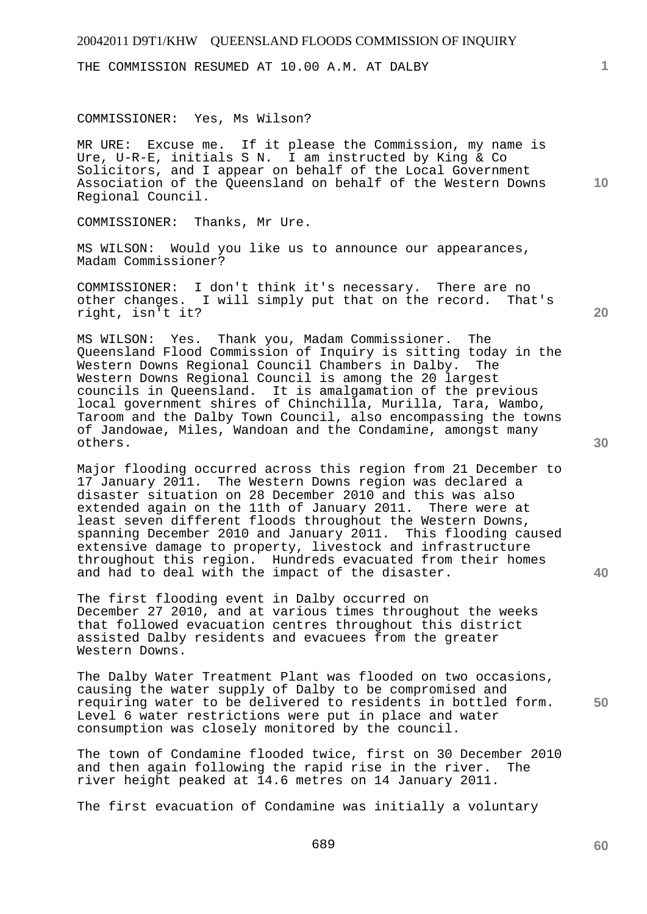THE COMMISSION RESUMED AT 10.00 A.M. AT DALBY

#### COMMISSIONER: Yes, Ms Wilson?

MR URE: Excuse me. If it please the Commission, my name is Ure, U-R-E, initials S N. I am instructed by King & Co Solicitors, and I appear on behalf of the Local Government Association of the Queensland on behalf of the Western Downs Regional Council.

COMMISSIONER: Thanks, Mr Ure.

MS WILSON: Would you like us to announce our appearances, Madam Commissioner?

COMMISSIONER: I don't think it's necessary. There are no other changes. I will simply put that on the record. That's right, isn't it?

MS WILSON: Yes. Thank you, Madam Commissioner. The Queensland Flood Commission of Inquiry is sitting today in the Western Downs Regional Council Chambers in Dalby. The Western Downs Regional Council is among the 20 largest councils in Queensland. It is amalgamation of the previous local government shires of Chinchilla, Murilla, Tara, Wambo, Taroom and the Dalby Town Council, also encompassing the towns of Jandowae, Miles, Wandoan and the Condamine, amongst many others.

Major flooding occurred across this region from 21 December to 17 January 2011. The Western Downs region was declared a disaster situation on 28 December 2010 and this was also extended again on the 11th of January 2011. There were at least seven different floods throughout the Western Downs, spanning December 2010 and January 2011. This flooding caused extensive damage to property, livestock and infrastructure throughout this region. Hundreds evacuated from their homes and had to deal with the impact of the disaster.

The first flooding event in Dalby occurred on December 27 2010, and at various times throughout the weeks that followed evacuation centres throughout this district assisted Dalby residents and evacuees from the greater Western Downs.

**50**  The Dalby Water Treatment Plant was flooded on two occasions, causing the water supply of Dalby to be compromised and requiring water to be delivered to residents in bottled form. Level 6 water restrictions were put in place and water consumption was closely monitored by the council.

The town of Condamine flooded twice, first on 30 December 2010 and then again following the rapid rise in the river. The river height peaked at 14.6 metres on 14 January 2011.

The first evacuation of Condamine was initially a voluntary

689

**30** 

**20** 

**40** 

**10**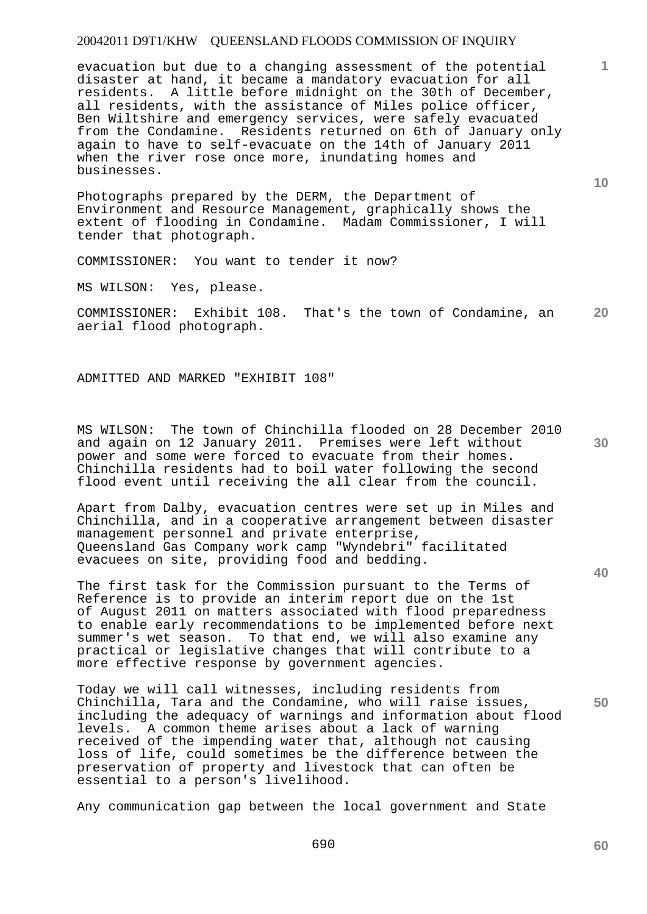evacuation but due to a changing assessment of the potential disaster at hand, it became a mandatory evacuation for all residents. A little before midnight on the 30th of December, all residents, with the assistance of Miles police officer, Ben Wiltshire and emergency services, were safely evacuated from the Condamine. Residents returned on 6th of January only again to have to self-evacuate on the 14th of January 2011 when the river rose once more, inundating homes and businesses.

Photographs prepared by the DERM, the Department of Environment and Resource Management, graphically shows the extent of flooding in Condamine. Madam Commissioner, I will tender that photograph.

COMMISSIONER: You want to tender it now?

MS WILSON: Yes, please.

**20**  COMMISSIONER: Exhibit 108. That's the town of Condamine, an aerial flood photograph.

ADMITTED AND MARKED "EXHIBIT 108"

MS WILSON: The town of Chinchilla flooded on 28 December 2010 and again on 12 January 2011. Premises were left without power and some were forced to evacuate from their homes. Chinchilla residents had to boil water following the second flood event until receiving the all clear from the council.

Apart from Dalby, evacuation centres were set up in Miles and Chinchilla, and in a cooperative arrangement between disaster management personnel and private enterprise, Queensland Gas Company work camp "Wyndebri" facilitated evacuees on site, providing food and bedding.

The first task for the Commission pursuant to the Terms of Reference is to provide an interim report due on the 1st of August 2011 on matters associated with flood preparedness to enable early recommendations to be implemented before next summer's wet season. To that end, we will also examine any practical or legislative changes that will contribute to a more effective response by government agencies.

Today we will call witnesses, including residents from Chinchilla, Tara and the Condamine, who will raise issues, including the adequacy of warnings and information about flood levels. A common theme arises about a lack of warning received of the impending water that, although not causing loss of life, could sometimes be the difference between the preservation of property and livestock that can often be essential to a person's livelihood.

Any communication gap between the local government and State

**10** 

**1**

**50**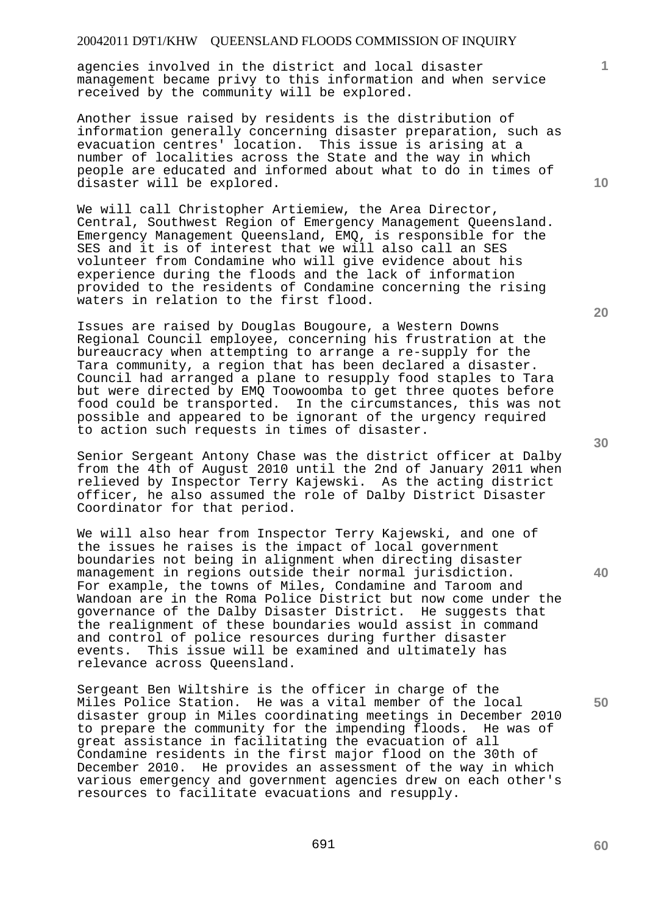agencies involved in the district and local disaster management became privy to this information and when service received by the community will be explored.

Another issue raised by residents is the distribution of information generally concerning disaster preparation, such as evacuation centres' location. This issue is arising at a number of localities across the State and the way in which people are educated and informed about what to do in times of disaster will be explored.

We will call Christopher Artiemiew, the Area Director, Central, Southwest Region of Emergency Management Queensland. Emergency Management Queensland, EMQ, is responsible for the SES and it is of interest that we will also call an SES volunteer from Condamine who will give evidence about his experience during the floods and the lack of information provided to the residents of Condamine concerning the rising waters in relation to the first flood.

Issues are raised by Douglas Bougoure, a Western Downs Regional Council employee, concerning his frustration at the bureaucracy when attempting to arrange a re-supply for the Tara community, a region that has been declared a disaster. Council had arranged a plane to resupply food staples to Tara but were directed by EMQ Toowoomba to get three quotes before food could be transported. In the circumstances, this was not possible and appeared to be ignorant of the urgency required to action such requests in times of disaster.

Senior Sergeant Antony Chase was the district officer at Dalby from the 4th of August 2010 until the 2nd of January 2011 when relieved by Inspector Terry Kajewski. As the acting district officer, he also assumed the role of Dalby District Disaster Coordinator for that period.

We will also hear from Inspector Terry Kajewski, and one of the issues he raises is the impact of local government boundaries not being in alignment when directing disaster management in regions outside their normal jurisdiction. For example, the towns of Miles, Condamine and Taroom and Wandoan are in the Roma Police District but now come under the governance of the Dalby Disaster District. He suggests that the realignment of these boundaries would assist in command and control of police resources during further disaster events. This issue will be examined and ultimately has relevance across Queensland.

Sergeant Ben Wiltshire is the officer in charge of the Miles Police Station. He was a vital member of the local disaster group in Miles coordinating meetings in December 2010<br>to prepare the community for the impending floods. He was of to prepare the community for the impending floods. great assistance in facilitating the evacuation of all Condamine residents in the first major flood on the 30th of December 2010. He provides an assessment of the way in which various emergency and government agencies drew on each other's resources to facilitate evacuations and resupply.

**20** 

**10** 

**40** 

**50**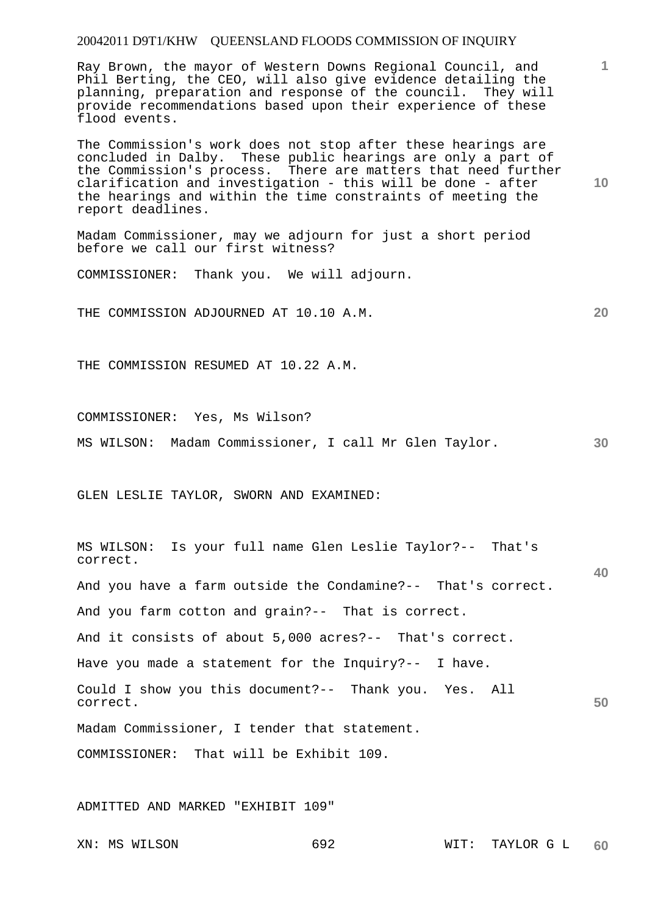Ray Brown, the mayor of Western Downs Regional Council, and Phil Berting, the CEO, will also give evidence detailing the planning, preparation and response of the council. They will provide recommendations based upon their experience of these flood events.

The Commission's work does not stop after these hearings are concluded in Dalby. These public hearings are only a part of the Commission's process. There are matters that need further clarification and investigation - this will be done - after the hearings and within the time constraints of meeting the report deadlines.

Madam Commissioner, may we adjourn for just a short period before we call our first witness?

COMMISSIONER: Thank you. We will adjourn.

THE COMMISSION ADJOURNED AT 10.10 A.M.

THE COMMISSION RESUMED AT 10.22 A.M.

COMMISSIONER: Yes, Ms Wilson?

**30**  MS WILSON: Madam Commissioner, I call Mr Glen Taylor.

GLEN LESLIE TAYLOR, SWORN AND EXAMINED:

**40 50**  MS WILSON: Is your full name Glen Leslie Taylor?-- That's correct. And you have a farm outside the Condamine?-- That's correct. And you farm cotton and grain?-- That is correct. And it consists of about 5,000 acres?-- That's correct. Have you made a statement for the Inquiry?-- I have. Could I show you this document?-- Thank you. Yes. All correct. Madam Commissioner, I tender that statement. COMMISSIONER: That will be Exhibit 109.

ADMITTED AND MARKED "EXHIBIT 109"

**1**

**10**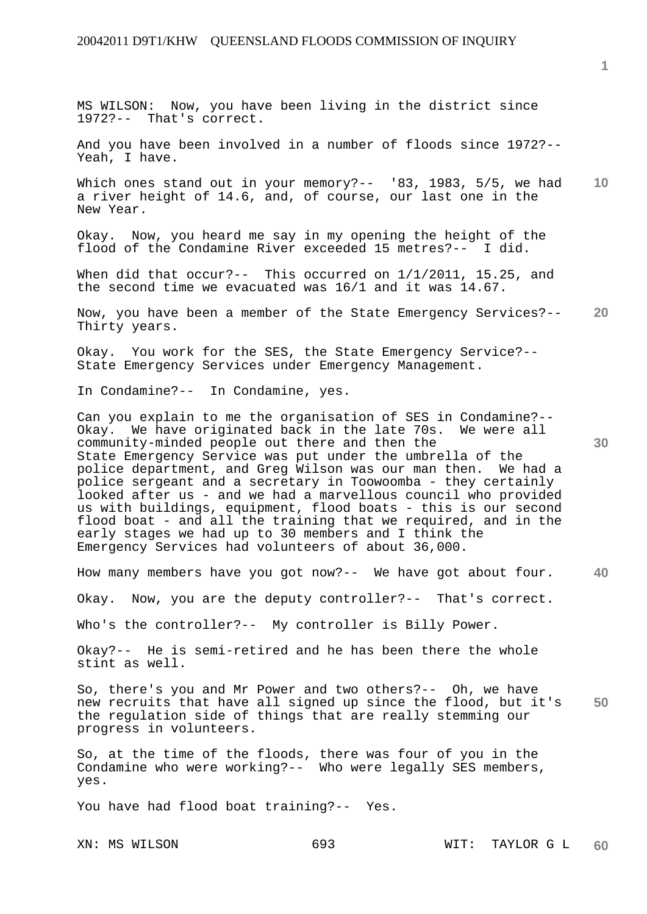MS WILSON: Now, you have been living in the district since 1972?-- That's correct.

And you have been involved in a number of floods since 1972?-- Yeah, I have.

**10**  Which ones stand out in your memory?-- '83, 1983, 5/5, we had a river height of 14.6, and, of course, our last one in the New Year.

Okay. Now, you heard me say in my opening the height of the flood of the Condamine River exceeded 15 metres?-- I did.

When did that occur?-- This occurred on  $1/1/2011$ , 15.25, and the second time we evacuated was 16/1 and it was 14.67.

**20**  Now, you have been a member of the State Emergency Services?-- Thirty years.

Okay. You work for the SES, the State Emergency Service?-- State Emergency Services under Emergency Management.

In Condamine?-- In Condamine, yes.

Can you explain to me the organisation of SES in Condamine?-- Okay. We have originated back in the late 70s. We were all community-minded people out there and then the State Emergency Service was put under the umbrella of the police department, and Greg Wilson was our man then. We had a police sergeant and a secretary in Toowoomba - they certainly looked after us - and we had a marvellous council who provided us with buildings, equipment, flood boats - this is our second flood boat - and all the training that we required, and in the early stages we had up to 30 members and I think the Emergency Services had volunteers of about 36,000.

**40**  How many members have you got now?-- We have got about four.

Okay. Now, you are the deputy controller?-- That's correct.

Who's the controller?-- My controller is Billy Power.

Okay?-- He is semi-retired and he has been there the whole stint as well.

**50**  So, there's you and Mr Power and two others?-- Oh, we have new recruits that have all signed up since the flood, but it's the regulation side of things that are really stemming our progress in volunteers.

So, at the time of the floods, there was four of you in the Condamine who were working?-- Who were legally SES members, yes.

You have had flood boat training?-- Yes.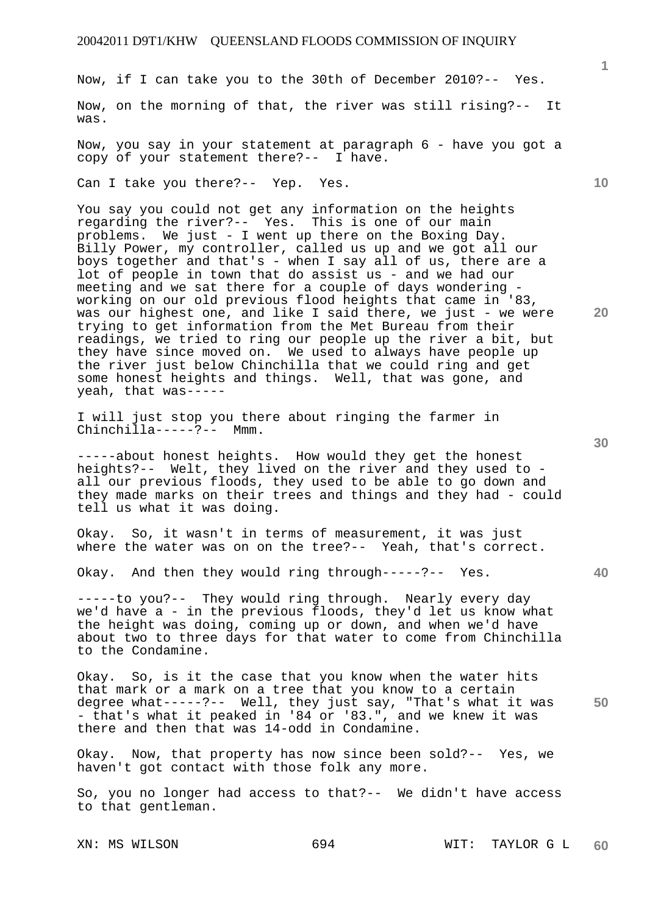Now, if I can take you to the 30th of December 2010?-- Yes.

Now, on the morning of that, the river was still rising?-- It was.

Now, you say in your statement at paragraph 6 - have you got a copy of your statement there?-- I have.

Can I take you there?-- Yep. Yes.

You say you could not get any information on the heights regarding the river?-- Yes. This is one of our main problems. We just - I went up there on the Boxing Day. Billy Power, my controller, called us up and we got all our boys together and that's - when I say all of us, there are a lot of people in town that do assist us - and we had our meeting and we sat there for a couple of days wondering working on our old previous flood heights that came in '83, was our highest one, and like I said there, we just - we were trying to get information from the Met Bureau from their readings, we tried to ring our people up the river a bit, but they have since moved on. We used to always have people up the river just below Chinchilla that we could ring and get some honest heights and things. Well, that was gone, and yeah, that was-----

I will just stop you there about ringing the farmer in Chinchilla-----?-- Mmm.

-----about honest heights. How would they get the honest heights?-- Welt, they lived on the river and they used to all our previous floods, they used to be able to go down and they made marks on their trees and things and they had - could tell us what it was doing.

Okay. So, it wasn't in terms of measurement, it was just where the water was on on the tree?-- Yeah, that's correct.

Okay. And then they would ring through-----?-- Yes.

-----to you?-- They would ring through. Nearly every day we'd have a - in the previous floods, they'd let us know what the height was doing, coming up or down, and when we'd have about two to three days for that water to come from Chinchilla to the Condamine.

**50**  Okay. So, is it the case that you know when the water hits that mark or a mark on a tree that you know to a certain degree what-----?-- Well, they just say, "That's what it was - that's what it peaked in '84 or '83.", and we knew it was there and then that was 14-odd in Condamine.

Okay. Now, that property has now since been sold?-- Yes, we haven't got contact with those folk any more.

So, you no longer had access to that?-- We didn't have access to that gentleman.

XN: MS WILSON 694 WIT: TAYLOR G L **60** 

**30** 

**20** 

**10**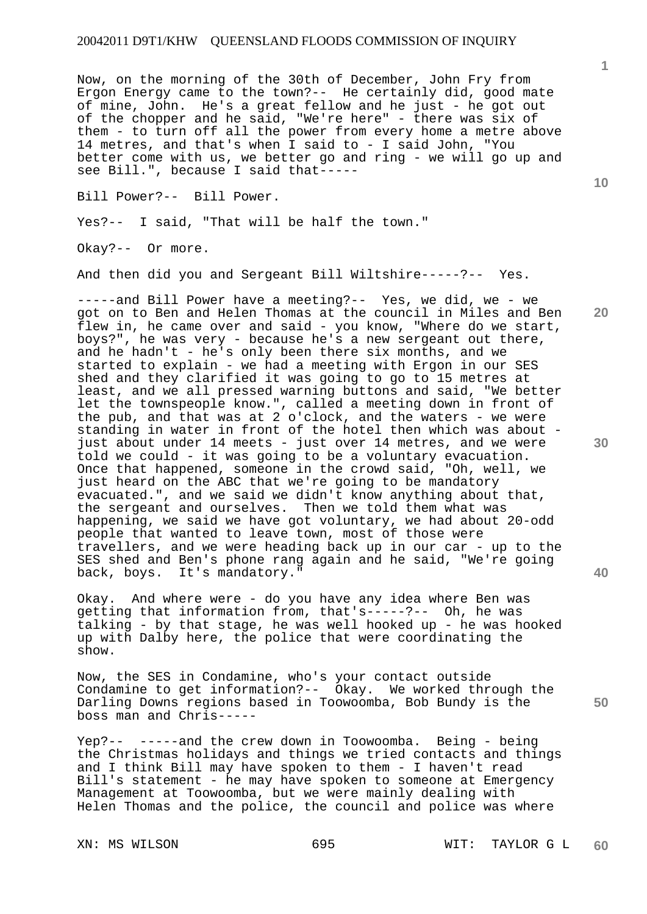Now, on the morning of the 30th of December, John Fry from Ergon Energy came to the town?-- He certainly did, good mate of mine, John. He's a great fellow and he just - he got out of the chopper and he said, "We're here" - there was six of them - to turn off all the power from every home a metre above 14 metres, and that's when I said to - I said John, "You better come with us, we better go and ring - we will go up and see Bill.", because I said that-----

Bill Power?-- Bill Power.

Yes?-- I said, "That will be half the town."

Okay?-- Or more.

And then did you and Sergeant Bill Wiltshire-----?-- Yes.

-----and Bill Power have a meeting?-- Yes, we did, we - we got on to Ben and Helen Thomas at the council in Miles and Ben flew in, he came over and said - you know, "Where do we start, boys?", he was very - because he's a new sergeant out there, and he hadn't - he's only been there six months, and we started to explain - we had a meeting with Ergon in our SES shed and they clarified it was going to go to 15 metres at least, and we all pressed warning buttons and said, "We better let the townspeople know.", called a meeting down in front of the pub, and that was at 2 o'clock, and the waters - we were standing in water in front of the hotel then which was about just about under 14 meets - just over 14 metres, and we were told we could - it was going to be a voluntary evacuation. Once that happened, someone in the crowd said, "Oh, well, we just heard on the ABC that we're going to be mandatory evacuated.", and we said we didn't know anything about that, the sergeant and ourselves. Then we told them what was happening, we said we have got voluntary, we had about 20-odd people that wanted to leave town, most of those were travellers, and we were heading back up in our car - up to the SES shed and Ben's phone rang again and he said, "We're going back, boys. It's mandatory."

Okay. And where were - do you have any idea where Ben was getting that information from, that's-----?-- Oh, he was talking - by that stage, he was well hooked up - he was hooked up with Dalby here, the police that were coordinating the show.

Now, the SES in Condamine, who's your contact outside Condamine to get information?-- Okay. We worked through the Darling Downs regions based in Toowoomba, Bob Bundy is the boss man and Chris-----

Yep?-- -----and the crew down in Toowoomba. Being - being the Christmas holidays and things we tried contacts and things and I think Bill may have spoken to them - I haven't read Bill's statement - he may have spoken to someone at Emergency Management at Toowoomba, but we were mainly dealing with Helen Thomas and the police, the council and police was where

**10** 

**1**

**20** 

**30** 

**40**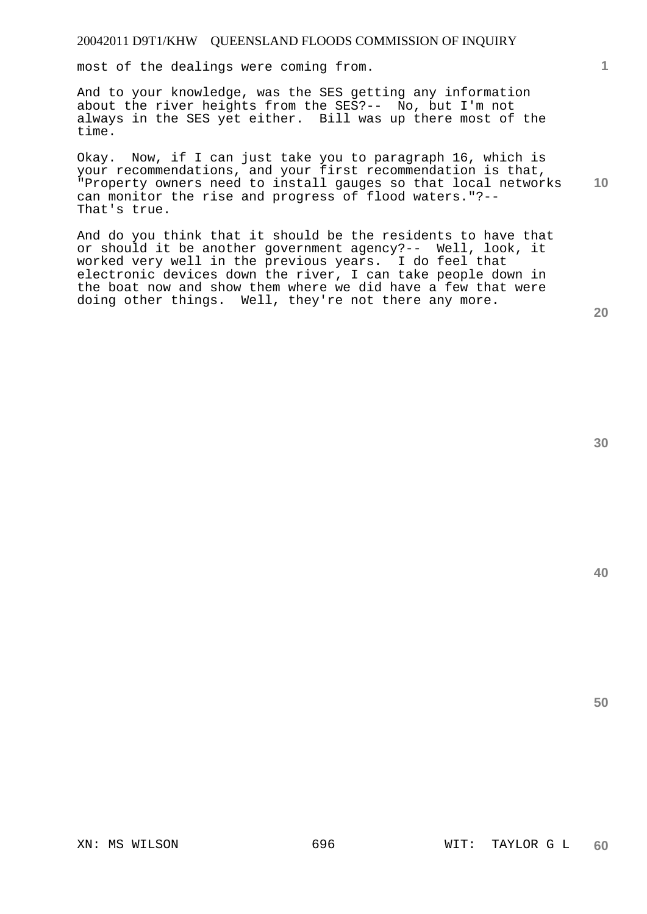most of the dealings were coming from.

And to your knowledge, was the SES getting any information about the river heights from the SES?-- No, but I'm not always in the SES yet either. Bill was up there most of the time.

**10**  Okay. Now, if I can just take you to paragraph 16, which is your recommendations, and your first recommendation is that, "Property owners need to install gauges so that local networks can monitor the rise and progress of flood waters."?-- That's true.

And do you think that it should be the residents to have that or should it be another government agency?-- Well, look, it worked very well in the previous years. I do feel that electronic devices down the river, I can take people down in the boat now and show them where we did have a few that were doing other things. Well, they're not there any more.

**30** 

**20** 

**40** 

**50**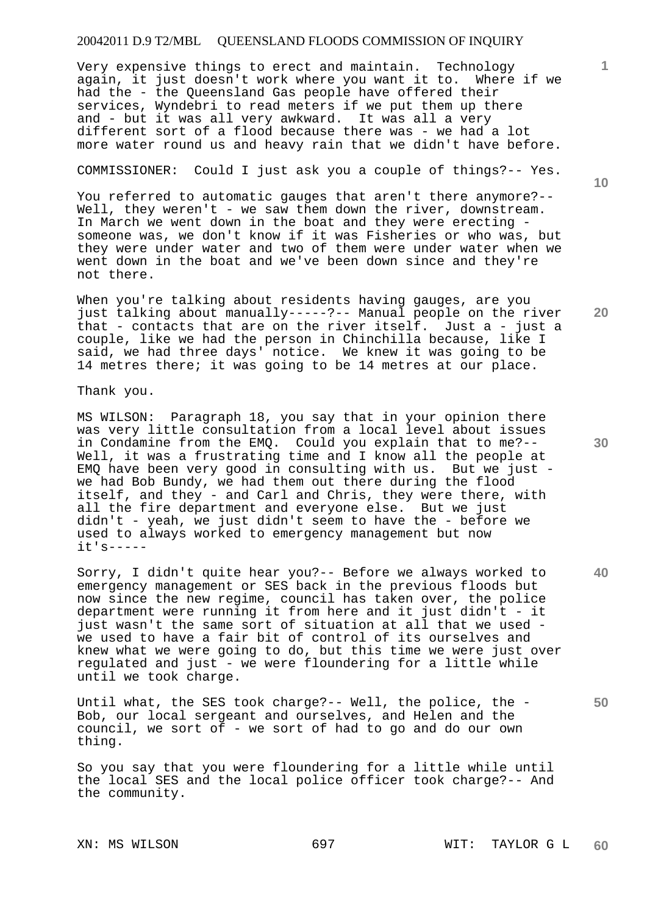# 20042011 D.9 T2/MBL QUEENSLAND FLOODS COMMISSION OF INQUIRY

Very expensive things to erect and maintain. Technology again, it just doesn't work where you want it to. Where if we had the - the Queensland Gas people have offered their services, Wyndebri to read meters if we put them up there and - but it was all very awkward. It was all a very different sort of a flood because there was - we had a lot more water round us and heavy rain that we didn't have before.

#### COMMISSIONER: Could I just ask you a couple of things?-- Yes.

You referred to automatic gauges that aren't there anymore?-- Well, they weren't - we saw them down the river, downstream. In March we went down in the boat and they were erecting someone was, we don't know if it was Fisheries or who was, but they were under water and two of them were under water when we went down in the boat and we've been down since and they're not there.

When you're talking about residents having gauges, are you just talking about manually-----?-- Manual people on the river that - contacts that are on the river itself. Just a - just a couple, like we had the person in Chinchilla because, like I said, we had three days' notice. We knew it was going to be 14 metres there; it was going to be 14 metres at our place.

Thank you.

MS WILSON: Paragraph 18, you say that in your opinion there was very little consultation from a local level about issues in Condamine from the EMQ. Could you explain that to me?-- Well, it was a frustrating time and I know all the people at EMQ have been very good in consulting with us. But we just we had Bob Bundy, we had them out there during the flood itself, and they - and Carl and Chris, they were there, with all the fire department and everyone else. But we just didn't - yeah, we just didn't seem to have the - before we used to always worked to emergency management but now it's-----

Sorry, I didn't quite hear you?-- Before we always worked to emergency management or SES back in the previous floods but now since the new regime, council has taken over, the police department were running it from here and it just didn't - it just wasn't the same sort of situation at all that we used we used to have a fair bit of control of its ourselves and knew what we were going to do, but this time we were just over regulated and just - we were floundering for a little while until we took charge.

Until what, the SES took charge?-- Well, the police, the - Bob, our local sergeant and ourselves, and Helen and the council, we sort of - we sort of had to go and do our own thing.

So you say that you were floundering for a little while until the local SES and the local police officer took charge?-- And the community.

**10** 

**30** 

**40** 

**50**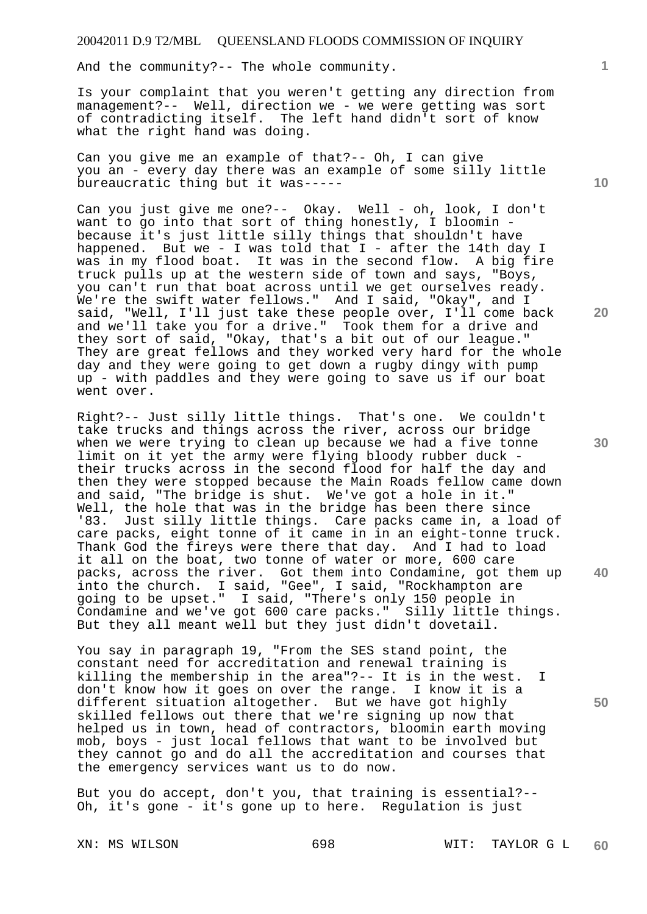And the community?-- The whole community.

Is your complaint that you weren't getting any direction from management?-- Well, direction we - we were getting was sort of contradicting itself. The left hand didn't sort of know what the right hand was doing.

Can you give me an example of that?-- Oh, I can give you an - every day there was an example of some silly little bureaucratic thing but it was-----

Can you just give me one?-- Okay. Well - oh, look, I don't want to go into that sort of thing honestly, I bloomin because it's just little silly things that shouldn't have happened. But we - I was told that I - after the 14th day I was in my flood boat. It was in the second flow. A big fire truck pulls up at the western side of town and says, "Boys, you can't run that boat across until we get ourselves ready. We're the swift water fellows." And I said, "Okay", and I said, "Well, I'll just take these people over, I'll come back and we'll take you for a drive." Took them for a drive and they sort of said, "Okay, that's a bit out of our league." They are great fellows and they worked very hard for the whole day and they were going to get down a rugby dingy with pump up - with paddles and they were going to save us if our boat went over.

Right?-- Just silly little things. That's one. We couldn't take trucks and things across the river, across our bridge when we were trying to clean up because we had a five tonne limit on it yet the army were flying bloody rubber duck their trucks across in the second flood for half the day and then they were stopped because the Main Roads fellow came down and said, "The bridge is shut. We've got a hole in it." Well, the hole that was in the bridge has been there since '83. Just silly little things. Care packs came in, a load of care packs, eight tonne of it came in in an eight-tonne truck. Thank God the fireys were there that day. And I had to load it all on the boat, two tonne of water or more, 600 care packs, across the river. Got them into Condamine, got them up into the church. I said, "Gee", I said, "Rockhampton are going to be upset." I said, "There's only 150 people in Condamine and we've got 600 care packs." Silly little things. But they all meant well but they just didn't dovetail.

You say in paragraph 19, "From the SES stand point, the constant need for accreditation and renewal training is killing the membership in the area"?-- It is in the west. I don't know how it goes on over the range. I know it is a different situation altogether. But we have got highly skilled fellows out there that we're signing up now that helped us in town, head of contractors, bloomin earth moving mob, boys - just local fellows that want to be involved but they cannot go and do all the accreditation and courses that the emergency services want us to do now.

But you do accept, don't you, that training is essential?-- Oh, it's gone - it's gone up to here. Regulation is just

**1**

**10** 

**20** 

**30** 

**40**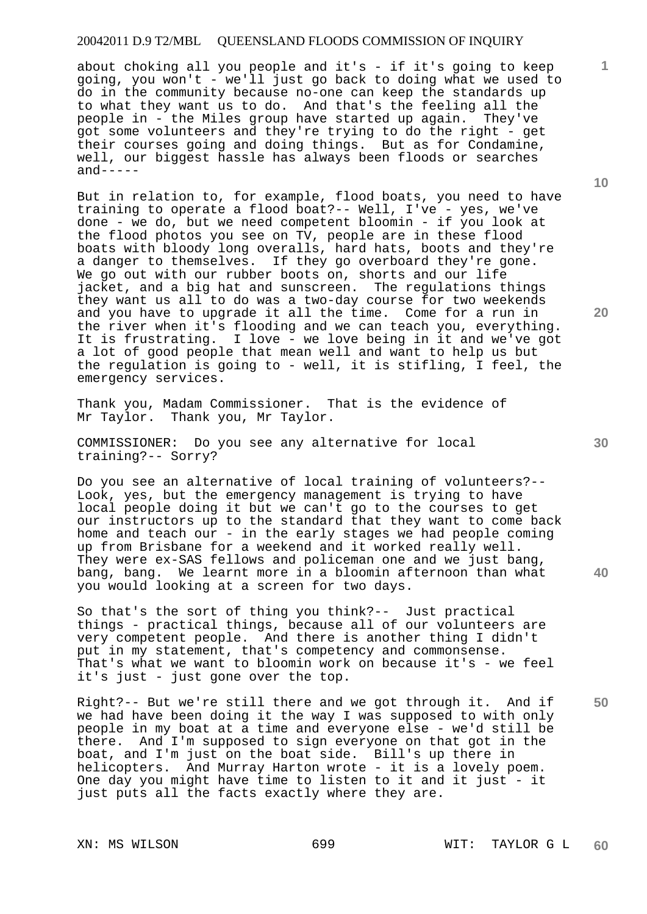# 20042011 D.9 T2/MBL QUEENSLAND FLOODS COMMISSION OF INQUIRY

about choking all you people and it's - if it's going to keep going, you won't - we'll just go back to doing what we used to do in the community because no-one can keep the standards up to what they want us to do. And that's the feeling all the people in - the Miles group have started up again. They've got some volunteers and they're trying to do the right - get their courses going and doing things. But as for Condamine, well, our biggest hassle has always been floods or searches  $and---$ 

But in relation to, for example, flood boats, you need to have training to operate a flood boat?-- Well, I've - yes, we've done - we do, but we need competent bloomin - if you look at the flood photos you see on TV, people are in these flood boats with bloody long overalls, hard hats, boots and they're a danger to themselves. If they go overboard they're gone. We go out with our rubber boots on, shorts and our life jacket, and a big hat and sunscreen. The regulations things they want us all to do was a two-day course for two weekends and you have to upgrade it all the time. Come for a run in the river when it's flooding and we can teach you, everything. It is frustrating. I love - we love being in it and we've got a lot of good people that mean well and want to help us but the regulation is going to - well, it is stifling, I feel, the emergency services.

Thank you, Madam Commissioner. That is the evidence of Mr Taylor. Thank you, Mr Taylor.

COMMISSIONER: Do you see any alternative for local training?-- Sorry?

Do you see an alternative of local training of volunteers?-- Look, yes, but the emergency management is trying to have local people doing it but we can't go to the courses to get our instructors up to the standard that they want to come back home and teach our - in the early stages we had people coming up from Brisbane for a weekend and it worked really well. They were ex-SAS fellows and policeman one and we just bang, bang, bang. We learnt more in a bloomin afternoon than what you would looking at a screen for two days.

So that's the sort of thing you think?-- Just practical things - practical things, because all of our volunteers are very competent people. And there is another thing I didn't put in my statement, that's competency and commonsense. That's what we want to bloomin work on because it's - we feel it's just - just gone over the top.

Right?-- But we're still there and we got through it. And if we had have been doing it the way I was supposed to with only people in my boat at a time and everyone else - we'd still be there. And I'm supposed to sign everyone on that got in the boat, and I'm just on the boat side. Bill's up there in helicopters. And Murray Harton wrote - it is a lovely poem. One day you might have time to listen to it and it just - it just puts all the facts exactly where they are.

XN: MS WILSON 699 WIT: TAYLOR G L **60** 

**30** 

**10** 

**1**

**20**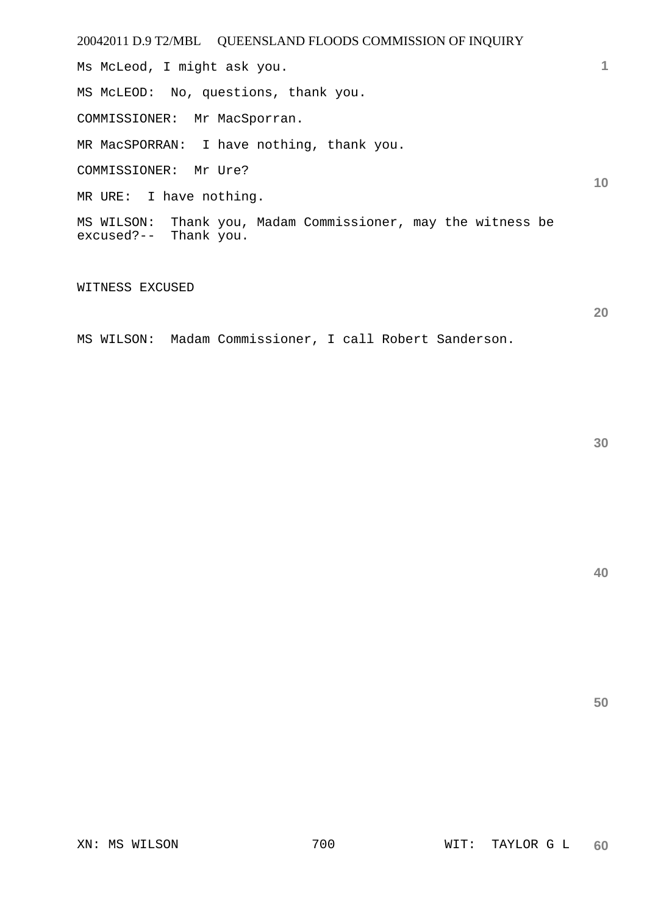| 20042011 D.9 T2/MBL  QUEENSLAND FLOODS COMMISSION OF INQUIRY                          |    |
|---------------------------------------------------------------------------------------|----|
| Ms McLeod, I might ask you.                                                           |    |
| MS McLEOD: No, questions, thank you.                                                  |    |
| COMMISSIONER: Mr MacSporran.                                                          |    |
| MR MacSPORRAN: I have nothing, thank you.                                             |    |
| COMMISSIONER: Mr Ure?                                                                 | 10 |
| MR URE: I have nothing.                                                               |    |
| MS WILSON: Thank you, Madam Commissioner, may the witness be<br>excused?-- Thank you. |    |

# WITNESS EXCUSED

MS WILSON: Madam Commissioner, I call Robert Sanderson.

**20** 

**40**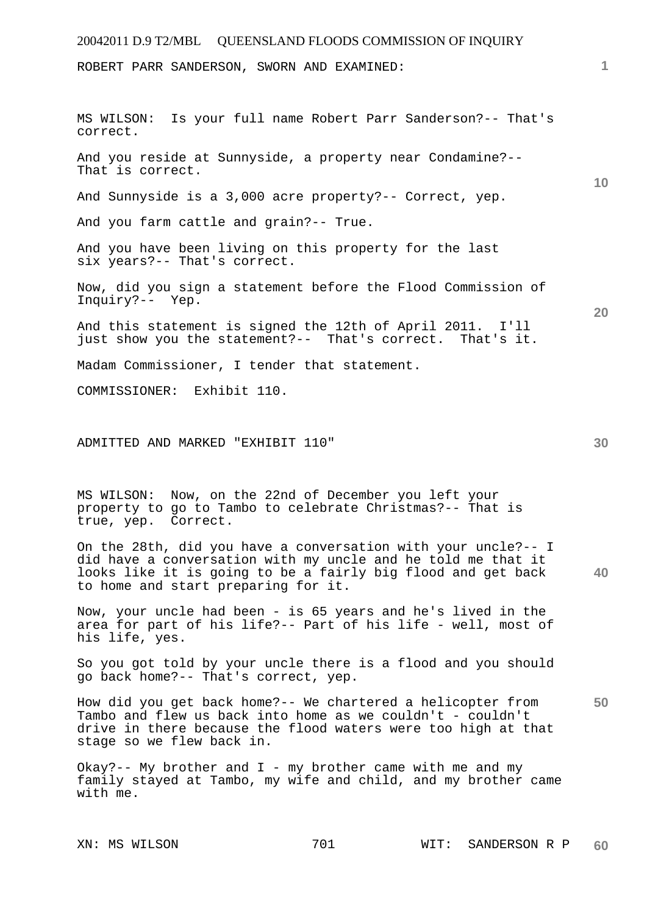# 20042011 D.9 T2/MBL QUEENSLAND FLOODS COMMISSION OF INQUIRY **1 10 20 30**  ROBERT PARR SANDERSON, SWORN AND EXAMINED: MS WILSON: Is your full name Robert Parr Sanderson?-- That's correct. And you reside at Sunnyside, a property near Condamine?-- That is correct. And Sunnyside is a 3,000 acre property?-- Correct, yep. And you farm cattle and grain?-- True. And you have been living on this property for the last six years?-- That's correct. Now, did you sign a statement before the Flood Commission of Inquiry?-- Yep. And this statement is signed the 12th of April 2011. I'll just show you the statement?-- That's correct. That's it. Madam Commissioner, I tender that statement. COMMISSIONER: Exhibit 110. ADMITTED AND MARKED "EXHIBIT 110"

MS WILSON: Now, on the 22nd of December you left your property to go to Tambo to celebrate Christmas?-- That is true, yep. Correct.

**40**  On the 28th, did you have a conversation with your uncle?-- I did have a conversation with my uncle and he told me that it looks like it is going to be a fairly big flood and get back to home and start preparing for it.

Now, your uncle had been - is 65 years and he's lived in the area for part of his life?-- Part of his life - well, most of his life, yes.

So you got told by your uncle there is a flood and you should go back home?-- That's correct, yep.

**50**  How did you get back home?-- We chartered a helicopter from Tambo and flew us back into home as we couldn't - couldn't drive in there because the flood waters were too high at that stage so we flew back in.

Okay?-- My brother and  $I$  - my brother came with me and my family stayed at Tambo, my wife and child, and my brother came with me.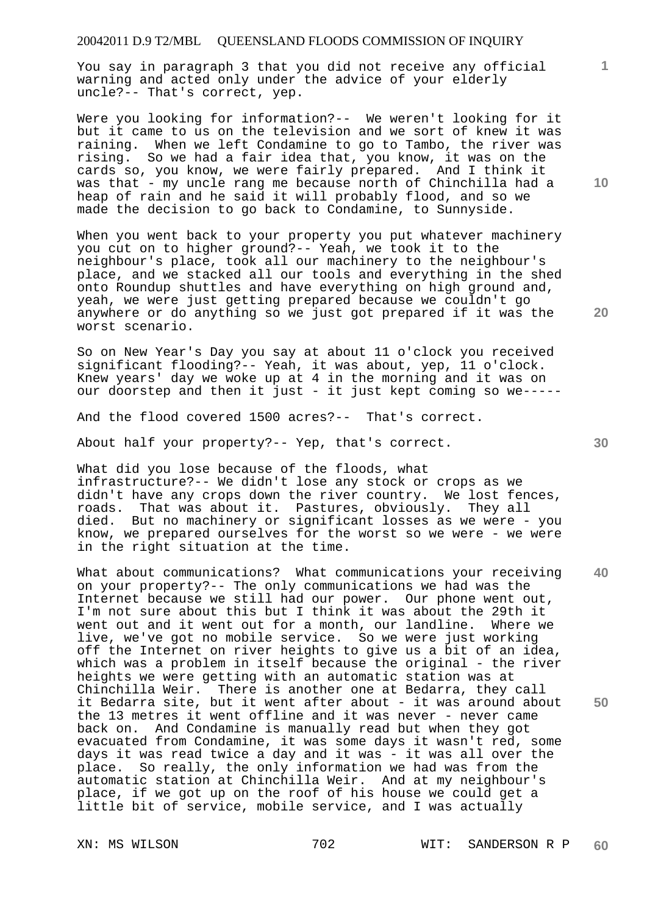# 20042011 D.9 T2/MBL QUEENSLAND FLOODS COMMISSION OF INQUIRY

You say in paragraph 3 that you did not receive any official warning and acted only under the advice of your elderly uncle?-- That's correct, yep.

Were you looking for information?-- We weren't looking for it but it came to us on the television and we sort of knew it was raining. When we left Condamine to go to Tambo, the river was rising. So we had a fair idea that, you know, it was on the cards so, you know, we were fairly prepared. And I think it was that - my uncle rang me because north of Chinchilla had a heap of rain and he said it will probably flood, and so we made the decision to go back to Condamine, to Sunnyside.

When you went back to your property you put whatever machinery you cut on to higher ground?-- Yeah, we took it to the neighbour's place, took all our machinery to the neighbour's place, and we stacked all our tools and everything in the shed onto Roundup shuttles and have everything on high ground and, yeah, we were just getting prepared because we couldn't go anywhere or do anything so we just got prepared if it was the worst scenario.

So on New Year's Day you say at about 11 o'clock you received significant flooding?-- Yeah, it was about, yep, 11 o'clock. Knew years' day we woke up at 4 in the morning and it was on our doorstep and then it just - it just kept coming so we-----

And the flood covered 1500 acres?-- That's correct.

About half your property?-- Yep, that's correct.

What did you lose because of the floods, what infrastructure?-- We didn't lose any stock or crops as we didn't have any crops down the river country. We lost fences, roads. That was about it. Pastures, obviously. They all That was about it. Pastures, obviously. They all died. But no machinery or significant losses as we were - you know, we prepared ourselves for the worst so we were - we were in the right situation at the time.

**40 50**  What about communications? What communications your receiving on your property?-- The only communications we had was the Internet because we still had our power. Our phone went out, I'm not sure about this but I think it was about the 29th it went out and it went out for a month, our landline. Where we live, we've got no mobile service. So we were just working off the Internet on river heights to give us a bit of an idea, which was a problem in itself because the original - the river heights we were getting with an automatic station was at Chinchilla Weir. There is another one at Bedarra, they call it Bedarra site, but it went after about - it was around about the 13 metres it went offline and it was never - never came back on. And Condamine is manually read but when they got evacuated from Condamine, it was some days it wasn't red, some days it was read twice a day and it was - it was all over the place. So really, the only information we had was from the automatic station at Chinchilla Weir. And at my neighbour's place, if we got up on the roof of his house we could get a little bit of service, mobile service, and I was actually

**10** 

**1**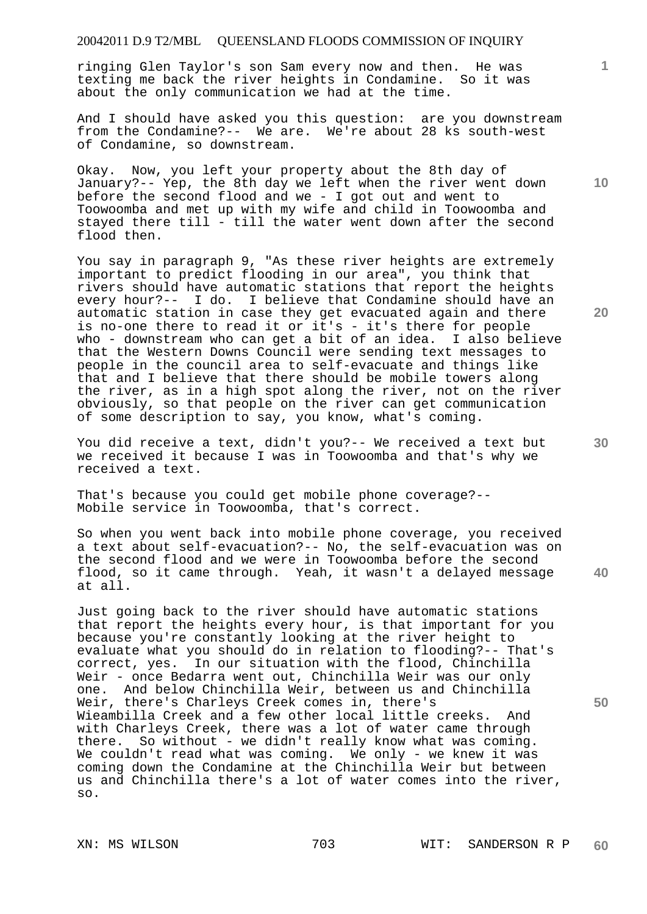# 20042011 D.9 T2/MBL QUEENSLAND FLOODS COMMISSION OF INQUIRY

ringing Glen Taylor's son Sam every now and then. He was texting me back the river heights in Condamine. So it was about the only communication we had at the time.

And I should have asked you this question: are you downstream from the Condamine?-- We are. We're about 28 ks south-west of Condamine, so downstream.

Okay. Now, you left your property about the 8th day of January?-- Yep, the 8th day we left when the river went down before the second flood and we - I got out and went to Toowoomba and met up with my wife and child in Toowoomba and stayed there till - till the water went down after the second flood then.

You say in paragraph 9, "As these river heights are extremely important to predict flooding in our area", you think that rivers should have automatic stations that report the heights every hour?-- I do. I believe that Condamine should have an automatic station in case they get evacuated again and there is no-one there to read it or it's - it's there for people who - downstream who can get a bit of an idea. I also believe that the Western Downs Council were sending text messages to people in the council area to self-evacuate and things like that and I believe that there should be mobile towers along the river, as in a high spot along the river, not on the river obviously, so that people on the river can get communication of some description to say, you know, what's coming.

You did receive a text, didn't you?-- We received a text but we received it because I was in Toowoomba and that's why we received a text.

That's because you could get mobile phone coverage?-- Mobile service in Toowoomba, that's correct.

So when you went back into mobile phone coverage, you received a text about self-evacuation?-- No, the self-evacuation was on the second flood and we were in Toowoomba before the second flood, so it came through. Yeah, it wasn't a delayed message at all.

Just going back to the river should have automatic stations that report the heights every hour, is that important for you because you're constantly looking at the river height to evaluate what you should do in relation to flooding?-- That's correct, yes. In our situation with the flood, Chinchilla Weir - once Bedarra went out, Chinchilla Weir was our only one. And below Chinchilla Weir, between us and Chinchilla Weir, there's Charleys Creek comes in, there's Wieambilla Creek and a few other local little creeks. And with Charleys Creek, there was a lot of water came through there. So without - we didn't really know what was coming. We couldn't read what was coming. We only - we knew it was coming down the Condamine at the Chinchilla Weir but between us and Chinchilla there's a lot of water comes into the river, so.

**10** 

**20** 

**1**

**50**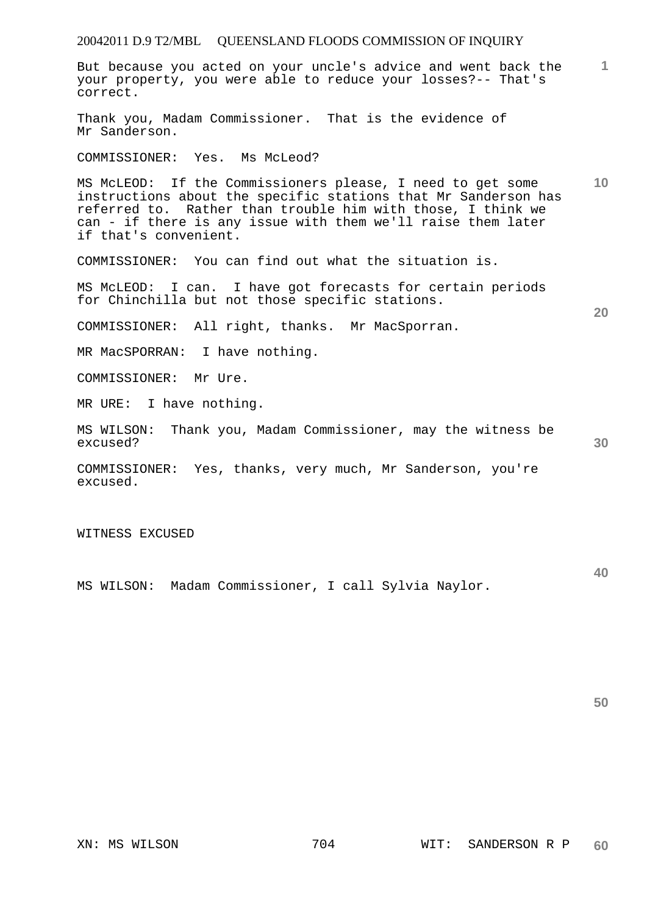| 20042011 D.9 T2/MBL  QUEENSLAND FLOODS COMMISSION OF INQUIRY                                                                                                                                                                                                                         |                 |
|--------------------------------------------------------------------------------------------------------------------------------------------------------------------------------------------------------------------------------------------------------------------------------------|-----------------|
| But because you acted on your uncle's advice and went back the<br>your property, you were able to reduce your losses?-- That's<br>correct.                                                                                                                                           | $\mathbf{1}$    |
| Thank you, Madam Commissioner. That is the evidence of<br>Mr Sanderson.                                                                                                                                                                                                              |                 |
| COMMISSIONER: Yes. Ms McLeod?                                                                                                                                                                                                                                                        |                 |
| MS McLEOD: If the Commissioners please, I need to get some<br>instructions about the specific stations that Mr Sanderson has<br>referred to. Rather than trouble him with those, I think we<br>can - if there is any issue with them we'll raise them later<br>if that's convenient. | 10 <sup>°</sup> |
| COMMISSIONER: You can find out what the situation is.                                                                                                                                                                                                                                |                 |
| MS McLEOD: I can. I have got forecasts for certain periods<br>for Chinchilla but not those specific stations.                                                                                                                                                                        | 20              |
| COMMISSIONER: All right, thanks. Mr MacSporran.                                                                                                                                                                                                                                      |                 |
| MR MacSPORRAN: I have nothing.                                                                                                                                                                                                                                                       |                 |
| COMMISSIONER: Mr Ure.                                                                                                                                                                                                                                                                |                 |
| MR URE:<br>I have nothing.                                                                                                                                                                                                                                                           |                 |
| Thank you, Madam Commissioner, may the witness be<br>MS WILSON:<br>excused?                                                                                                                                                                                                          | 30              |
| Yes, thanks, very much, Mr Sanderson, you're<br>COMMISSIONER:<br>excused.                                                                                                                                                                                                            |                 |
|                                                                                                                                                                                                                                                                                      |                 |

WITNESS EXCUSED

MS WILSON: Madam Commissioner, I call Sylvia Naylor.

**50**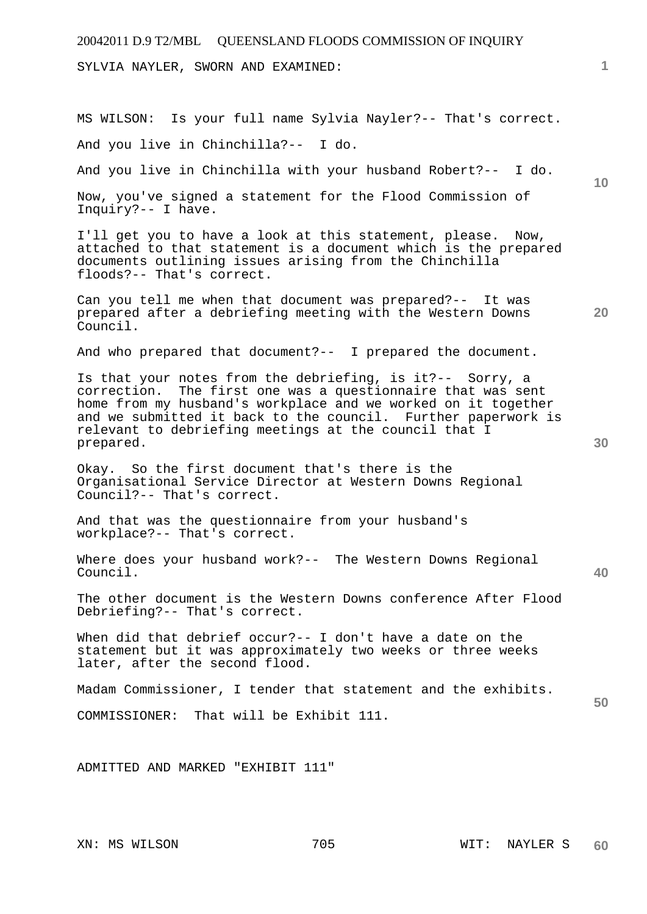20042011 D.9 T2/MBL QUEENSLAND FLOODS COMMISSION OF INQUIRY

SYLVIA NAYLER, SWORN AND EXAMINED:

MS WILSON: Is your full name Sylvia Nayler?-- That's correct. And you live in Chinchilla?-- I do.

And you live in Chinchilla with your husband Robert?-- I do.

**10** 

**20** 

**30** 

**40** 

**50** 

**1**

Now, you've signed a statement for the Flood Commission of Inquiry?-- I have.

I'll get you to have a look at this statement, please. Now, attached to that statement is a document which is the prepared documents outlining issues arising from the Chinchilla floods?-- That's correct.

Can you tell me when that document was prepared?-- It was prepared after a debriefing meeting with the Western Downs Council.

And who prepared that document?-- I prepared the document.

Is that your notes from the debriefing, is it?-- Sorry, a correction. The first one was a questionnaire that was sent home from my husband's workplace and we worked on it together and we submitted it back to the council. Further paperwork is relevant to debriefing meetings at the council that I prepared.

Okay. So the first document that's there is the Organisational Service Director at Western Downs Regional Council?-- That's correct.

And that was the questionnaire from your husband's workplace?-- That's correct.

Where does your husband work?-- The Western Downs Regional Council.

The other document is the Western Downs conference After Flood Debriefing?-- That's correct.

When did that debrief occur?-- I don't have a date on the statement but it was approximately two weeks or three weeks later, after the second flood.

Madam Commissioner, I tender that statement and the exhibits.

COMMISSIONER: That will be Exhibit 111.

ADMITTED AND MARKED "EXHIBIT 111"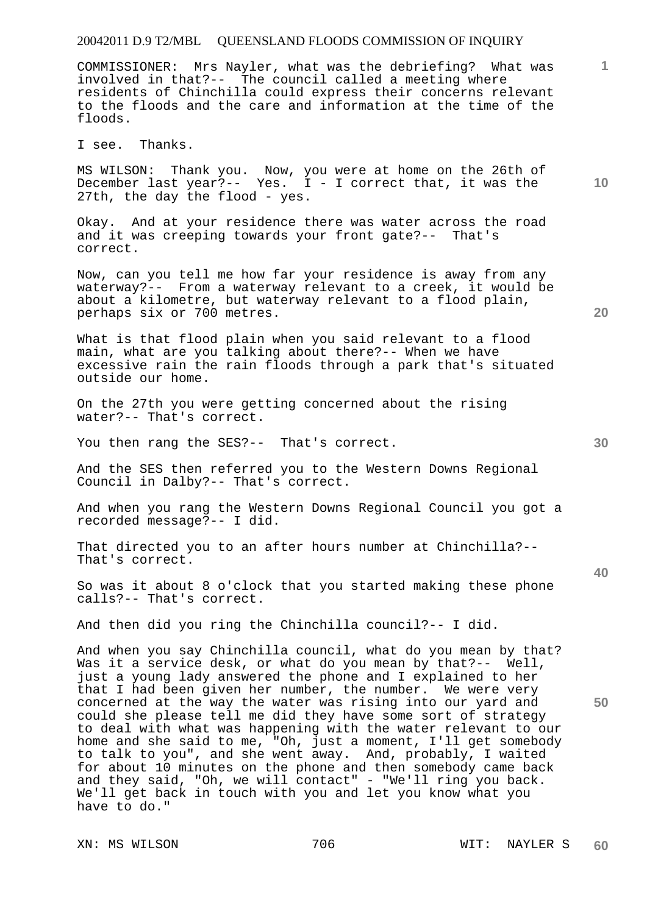# 20042011 D.9 T2/MBL QUEENSLAND FLOODS COMMISSION OF INQUIRY

COMMISSIONER: Mrs Nayler, what was the debriefing? What was involved in that?-- The council called a meeting where residents of Chinchilla could express their concerns relevant to the floods and the care and information at the time of the floods.

I see. Thanks.

MS WILSON: Thank you. Now, you were at home on the 26th of December last year?-- Yes. I - I correct that, it was the 27th, the day the flood - yes.

Okay. And at your residence there was water across the road and it was creeping towards your front gate?-- That's correct.

Now, can you tell me how far your residence is away from any waterway?-- From a waterway relevant to a creek, it would be about a kilometre, but waterway relevant to a flood plain, perhaps six or 700 metres.

What is that flood plain when you said relevant to a flood main, what are you talking about there?-- When we have excessive rain the rain floods through a park that's situated outside our home.

On the 27th you were getting concerned about the rising water?-- That's correct.

You then rang the SES?-- That's correct.

And the SES then referred you to the Western Downs Regional Council in Dalby?-- That's correct.

And when you rang the Western Downs Regional Council you got a recorded message?-- I did.

That directed you to an after hours number at Chinchilla?-- That's correct.

So was it about 8 o'clock that you started making these phone calls?-- That's correct.

And then did you ring the Chinchilla council?-- I did.

And when you say Chinchilla council, what do you mean by that? Was it a service desk, or what do you mean by that?-- Well, just a young lady answered the phone and I explained to her that I had been given her number, the number. We were very concerned at the way the water was rising into our yard and could she please tell me did they have some sort of strategy to deal with what was happening with the water relevant to our home and she said to me, "Oh, just a moment, I'll get somebody to talk to you", and she went away. And, probably, I waited for about 10 minutes on the phone and then somebody came back and they said, "Oh, we will contact" - "We'll ring you back. We'll get back in touch with you and let you know what you have to do."

XN: MS WILSON 706 706 WIT: NAYLER S **60** 

**30** 

**20** 

**50** 

**10**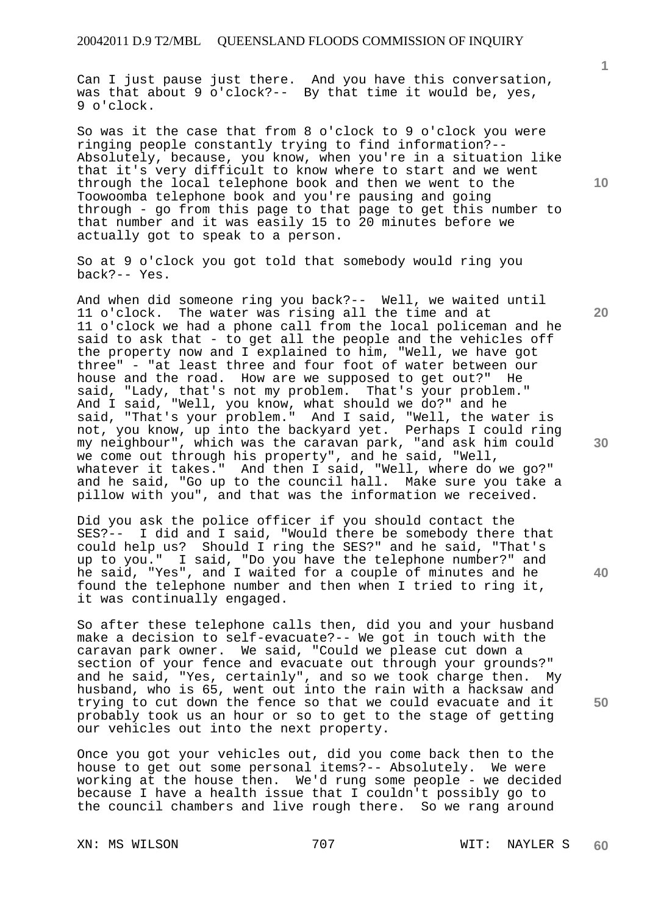Can I just pause just there. And you have this conversation, was that about 9 o'clock?-- By that time it would be, yes, 9 o'clock.

So was it the case that from 8 o'clock to 9 o'clock you were ringing people constantly trying to find information?-- Absolutely, because, you know, when you're in a situation like that it's very difficult to know where to start and we went through the local telephone book and then we went to the Toowoomba telephone book and you're pausing and going through - go from this page to that page to get this number to that number and it was easily 15 to 20 minutes before we actually got to speak to a person.

So at 9 o'clock you got told that somebody would ring you back?-- Yes.

And when did someone ring you back?-- Well, we waited until 11 o'clock. The water was rising all the time and at 11 o'clock we had a phone call from the local policeman and he said to ask that - to get all the people and the vehicles off the property now and I explained to him, "Well, we have got three" - "at least three and four foot of water between our house and the road. How are we supposed to get out?" He said, "Lady, that's not my problem. That's your problem." And I said, "Well, you know, what should we do?" and he said, "That's your problem." And I said, "Well, the water is not, you know, up into the backyard yet. Perhaps I could ring my neighbour", which was the caravan park, "and ask him could we come out through his property", and he said, "Well, whatever it takes." And then I said, "Well, where do we go?" and he said, "Go up to the council hall. Make sure you take a pillow with you", and that was the information we received.

Did you ask the police officer if you should contact the SES?-- I did and I said, "Would there be somebody there that could help us? Should I ring the SES?" and he said, "That's up to you." I said, "Do you have the telephone number?" and he said, "Yes", and I waited for a couple of minutes and he found the telephone number and then when I tried to ring it, it was continually engaged.

So after these telephone calls then, did you and your husband make a decision to self-evacuate?-- We got in touch with the caravan park owner. We said, "Could we please cut down a section of your fence and evacuate out through your grounds?" and he said, "Yes, certainly", and so we took charge then. My husband, who is 65, went out into the rain with a hacksaw and trying to cut down the fence so that we could evacuate and it probably took us an hour or so to get to the stage of getting our vehicles out into the next property.

Once you got your vehicles out, did you come back then to the house to get out some personal items?-- Absolutely. We were working at the house then. We'd rung some people - we decided because I have a health issue that I couldn't possibly go to the council chambers and live rough there. So we rang around

XN: MS WILSON 707 707 WIT: NAYLER S

**60** 

**20** 

**10** 

**40** 

**1**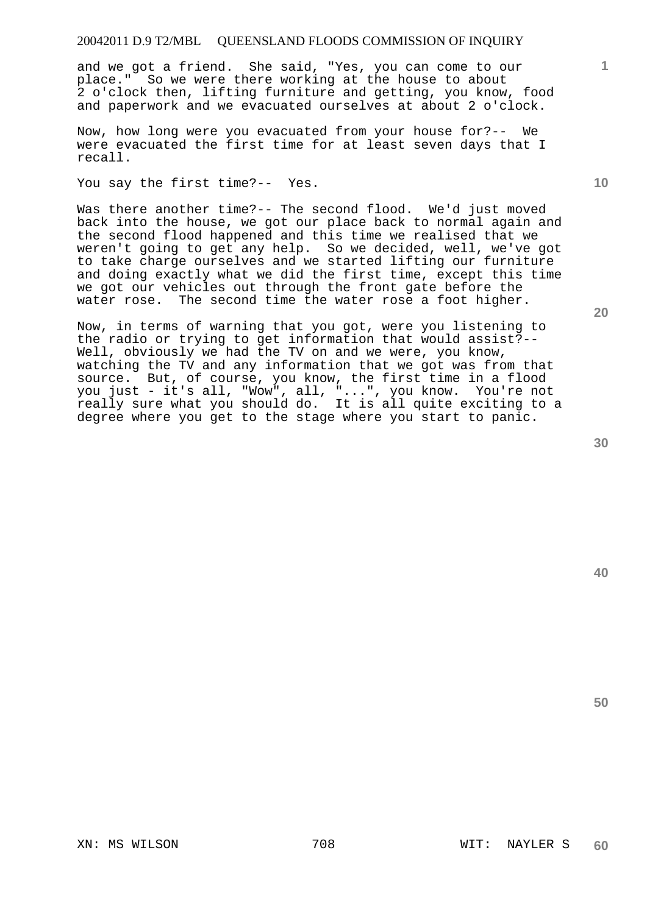# 20042011 D.9 T2/MBL QUEENSLAND FLOODS COMMISSION OF INQUIRY

and we got a friend. She said, "Yes, you can come to our place." So we were there working at the house to about 2 o'clock then, lifting furniture and getting, you know, food and paperwork and we evacuated ourselves at about 2 o'clock.

Now, how long were you evacuated from your house for?-- We were evacuated the first time for at least seven days that I recall.

You say the first time?-- Yes.

Was there another time?-- The second flood. We'd just moved back into the house, we got our place back to normal again and the second flood happened and this time we realised that we weren't going to get any help. So we decided, well, we've got to take charge ourselves and we started lifting our furniture and doing exactly what we did the first time, except this time we got our vehicles out through the front gate before the water rose. The second time the water rose a foot higher.

Now, in terms of warning that you got, were you listening to the radio or trying to get information that would assist?-- Well, obviously we had the TV on and we were, you know, watching the TV and any information that we got was from that source. But, of course, you know, the first time in a flood you just - it's all, "Wow", all, "...", you know. You're not really sure what you should do. It is all quite exciting to a degree where you get to the stage where you start to panic.

**20** 

**40** 

**50** 

**10**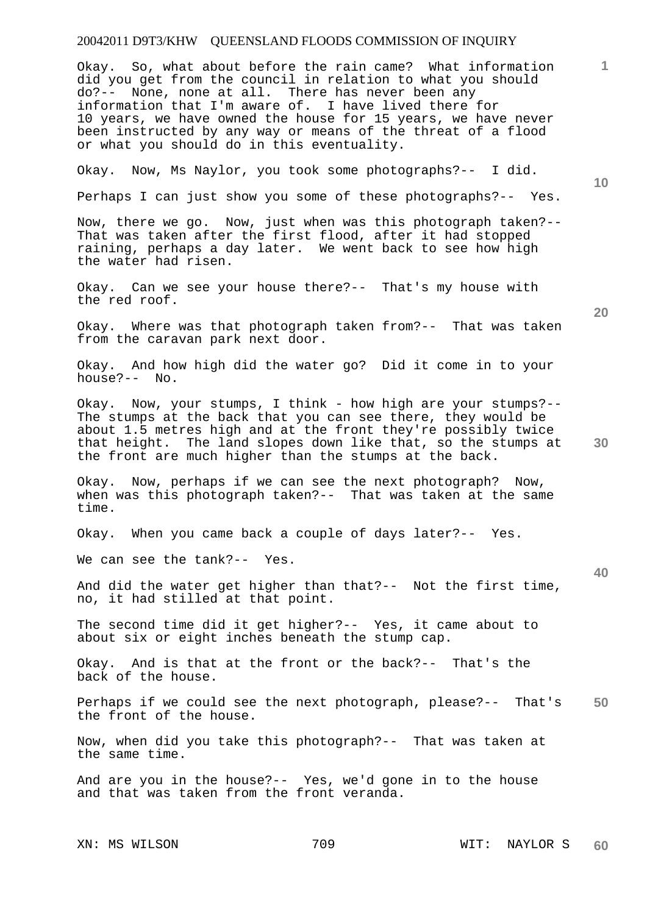Okay. So, what about before the rain came? What information did you get from the council in relation to what you should do?-- None, none at all. There has never been any information that I'm aware of. I have lived there for 10 years, we have owned the house for 15 years, we have never been instructed by any way or means of the threat of a flood or what you should do in this eventuality.

Okay. Now, Ms Naylor, you took some photographs?-- I did.

Perhaps I can just show you some of these photographs?-- Yes.

Now, there we go. Now, just when was this photograph taken?-- That was taken after the first flood, after it had stopped raining, perhaps a day later. We went back to see how high the water had risen.

Okay. Can we see your house there?-- That's my house with the red roof.

Okay. Where was that photograph taken from?-- That was taken from the caravan park next door.

Okay. And how high did the water go? Did it come in to your house?-- No.

Okay. Now, your stumps, I think - how high are your stumps?-- The stumps at the back that you can see there, they would be about 1.5 metres high and at the front they're possibly twice that height. The land slopes down like that, so the stumps at the front are much higher than the stumps at the back.

Okay. Now, perhaps if we can see the next photograph? Now, when was this photograph taken?-- That was taken at the same time.

Okay. When you came back a couple of days later?-- Yes.

We can see the tank?-- Yes.

And did the water get higher than that?-- Not the first time, no, it had stilled at that point.

The second time did it get higher?-- Yes, it came about to about six or eight inches beneath the stump cap.

Okay. And is that at the front or the back?-- That's the back of the house.

**50**  Perhaps if we could see the next photograph, please?-- That's the front of the house.

Now, when did you take this photograph?-- That was taken at the same time.

And are you in the house?-- Yes, we'd gone in to the house and that was taken from the front veranda.

XN: MS WILSON 709 WIT: NAYLOR S **60** 

**10** 

**20** 

**30**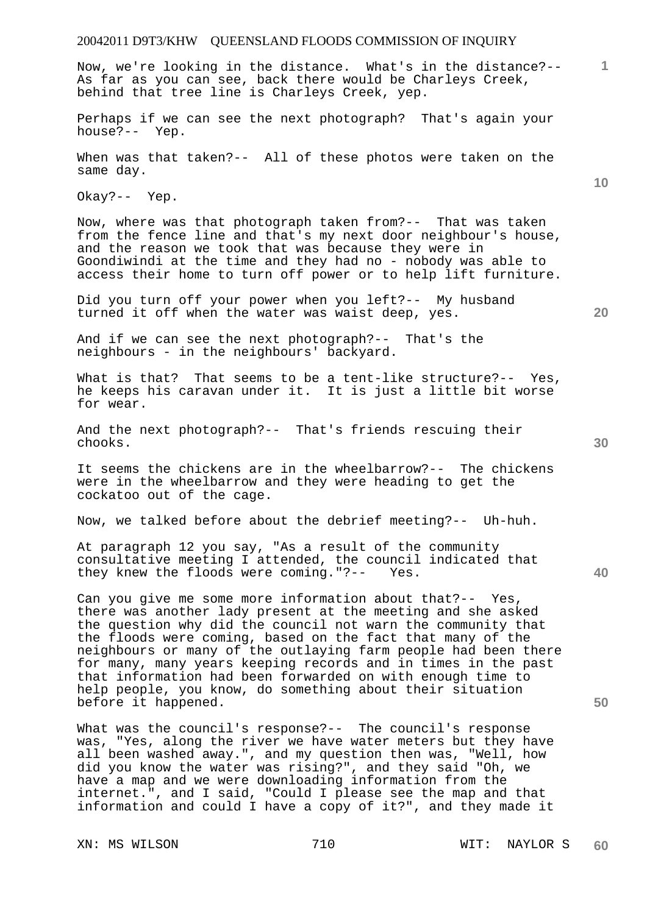**1** Now, we're looking in the distance. What's in the distance?-- As far as you can see, back there would be Charleys Creek, behind that tree line is Charleys Creek, yep.

Perhaps if we can see the next photograph? That's again your house?-- Yep.

When was that taken?-- All of these photos were taken on the same day.

Okay?-- Yep.

Now, where was that photograph taken from?-- That was taken from the fence line and that's my next door neighbour's house, and the reason we took that was because they were in Goondiwindi at the time and they had no - nobody was able to access their home to turn off power or to help lift furniture.

Did you turn off your power when you left?-- My husband turned it off when the water was waist deep, yes.

And if we can see the next photograph?-- That's the neighbours - in the neighbours' backyard.

What is that? That seems to be a tent-like structure?-- Yes, he keeps his caravan under it. It is just a little bit worse for wear.

And the next photograph?-- That's friends rescuing their chooks.

It seems the chickens are in the wheelbarrow?-- The chickens were in the wheelbarrow and they were heading to get the cockatoo out of the cage.

Now, we talked before about the debrief meeting?-- Uh-huh.

At paragraph 12 you say, "As a result of the community consultative meeting I attended, the council indicated that they knew the floods were coming."?-- Yes.

Can you give me some more information about that?-- Yes, there was another lady present at the meeting and she asked the question why did the council not warn the community that the floods were coming, based on the fact that many of the neighbours or many of the outlaying farm people had been there for many, many years keeping records and in times in the past that information had been forwarded on with enough time to help people, you know, do something about their situation before it happened.

What was the council's response?-- The council's response was, "Yes, along the river we have water meters but they have all been washed away.", and my question then was, "Well, how did you know the water was rising?", and they said "Oh, we have a map and we were downloading information from the internet.", and I said, "Could I please see the map and that information and could I have a copy of it?", and they made it

XN: MS WILSON 710 WIT: NAYLOR S

**20** 

**10** 

**40**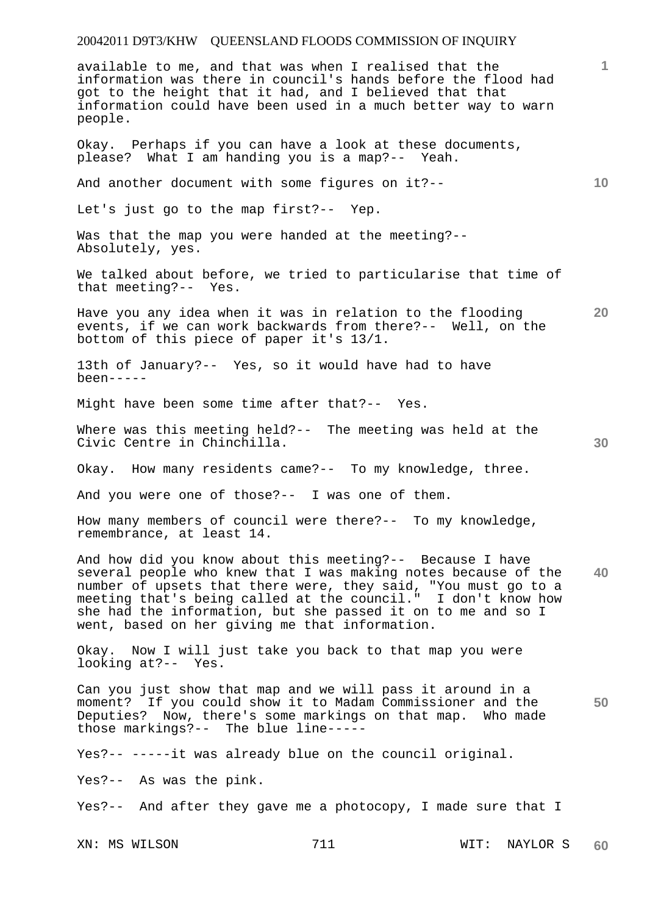| available to me, and that was when I realised that the<br>information was there in council's hands before the flood had<br>got to the height that it had, and I believed that that<br>information could have been used in a much better way to warn<br>people.                                                                                                                |     |      | 1               |
|-------------------------------------------------------------------------------------------------------------------------------------------------------------------------------------------------------------------------------------------------------------------------------------------------------------------------------------------------------------------------------|-----|------|-----------------|
| Okay. Perhaps if you can have a look at these documents,<br>please? What I am handing you is a map?-- Yeah.                                                                                                                                                                                                                                                                   |     |      |                 |
| And another document with some figures on it ?--                                                                                                                                                                                                                                                                                                                              |     |      | 10 <sub>1</sub> |
| Let's just go to the map first?-- Yep.                                                                                                                                                                                                                                                                                                                                        |     |      |                 |
| Was that the map you were handed at the meeting?--<br>Absolutely, yes.                                                                                                                                                                                                                                                                                                        |     |      |                 |
| We talked about before, we tried to particularise that time of<br>that meeting?-- Yes.                                                                                                                                                                                                                                                                                        |     |      |                 |
| Have you any idea when it was in relation to the flooding<br>events, if we can work backwards from there?-- Well, on the<br>bottom of this piece of paper it's 13/1.                                                                                                                                                                                                          |     |      | 20              |
| 13th of January?-- Yes, so it would have had to have<br>$been---$                                                                                                                                                                                                                                                                                                             |     |      |                 |
| Might have been some time after that?-- Yes.                                                                                                                                                                                                                                                                                                                                  |     |      |                 |
| Where was this meeting held?-- The meeting was held at the<br>Civic Centre in Chinchilla.                                                                                                                                                                                                                                                                                     |     |      | 30              |
| Okay. How many residents came?-- To my knowledge, three.                                                                                                                                                                                                                                                                                                                      |     |      |                 |
| And you were one of those?-- I was one of them.                                                                                                                                                                                                                                                                                                                               |     |      |                 |
| How many members of council were there?-- To my knowledge,<br>remembrance, at least 14.                                                                                                                                                                                                                                                                                       |     |      |                 |
| And how did you know about this meeting?-- Because I have<br>several people who knew that I was making notes because of the<br>number of upsets that there were, they said, "You must go to a meeting that's being called at the council." I don't know how<br>she had the information, but she passed it on to me and so I<br>went, based on her giving me that information. |     |      | 40              |
| Okay. Now I will just take you back to that map you were<br>looking at?-- Yes.                                                                                                                                                                                                                                                                                                |     |      |                 |
| Can you just show that map and we will pass it around in a<br>moment? If you could show it to Madam Commissioner and the<br>Deputies? Now, there's some markings on that map. Who made<br>those markings?-- The blue line-----                                                                                                                                                |     |      | 50              |
| Yes?-- -----it was already blue on the council original.                                                                                                                                                                                                                                                                                                                      |     |      |                 |
| Yes?-- As was the pink.                                                                                                                                                                                                                                                                                                                                                       |     |      |                 |
| Yes?-- And after they gave me a photocopy, I made sure that I                                                                                                                                                                                                                                                                                                                 |     |      |                 |
| XN: MS WILSON                                                                                                                                                                                                                                                                                                                                                                 | 711 | WIT: | NAYLOR S<br>60  |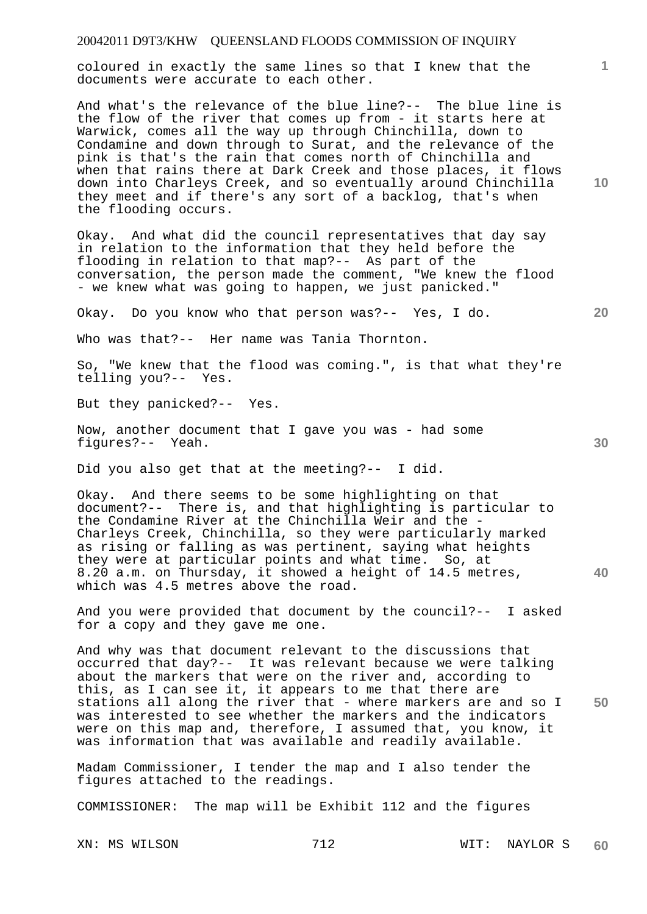coloured in exactly the same lines so that I knew that the documents were accurate to each other.

And what's the relevance of the blue line?-- The blue line is the flow of the river that comes up from - it starts here at Warwick, comes all the way up through Chinchilla, down to Condamine and down through to Surat, and the relevance of the pink is that's the rain that comes north of Chinchilla and when that rains there at Dark Creek and those places, it flows down into Charleys Creek, and so eventually around Chinchilla they meet and if there's any sort of a backlog, that's when the flooding occurs.

Okay. And what did the council representatives that day say in relation to the information that they held before the flooding in relation to that map?-- As part of the conversation, the person made the comment, "We knew the flood - we knew what was going to happen, we just panicked."

Okay. Do you know who that person was?-- Yes, I do.

Who was that?-- Her name was Tania Thornton.

So, "We knew that the flood was coming.", is that what they're telling you?-- Yes.

But they panicked?-- Yes.

Now, another document that I gave you was - had some figures?-- Yeah.

Did you also get that at the meeting?-- I did.

**40**  Okay. And there seems to be some highlighting on that document?-- There is, and that highlighting is particular to the Condamine River at the Chinchilla Weir and the - Charleys Creek, Chinchilla, so they were particularly marked as rising or falling as was pertinent, saying what heights they were at particular points and what time. So, at 8.20 a.m. on Thursday, it showed a height of 14.5 metres, which was 4.5 metres above the road.

And you were provided that document by the council?-- I asked for a copy and they gave me one.

**50**  And why was that document relevant to the discussions that occurred that day?-- It was relevant because we were talking about the markers that were on the river and, according to this, as I can see it, it appears to me that there are stations all along the river that - where markers are and so I was interested to see whether the markers and the indicators were on this map and, therefore, I assumed that, you know, it was information that was available and readily available.

Madam Commissioner, I tender the map and I also tender the figures attached to the readings.

COMMISSIONER: The map will be Exhibit 112 and the figures

XN: MS WILSON 712 WIT: NAYLOR S **60** 

**10** 

**1**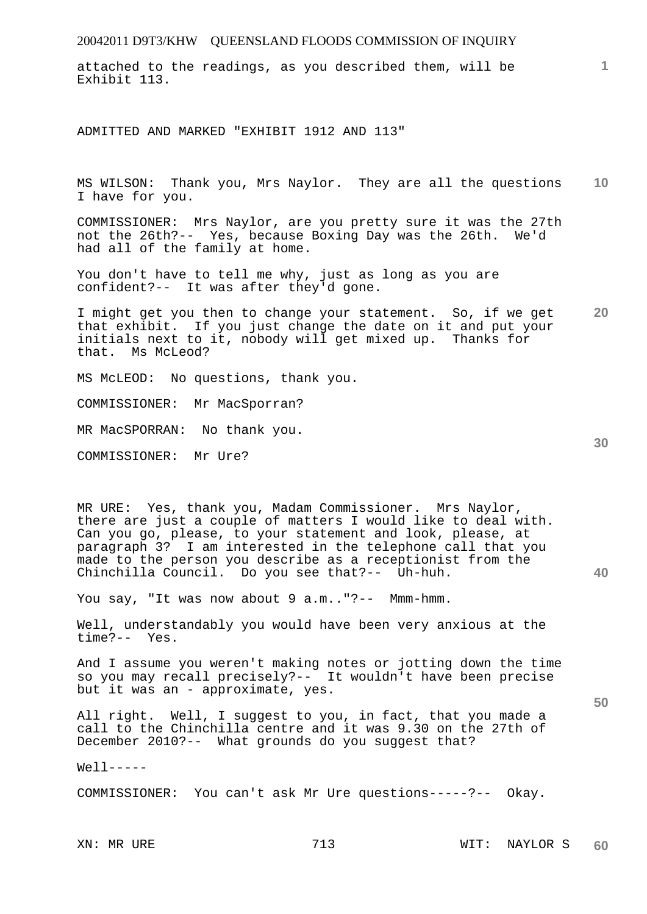attached to the readings, as you described them, will be Exhibit 113.

ADMITTED AND MARKED "EXHIBIT 1912 AND 113"

**10**  MS WILSON: Thank you, Mrs Naylor. They are all the questions I have for you.

COMMISSIONER: Mrs Naylor, are you pretty sure it was the 27th not the 26th?-- Yes, because Boxing Day was the 26th. We'd had all of the family at home.

You don't have to tell me why, just as long as you are confident?-- It was after they'd gone.

**20**  I might get you then to change your statement. So, if we get that exhibit. If you just change the date on it and put your initials next to it, nobody will get mixed up. Thanks for that. Ms McLeod?

MS McLEOD: No questions, thank you.

COMMISSIONER: Mr MacSporran?

MR MacSPORRAN: No thank you.

COMMISSIONER: Mr Ure?

MR URE: Yes, thank you, Madam Commissioner. Mrs Naylor, there are just a couple of matters I would like to deal with. Can you go, please, to your statement and look, please, at paragraph 3? I am interested in the telephone call that you made to the person you describe as a receptionist from the Chinchilla Council. Do you see that?-- Uh-huh.

You say, "It was now about 9 a.m.."?-- Mmm-hmm.

Well, understandably you would have been very anxious at the time?-- Yes.

And I assume you weren't making notes or jotting down the time so you may recall precisely?-- It wouldn't have been precise but it was an - approximate, yes.

All right. Well, I suggest to you, in fact, that you made a call to the Chinchilla centre and it was 9.30 on the 27th of December 2010?-- What grounds do you suggest that?

 $Well1$ -----

COMMISSIONER: You can't ask Mr Ure questions-----?-- Okay.

**30** 

**1**

**50**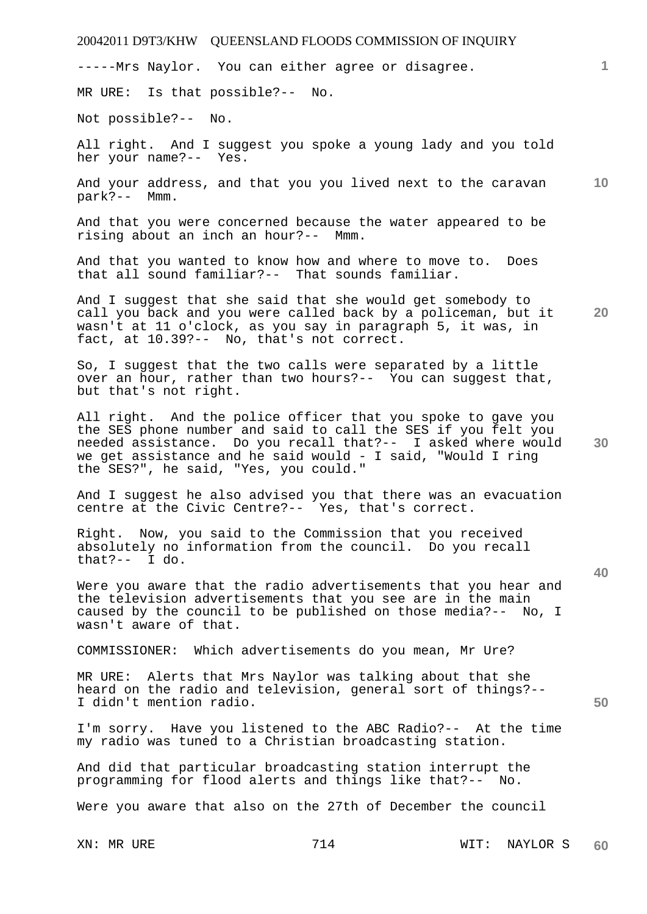-----Mrs Naylor. You can either agree or disagree.

MR URE: Is that possible?-- No.

Not possible?-- No.

All right. And I suggest you spoke a young lady and you told her your name?-- Yes.

**10**  And your address, and that you you lived next to the caravan park?-- Mmm.

And that you were concerned because the water appeared to be rising about an inch an hour?-- Mmm.

And that you wanted to know how and where to move to. Does that all sound familiar?-- That sounds familiar.

**20**  And I suggest that she said that she would get somebody to call you back and you were called back by a policeman, but it wasn't at 11 o'clock, as you say in paragraph 5, it was, in fact, at 10.39?-- No, that's not correct.

So, I suggest that the two calls were separated by a little over an hour, rather than two hours?-- You can suggest that, but that's not right.

All right. And the police officer that you spoke to gave you the SES phone number and said to call the SES if you felt you needed assistance. Do you recall that?-- I asked where would we get assistance and he said would - I said, "Would I ring the SES?", he said, "Yes, you could."

And I suggest he also advised you that there was an evacuation centre at the Civic Centre?-- Yes, that's correct.

Right. Now, you said to the Commission that you received absolutely no information from the council. Do you recall that?-- I do.

Were you aware that the radio advertisements that you hear and the television advertisements that you see are in the main caused by the council to be published on those media?-- No, I wasn't aware of that.

COMMISSIONER: Which advertisements do you mean, Mr Ure?

MR URE: Alerts that Mrs Naylor was talking about that she heard on the radio and television, general sort of things?-- I didn't mention radio.

I'm sorry. Have you listened to the ABC Radio?-- At the time my radio was tuned to a Christian broadcasting station.

And did that particular broadcasting station interrupt the programming for flood alerts and things like that?-- No.

Were you aware that also on the 27th of December the council

**1**

**30** 

**40**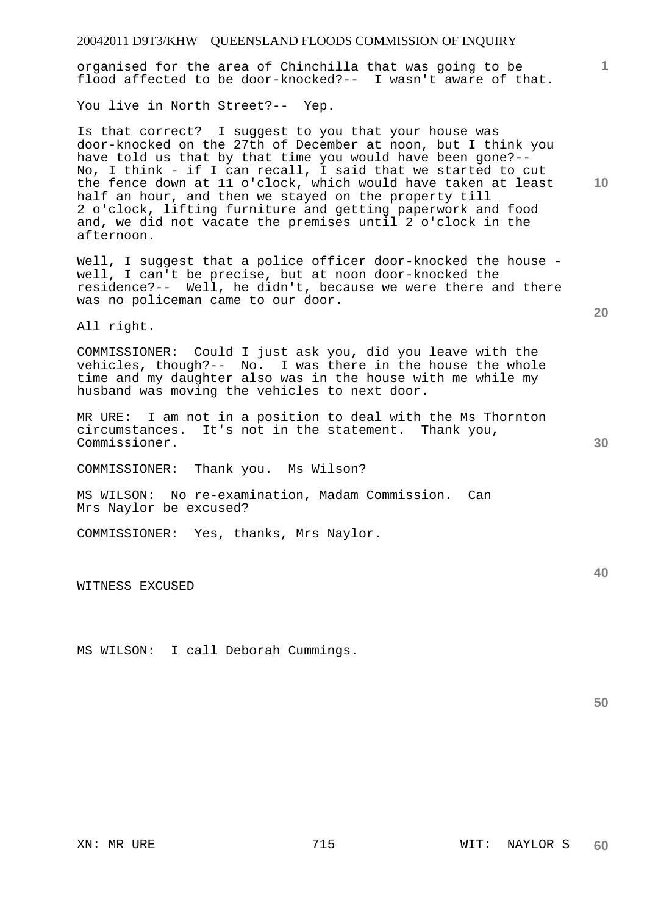organised for the area of Chinchilla that was going to be flood affected to be door-knocked?-- I wasn't aware of that.

You live in North Street?-- Yep.

Is that correct? I suggest to you that your house was door-knocked on the 27th of December at noon, but I think you have told us that by that time you would have been gone?-- No, I think - if I can recall, I said that we started to cut the fence down at 11 o'clock, which would have taken at least half an hour, and then we stayed on the property till 2 o'clock, lifting furniture and getting paperwork and food and, we did not vacate the premises until 2 o'clock in the afternoon.

Well, I suggest that a police officer door-knocked the house well, I can't be precise, but at noon door-knocked the residence?-- Well, he didn't, because we were there and there was no policeman came to our door.

All right.

COMMISSIONER: Could I just ask you, did you leave with the vehicles, though?-- No. I was there in the house the whole time and my daughter also was in the house with me while my husband was moving the vehicles to next door.

MR URE: I am not in a position to deal with the Ms Thornton circumstances. It's not in the statement. Thank you, Commissioner.

COMMISSIONER: Thank you. Ms Wilson?

MS WILSON: No re-examination, Madam Commission. Can Mrs Naylor be excused?

COMMISSIONER: Yes, thanks, Mrs Naylor.

WITNESS EXCUSED

MS WILSON: I call Deborah Cummings.

XN: MR URE 715 WIT: NAYLOR S **60** 

**10** 

**1**

**20** 

**40**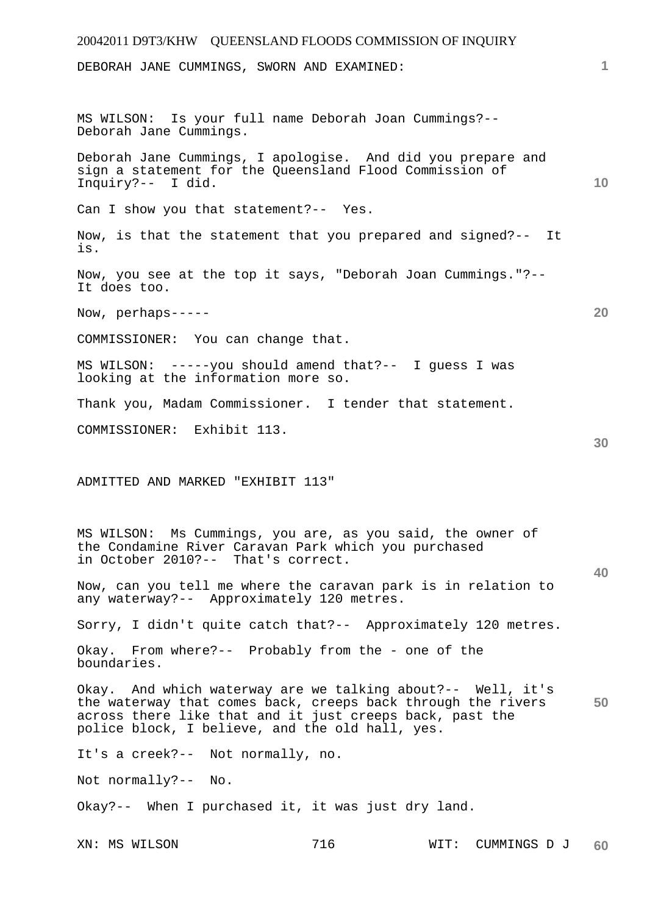# 20042011 D9T3/KHW QUEENSLAND FLOODS COMMISSION OF INQUIRY XN: MS WILSON 716 WIT: CUMMINGS D J **1 10 20 30 40 50 60**  DEBORAH JANE CUMMINGS, SWORN AND EXAMINED: MS WILSON: Is your full name Deborah Joan Cummings?-- Deborah Jane Cummings. Deborah Jane Cummings, I apologise. And did you prepare and sign a statement for the Queensland Flood Commission of Inquiry?-- I did. Can I show you that statement?-- Yes. Now, is that the statement that you prepared and signed?-- It is. Now, you see at the top it says, "Deborah Joan Cummings."?-- It does too. Now, perhaps----- COMMISSIONER: You can change that. MS WILSON: -----you should amend that?-- I guess I was looking at the information more so. Thank you, Madam Commissioner. I tender that statement. COMMISSIONER: Exhibit 113. ADMITTED AND MARKED "EXHIBIT 113" MS WILSON: Ms Cummings, you are, as you said, the owner of the Condamine River Caravan Park which you purchased in October 2010?-- That's correct. Now, can you tell me where the caravan park is in relation to any waterway?-- Approximately 120 metres. Sorry, I didn't quite catch that?-- Approximately 120 metres. Okay. From where?-- Probably from the - one of the boundaries. Okay. And which waterway are we talking about?-- Well, it's the waterway that comes back, creeps back through the rivers across there like that and it just creeps back, past the police block, I believe, and the old hall, yes. It's a creek?-- Not normally, no. Not normally?-- No. Okay?-- When I purchased it, it was just dry land.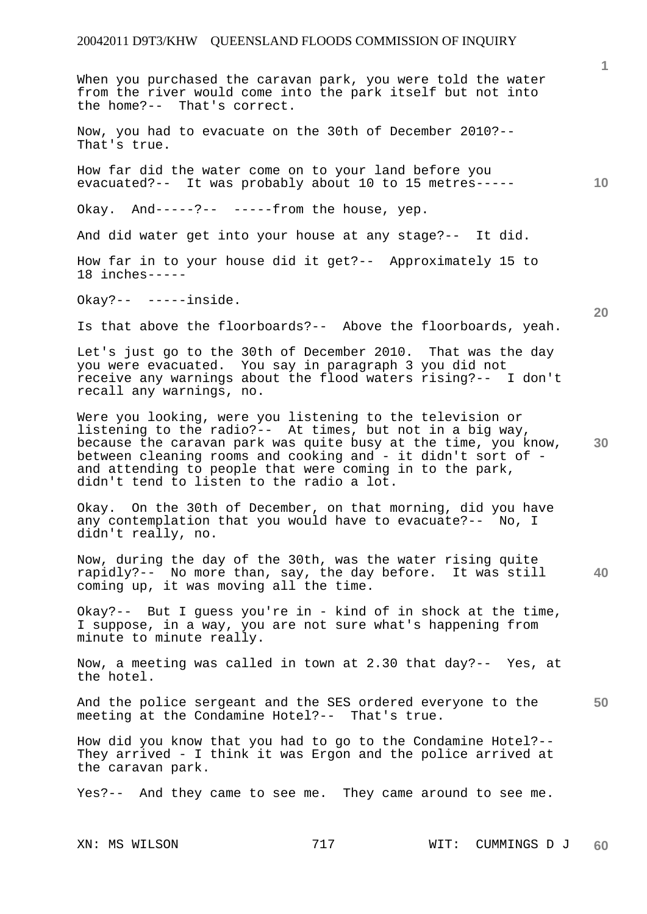When you purchased the caravan park, you were told the water from the river would come into the park itself but not into the home?-- That's correct.

Now, you had to evacuate on the 30th of December 2010?-- That's true.

How far did the water come on to your land before you evacuated?-- It was probably about 10 to 15 metres-----

Okay. And-----?--  $---$ -rom the house, yep.

And did water get into your house at any stage?-- It did.

How far in to your house did it get?-- Approximately 15 to 18 inches-----

Okay?-- -----inside.

Is that above the floorboards?-- Above the floorboards, yeah.

Let's just go to the 30th of December 2010. That was the day you were evacuated. You say in paragraph 3 you did not receive any warnings about the flood waters rising?-- I don't recall any warnings, no.

Were you looking, were you listening to the television or listening to the radio?-- At times, but not in a big way, because the caravan park was quite busy at the time, you know, between cleaning rooms and cooking and - it didn't sort of and attending to people that were coming in to the park, didn't tend to listen to the radio a lot.

Okay. On the 30th of December, on that morning, did you have any contemplation that you would have to evacuate?-- No, I didn't really, no.

**40**  Now, during the day of the 30th, was the water rising quite rapidly?-- No more than, say, the day before. It was still coming up, it was moving all the time.

Okay?-- But I guess you're in - kind of in shock at the time, I suppose, in a way, you are not sure what's happening from minute to minute really.

Now, a meeting was called in town at 2.30 that day?-- Yes, at the hotel.

**50**  And the police sergeant and the SES ordered everyone to the meeting at the Condamine Hotel?-- That's true.

How did you know that you had to go to the Condamine Hotel?-- They arrived - I think it was Ergon and the police arrived at the caravan park.

Yes?-- And they came to see me. They came around to see me.

**1**

**10**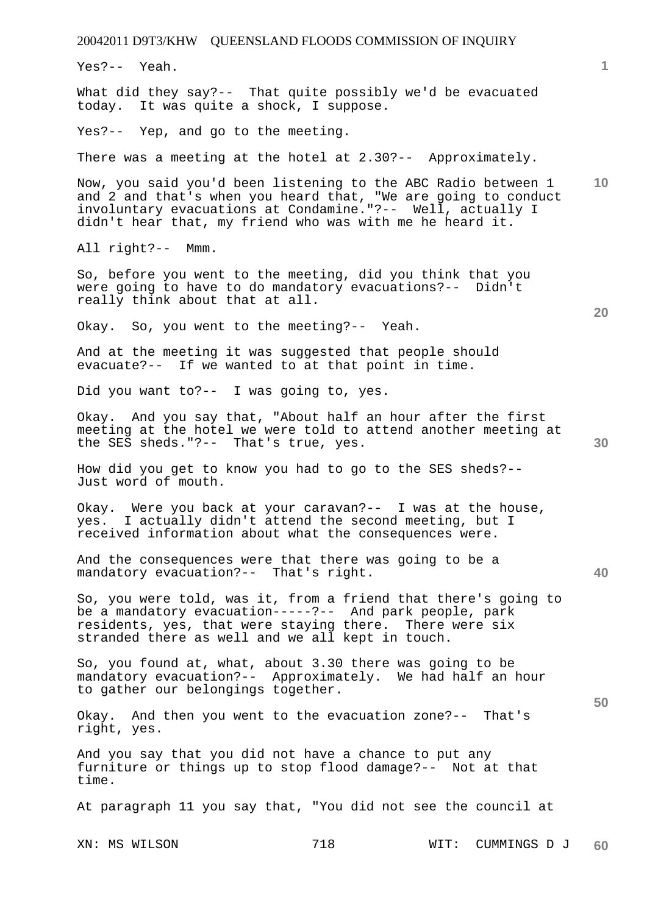20042011 D9T3/KHW QUEENSLAND FLOODS COMMISSION OF INQUIRY XN: MS WILSON 718 WIT: CUMMINGS D J **1 10 20 30 40 50 60**  Yes?-- Yeah. What did they say?-- That quite possibly we'd be evacuated today. It was quite a shock, I suppose. Yes?-- Yep, and go to the meeting. There was a meeting at the hotel at 2.30?-- Approximately. Now, you said you'd been listening to the ABC Radio between 1 and 2 and that's when you heard that, "We are going to conduct involuntary evacuations at Condamine."?-- Well, actually I didn't hear that, my friend who was with me he heard it. All right?-- Mmm. So, before you went to the meeting, did you think that you were going to have to do mandatory evacuations?-- Didn't really think about that at all. Okay. So, you went to the meeting?-- Yeah. And at the meeting it was suggested that people should evacuate?-- If we wanted to at that point in time. Did you want to?-- I was going to, yes. Okay. And you say that, "About half an hour after the first meeting at the hotel we were told to attend another meeting at the SES sheds."?-- That's true, yes. How did you get to know you had to go to the SES sheds?-- Just word of mouth. Okay. Were you back at your caravan?-- I was at the house, yes. I actually didn't attend the second meeting, but I received information about what the consequences were. And the consequences were that there was going to be a mandatory evacuation?-- That's right. So, you were told, was it, from a friend that there's going to be a mandatory evacuation-----?-- And park people, park residents, yes, that were staying there. There were six stranded there as well and we all kept in touch. So, you found at, what, about 3.30 there was going to be mandatory evacuation?-- Approximately. We had half an hour to gather our belongings together. Okay. And then you went to the evacuation zone?-- That's right, yes. And you say that you did not have a chance to put any furniture or things up to stop flood damage?-- Not at that time. At paragraph 11 you say that, "You did not see the council at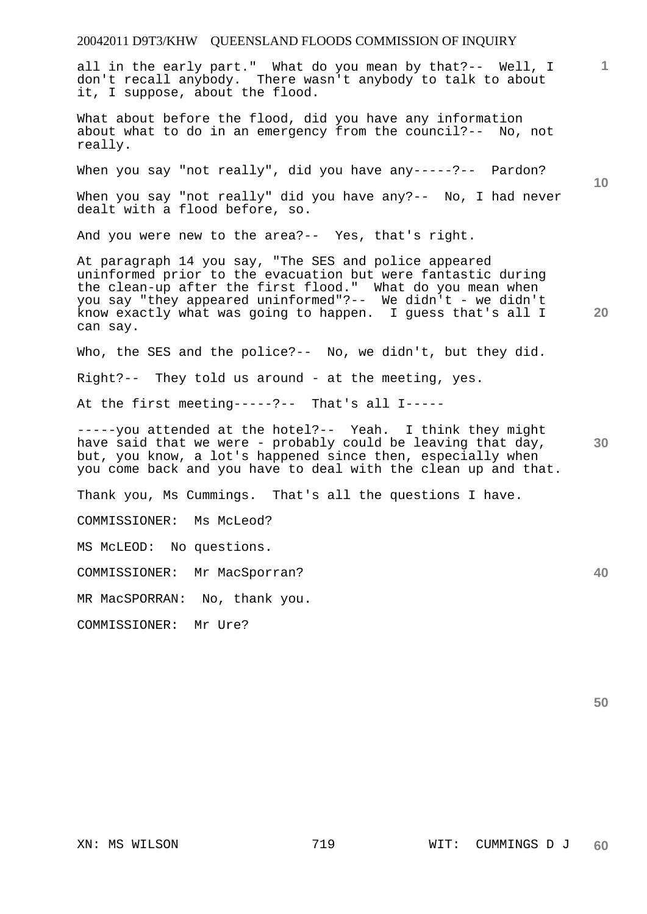all in the early part." What do you mean by that?-- Well, I don't recall anybody. There wasn't anybody to talk to about it, I suppose, about the flood.

What about before the flood, did you have any information about what to do in an emergency from the council?-- No, not really.

When you say "not really", did you have any-----?-- Pardon?

When you say "not really" did you have any?-- No, I had never dealt with a flood before, so.

And you were new to the area?-- Yes, that's right.

At paragraph 14 you say, "The SES and police appeared uninformed prior to the evacuation but were fantastic during the clean-up after the first flood." What do you mean when you say "they appeared uninformed"?-- We didn't - we didn't know exactly what was going to happen. I guess that's all I can say.

Who, the SES and the police?-- No, we didn't, but they did.

Right?-- They told us around - at the meeting, yes.

At the first meeting-----?-- That's all I-----

-----you attended at the hotel?-- Yeah. I think they might have said that we were - probably could be leaving that day, but, you know, a lot's happened since then, especially when you come back and you have to deal with the clean up and that.

Thank you, Ms Cummings. That's all the questions I have.

COMMISSIONER: Ms McLeod?

MS McLEOD: No questions.

COMMISSIONER: Mr MacSporran?

MR MacSPORRAN: No, thank you.

COMMISSIONER: Mr Ure?

**10** 

**1**

**30** 

**40**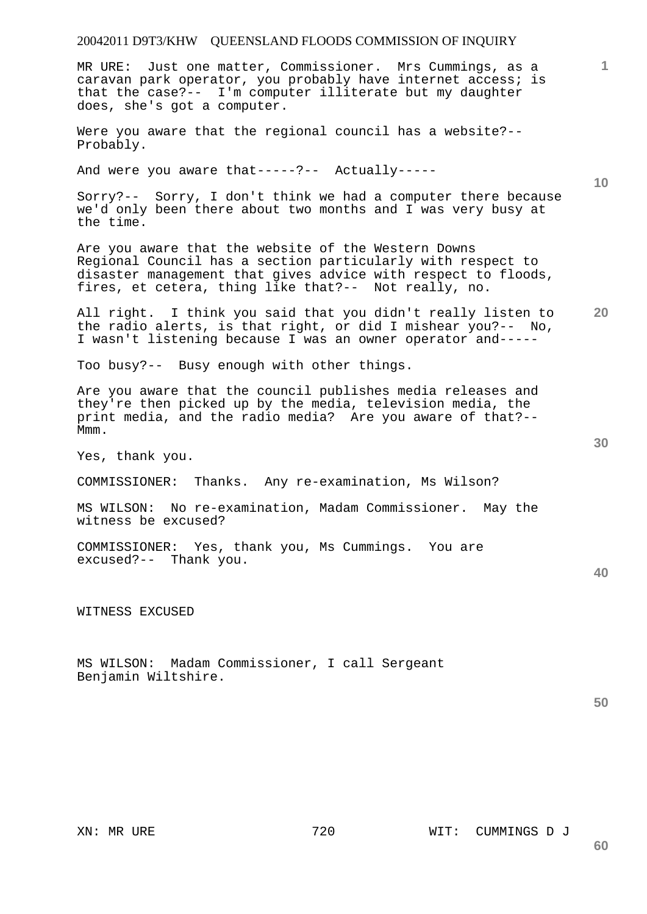MR URE: Just one matter, Commissioner. Mrs Cummings, as a caravan park operator, you probably have internet access; is that the case?-- I'm computer illiterate but my daughter does, she's got a computer.

Were you aware that the regional council has a website?-- Probably.

And were you aware that-----?-- Actually-----

Sorry?-- Sorry, I don't think we had a computer there because we'd only been there about two months and I was very busy at the time.

Are you aware that the website of the Western Downs Regional Council has a section particularly with respect to disaster management that gives advice with respect to floods, fires, et cetera, thing like that?-- Not really, no.

**20**  All right. I think you said that you didn't really listen to the radio alerts, is that right, or did I mishear you?-- No, I wasn't listening because I was an owner operator and-----

Too busy?-- Busy enough with other things.

Are you aware that the council publishes media releases and they're then picked up by the media, television media, the print media, and the radio media? Are you aware of that?-- Mmm.

Yes, thank you.

COMMISSIONER: Thanks. Any re-examination, Ms Wilson?

MS WILSON: No re-examination, Madam Commissioner. May the witness be excused?

COMMISSIONER: Yes, thank you, Ms Cummings. You are excused?-- Thank you.

WITNESS EXCUSED

MS WILSON: Madam Commissioner, I call Sergeant Benjamin Wiltshire.

**50** 

**40** 

**1**

**10**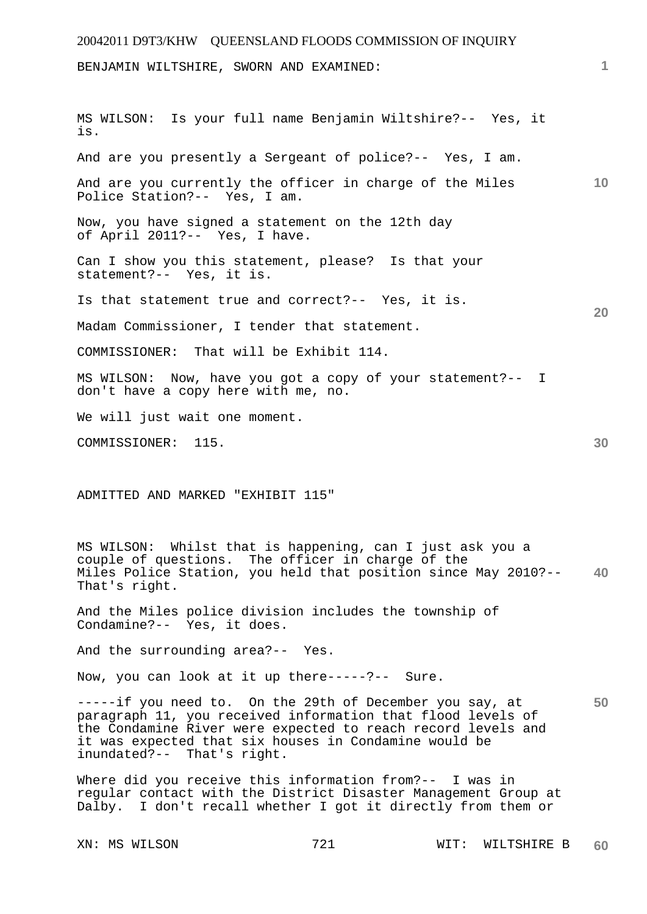# 20042011 D9T3/KHW QUEENSLAND FLOODS COMMISSION OF INQUIRY **1 10 20 30**  BENJAMIN WILTSHIRE, SWORN AND EXAMINED: MS WILSON: Is your full name Benjamin Wiltshire?-- Yes, it is. And are you presently a Sergeant of police?-- Yes, I am. And are you currently the officer in charge of the Miles Police Station?-- Yes, I am. Now, you have signed a statement on the 12th day of April 2011?-- Yes, I have. Can I show you this statement, please? Is that your statement?-- Yes, it is. Is that statement true and correct?-- Yes, it is. Madam Commissioner, I tender that statement. COMMISSIONER: That will be Exhibit 114. MS WILSON: Now, have you got a copy of your statement?-- I don't have a copy here with me, no. We will just wait one moment. COMMISSIONER: 115. ADMITTED AND MARKED "EXHIBIT 115"

**40**  MS WILSON: Whilst that is happening, can I just ask you a couple of questions. The officer in charge of the Miles Police Station, you held that position since May 2010?-- That's right.

And the Miles police division includes the township of Condamine?-- Yes, it does.

And the surrounding area?-- Yes.

Now, you can look at it up there-----?-- Sure.

**50**  -----if you need to. On the 29th of December you say, at paragraph 11, you received information that flood levels of the Condamine River were expected to reach record levels and it was expected that six houses in Condamine would be inundated?-- That's right.

Where did you receive this information from?-- I was in regular contact with the District Disaster Management Group at Dalby. I don't recall whether I got it directly from them or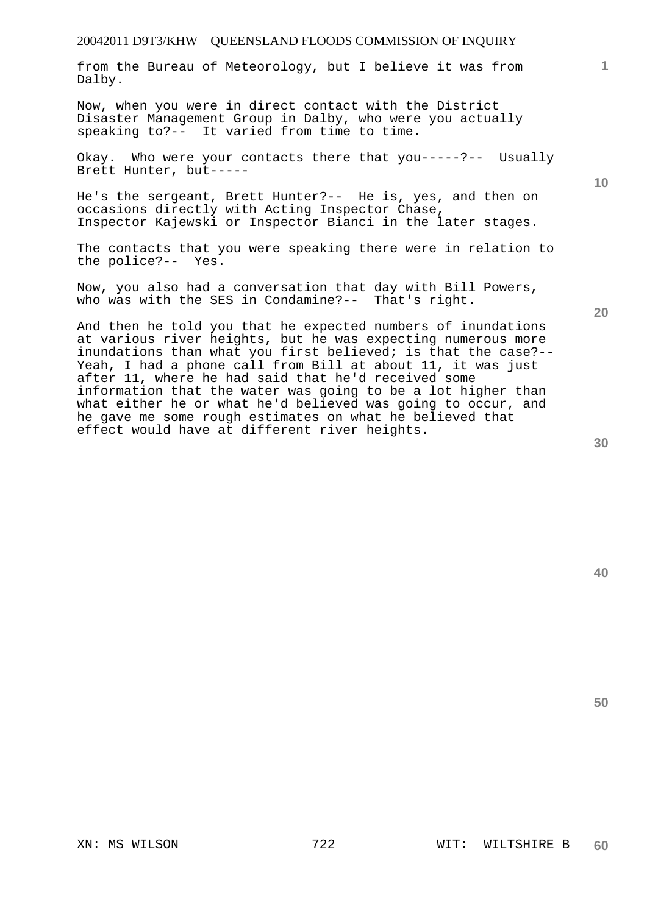from the Bureau of Meteorology, but I believe it was from Dalby.

Now, when you were in direct contact with the District Disaster Management Group in Dalby, who were you actually speaking to?-- It varied from time to time.

Okay. Who were your contacts there that you-----?-- Usually Brett Hunter, but-----

He's the sergeant, Brett Hunter?-- He is, yes, and then on occasions directly with Acting Inspector Chase, Inspector Kajewski or Inspector Bianci in the later stages.

The contacts that you were speaking there were in relation to the police?-- Yes.

Now, you also had a conversation that day with Bill Powers, who was with the SES in Condamine?-- That's right.

And then he told you that he expected numbers of inundations at various river heights, but he was expecting numerous more inundations than what you first believed; is that the case?-- Yeah, I had a phone call from Bill at about 11, it was just after 11, where he had said that he'd received some information that the water was going to be a lot higher than what either he or what he'd believed was going to occur, and he gave me some rough estimates on what he believed that effect would have at different river heights.

**20** 

**10** 

**1**

**40**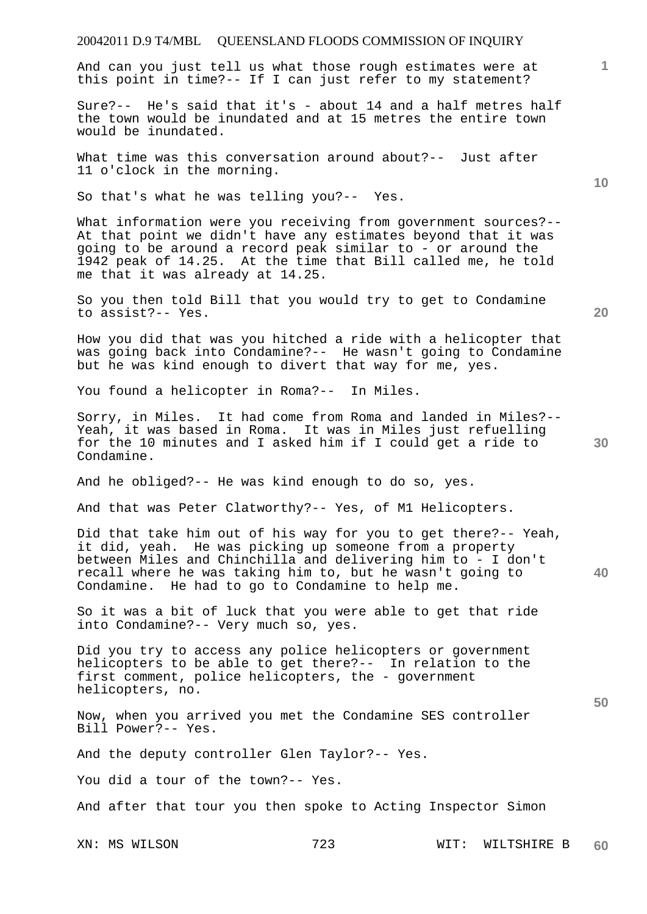#### 20042011 D.9 T4/MBL QUEENSLAND FLOODS COMMISSION OF INQUIRY

And can you just tell us what those rough estimates were at this point in time?-- If I can just refer to my statement?

Sure?-- He's said that it's - about 14 and a half metres half the town would be inundated and at 15 metres the entire town would be inundated.

What time was this conversation around about?-- Just after 11 o'clock in the morning.

So that's what he was telling you?-- Yes.

What information were you receiving from government sources?--At that point we didn't have any estimates beyond that it was going to be around a record peak similar to - or around the 1942 peak of 14.25. At the time that Bill called me, he told me that it was already at 14.25.

So you then told Bill that you would try to get to Condamine to assist?-- Yes.

How you did that was you hitched a ride with a helicopter that was going back into Condamine?-- He wasn't going to Condamine but he was kind enough to divert that way for me, yes.

You found a helicopter in Roma?-- In Miles.

Sorry, in Miles. It had come from Roma and landed in Miles?-- Yeah, it was based in Roma. It was in Miles just refuelling for the 10 minutes and I asked him if I could get a ride to Condamine.

And he obliged?-- He was kind enough to do so, yes.

And that was Peter Clatworthy?-- Yes, of M1 Helicopters.

Did that take him out of his way for you to get there?-- Yeah, it did, yeah. He was picking up someone from a property between Miles and Chinchilla and delivering him to - I don't recall where he was taking him to, but he wasn't going to Condamine. He had to go to Condamine to help me.

So it was a bit of luck that you were able to get that ride into Condamine?-- Very much so, yes.

Did you try to access any police helicopters or government helicopters to be able to get there?-- In relation to the first comment, police helicopters, the - government helicopters, no.

Now, when you arrived you met the Condamine SES controller Bill Power?-- Yes.

And the deputy controller Glen Taylor?-- Yes.

You did a tour of the town?-- Yes.

And after that tour you then spoke to Acting Inspector Simon

XN: MS WILSON 723 WIT: WILTSHIRE B **60** 

**30** 

**40** 

**50** 

**20** 

**10**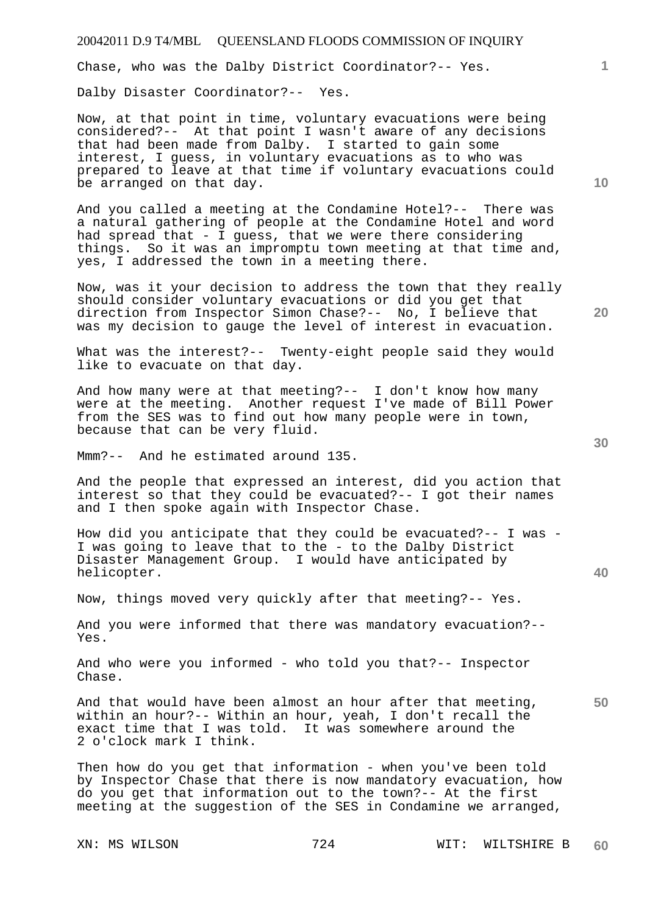Chase, who was the Dalby District Coordinator?-- Yes.

Dalby Disaster Coordinator?-- Yes.

Now, at that point in time, voluntary evacuations were being considered?-- At that point I wasn't aware of any decisions that had been made from Dalby. I started to gain some interest, I guess, in voluntary evacuations as to who was prepared to leave at that time if voluntary evacuations could be arranged on that day.

And you called a meeting at the Condamine Hotel?-- There was a natural gathering of people at the Condamine Hotel and word had spread that  $-1$  quess, that we were there considering things. So it was an impromptu town meeting at that time and, yes, I addressed the town in a meeting there.

Now, was it your decision to address the town that they really should consider voluntary evacuations or did you get that direction from Inspector Simon Chase?-- No, I believe that was my decision to gauge the level of interest in evacuation.

What was the interest?-- Twenty-eight people said they would like to evacuate on that day.

And how many were at that meeting?-- I don't know how many were at the meeting. Another request I've made of Bill Power from the SES was to find out how many people were in town, because that can be very fluid.

Mmm?-- And he estimated around 135.

And the people that expressed an interest, did you action that interest so that they could be evacuated?-- I got their names and I then spoke again with Inspector Chase.

How did you anticipate that they could be evacuated?-- I was - I was going to leave that to the - to the Dalby District Disaster Management Group. I would have anticipated by helicopter.

Now, things moved very quickly after that meeting?-- Yes.

And you were informed that there was mandatory evacuation?-- Yes.

And who were you informed - who told you that?-- Inspector Chase.

And that would have been almost an hour after that meeting, within an hour?-- Within an hour, yeah, I don't recall the exact time that I was told. It was somewhere around the 2 o'clock mark I think.

Then how do you get that information - when you've been told by Inspector Chase that there is now mandatory evacuation, how do you get that information out to the town?-- At the first meeting at the suggestion of the SES in Condamine we arranged,

**10** 

**1**

**40**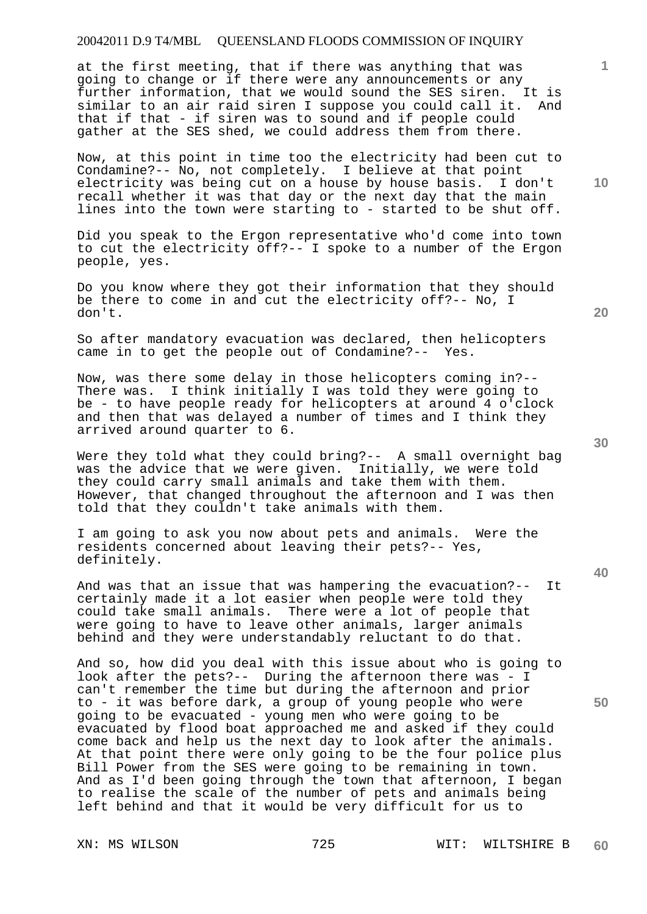at the first meeting, that if there was anything that was going to change or if there were any announcements or any further information, that we would sound the SES siren. It is similar to an air raid siren I suppose you could call it. And that if that - if siren was to sound and if people could gather at the SES shed, we could address them from there.

Now, at this point in time too the electricity had been cut to Condamine?-- No, not completely. I believe at that point electricity was being cut on a house by house basis. I don't recall whether it was that day or the next day that the main lines into the town were starting to - started to be shut off.

Did you speak to the Ergon representative who'd come into town to cut the electricity off?-- I spoke to a number of the Ergon people, yes.

Do you know where they got their information that they should be there to come in and cut the electricity off?-- No, I don't.

So after mandatory evacuation was declared, then helicopters came in to get the people out of Condamine?-- Yes.

Now, was there some delay in those helicopters coming in?-- There was. I think initially I was told they were going to be - to have people ready for helicopters at around 4 o'clock and then that was delayed a number of times and I think they arrived around quarter to 6.

Were they told what they could bring?-- A small overnight bag was the advice that we were given. Initially, we were told they could carry small animals and take them with them. However, that changed throughout the afternoon and I was then told that they couldn't take animals with them.

I am going to ask you now about pets and animals. Were the residents concerned about leaving their pets?-- Yes, definitely.

And was that an issue that was hampering the evacuation?-- It certainly made it a lot easier when people were told they could take small animals. There were a lot of people that were going to have to leave other animals, larger animals behind and they were understandably reluctant to do that.

And so, how did you deal with this issue about who is going to look after the pets?-- During the afternoon there was - I can't remember the time but during the afternoon and prior to - it was before dark, a group of young people who were going to be evacuated - young men who were going to be evacuated by flood boat approached me and asked if they could come back and help us the next day to look after the animals. At that point there were only going to be the four police plus Bill Power from the SES were going to be remaining in town. And as I'd been going through the town that afternoon, I began to realise the scale of the number of pets and animals being left behind and that it would be very difficult for us to

**20** 

**40** 

**50** 

**10**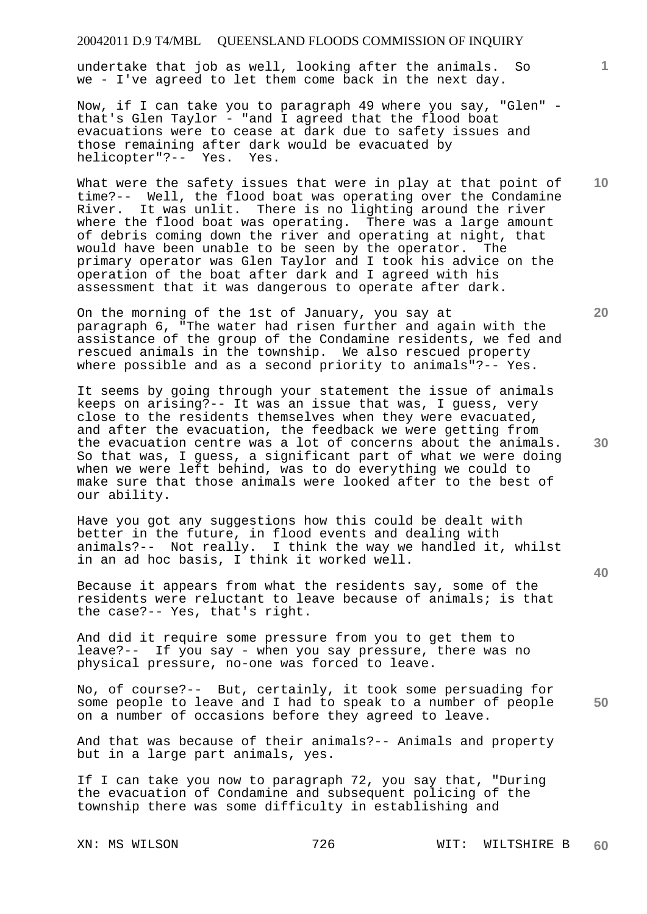undertake that job as well, looking after the animals. So we - I've agreed to let them come back in the next day.

Now, if I can take you to paragraph 49 where you say, "Glen" that's Glen Taylor - "and I agreed that the flood boat evacuations were to cease at dark due to safety issues and those remaining after dark would be evacuated by helicopter"?-- Yes. Yes.

What were the safety issues that were in play at that point of time?-- Well, the flood boat was operating over the Condamine River. It was unlit. There is no lighting around the river where the flood boat was operating. There was a large amount of debris coming down the river and operating at night, that would have been unable to be seen by the operator. The primary operator was Glen Taylor and I took his advice on the operation of the boat after dark and I agreed with his assessment that it was dangerous to operate after dark.

On the morning of the 1st of January, you say at paragraph 6, "The water had risen further and again with the assistance of the group of the Condamine residents, we fed and rescued animals in the township. We also rescued property where possible and as a second priority to animals"?-- Yes.

It seems by going through your statement the issue of animals keeps on arising?-- It was an issue that was, I guess, very close to the residents themselves when they were evacuated, and after the evacuation, the feedback we were getting from the evacuation centre was a lot of concerns about the animals. So that was, I guess, a significant part of what we were doing when we were left behind, was to do everything we could to make sure that those animals were looked after to the best of our ability.

Have you got any suggestions how this could be dealt with better in the future, in flood events and dealing with animals?-- Not really. I think the way we handled it, whilst in an ad hoc basis, I think it worked well.

Because it appears from what the residents say, some of the residents were reluctant to leave because of animals; is that the case?-- Yes, that's right.

And did it require some pressure from you to get them to leave?-- If you say - when you say pressure, there was no physical pressure, no-one was forced to leave.

**50**  No, of course?-- But, certainly, it took some persuading for some people to leave and I had to speak to a number of people on a number of occasions before they agreed to leave.

And that was because of their animals?-- Animals and property but in a large part animals, yes.

If I can take you now to paragraph 72, you say that, "During the evacuation of Condamine and subsequent policing of the township there was some difficulty in establishing and

XN: MS WILSON 726 WIT: WILTSHIRE B **60** 

**30** 

**40** 

**20** 

**10**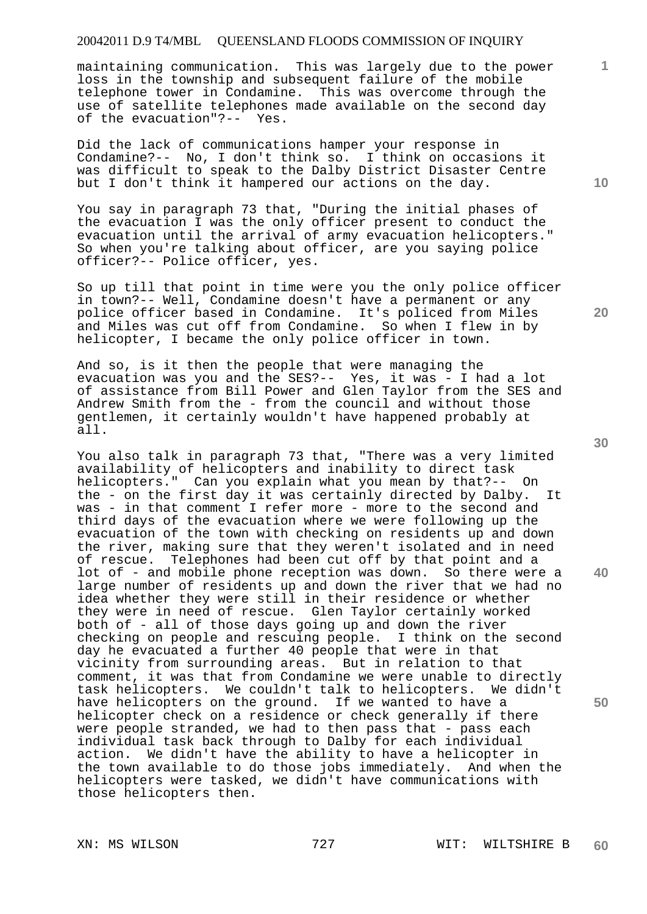maintaining communication. This was largely due to the power loss in the township and subsequent failure of the mobile telephone tower in Condamine. This was overcome through the use of satellite telephones made available on the second day of the evacuation"?-- Yes.

Did the lack of communications hamper your response in Condamine?-- No, I don't think so. I think on occasions it was difficult to speak to the Dalby District Disaster Centre but I don't think it hampered our actions on the day.

You say in paragraph 73 that, "During the initial phases of the evacuation I was the only officer present to conduct the evacuation until the arrival of army evacuation helicopters." So when you're talking about officer, are you saying police officer?-- Police officer, yes.

So up till that point in time were you the only police officer in town?-- Well, Condamine doesn't have a permanent or any police officer based in Condamine. It's policed from Miles and Miles was cut off from Condamine. So when I flew in by helicopter, I became the only police officer in town.

And so, is it then the people that were managing the evacuation was you and the SES?-- Yes, it was - I had a lot of assistance from Bill Power and Glen Taylor from the SES and Andrew Smith from the - from the council and without those gentlemen, it certainly wouldn't have happened probably at all.

You also talk in paragraph 73 that, "There was a very limited availability of helicopters and inability to direct task helicopters." Can you explain what you mean by that?-- On the - on the first day it was certainly directed by Dalby. It was - in that comment I refer more - more to the second and third days of the evacuation where we were following up the evacuation of the town with checking on residents up and down the river, making sure that they weren't isolated and in need of rescue. Telephones had been cut off by that point and a lot of - and mobile phone reception was down. So there were a large number of residents up and down the river that we had no idea whether they were still in their residence or whether they were in need of rescue. Glen Taylor certainly worked both of - all of those days going up and down the river checking on people and rescuing people. I think on the second day he evacuated a further 40 people that were in that vicinity from surrounding areas. But in relation to that comment, it was that from Condamine we were unable to directly task helicopters. We couldn't talk to helicopters. We didn't have helicopters on the ground. If we wanted to have a helicopter check on a residence or check generally if there were people stranded, we had to then pass that - pass each individual task back through to Dalby for each individual action. We didn't have the ability to have a helicopter in the town available to do those jobs immediately. And when the helicopters were tasked, we didn't have communications with those helicopters then.

**10** 

**1**

**30** 

**20** 

**40**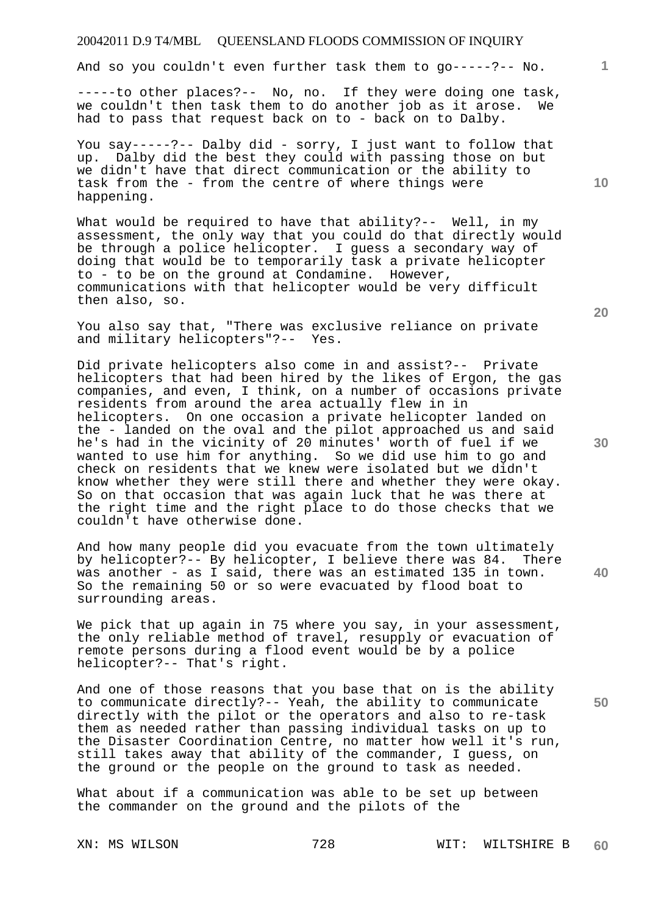And so you couldn't even further task them to go-----?-- No.

-----to other places?-- No, no. If they were doing one task, we couldn't then task them to do another job as it arose. We had to pass that request back on to - back on to Dalby.

You say-----?-- Dalby did - sorry, I just want to follow that up. Dalby did the best they could with passing those on but we didn't have that direct communication or the ability to task from the - from the centre of where things were happening.

What would be required to have that ability?-- Well, in my assessment, the only way that you could do that directly would be through a police helicopter. I guess a secondary way of doing that would be to temporarily task a private helicopter to - to be on the ground at Condamine. However, communications with that helicopter would be very difficult then also, so.

You also say that, "There was exclusive reliance on private<br>and military helicopters"?-- Yes. and military helicopters"?--

Did private helicopters also come in and assist?-- Private helicopters that had been hired by the likes of Ergon, the gas companies, and even, I think, on a number of occasions private residents from around the area actually flew in in helicopters. On one occasion a private helicopter landed on the - landed on the oval and the pilot approached us and said he's had in the vicinity of 20 minutes' worth of fuel if we wanted to use him for anything. So we did use him to go and check on residents that we knew were isolated but we didn't know whether they were still there and whether they were okay. So on that occasion that was again luck that he was there at the right time and the right place to do those checks that we couldn't have otherwise done.

And how many people did you evacuate from the town ultimately by helicopter?-- By helicopter, I believe there was 84. There was another - as I said, there was an estimated 135 in town. So the remaining 50 or so were evacuated by flood boat to surrounding areas.

We pick that up again in 75 where you say, in your assessment, the only reliable method of travel, resupply or evacuation of remote persons during a flood event would be by a police helicopter?-- That's right.

And one of those reasons that you base that on is the ability to communicate directly?-- Yeah, the ability to communicate directly with the pilot or the operators and also to re-task them as needed rather than passing individual tasks on up to the Disaster Coordination Centre, no matter how well it's run, still takes away that ability of the commander, I guess, on the ground or the people on the ground to task as needed.

What about if a communication was able to be set up between the commander on the ground and the pilots of the

**20** 

**30** 

**40** 

**50** 

**10**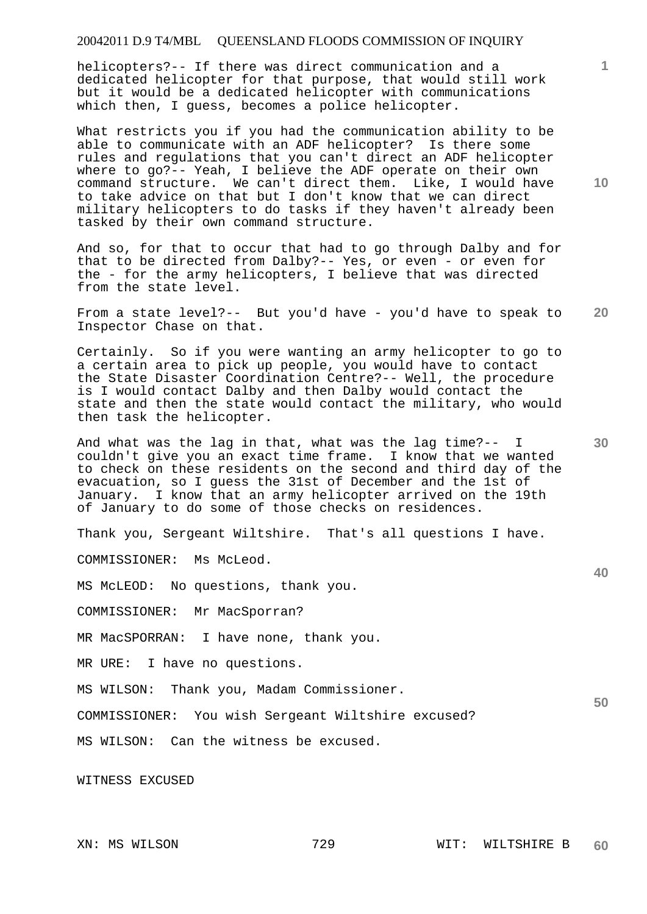helicopters?-- If there was direct communication and a dedicated helicopter for that purpose, that would still work but it would be a dedicated helicopter with communications which then, I guess, becomes a police helicopter.

What restricts you if you had the communication ability to be able to communicate with an ADF helicopter? Is there some rules and regulations that you can't direct an ADF helicopter where to go?-- Yeah, I believe the ADF operate on their own command structure. We can't direct them. Like, I would have to take advice on that but I don't know that we can direct military helicopters to do tasks if they haven't already been tasked by their own command structure.

And so, for that to occur that had to go through Dalby and for that to be directed from Dalby?-- Yes, or even - or even for the - for the army helicopters, I believe that was directed from the state level.

**20**  From a state level?-- But you'd have - you'd have to speak to Inspector Chase on that.

Certainly. So if you were wanting an army helicopter to go to a certain area to pick up people, you would have to contact the State Disaster Coordination Centre?-- Well, the procedure is I would contact Dalby and then Dalby would contact the state and then the state would contact the military, who would then task the helicopter.

And what was the lag in that, what was the lag time?-- I couldn't give you an exact time frame. I know that we wanted to check on these residents on the second and third day of the evacuation, so I guess the 31st of December and the 1st of January. I know that an army helicopter arrived on the 19th of January to do some of those checks on residences.

Thank you, Sergeant Wiltshire. That's all questions I have.

COMMISSIONER: Ms McLeod.

MS McLEOD: No questions, thank you.

COMMISSIONER: Mr MacSporran?

MR MacSPORRAN: I have none, thank you.

MR URE: I have no questions.

MS WILSON: Thank you, Madam Commissioner.

COMMISSIONER: You wish Sergeant Wiltshire excused?

MS WILSON: Can the witness be excused.

WITNESS EXCUSED

**1**

**40** 

**50**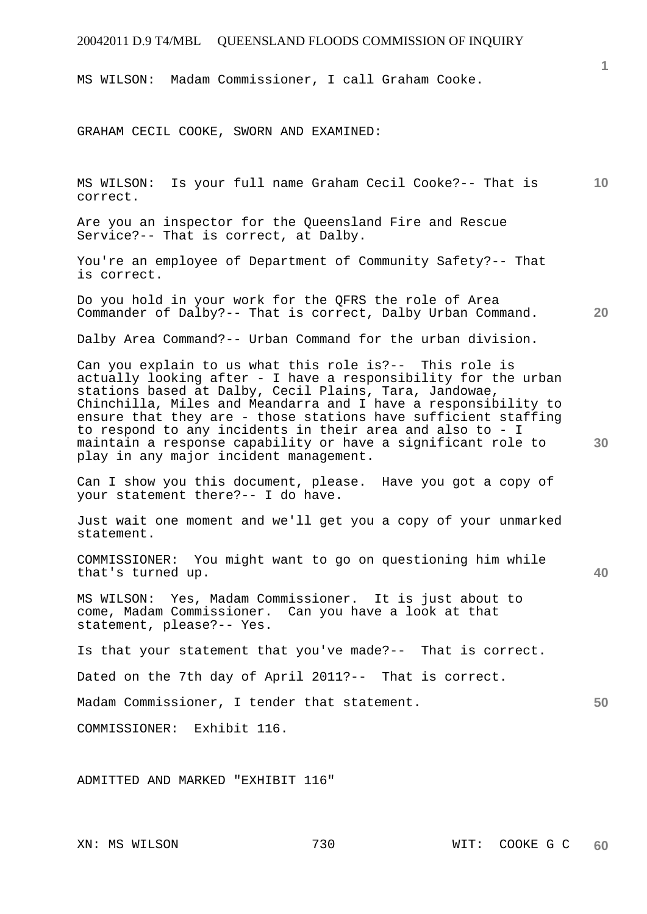MS WILSON: Madam Commissioner, I call Graham Cooke.

GRAHAM CECIL COOKE, SWORN AND EXAMINED:

**10**  MS WILSON: Is your full name Graham Cecil Cooke?-- That is correct.

Are you an inspector for the Queensland Fire and Rescue Service?-- That is correct, at Dalby.

You're an employee of Department of Community Safety?-- That is correct.

Do you hold in your work for the QFRS the role of Area Commander of Dalby?-- That is correct, Dalby Urban Command.

Dalby Area Command?-- Urban Command for the urban division.

Can you explain to us what this role is?-- This role is actually looking after - I have a responsibility for the urban stations based at Dalby, Cecil Plains, Tara, Jandowae, Chinchilla, Miles and Meandarra and I have a responsibility to ensure that they are - those stations have sufficient staffing to respond to any incidents in their area and also to - I maintain a response capability or have a significant role to play in any major incident management.

Can I show you this document, please. Have you got a copy of your statement there?-- I do have.

Just wait one moment and we'll get you a copy of your unmarked statement.

COMMISSIONER: You might want to go on questioning him while that's turned up.

MS WILSON: Yes, Madam Commissioner. It is just about to come, Madam Commissioner. Can you have a look at that statement, please?-- Yes.

Is that your statement that you've made?-- That is correct.

Dated on the 7th day of April 2011?-- That is correct.

Madam Commissioner, I tender that statement.

COMMISSIONER: Exhibit 116.

ADMITTED AND MARKED "EXHIBIT 116"

**20** 

**1**

**40**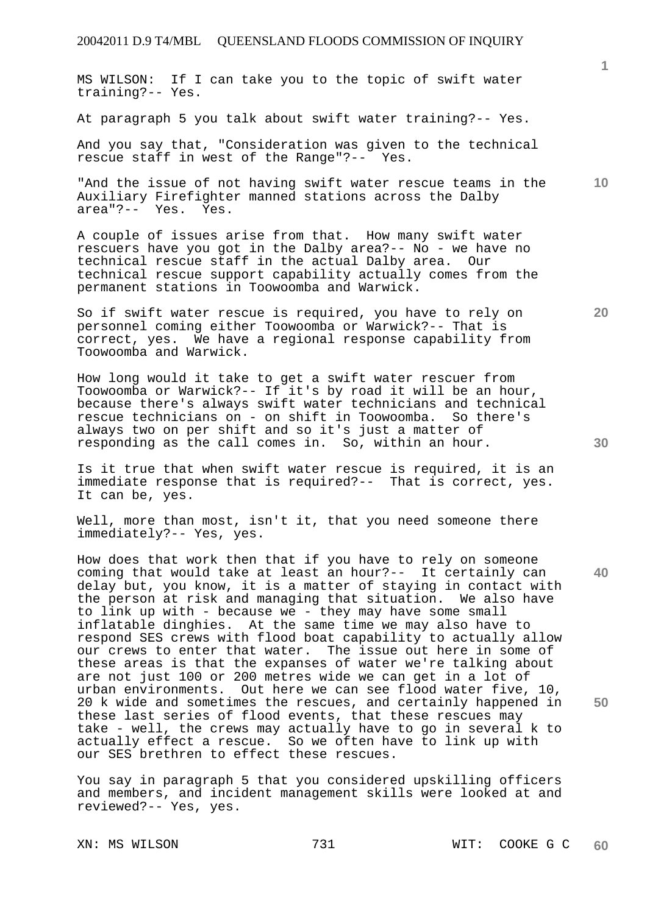MS WILSON: If I can take you to the topic of swift water training?-- Yes.

At paragraph 5 you talk about swift water training?-- Yes.

And you say that, "Consideration was given to the technical rescue staff in west of the Range"?-- Yes.

"And the issue of not having swift water rescue teams in the Auxiliary Firefighter manned stations across the Dalby area"?-- Yes. Yes.

A couple of issues arise from that. How many swift water rescuers have you got in the Dalby area?-- No - we have no technical rescue staff in the actual Dalby area. Our technical rescue support capability actually comes from the permanent stations in Toowoomba and Warwick.

So if swift water rescue is required, you have to rely on personnel coming either Toowoomba or Warwick?-- That is correct, yes. We have a regional response capability from Toowoomba and Warwick.

How long would it take to get a swift water rescuer from Toowoomba or Warwick?-- If it's by road it will be an hour, because there's always swift water technicians and technical rescue technicians on - on shift in Toowoomba. So there's always two on per shift and so it's just a matter of responding as the call comes in. So, within an hour.

Is it true that when swift water rescue is required, it is an immediate response that is required?-- That is correct, yes. It can be, yes.

Well, more than most, isn't it, that you need someone there immediately?-- Yes, yes.

How does that work then that if you have to rely on someone coming that would take at least an hour?-- It certainly can delay but, you know, it is a matter of staying in contact with the person at risk and managing that situation. We also have to link up with - because we - they may have some small inflatable dinghies. At the same time we may also have to respond SES crews with flood boat capability to actually allow our crews to enter that water. The issue out here in some of these areas is that the expanses of water we're talking about are not just 100 or 200 metres wide we can get in a lot of urban environments. Out here we can see flood water five, 10, 20 k wide and sometimes the rescues, and certainly happened in these last series of flood events, that these rescues may take - well, the crews may actually have to go in several k to actually effect a rescue. So we often have to link up with our SES brethren to effect these rescues.

You say in paragraph 5 that you considered upskilling officers and members, and incident management skills were looked at and reviewed?-- Yes, yes.

**10** 

**1**

**30** 

**40** 

**50**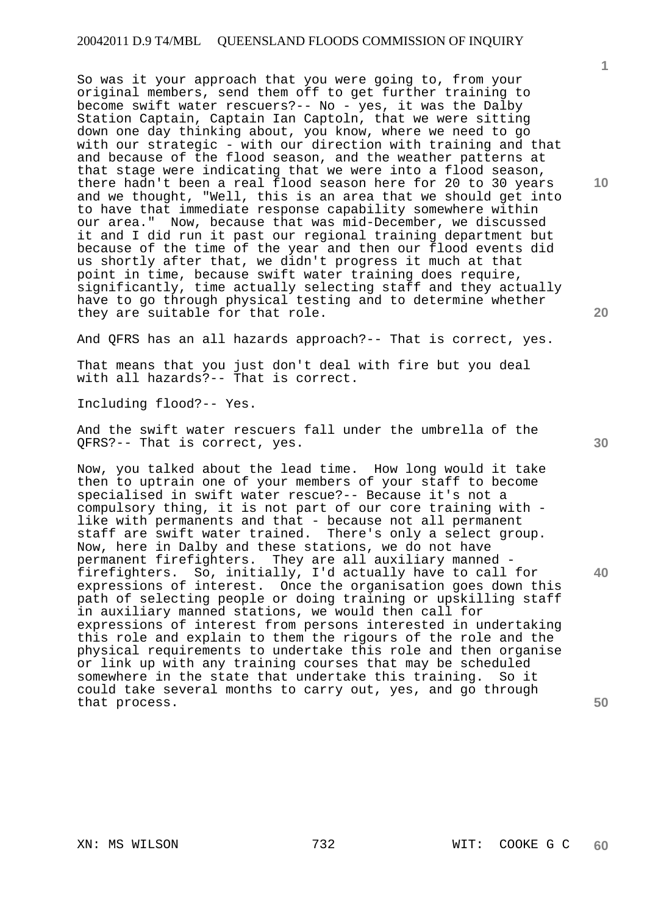So was it your approach that you were going to, from your original members, send them off to get further training to become swift water rescuers?-- No - yes, it was the Dalby Station Captain, Captain Ian Captoln, that we were sitting down one day thinking about, you know, where we need to go with our strategic - with our direction with training and that and because of the flood season, and the weather patterns at that stage were indicating that we were into a flood season, there hadn't been a real flood season here for 20 to 30 years and we thought, "Well, this is an area that we should get into to have that immediate response capability somewhere within our area." Now, because that was mid-December, we discussed it and I did run it past our regional training department but because of the time of the year and then our flood events did us shortly after that, we didn't progress it much at that point in time, because swift water training does require, significantly, time actually selecting staff and they actually have to go through physical testing and to determine whether they are suitable for that role.

And QFRS has an all hazards approach?-- That is correct, yes.

That means that you just don't deal with fire but you deal with all hazards?-- That is correct.

Including flood?-- Yes.

And the swift water rescuers fall under the umbrella of the QFRS?-- That is correct, yes.

Now, you talked about the lead time. How long would it take then to uptrain one of your members of your staff to become specialised in swift water rescue?-- Because it's not a compulsory thing, it is not part of our core training with like with permanents and that - because not all permanent staff are swift water trained. There's only a select group. Now, here in Dalby and these stations, we do not have permanent firefighters. They are all auxiliary manned firefighters. So, initially, I'd actually have to call for expressions of interest. Once the organisation goes down this path of selecting people or doing training or upskilling staff in auxiliary manned stations, we would then call for expressions of interest from persons interested in undertaking this role and explain to them the rigours of the role and the physical requirements to undertake this role and then organise or link up with any training courses that may be scheduled somewhere in the state that undertake this training. So it could take several months to carry out, yes, and go through that process.

**30** 

**40** 

**50** 

**20** 

**1**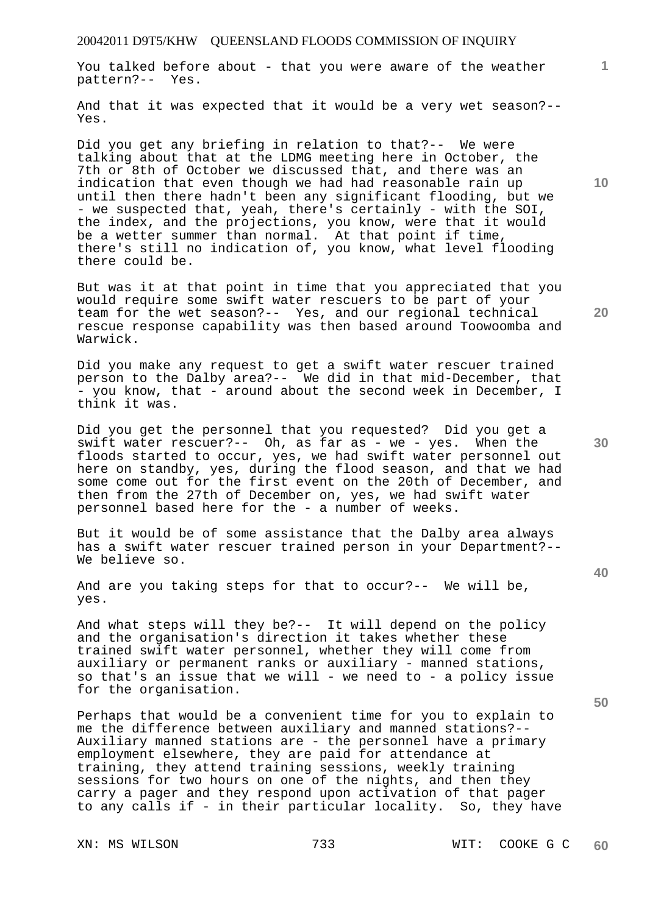You talked before about - that you were aware of the weather pattern?-- Yes.

And that it was expected that it would be a very wet season?-- Yes.

Did you get any briefing in relation to that?-- We were talking about that at the LDMG meeting here in October, the 7th or 8th of October we discussed that, and there was an indication that even though we had had reasonable rain up until then there hadn't been any significant flooding, but we - we suspected that, yeah, there's certainly - with the SOI, the index, and the projections, you know, were that it would be a wetter summer than normal. At that point if time, there's still no indication of, you know, what level flooding there could be.

But was it at that point in time that you appreciated that you would require some swift water rescuers to be part of your team for the wet season?-- Yes, and our regional technical rescue response capability was then based around Toowoomba and Warwick.

Did you make any request to get a swift water rescuer trained person to the Dalby area?-- We did in that mid-December, that - you know, that - around about the second week in December, I think it was.

Did you get the personnel that you requested? Did you get a swift water rescuer?-- Oh, as far as - we - yes. When the floods started to occur, yes, we had swift water personnel out here on standby, yes, during the flood season, and that we had some come out for the first event on the 20th of December, and then from the 27th of December on, yes, we had swift water personnel based here for the - a number of weeks.

But it would be of some assistance that the Dalby area always has a swift water rescuer trained person in your Department?-- We believe so.

And are you taking steps for that to occur?-- We will be, yes.

And what steps will they be?-- It will depend on the policy and the organisation's direction it takes whether these trained swift water personnel, whether they will come from auxiliary or permanent ranks or auxiliary - manned stations, so that's an issue that we will - we need to - a policy issue for the organisation.

Perhaps that would be a convenient time for you to explain to me the difference between auxiliary and manned stations?-- Auxiliary manned stations are - the personnel have a primary employment elsewhere, they are paid for attendance at training, they attend training sessions, weekly training sessions for two hours on one of the nights, and then they carry a pager and they respond upon activation of that pager to any calls if - in their particular locality. So, they have

**10** 

**1**

**20** 

**30** 

**40**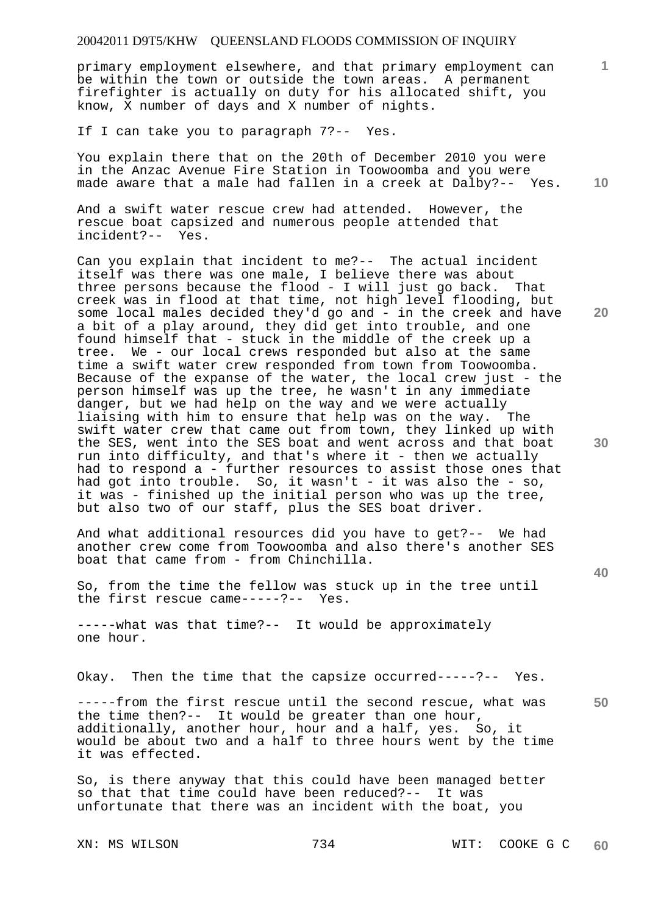primary employment elsewhere, and that primary employment can be within the town or outside the town areas. A permanent firefighter is actually on duty for his allocated shift, you know, X number of days and X number of nights.

If I can take you to paragraph 7?-- Yes.

**10**  You explain there that on the 20th of December 2010 you were in the Anzac Avenue Fire Station in Toowoomba and you were made aware that a male had fallen in a creek at Dalby?-- Yes.

And a swift water rescue crew had attended. However, the rescue boat capsized and numerous people attended that incident?-- Yes.

Can you explain that incident to me?-- The actual incident itself was there was one male, I believe there was about three persons because the flood - I will just go back. That creek was in flood at that time, not high level flooding, but some local males decided they'd go and - in the creek and have a bit of a play around, they did get into trouble, and one found himself that - stuck in the middle of the creek up a tree. We - our local crews responded but also at the same time a swift water crew responded from town from Toowoomba. Because of the expanse of the water, the local crew just - the person himself was up the tree, he wasn't in any immediate danger, but we had help on the way and we were actually liaising with him to ensure that help was on the way. The swift water crew that came out from town, they linked up with the SES, went into the SES boat and went across and that boat run into difficulty, and that's where it - then we actually had to respond a - further resources to assist those ones that had got into trouble. So, it wasn't - it was also the - so, it was - finished up the initial person who was up the tree, but also two of our staff, plus the SES boat driver.

And what additional resources did you have to get?-- We had another crew come from Toowoomba and also there's another SES boat that came from - from Chinchilla.

So, from the time the fellow was stuck up in the tree until the first rescue came-----?-- Yes.

-----what was that time?-- It would be approximately one hour.

Okay. Then the time that the capsize occurred-----?-- Yes.

-----from the first rescue until the second rescue, what was the time then?-- It would be greater than one hour, additionally, another hour, hour and a half, yes. So, it would be about two and a half to three hours went by the time it was effected.

So, is there anyway that this could have been managed better so that that time could have been reduced?-- It was unfortunate that there was an incident with the boat, you

**20** 

**1**

**30** 

**40**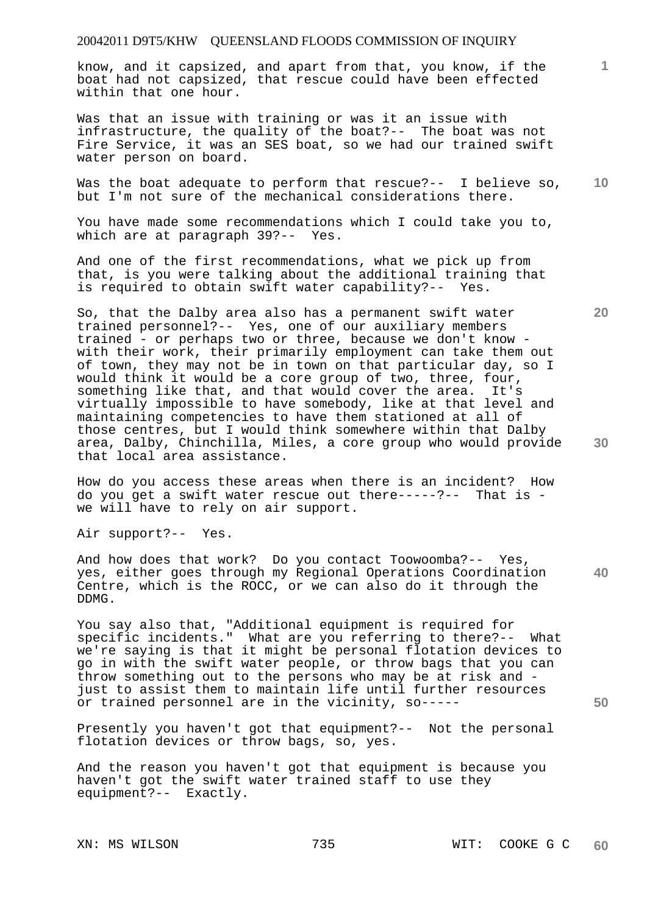know, and it capsized, and apart from that, you know, if the boat had not capsized, that rescue could have been effected within that one hour.

Was that an issue with training or was it an issue with infrastructure, the quality of the boat?-- The boat was not Fire Service, it was an SES boat, so we had our trained swift water person on board.

**10**  Was the boat adequate to perform that rescue?-- I believe so, but I'm not sure of the mechanical considerations there.

You have made some recommendations which I could take you to, which are at paragraph 39?-- Yes.

And one of the first recommendations, what we pick up from that, is you were talking about the additional training that is required to obtain swift water capability?-- Yes.

So, that the Dalby area also has a permanent swift water trained personnel?-- Yes, one of our auxiliary members trained - or perhaps two or three, because we don't know with their work, their primarily employment can take them out of town, they may not be in town on that particular day, so I would think it would be a core group of two, three, four, something like that, and that would cover the area. It's virtually impossible to have somebody, like at that level and maintaining competencies to have them stationed at all of those centres, but I would think somewhere within that Dalby area, Dalby, Chinchilla, Miles, a core group who would provide that local area assistance.

How do you access these areas when there is an incident? How do you get a swift water rescue out there-----?-- That is we will have to rely on air support.

Air support?-- Yes.

**40**  And how does that work? Do you contact Toowoomba?-- Yes, yes, either goes through my Regional Operations Coordination Centre, which is the ROCC, or we can also do it through the DDMG.

You say also that, "Additional equipment is required for specific incidents." What are you referring to there?-- What we're saying is that it might be personal flotation devices to go in with the swift water people, or throw bags that you can throw something out to the persons who may be at risk and just to assist them to maintain life until further resources or trained personnel are in the vicinity, so-----

Presently you haven't got that equipment?-- Not the personal flotation devices or throw bags, so, yes.

And the reason you haven't got that equipment is because you haven't got the swift water trained staff to use they equipment?-- Exactly.

**20** 

**50** 

**30**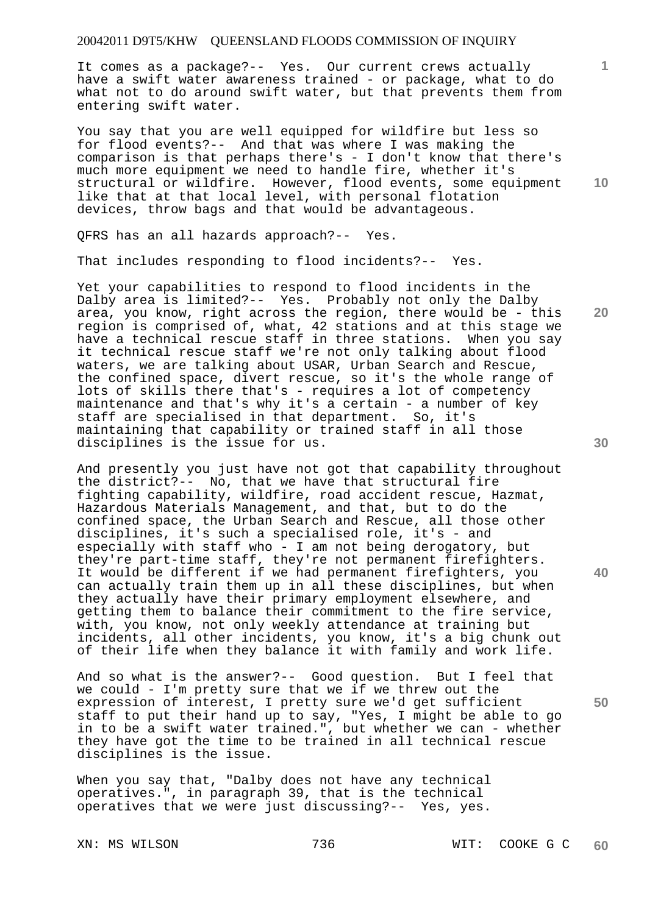It comes as a package?-- Yes. Our current crews actually have a swift water awareness trained - or package, what to do what not to do around swift water, but that prevents them from entering swift water.

You say that you are well equipped for wildfire but less so for flood events?-- And that was where I was making the comparison is that perhaps there's - I don't know that there's much more equipment we need to handle fire, whether it's structural or wildfire. However, flood events, some equipment like that at that local level, with personal flotation devices, throw bags and that would be advantageous.

QFRS has an all hazards approach?-- Yes.

That includes responding to flood incidents?-- Yes.

Yet your capabilities to respond to flood incidents in the Dalby area is limited?-- Yes. Probably not only the Dalby area, you know, right across the region, there would be - this region is comprised of, what, 42 stations and at this stage we have a technical rescue staff in three stations. When you say it technical rescue staff we're not only talking about flood waters, we are talking about USAR, Urban Search and Rescue, the confined space, divert rescue, so it's the whole range of lots of skills there that's - requires a lot of competency maintenance and that's why it's a certain - a number of key staff are specialised in that department. So, it's maintaining that capability or trained staff in all those disciplines is the issue for us.

And presently you just have not got that capability throughout the district?-- No, that we have that structural fire fighting capability, wildfire, road accident rescue, Hazmat, Hazardous Materials Management, and that, but to do the confined space, the Urban Search and Rescue, all those other disciplines, it's such a specialised role, it's - and especially with staff who - I am not being derogatory, but they're part-time staff, they're not permanent firefighters. It would be different if we had permanent firefighters, you can actually train them up in all these disciplines, but when they actually have their primary employment elsewhere, and getting them to balance their commitment to the fire service, with, you know, not only weekly attendance at training but incidents, all other incidents, you know, it's a big chunk out of their life when they balance it with family and work life.

And so what is the answer?-- Good question. But I feel that we could - I'm pretty sure that we if we threw out the expression of interest, I pretty sure we'd get sufficient staff to put their hand up to say, "Yes, I might be able to go in to be a swift water trained.", but whether we can - whether they have got the time to be trained in all technical rescue disciplines is the issue.

When you say that, "Dalby does not have any technical operatives.", in paragraph 39, that is the technical operatives that we were just discussing?-- Yes, yes.

**30** 

**20** 

**40** 

**1**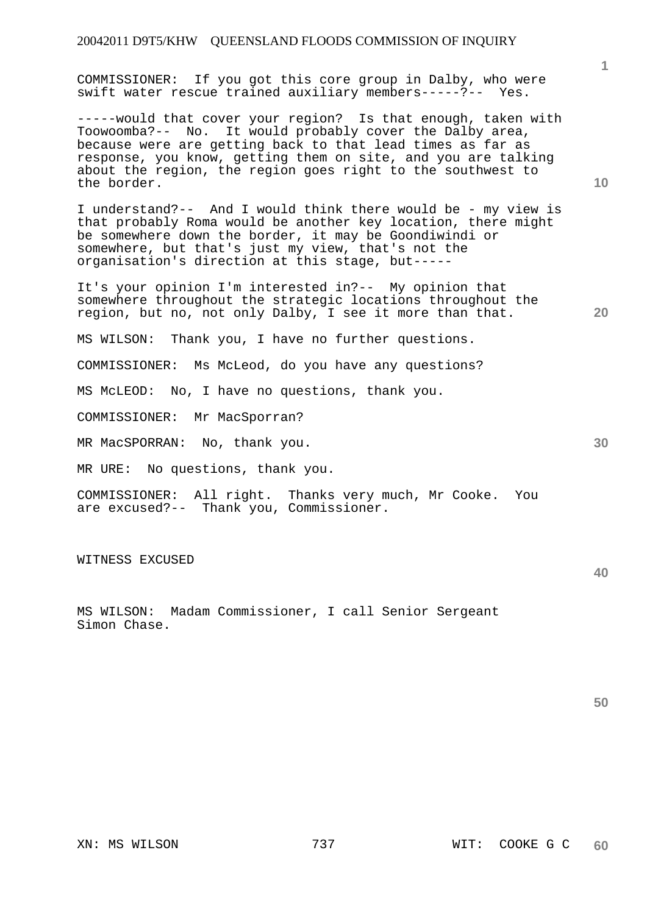COMMISSIONER: If you got this core group in Dalby, who were swift water rescue trained auxiliary members-----?-- Yes.

-----would that cover your region? Is that enough, taken with Toowoomba?-- No. It would probably cover the Dalby area, because were are getting back to that lead times as far as response, you know, getting them on site, and you are talking about the region, the region goes right to the southwest to the border.

I understand?-- And I would think there would be - my view is that probably Roma would be another key location, there might be somewhere down the border, it may be Goondiwindi or somewhere, but that's just my view, that's not the organisation's direction at this stage, but-----

It's your opinion I'm interested in?-- My opinion that somewhere throughout the strategic locations throughout the region, but no, not only Dalby, I see it more than that.

MS WILSON: Thank you, I have no further questions.

COMMISSIONER: Ms McLeod, do you have any questions?

MS McLEOD: No, I have no questions, thank you.

COMMISSIONER: Mr MacSporran?

MR MacSPORRAN: No, thank you.

MR URE: No questions, thank you.

COMMISSIONER: All right. Thanks very much, Mr Cooke. You are excused?-- Thank you, Commissioner.

WITNESS EXCUSED

MS WILSON: Madam Commissioner, I call Senior Sergeant Simon Chase.

XN: MS WILSON 737 WIT: COOKE G C **60** 

**30** 

**40** 

**10** 

**20**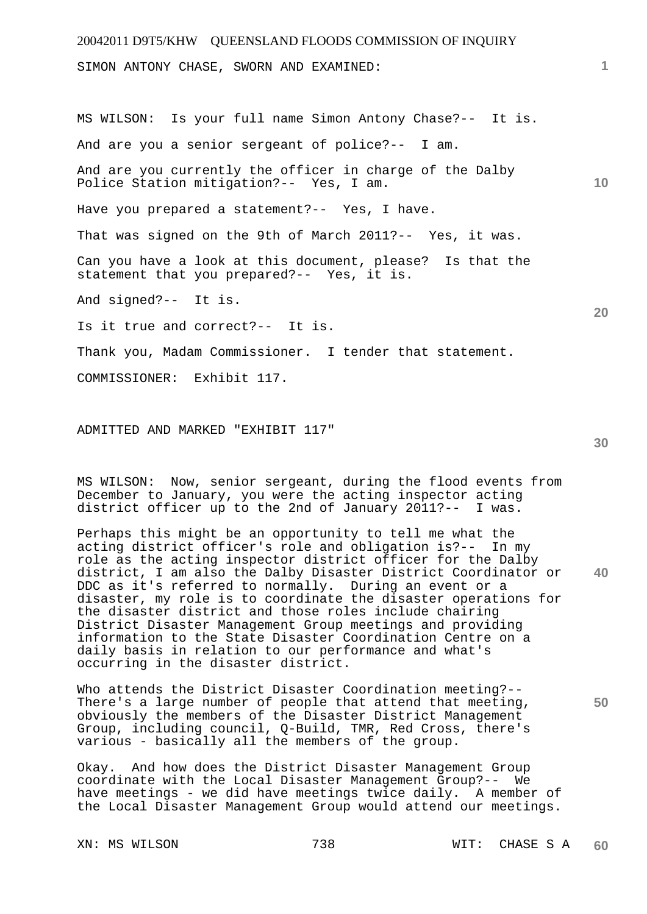20042011 D9T5/KHW QUEENSLAND FLOODS COMMISSION OF INQUIRY **1 10 20**  SIMON ANTONY CHASE, SWORN AND EXAMINED: MS WILSON: Is your full name Simon Antony Chase?-- It is. And are you a senior sergeant of police?-- I am. And are you currently the officer in charge of the Dalby Police Station mitigation?-- Yes, I am. Have you prepared a statement?-- Yes, I have. That was signed on the 9th of March 2011?-- Yes, it was. Can you have a look at this document, please? Is that the statement that you prepared?-- Yes, it is. And signed?-- It is. Is it true and correct?-- It is. Thank you, Madam Commissioner. I tender that statement. COMMISSIONER: Exhibit 117.

ADMITTED AND MARKED "EXHIBIT 117"

MS WILSON: Now, senior sergeant, during the flood events from December to January, you were the acting inspector acting district officer up to the 2nd of January 2011?-- I was.

**40**  Perhaps this might be an opportunity to tell me what the acting district officer's role and obligation is?-- In my role as the acting inspector district officer for the Dalby district, I am also the Dalby Disaster District Coordinator or DDC as it's referred to normally. During an event or a disaster, my role is to coordinate the disaster operations for the disaster district and those roles include chairing District Disaster Management Group meetings and providing information to the State Disaster Coordination Centre on a daily basis in relation to our performance and what's occurring in the disaster district.

Who attends the District Disaster Coordination meeting?-- There's a large number of people that attend that meeting, obviously the members of the Disaster District Management Group, including council, Q-Build, TMR, Red Cross, there's various - basically all the members of the group.

Okay. And how does the District Disaster Management Group coordinate with the Local Disaster Management Group?-- We have meetings - we did have meetings twice daily. A member of the Local Disaster Management Group would attend our meetings.

# **30**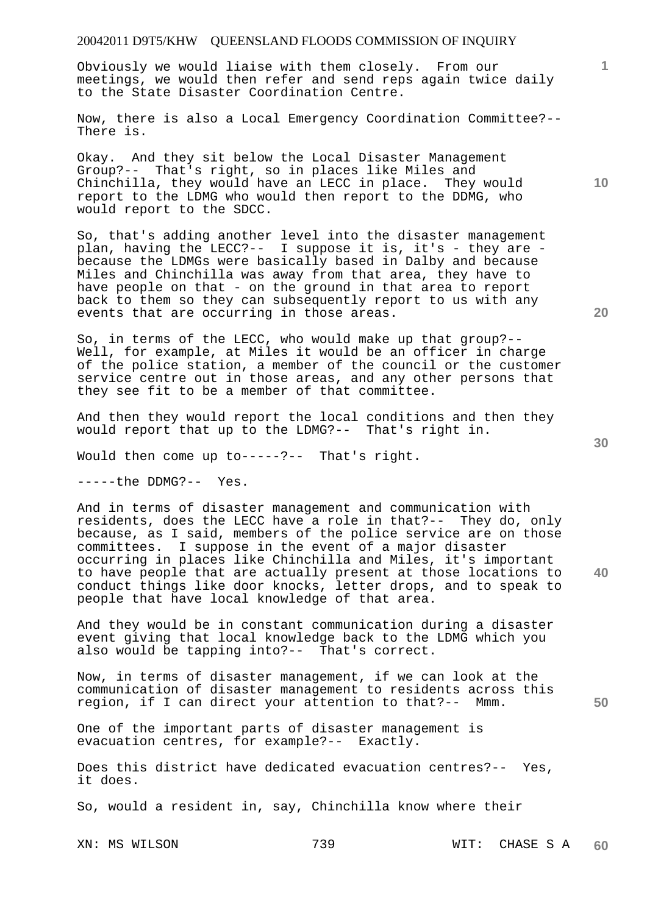Obviously we would liaise with them closely. From our meetings, we would then refer and send reps again twice daily to the State Disaster Coordination Centre.

Now, there is also a Local Emergency Coordination Committee?-- There is.

Okay. And they sit below the Local Disaster Management Group?-- That's right, so in places like Miles and Chinchilla, they would have an LECC in place. They would report to the LDMG who would then report to the DDMG, who would report to the SDCC.

So, that's adding another level into the disaster management plan, having the LECC?-- I suppose it is, it's - they are because the LDMGs were basically based in Dalby and because Miles and Chinchilla was away from that area, they have to have people on that - on the ground in that area to report back to them so they can subsequently report to us with any events that are occurring in those areas.

So, in terms of the LECC, who would make up that group?-- Well, for example, at Miles it would be an officer in charge of the police station, a member of the council or the customer service centre out in those areas, and any other persons that they see fit to be a member of that committee.

And then they would report the local conditions and then they would report that up to the LDMG?-- That's right in.

Would then come up to-----?-- That's right.

-----the DDMG?-- Yes.

And in terms of disaster management and communication with residents, does the LECC have a role in that?-- They do, only because, as I said, members of the police service are on those committees. I suppose in the event of a major disaster occurring in places like Chinchilla and Miles, it's important to have people that are actually present at those locations to conduct things like door knocks, letter drops, and to speak to people that have local knowledge of that area.

And they would be in constant communication during a disaster event giving that local knowledge back to the LDMG which you also would be tapping into?-- That's correct.

Now, in terms of disaster management, if we can look at the communication of disaster management to residents across this region, if I can direct your attention to that?-- Mmm.

One of the important parts of disaster management is evacuation centres, for example?-- Exactly.

Does this district have dedicated evacuation centres?-- Yes, it does.

So, would a resident in, say, Chinchilla know where their

XN: MS WILSON 739 WIT: CHASE S A **60** 

**20** 

**40** 

**50** 

**10**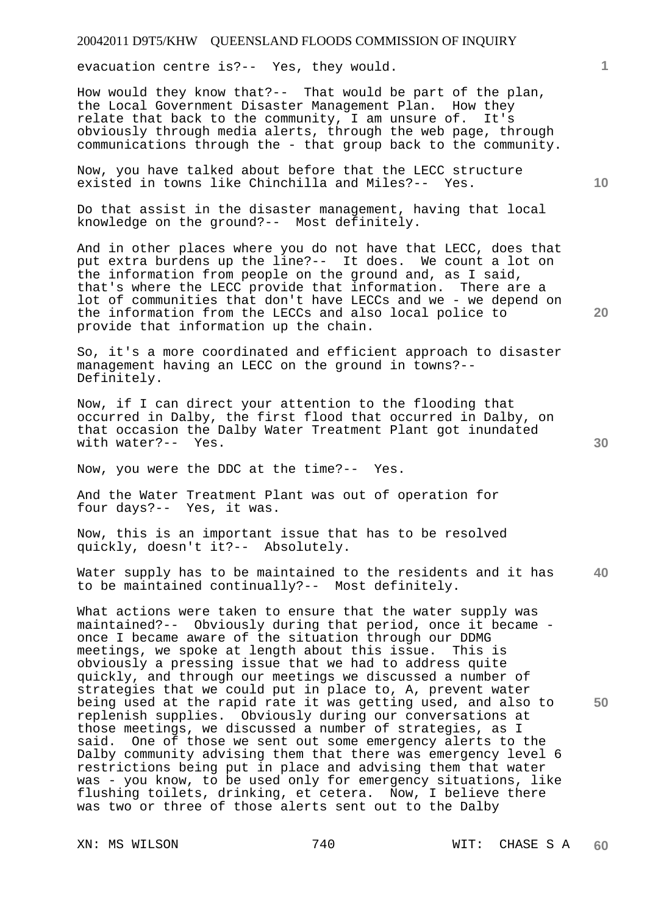evacuation centre is?-- Yes, they would.

How would they know that?-- That would be part of the plan, the Local Government Disaster Management Plan. How they relate that back to the community, I am unsure of. It's obviously through media alerts, through the web page, through communications through the - that group back to the community.

Now, you have talked about before that the LECC structure existed in towns like Chinchilla and Miles?-- Yes.

Do that assist in the disaster management, having that local knowledge on the ground?-- Most definitely.

And in other places where you do not have that LECC, does that put extra burdens up the line?-- It does. We count a lot on the information from people on the ground and, as I said, that's where the LECC provide that information. There are a lot of communities that don't have LECCs and we - we depend on the information from the LECCs and also local police to provide that information up the chain.

So, it's a more coordinated and efficient approach to disaster management having an LECC on the ground in towns?-- Definitely.

Now, if I can direct your attention to the flooding that occurred in Dalby, the first flood that occurred in Dalby, on that occasion the Dalby Water Treatment Plant got inundated with water?-- Yes.

Now, you were the DDC at the time?-- Yes.

And the Water Treatment Plant was out of operation for four days?-- Yes, it was.

Now, this is an important issue that has to be resolved quickly, doesn't it?-- Absolutely.

**40**  Water supply has to be maintained to the residents and it has to be maintained continually?-- Most definitely.

What actions were taken to ensure that the water supply was maintained?-- Obviously during that period, once it became once I became aware of the situation through our DDMG meetings, we spoke at length about this issue. This is obviously a pressing issue that we had to address quite quickly, and through our meetings we discussed a number of strategies that we could put in place to, A, prevent water being used at the rapid rate it was getting used, and also to replenish supplies. Obviously during our conversations at those meetings, we discussed a number of strategies, as I said. One of those we sent out some emergency alerts to the Dalby community advising them that there was emergency level 6 restrictions being put in place and advising them that water was - you know, to be used only for emergency situations, like flushing toilets, drinking, et cetera. Now, I believe there was two or three of those alerts sent out to the Dalby

**10** 

**1**

**20** 

**50**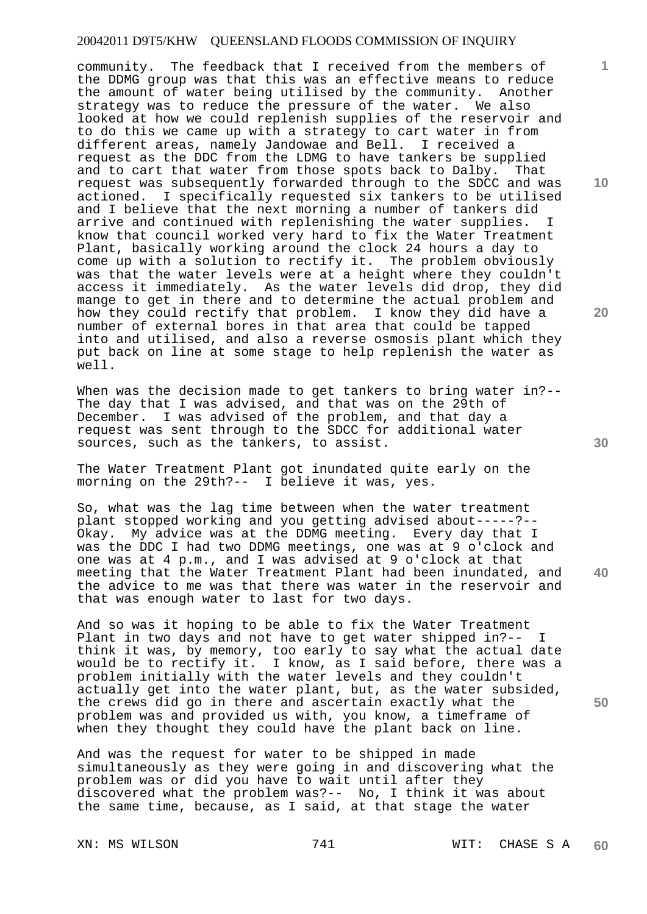community. The feedback that I received from the members of the DDMG group was that this was an effective means to reduce the amount of water being utilised by the community. Another strategy was to reduce the pressure of the water. We also looked at how we could replenish supplies of the reservoir and to do this we came up with a strategy to cart water in from different areas, namely Jandowae and Bell. I received a request as the DDC from the LDMG to have tankers be supplied and to cart that water from those spots back to Dalby. That request was subsequently forwarded through to the SDCC and was actioned. I specifically requested six tankers to be utilised and I believe that the next morning a number of tankers did arrive and continued with replenishing the water supplies. I know that council worked very hard to fix the Water Treatment Plant, basically working around the clock 24 hours a day to come up with a solution to rectify it. The problem obviously was that the water levels were at a height where they couldn't access it immediately. As the water levels did drop, they did mange to get in there and to determine the actual problem and how they could rectify that problem. I know they did have a number of external bores in that area that could be tapped into and utilised, and also a reverse osmosis plant which they put back on line at some stage to help replenish the water as well.

When was the decision made to get tankers to bring water in?--The day that I was advised, and that was on the 29th of December. I was advised of the problem, and that day a request was sent through to the SDCC for additional water sources, such as the tankers, to assist.

The Water Treatment Plant got inundated quite early on the morning on the 29th?-- I believe it was, yes.

So, what was the lag time between when the water treatment plant stopped working and you getting advised about-----?-- Okay. My advice was at the DDMG meeting. Every day that I was the DDC I had two DDMG meetings, one was at 9 o'clock and one was at 4 p.m., and I was advised at 9 o'clock at that meeting that the Water Treatment Plant had been inundated, and the advice to me was that there was water in the reservoir and that was enough water to last for two days.

And so was it hoping to be able to fix the Water Treatment Plant in two days and not have to get water shipped in?-- I think it was, by memory, too early to say what the actual date would be to rectify it. I know, as I said before, there was a problem initially with the water levels and they couldn't actually get into the water plant, but, as the water subsided, the crews did go in there and ascertain exactly what the problem was and provided us with, you know, a timeframe of when they thought they could have the plant back on line.

And was the request for water to be shipped in made simultaneously as they were going in and discovering what the problem was or did you have to wait until after they discovered what the problem was?-- No, I think it was about the same time, because, as I said, at that stage the water

**10** 

**1**

**20** 

**30** 

**40**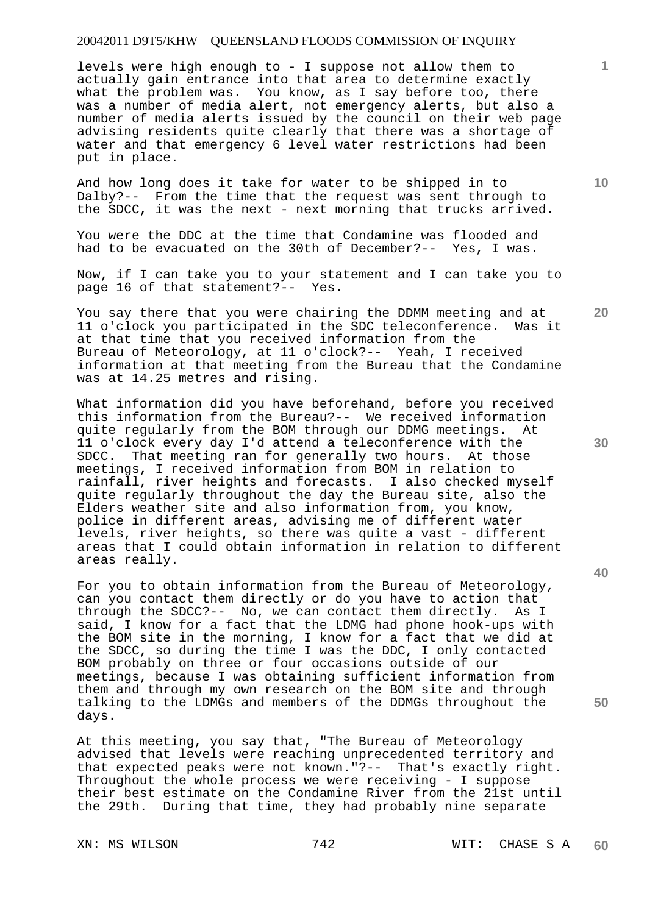levels were high enough to - I suppose not allow them to actually gain entrance into that area to determine exactly what the problem was. You know, as I say before too, there was a number of media alert, not emergency alerts, but also a number of media alerts issued by the council on their web page advising residents quite clearly that there was a shortage of water and that emergency 6 level water restrictions had been put in place.

And how long does it take for water to be shipped in to Dalby?-- From the time that the request was sent through to the SDCC, it was the next - next morning that trucks arrived.

You were the DDC at the time that Condamine was flooded and had to be evacuated on the 30th of December?-- Yes, I was.

Now, if I can take you to your statement and I can take you to page 16 of that statement?-- Yes.

You say there that you were chairing the DDMM meeting and at<br>11 o'clock you participated in the SDC teleconference. Was it 11 o'clock you participated in the SDC teleconference. at that time that you received information from the Bureau of Meteorology, at 11 o'clock?-- Yeah, I received information at that meeting from the Bureau that the Condamine was at 14.25 metres and rising.

What information did you have beforehand, before you received this information from the Bureau?-- We received information quite regularly from the BOM through our DDMG meetings. At 11 o'clock every day I'd attend a teleconference with the SDCC. That meeting ran for generally two hours. At those meetings, I received information from BOM in relation to rainfall, river heights and forecasts. I also checked myself quite regularly throughout the day the Bureau site, also the Elders weather site and also information from, you know, police in different areas, advising me of different water levels, river heights, so there was quite a vast - different areas that I could obtain information in relation to different areas really.

For you to obtain information from the Bureau of Meteorology, can you contact them directly or do you have to action that through the SDCC?-- No, we can contact them directly. As I said, I know for a fact that the LDMG had phone hook-ups with the BOM site in the morning, I know for a fact that we did at the SDCC, so during the time I was the DDC, I only contacted BOM probably on three or four occasions outside of our meetings, because I was obtaining sufficient information from them and through my own research on the BOM site and through talking to the LDMGs and members of the DDMGs throughout the days.

At this meeting, you say that, "The Bureau of Meteorology advised that levels were reaching unprecedented territory and that expected peaks were not known."?-- That's exactly right. Throughout the whole process we were receiving - I suppose their best estimate on the Condamine River from the 21st until the 29th. During that time, they had probably nine separate

**20** 

**10** 

**1**



**40**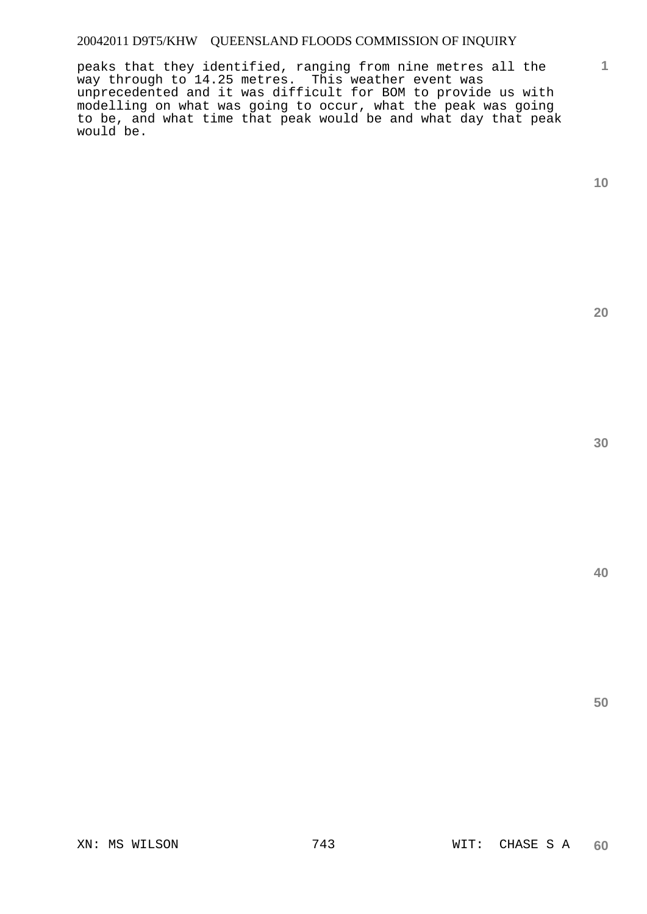peaks that they identified, ranging from nine metres all the way through to 14.25 metres. This weather event was unprecedented and it was difficult for BOM to provide us with modelling on what was going to occur, what the peak was going to be, and what time that peak would be and what day that peak would be.

**1**

**20**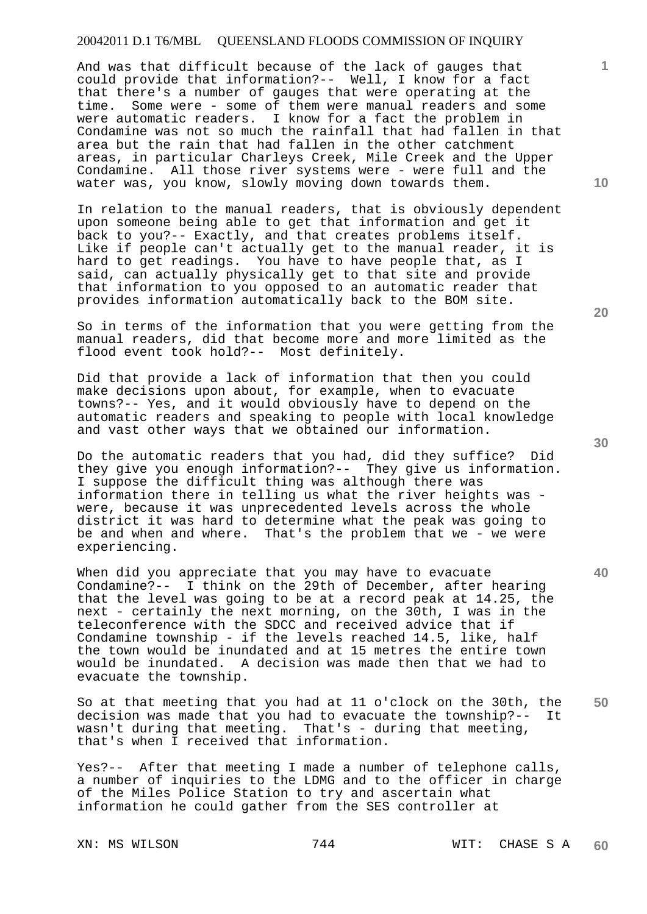And was that difficult because of the lack of gauges that could provide that information?-- Well, I know for a fact that there's a number of gauges that were operating at the time. Some were - some of them were manual readers and some were automatic readers. I know for a fact the problem in Condamine was not so much the rainfall that had fallen in that area but the rain that had fallen in the other catchment areas, in particular Charleys Creek, Mile Creek and the Upper Condamine. All those river systems were - were full and the water was, you know, slowly moving down towards them.

In relation to the manual readers, that is obviously dependent upon someone being able to get that information and get it back to you?-- Exactly, and that creates problems itself. Like if people can't actually get to the manual reader, it is hard to get readings. You have to have people that, as I said, can actually physically get to that site and provide that information to you opposed to an automatic reader that provides information automatically back to the BOM site.

So in terms of the information that you were getting from the manual readers, did that become more and more limited as the flood event took hold?-- Most definitely.

Did that provide a lack of information that then you could make decisions upon about, for example, when to evacuate towns?-- Yes, and it would obviously have to depend on the automatic readers and speaking to people with local knowledge and vast other ways that we obtained our information.

Do the automatic readers that you had, did they suffice? Did they give you enough information?-- They give us information. I suppose the difficult thing was although there was information there in telling us what the river heights was were, because it was unprecedented levels across the whole district it was hard to determine what the peak was going to be and when and where. That's the problem that we - we were experiencing.

When did you appreciate that you may have to evacuate Condamine?-- I think on the 29th of December, after hearing that the level was going to be at a record peak at 14.25, the next - certainly the next morning, on the 30th, I was in the teleconference with the SDCC and received advice that if Condamine township - if the levels reached 14.5, like, half the town would be inundated and at 15 metres the entire town would be inundated. A decision was made then that we had to evacuate the township.

**50**  So at that meeting that you had at 11 o'clock on the 30th, the decision was made that you had to evacuate the township?-- It wasn't during that meeting. That's - during that meeting, that's when I received that information.

Yes?-- After that meeting I made a number of telephone calls, a number of inquiries to the LDMG and to the officer in charge of the Miles Police Station to try and ascertain what information he could gather from the SES controller at

**20** 

**40** 

**10**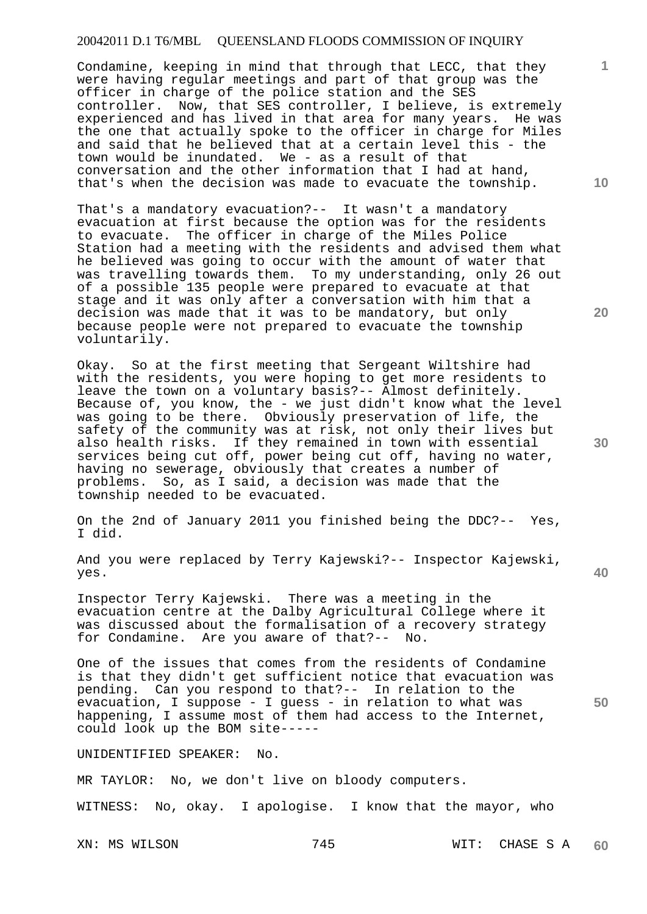Condamine, keeping in mind that through that LECC, that they were having regular meetings and part of that group was the officer in charge of the police station and the SES controller. Now, that SES controller, I believe, is extremely experienced and has lived in that area for many years. He was the one that actually spoke to the officer in charge for Miles and said that he believed that at a certain level this - the town would be inundated. We - as a result of that conversation and the other information that I had at hand, that's when the decision was made to evacuate the township.

That's a mandatory evacuation?-- It wasn't a mandatory evacuation at first because the option was for the residents to evacuate. The officer in charge of the Miles Police Station had a meeting with the residents and advised them what he believed was going to occur with the amount of water that was travelling towards them. To my understanding, only 26 out of a possible 135 people were prepared to evacuate at that stage and it was only after a conversation with him that a decision was made that it was to be mandatory, but only because people were not prepared to evacuate the township voluntarily.

Okay. So at the first meeting that Sergeant Wiltshire had with the residents, you were hoping to get more residents to leave the town on a voluntary basis?-- Almost definitely. Because of, you know, the - we just didn't know what the level was going to be there. Obviously preservation of life, the safety of the community was at risk, not only their lives but also health risks. If they remained in town with essential services being cut off, power being cut off, having no water, having no sewerage, obviously that creates a number of problems. So, as I said, a decision was made that the So, as I said, a decision was made that the township needed to be evacuated.

On the 2nd of January 2011 you finished being the DDC?-- Yes, I did.

And you were replaced by Terry Kajewski?-- Inspector Kajewski, yes.

Inspector Terry Kajewski. There was a meeting in the evacuation centre at the Dalby Agricultural College where it was discussed about the formalisation of a recovery strategy for Condamine. Are you aware of that?-- No.

One of the issues that comes from the residents of Condamine is that they didn't get sufficient notice that evacuation was pending. Can you respond to that?-- In relation to the evacuation, I suppose - I guess - in relation to what was happening, I assume most of them had access to the Internet, could look up the BOM site-----

#### UNIDENTIFIED SPEAKER: No.

MR TAYLOR: No, we don't live on bloody computers.

WITNESS: No, okay. I apologise. I know that the mayor, who

XN: MS WILSON 745 795 WIT: CHASE S A **60** 

**30** 

**20** 

**40** 

**50** 

**10**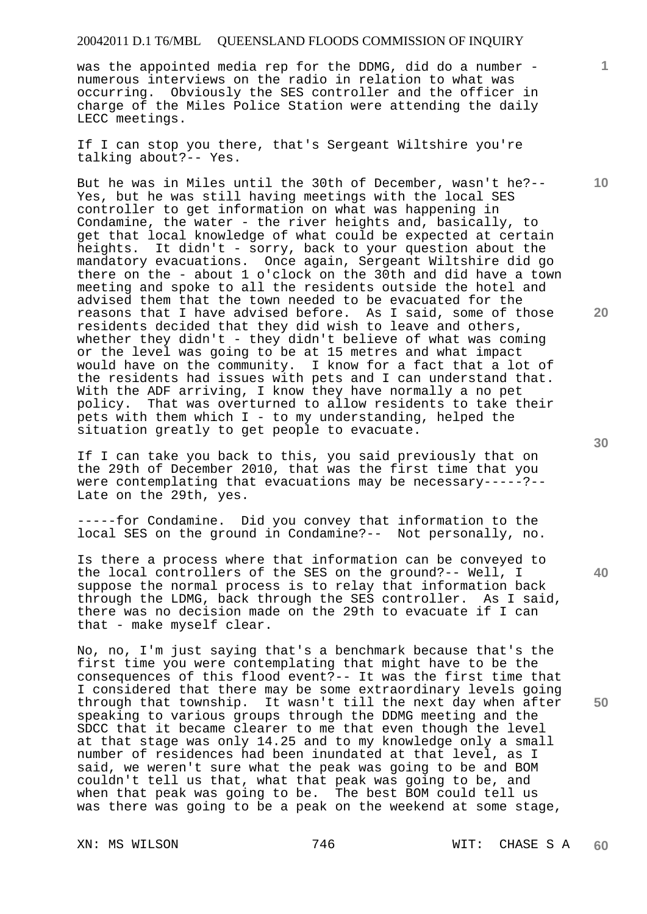was the appointed media rep for the DDMG, did do a number numerous interviews on the radio in relation to what was occurring. Obviously the SES controller and the officer in charge of the Miles Police Station were attending the daily LECC meetings.

If I can stop you there, that's Sergeant Wiltshire you're talking about?-- Yes.

But he was in Miles until the 30th of December, wasn't he?-- Yes, but he was still having meetings with the local SES controller to get information on what was happening in Condamine, the water - the river heights and, basically, to get that local knowledge of what could be expected at certain heights. It didn't - sorry, back to your question about the mandatory evacuations. Once again, Sergeant Wiltshire did go there on the - about 1 o'clock on the 30th and did have a town meeting and spoke to all the residents outside the hotel and advised them that the town needed to be evacuated for the reasons that I have advised before. As I said, some of those residents decided that they did wish to leave and others, whether they didn't - they didn't believe of what was coming or the level was going to be at 15 metres and what impact would have on the community. I know for a fact that a lot of the residents had issues with pets and I can understand that. With the ADF arriving, I know they have normally a no pet policy. That was overturned to allow residents to take their pets with them which I - to my understanding, helped the situation greatly to get people to evacuate.

If I can take you back to this, you said previously that on the 29th of December 2010, that was the first time that you were contemplating that evacuations may be necessary-----?--Late on the 29th, yes.

-----for Condamine. Did you convey that information to the local SES on the ground in Condamine?-- Not personally, no.

Is there a process where that information can be conveyed to the local controllers of the SES on the ground?-- Well, I suppose the normal process is to relay that information back through the LDMG, back through the SES controller. As I said, there was no decision made on the 29th to evacuate if I can that - make myself clear.

No, no, I'm just saying that's a benchmark because that's the first time you were contemplating that might have to be the consequences of this flood event?-- It was the first time that I considered that there may be some extraordinary levels going through that township. It wasn't till the next day when after speaking to various groups through the DDMG meeting and the SDCC that it became clearer to me that even though the level at that stage was only 14.25 and to my knowledge only a small number of residences had been inundated at that level, as I said, we weren't sure what the peak was going to be and BOM couldn't tell us that, what that peak was going to be, and when that peak was going to be. The best BOM could tell us was there was going to be a peak on the weekend at some stage,

**30** 

**40** 

**50** 

**10** 

**20**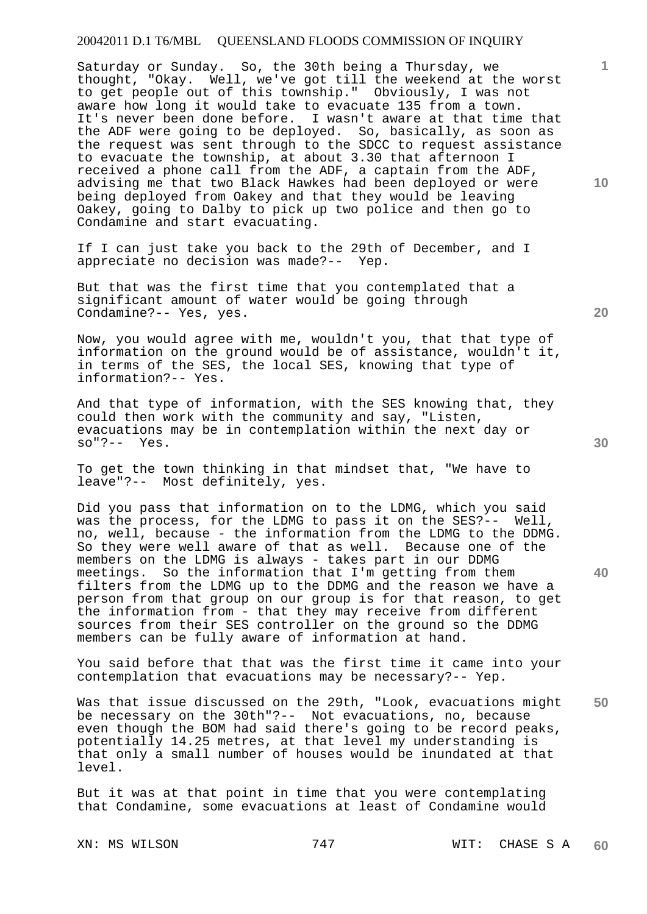Saturday or Sunday. So, the 30th being a Thursday, we thought, "Okay. Well, we've got till the weekend at the worst to get people out of this township." Obviously, I was not aware how long it would take to evacuate 135 from a town. It's never been done before. I wasn't aware at that time that the ADF were going to be deployed. So, basically, as soon as the request was sent through to the SDCC to request assistance to evacuate the township, at about 3.30 that afternoon I received a phone call from the ADF, a captain from the ADF, advising me that two Black Hawkes had been deployed or were being deployed from Oakey and that they would be leaving Oakey, going to Dalby to pick up two police and then go to Condamine and start evacuating.

If I can just take you back to the 29th of December, and I appreciate no decision was made?-- Yep.

But that was the first time that you contemplated that a significant amount of water would be going through Condamine?-- Yes, yes.

Now, you would agree with me, wouldn't you, that that type of information on the ground would be of assistance, wouldn't it, in terms of the SES, the local SES, knowing that type of information?-- Yes.

And that type of information, with the SES knowing that, they could then work with the community and say, "Listen, evacuations may be in contemplation within the next day or so"?-- Yes.

To get the town thinking in that mindset that, "We have to leave"?-- Most definitely, yes.

Did you pass that information on to the LDMG, which you said was the process, for the LDMG to pass it on the SES?-- Well, no, well, because - the information from the LDMG to the DDMG. So they were well aware of that as well. Because one of the members on the LDMG is always - takes part in our DDMG meetings. So the information that I'm getting from them filters from the LDMG up to the DDMG and the reason we have a person from that group on our group is for that reason, to get the information from - that they may receive from different sources from their SES controller on the ground so the DDMG members can be fully aware of information at hand.

You said before that that was the first time it came into your contemplation that evacuations may be necessary?-- Yep.

**50**  Was that issue discussed on the 29th, "Look, evacuations might be necessary on the 30th"?-- Not evacuations, no, because even though the BOM had said there's going to be record peaks, potentially 14.25 metres, at that level my understanding is that only a small number of houses would be inundated at that level.

But it was at that point in time that you were contemplating that Condamine, some evacuations at least of Condamine would

XN: MS WILSON 747 747 WIT: CHASE S A **60** 

**30** 

**20** 

**40**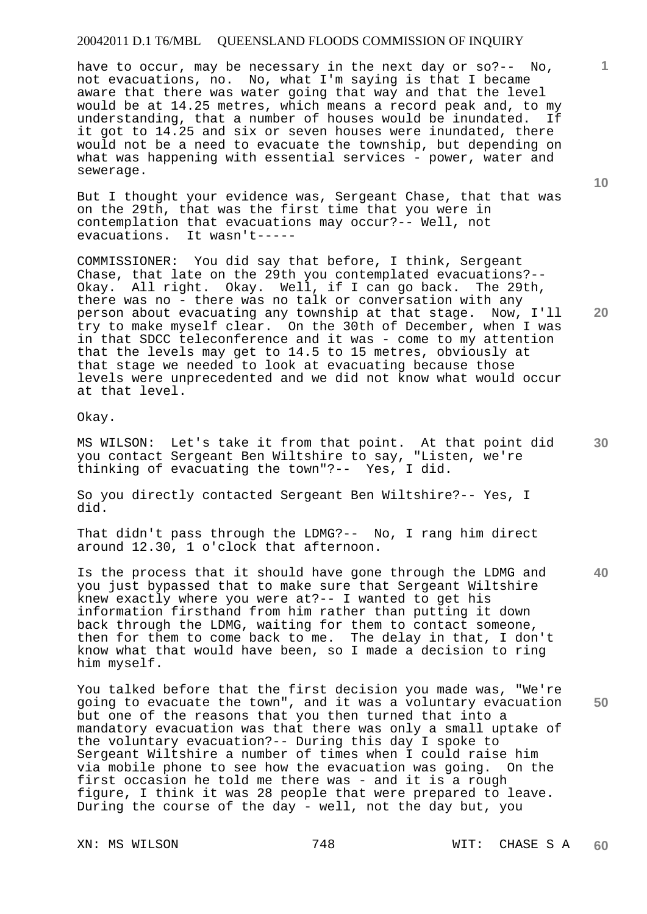have to occur, may be necessary in the next day or so?-- No, not evacuations, no. No, what I'm saying is that I became aware that there was water going that way and that the level would be at 14.25 metres, which means a record peak and, to my understanding, that a number of houses would be inundated. If it got to 14.25 and six or seven houses were inundated, there would not be a need to evacuate the township, but depending on what was happening with essential services - power, water and sewerage.

But I thought your evidence was, Sergeant Chase, that that was on the 29th, that was the first time that you were in contemplation that evacuations may occur?-- Well, not evacuations. It wasn't-----

COMMISSIONER: You did say that before, I think, Sergeant Chase, that late on the 29th you contemplated evacuations?-- Okay. All right. Okay. Well, if I can go back. The 29th, there was no - there was no talk or conversation with any person about evacuating any township at that stage. Now, I'll try to make myself clear. On the 30th of December, when I was in that SDCC teleconference and it was - come to my attention that the levels may get to 14.5 to 15 metres, obviously at that stage we needed to look at evacuating because those levels were unprecedented and we did not know what would occur at that level.

Okay.

MS WILSON: Let's take it from that point. At that point did you contact Sergeant Ben Wiltshire to say, "Listen, we're thinking of evacuating the town"?-- Yes, I did.

So you directly contacted Sergeant Ben Wiltshire?-- Yes, I did.

That didn't pass through the LDMG?-- No, I rang him direct around 12.30, 1 o'clock that afternoon.

Is the process that it should have gone through the LDMG and you just bypassed that to make sure that Sergeant Wiltshire knew exactly where you were at?-- I wanted to get his information firsthand from him rather than putting it down back through the LDMG, waiting for them to contact someone, then for them to come back to me. The delay in that, I don't know what that would have been, so I made a decision to ring him myself.

**50**  You talked before that the first decision you made was, "We're going to evacuate the town", and it was a voluntary evacuation but one of the reasons that you then turned that into a mandatory evacuation was that there was only a small uptake of the voluntary evacuation?-- During this day I spoke to Sergeant Wiltshire a number of times when I could raise him via mobile phone to see how the evacuation was going. On the first occasion he told me there was - and it is a rough figure, I think it was 28 people that were prepared to leave. During the course of the day - well, not the day but, you

**10** 

**1**

**30** 

**40**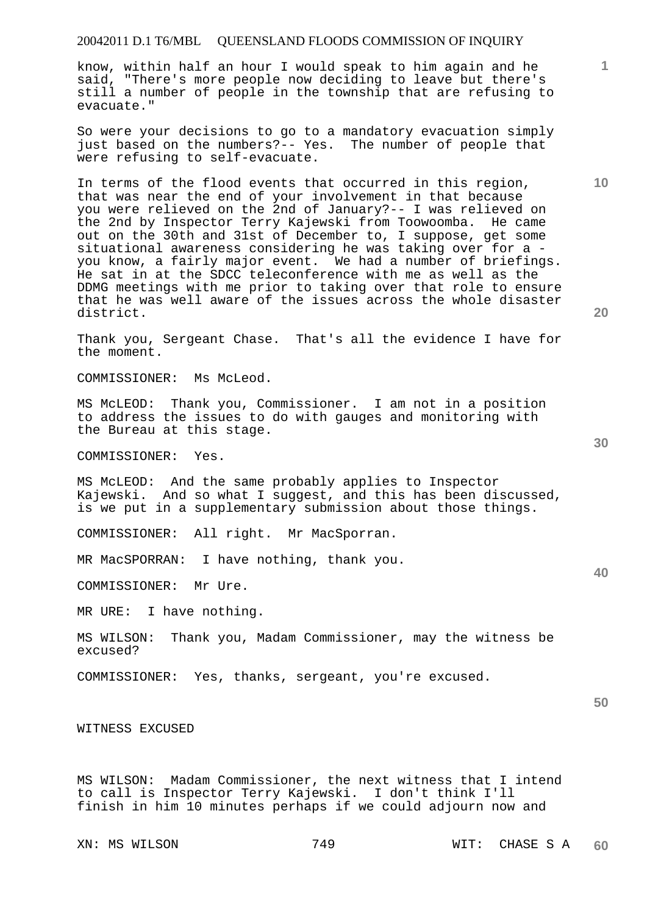know, within half an hour I would speak to him again and he said, "There's more people now deciding to leave but there's still a number of people in the township that are refusing to evacuate."

So were your decisions to go to a mandatory evacuation simply just based on the numbers?-- Yes. The number of people that were refusing to self-evacuate.

In terms of the flood events that occurred in this region, that was near the end of your involvement in that because you were relieved on the 2nd of January?-- I was relieved on the 2nd by Inspector Terry Kajewski from Toowoomba. He came out on the 30th and 31st of December to, I suppose, get some situational awareness considering he was taking over for a you know, a fairly major event. We had a number of briefings. He sat in at the SDCC teleconference with me as well as the DDMG meetings with me prior to taking over that role to ensure that he was well aware of the issues across the whole disaster district.

Thank you, Sergeant Chase. That's all the evidence I have for the moment.

COMMISSIONER: Ms McLeod.

MS McLEOD: Thank you, Commissioner. I am not in a position to address the issues to do with gauges and monitoring with the Bureau at this stage.

COMMISSIONER: Yes.

MS McLEOD: And the same probably applies to Inspector Kajewski. And so what I suggest, and this has been discussed, is we put in a supplementary submission about those things.

COMMISSIONER: All right. Mr MacSporran.

MR MacSPORRAN: I have nothing, thank you.

COMMISSIONER: Mr Ure.

MR URE: I have nothing.

MS WILSON: Thank you, Madam Commissioner, may the witness be excused?

COMMISSIONER: Yes, thanks, sergeant, you're excused.

WITNESS EXCUSED

MS WILSON: Madam Commissioner, the next witness that I intend to call is Inspector Terry Kajewski. I don't think I'll finish in him 10 minutes perhaps if we could adjourn now and

XN: MS WILSON 749 79 WIT: CHASE S A **60** 

**20** 

**1**

**10** 

**50**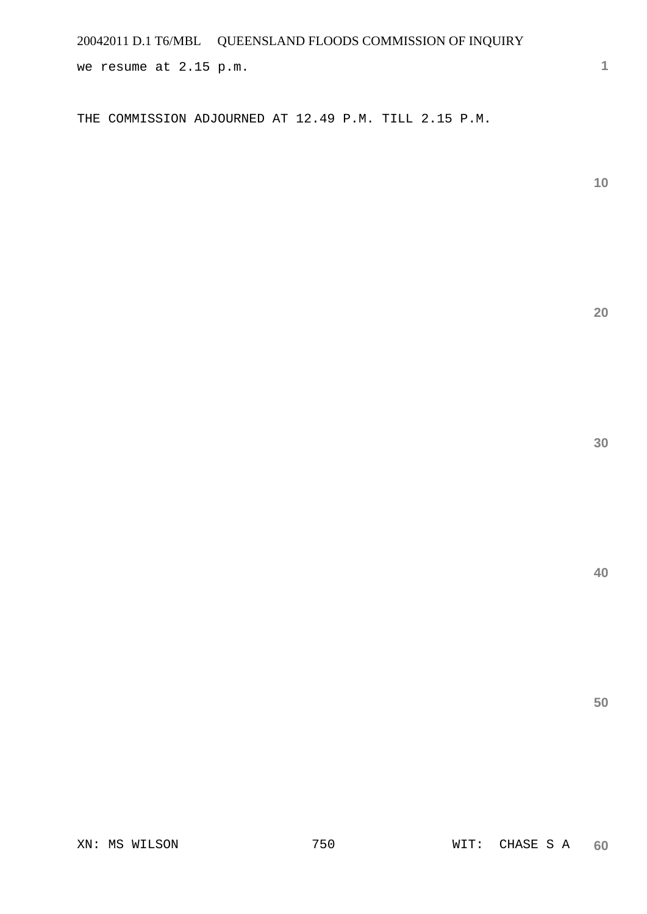we resume at 2.15 p.m.

THE COMMISSION ADJOURNED AT 12.49 P.M. TILL 2.15 P.M.

**10** 

**1**

**20**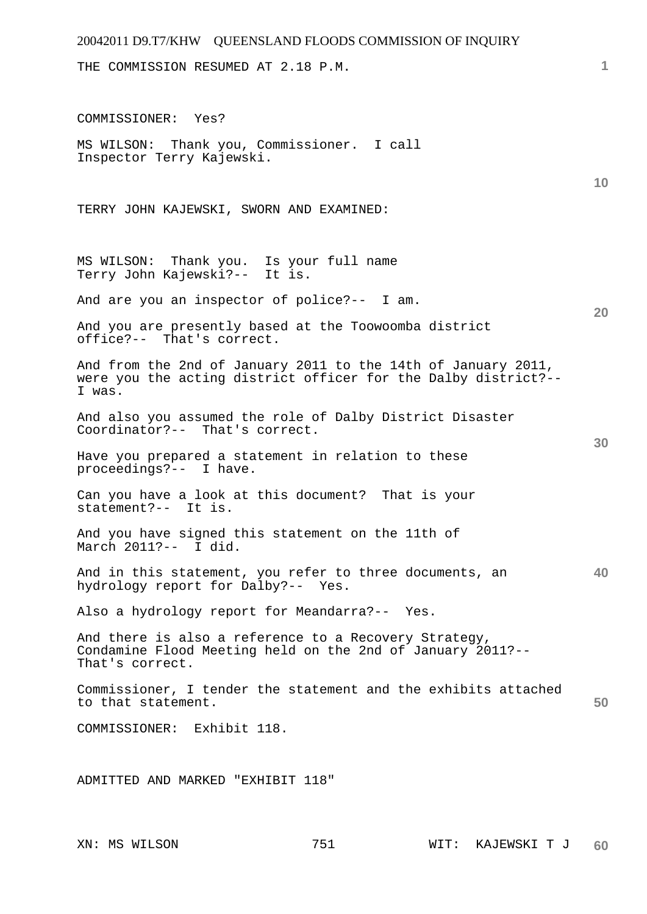| 20042011 D9.T7/KHW QUEENSLAND FLOODS COMMISSION OF INQUIRY                                                                                |    |
|-------------------------------------------------------------------------------------------------------------------------------------------|----|
| THE COMMISSION RESUMED AT 2.18 P.M.                                                                                                       | 1  |
| COMMISSIONER: Yes?                                                                                                                        |    |
| MS WILSON: Thank you, Commissioner. I call<br>Inspector Terry Kajewski.                                                                   | 10 |
| TERRY JOHN KAJEWSKI, SWORN AND EXAMINED:                                                                                                  |    |
| MS WILSON: Thank you. Is your full name<br>Terry John Kajewski?-- It is.                                                                  |    |
| And are you an inspector of police?-- I am.                                                                                               | 20 |
| And you are presently based at the Toowoomba district<br>office?-- That's correct.                                                        |    |
| And from the 2nd of January 2011 to the 14th of January 2011,<br>were you the acting district officer for the Dalby district?--<br>I was. |    |
| And also you assumed the role of Dalby District Disaster<br>Coordinator?-- That's correct.<br>30                                          |    |
| Have you prepared a statement in relation to these<br>proceedings?-- I have.                                                              |    |
| Can you have a look at this document? That is your<br>statement?-- It is.                                                                 |    |
| And you have signed this statement on the 11th of<br>March 2011?-- I did.                                                                 |    |
| 40<br>And in this statement, you refer to three documents, an<br>hydrology report for Dalby?-- Yes.                                       |    |
| Also a hydrology report for Meandarra?-- Yes.                                                                                             |    |
| And there is also a reference to a Recovery Strategy,<br>Condamine Flood Meeting held on the 2nd of January 2011?--<br>That's correct.    |    |
| Commissioner, I tender the statement and the exhibits attached<br>50<br>to that statement.                                                |    |
| COMMISSIONER: Exhibit 118.                                                                                                                |    |
| ADMITTED AND MARKED "EXHIBIT 118"                                                                                                         |    |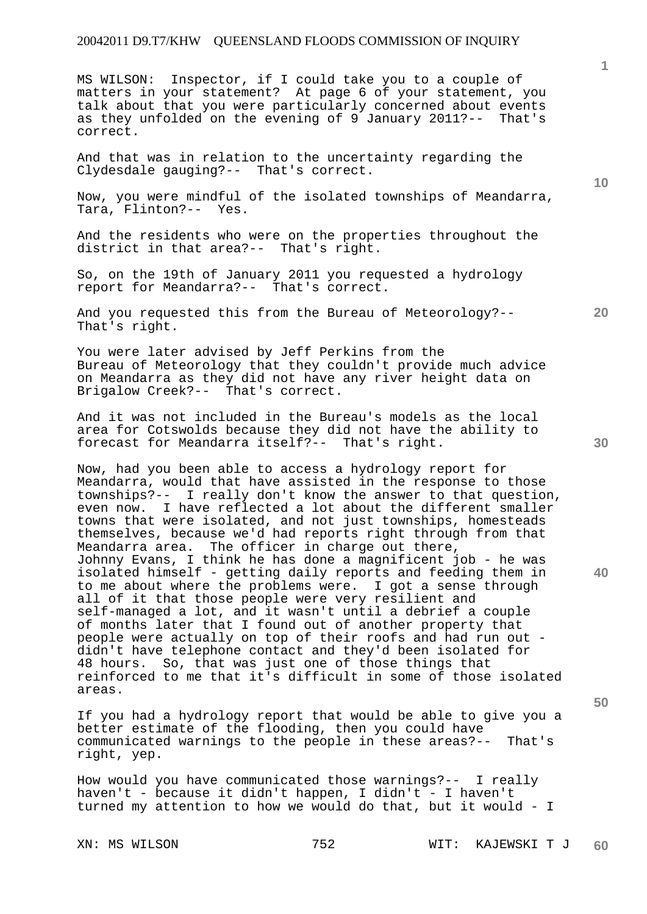MS WILSON: Inspector, if I could take you to a couple of matters in your statement? At page 6 of your statement, you talk about that you were particularly concerned about events as they unfolded on the evening of 9 January 2011?-- That's correct.

And that was in relation to the uncertainty regarding the Clydesdale gauging?-- That's correct.

Now, you were mindful of the isolated townships of Meandarra, Tara, Flinton?-- Yes.

And the residents who were on the properties throughout the district in that area?-- That's right.

So, on the 19th of January 2011 you requested a hydrology report for Meandarra?-- That's correct.

And you requested this from the Bureau of Meteorology?-- That's right.

You were later advised by Jeff Perkins from the Bureau of Meteorology that they couldn't provide much advice on Meandarra as they did not have any river height data on Brigalow Creek?-- That's correct.

And it was not included in the Bureau's models as the local area for Cotswolds because they did not have the ability to forecast for Meandarra itself?-- That's right.

Now, had you been able to access a hydrology report for Meandarra, would that have assisted in the response to those townships?-- I really don't know the answer to that question, even now. I have reflected a lot about the different smaller towns that were isolated, and not just townships, homesteads themselves, because we'd had reports right through from that Meandarra area. The officer in charge out there, Johnny Evans, I think he has done a magnificent job - he was isolated himself - getting daily reports and feeding them in to me about where the problems were. I got a sense through all of it that those people were very resilient and self-managed a lot, and it wasn't until a debrief a couple of months later that I found out of another property that people were actually on top of their roofs and had run out didn't have telephone contact and they'd been isolated for 48 hours. So, that was just one of those things that reinforced to me that it's difficult in some of those isolated areas.

If you had a hydrology report that would be able to give you a better estimate of the flooding, then you could have communicated warnings to the people in these areas?-- That's right, yep.

How would you have communicated those warnings?-- I really haven't - because it didn't happen, I didn't - I haven't turned my attention to how we would do that, but it would - I

**30** 

**20** 

**40** 

**50** 

**10**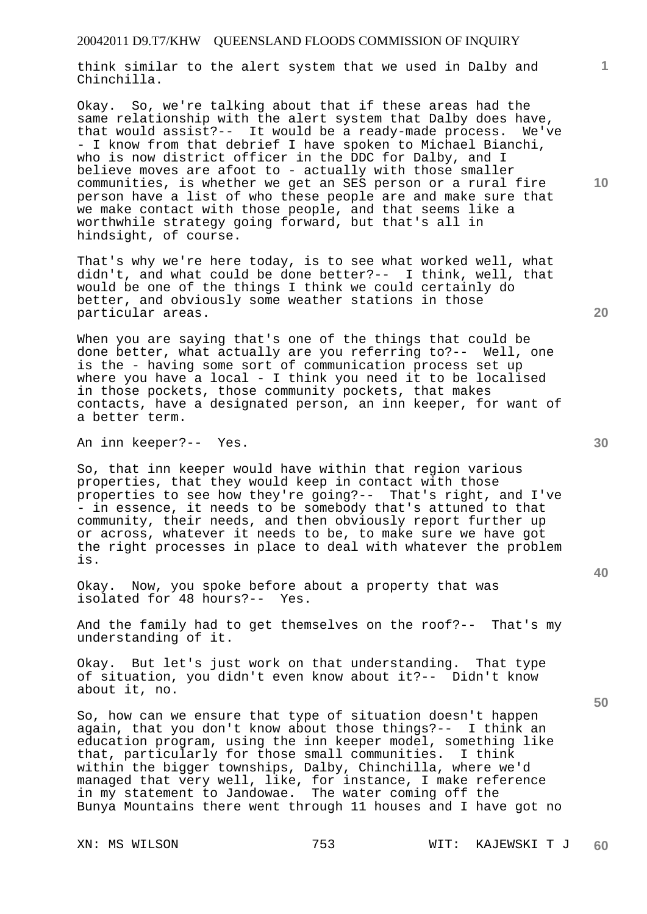think similar to the alert system that we used in Dalby and Chinchilla.

Okay. So, we're talking about that if these areas had the same relationship with the alert system that Dalby does have, that would assist?-- It would be a ready-made process. We've - I know from that debrief I have spoken to Michael Bianchi, who is now district officer in the DDC for Dalby, and I believe moves are afoot to - actually with those smaller communities, is whether we get an SES person or a rural fire person have a list of who these people are and make sure that we make contact with those people, and that seems like a worthwhile strategy going forward, but that's all in hindsight, of course.

That's why we're here today, is to see what worked well, what didn't, and what could be done better?-- I think, well, that would be one of the things I think we could certainly do better, and obviously some weather stations in those particular areas.

When you are saying that's one of the things that could be done better, what actually are you referring to?-- Well, one is the - having some sort of communication process set up where you have a local - I think you need it to be localised in those pockets, those community pockets, that makes contacts, have a designated person, an inn keeper, for want of a better term.

An inn keeper?-- Yes.

So, that inn keeper would have within that region various properties, that they would keep in contact with those properties to see how they're going?-- That's right, and I've - in essence, it needs to be somebody that's attuned to that community, their needs, and then obviously report further up or across, whatever it needs to be, to make sure we have got the right processes in place to deal with whatever the problem is.

Okay. Now, you spoke before about a property that was isolated for 48 hours?-- Yes.

And the family had to get themselves on the roof?-- That's my understanding of it.

Okay. But let's just work on that understanding. That type of situation, you didn't even know about it?-- Didn't know about it, no.

So, how can we ensure that type of situation doesn't happen again, that you don't know about those things?-- I think an education program, using the inn keeper model, something like that, particularly for those small communities. I think within the bigger townships, Dalby, Chinchilla, where we'd managed that very well, like, for instance, I make reference in my statement to Jandowae. The water coming off the Bunya Mountains there went through 11 houses and I have got no

**20** 

**1**

**10** 

**40**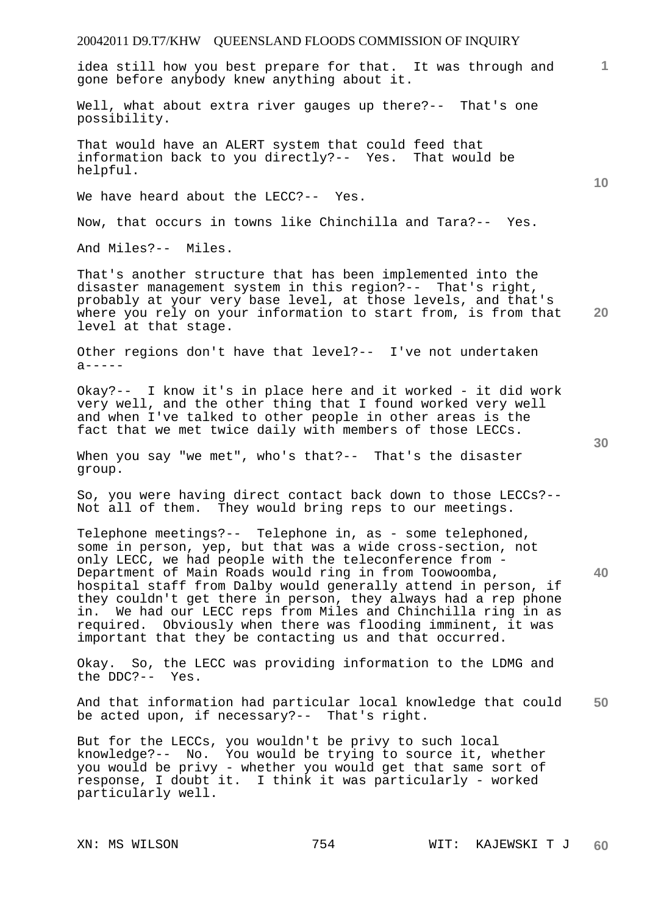idea still how you best prepare for that. It was through and gone before anybody knew anything about it.

Well, what about extra river gauges up there?-- That's one possibility.

That would have an ALERT system that could feed that information back to you directly?-- Yes. That would be helpful.

We have heard about the LECC?-- Yes.

Now, that occurs in towns like Chinchilla and Tara?-- Yes.

And Miles?-- Miles.

**20**  That's another structure that has been implemented into the disaster management system in this region?-- That's right, probably at your very base level, at those levels, and that's where you rely on your information to start from, is from that level at that stage.

Other regions don't have that level?-- I've not undertaken  $a$ -----

Okay?-- I know it's in place here and it worked - it did work very well, and the other thing that I found worked very well and when I've talked to other people in other areas is the fact that we met twice daily with members of those LECCs.

When you say "we met", who's that?-- That's the disaster group.

So, you were having direct contact back down to those LECCs?-- Not all of them. They would bring reps to our meetings.

Telephone meetings?-- Telephone in, as - some telephoned, some in person, yep, but that was a wide cross-section, not only LECC, we had people with the teleconference from - Department of Main Roads would ring in from Toowoomba, hospital staff from Dalby would generally attend in person, if they couldn't get there in person, they always had a rep phone in. We had our LECC reps from Miles and Chinchilla ring in as required. Obviously when there was flooding imminent, it was important that they be contacting us and that occurred.

Okay. So, the LECC was providing information to the LDMG and the DDC?-- Yes.

**50**  And that information had particular local knowledge that could be acted upon, if necessary?-- That's right.

But for the LECCs, you wouldn't be privy to such local knowledge?-- No. You would be trying to source it, whether you would be privy - whether you would get that same sort of response, I doubt it. I think it was particularly - worked particularly well.

**10** 

**1**

**30**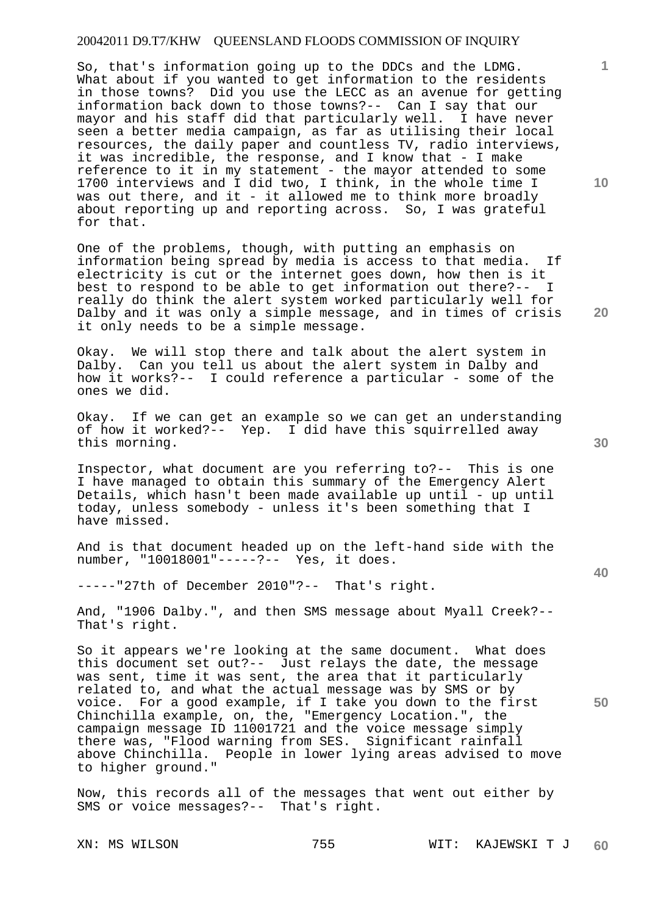So, that's information going up to the DDCs and the LDMG. What about if you wanted to get information to the residents in those towns? Did you use the LECC as an avenue for getting information back down to those towns?-- Can I say that our mayor and his staff did that particularly well. I have never seen a better media campaign, as far as utilising their local resources, the daily paper and countless TV, radio interviews, it was incredible, the response, and I know that - I make reference to it in my statement - the mayor attended to some 1700 interviews and I did two, I think, in the whole time I was out there, and it - it allowed me to think more broadly about reporting up and reporting across. So, I was grateful for that.

One of the problems, though, with putting an emphasis on information being spread by media is access to that media. If electricity is cut or the internet goes down, how then is it best to respond to be able to get information out there?-- I really do think the alert system worked particularly well for Dalby and it was only a simple message, and in times of crisis it only needs to be a simple message.

Okay. We will stop there and talk about the alert system in Dalby. Can you tell us about the alert system in Dalby and how it works?-- I could reference a particular - some of the ones we did.

Okay. If we can get an example so we can get an understanding of how it worked?-- Yep. I did have this squirrelled away this morning.

Inspector, what document are you referring to?-- This is one I have managed to obtain this summary of the Emergency Alert Details, which hasn't been made available up until - up until today, unless somebody - unless it's been something that I have missed.

And is that document headed up on the left-hand side with the number, "10018001"-----?-- Yes, it does.

-----"27th of December 2010"?-- That's right.

And, "1906 Dalby.", and then SMS message about Myall Creek?-- That's right.

So it appears we're looking at the same document. What does this document set out?-- Just relays the date, the message was sent, time it was sent, the area that it particularly related to, and what the actual message was by SMS or by voice. For a good example, if I take you down to the first Chinchilla example, on, the, "Emergency Location.", the campaign message ID 11001721 and the voice message simply there was, "Flood warning from SES. Significant rainfall above Chinchilla. People in lower lying areas advised to move to higher ground."

Now, this records all of the messages that went out either by SMS or voice messages?-- That's right.

XN: MS WILSON 755 WIT: KAJEWSKI T J **60** 

**30** 

**20** 

**40** 

**50** 

**10**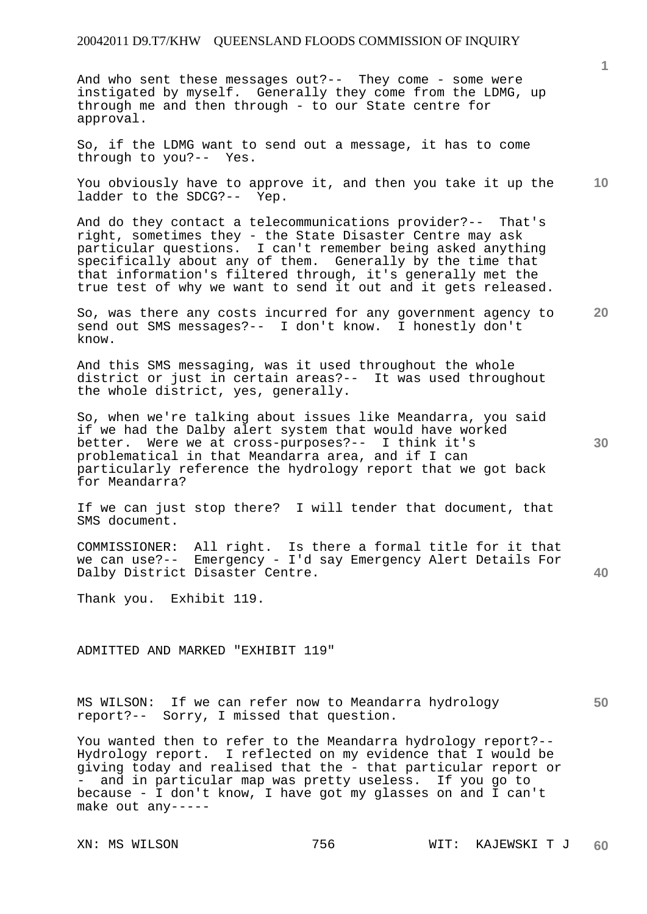And who sent these messages out?-- They come - some were instigated by myself. Generally they come from the LDMG, up through me and then through - to our State centre for approval.

So, if the LDMG want to send out a message, it has to come through to you?-- Yes.

You obviously have to approve it, and then you take it up the ladder to the SDCG?-- Yep.

And do they contact a telecommunications provider?-- That's right, sometimes they - the State Disaster Centre may ask particular questions. I can't remember being asked anything specifically about any of them. Generally by the time that that information's filtered through, it's generally met the true test of why we want to send it out and it gets released.

So, was there any costs incurred for any government agency to send out SMS messages?-- I don't know. I honestly don't know.

And this SMS messaging, was it used throughout the whole district or just in certain areas?-- It was used throughout the whole district, yes, generally.

So, when we're talking about issues like Meandarra, you said if we had the Dalby alert system that would have worked better. Were we at cross-purposes?-- I think it's problematical in that Meandarra area, and if I can particularly reference the hydrology report that we got back for Meandarra?

If we can just stop there? I will tender that document, that SMS document.

COMMISSIONER: All right. Is there a formal title for it that we can use?-- Emergency - I'd say Emergency Alert Details For Dalby District Disaster Centre.

Thank you. Exhibit 119.

ADMITTED AND MARKED "EXHIBIT 119"

MS WILSON: If we can refer now to Meandarra hydrology report?-- Sorry, I missed that question.

You wanted then to refer to the Meandarra hydrology report?-- Hydrology report. I reflected on my evidence that I would be giving today and realised that the - that particular report or - and in particular map was pretty useless. If you go to because - I don't know, I have got my glasses on and I can't make out any-----

**30** 

**20** 

**50** 

**10**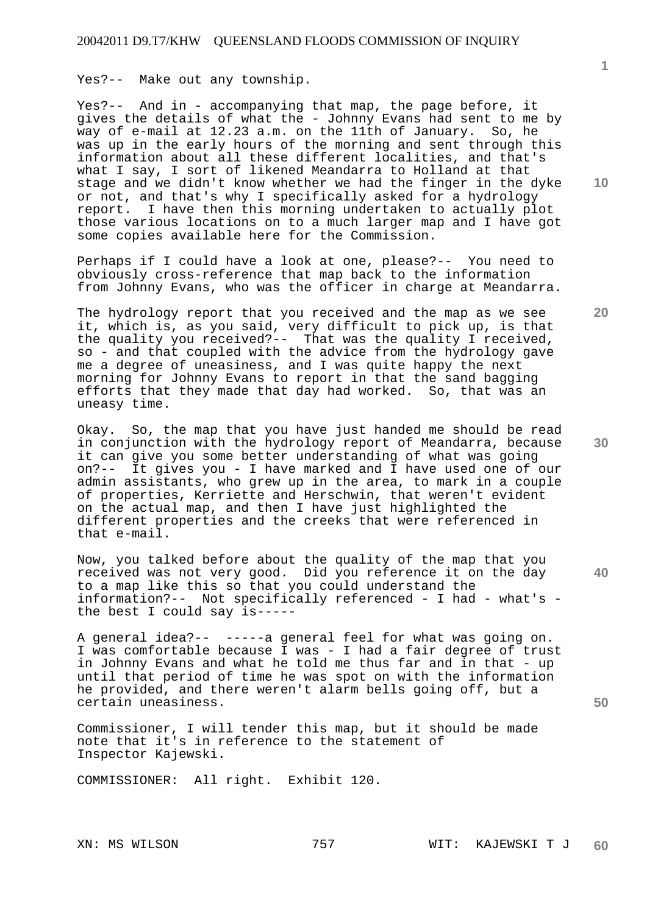Yes?-- Make out any township.

Yes?-- And in - accompanying that map, the page before, it gives the details of what the - Johnny Evans had sent to me by way of e-mail at 12.23 a.m. on the 11th of January. So, he was up in the early hours of the morning and sent through this information about all these different localities, and that's what I say, I sort of likened Meandarra to Holland at that stage and we didn't know whether we had the finger in the dyke or not, and that's why I specifically asked for a hydrology report. I have then this morning undertaken to actually plot those various locations on to a much larger map and I have got some copies available here for the Commission.

Perhaps if I could have a look at one, please?-- You need to obviously cross-reference that map back to the information from Johnny Evans, who was the officer in charge at Meandarra.

The hydrology report that you received and the map as we see it, which is, as you said, very difficult to pick up, is that the quality you received?-- That was the quality I received, so - and that coupled with the advice from the hydrology gave me a degree of uneasiness, and I was quite happy the next morning for Johnny Evans to report in that the sand bagging efforts that they made that day had worked. So, that was an uneasy time.

Okay. So, the map that you have just handed me should be read in conjunction with the hydrology report of Meandarra, because it can give you some better understanding of what was going on?-- It gives you - I have marked and I have used one of our admin assistants, who grew up in the area, to mark in a couple of properties, Kerriette and Herschwin, that weren't evident on the actual map, and then I have just highlighted the different properties and the creeks that were referenced in that e-mail.

Now, you talked before about the quality of the map that you received was not very good. Did you reference it on the day to a map like this so that you could understand the information?-- Not specifically referenced - I had - what's the best I could say is-----

A general idea?-- -----a general feel for what was going on. I was comfortable because I was - I had a fair degree of trust in Johnny Evans and what he told me thus far and in that - up until that period of time he was spot on with the information he provided, and there weren't alarm bells going off, but a certain uneasiness.

Commissioner, I will tender this map, but it should be made note that it's in reference to the statement of Inspector Kajewski.

COMMISSIONER: All right. Exhibit 120.

**10** 

**1**

**20** 

**30** 

**40**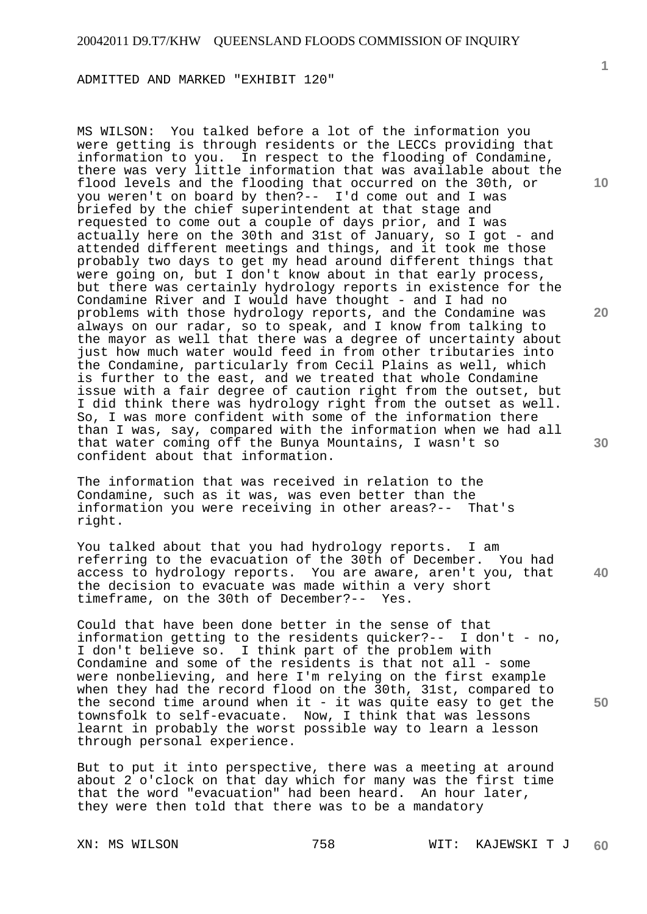ADMITTED AND MARKED "EXHIBIT 120"

MS WILSON: You talked before a lot of the information you were getting is through residents or the LECCs providing that information to you. In respect to the flooding of Condamine, there was very little information that was available about the flood levels and the flooding that occurred on the 30th, or you weren't on board by then?-- I'd come out and I was briefed by the chief superintendent at that stage and requested to come out a couple of days prior, and I was actually here on the 30th and 31st of January, so I got - and attended different meetings and things, and it took me those probably two days to get my head around different things that were going on, but I don't know about in that early process, but there was certainly hydrology reports in existence for the Condamine River and I would have thought - and I had no problems with those hydrology reports, and the Condamine was always on our radar, so to speak, and I know from talking to the mayor as well that there was a degree of uncertainty about just how much water would feed in from other tributaries into the Condamine, particularly from Cecil Plains as well, which is further to the east, and we treated that whole Condamine issue with a fair degree of caution right from the outset, but I did think there was hydrology right from the outset as well. So, I was more confident with some of the information there than I was, say, compared with the information when we had all that water coming off the Bunya Mountains, I wasn't so confident about that information.

The information that was received in relation to the Condamine, such as it was, was even better than the information you were receiving in other areas?-- That's right.

You talked about that you had hydrology reports. I am referring to the evacuation of the 30th of December. You had access to hydrology reports. You are aware, aren't you, that the decision to evacuate was made within a very short timeframe, on the 30th of December?-- Yes.

Could that have been done better in the sense of that information getting to the residents quicker?-- I don't - no, I don't believe so. I think part of the problem with Condamine and some of the residents is that not all - some were nonbelieving, and here I'm relying on the first example when they had the record flood on the 30th, 31st, compared to the second time around when it - it was quite easy to get the townsfolk to self-evacuate. Now, I think that was lessons learnt in probably the worst possible way to learn a lesson through personal experience.

But to put it into perspective, there was a meeting at around about 2 o'clock on that day which for many was the first time that the word "evacuation" had been heard. An hour later, they were then told that there was to be a mandatory

XN: MS WILSON 758 WIT: KAJEWSKI T J **60** 

**10** 

**1**

**20** 

**30** 

**40**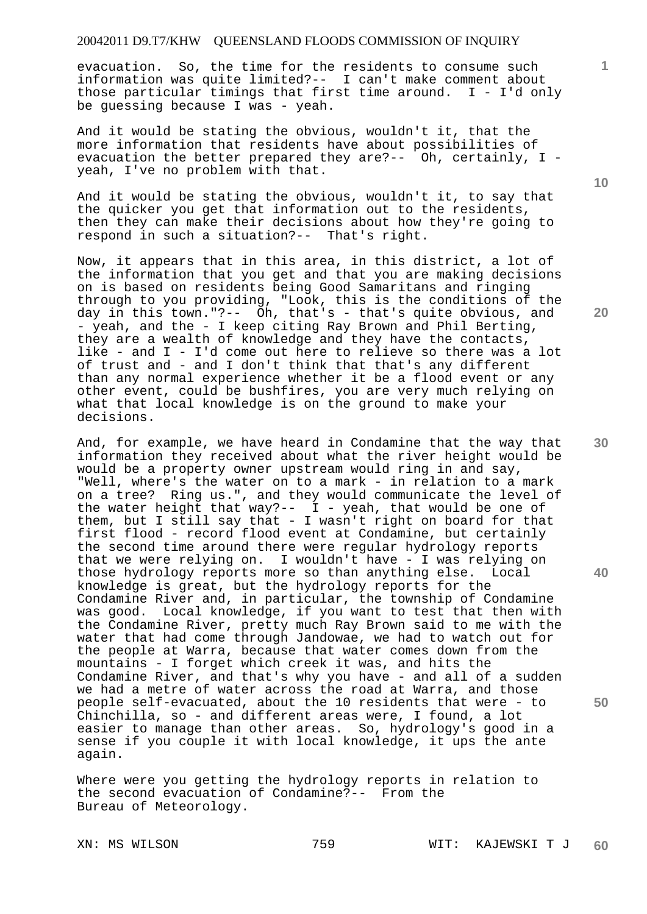evacuation. So, the time for the residents to consume such information was quite limited?-- I can't make comment about those particular timings that first time around. I - I'd only be guessing because I was - yeah.

And it would be stating the obvious, wouldn't it, that the more information that residents have about possibilities of evacuation the better prepared they are?-- Oh, certainly, I yeah, I've no problem with that.

And it would be stating the obvious, wouldn't it, to say that the quicker you get that information out to the residents, then they can make their decisions about how they're going to respond in such a situation?-- That's right.

Now, it appears that in this area, in this district, a lot of the information that you get and that you are making decisions on is based on residents being Good Samaritans and ringing through to you providing, "Look, this is the conditions of the day in this town."?-- Oh, that's  $-$  that's quite obvious, and - yeah, and the - I keep citing Ray Brown and Phil Berting, they are a wealth of knowledge and they have the contacts, like - and I - I'd come out here to relieve so there was a lot of trust and - and I don't think that that's any different than any normal experience whether it be a flood event or any other event, could be bushfires, you are very much relying on what that local knowledge is on the ground to make your decisions.

And, for example, we have heard in Condamine that the way that information they received about what the river height would be would be a property owner upstream would ring in and say, "Well, where's the water on to a mark - in relation to a mark on a tree? Ring us.", and they would communicate the level of the water height that way?--  $I -$  yeah, that would be one of them, but I still say that - I wasn't right on board for that first flood - record flood event at Condamine, but certainly the second time around there were regular hydrology reports that we were relying on. I wouldn't have - I was relying on those hydrology reports more so than anything else. Local knowledge is great, but the hydrology reports for the Condamine River and, in particular, the township of Condamine was good. Local knowledge, if you want to test that then with the Condamine River, pretty much Ray Brown said to me with the water that had come through Jandowae, we had to watch out for the people at Warra, because that water comes down from the mountains - I forget which creek it was, and hits the Condamine River, and that's why you have - and all of a sudden we had a metre of water across the road at Warra, and those people self-evacuated, about the 10 residents that were - to Chinchilla, so - and different areas were, I found, a lot easier to manage than other areas. So, hydrology's good in a sense if you couple it with local knowledge, it ups the ante again.

Where were you getting the hydrology reports in relation to the second evacuation of Condamine?-- From the Bureau of Meteorology.

XN: MS WILSON 759 WIT: KAJEWSKI T J **60** 

**10** 

**1**

**20** 

**30** 

**40**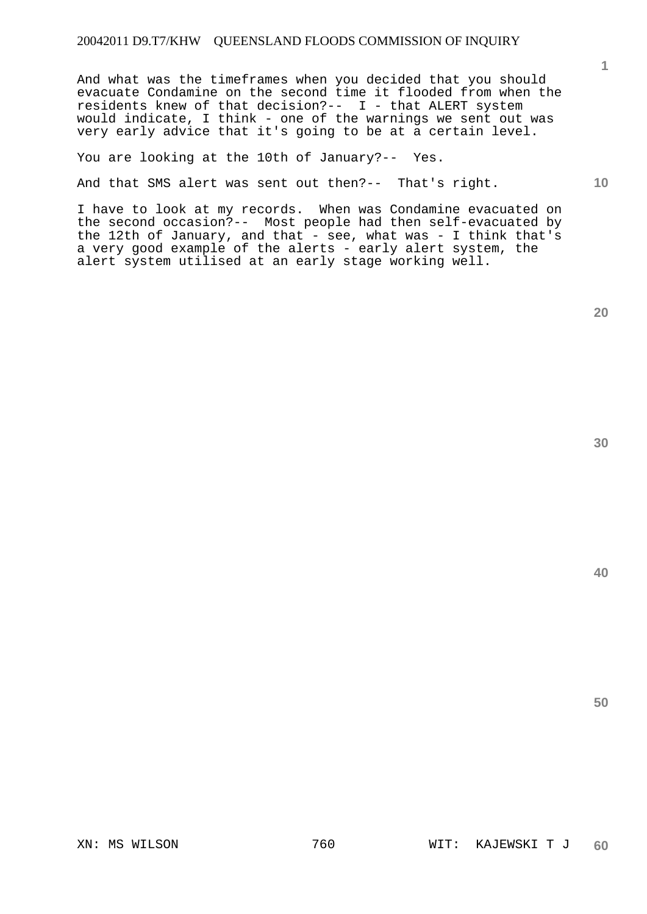And what was the timeframes when you decided that you should evacuate Condamine on the second time it flooded from when the residents knew of that decision?-- I - that ALERT system would indicate, I think - one of the warnings we sent out was very early advice that it's going to be at a certain level.

You are looking at the 10th of January?-- Yes.

And that SMS alert was sent out then?-- That's right.

I have to look at my records. When was Condamine evacuated on the second occasion?-- Most people had then self-evacuated by the 12th of January, and that  $-$  see, what was  $-$  I think that's a very good example of the alerts - early alert system, the alert system utilised at an early stage working well.

**20** 

**40** 

**50** 

**1**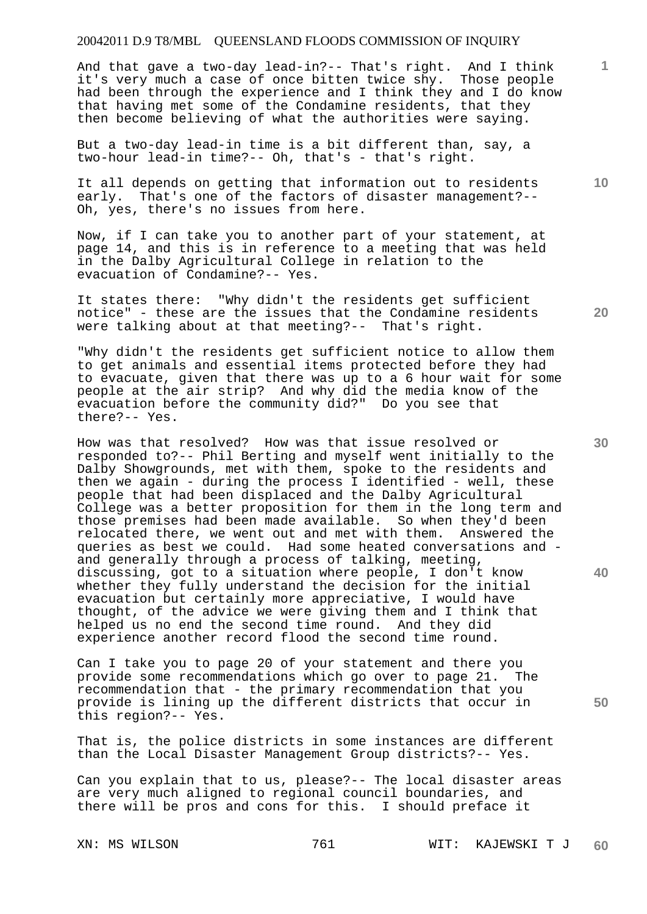And that gave a two-day lead-in?-- That's right. And I think it's very much a case of once bitten twice shy. Those people had been through the experience and I think they and I do know that having met some of the Condamine residents, that they then become believing of what the authorities were saying.

But a two-day lead-in time is a bit different than, say, a two-hour lead-in time?-- Oh, that's - that's right.

It all depends on getting that information out to residents early. That's one of the factors of disaster management?-- Oh, yes, there's no issues from here.

Now, if I can take you to another part of your statement, at page 14, and this is in reference to a meeting that was held in the Dalby Agricultural College in relation to the evacuation of Condamine?-- Yes.

It states there: "Why didn't the residents get sufficient notice" - these are the issues that the Condamine residents were talking about at that meeting?-- That's right.

"Why didn't the residents get sufficient notice to allow them to get animals and essential items protected before they had to evacuate, given that there was up to a 6 hour wait for some people at the air strip? And why did the media know of the evacuation before the community did?" Do you see that there?-- Yes.

How was that resolved? How was that issue resolved or responded to?-- Phil Berting and myself went initially to the Dalby Showgrounds, met with them, spoke to the residents and then we again - during the process I identified - well, these people that had been displaced and the Dalby Agricultural College was a better proposition for them in the long term and those premises had been made available. So when they'd been relocated there, we went out and met with them. Answered the queries as best we could. Had some heated conversations and and generally through a process of talking, meeting, discussing, got to a situation where people, I don't know whether they fully understand the decision for the initial evacuation but certainly more appreciative, I would have thought, of the advice we were giving them and I think that helped us no end the second time round. And they did experience another record flood the second time round.

Can I take you to page 20 of your statement and there you provide some recommendations which go over to page 21. The recommendation that - the primary recommendation that you provide is lining up the different districts that occur in this region?-- Yes.

That is, the police districts in some instances are different than the Local Disaster Management Group districts?-- Yes.

Can you explain that to us, please?-- The local disaster areas are very much aligned to regional council boundaries, and there will be pros and cons for this. I should preface it

**20** 

**10** 

**1**

**30** 

**40**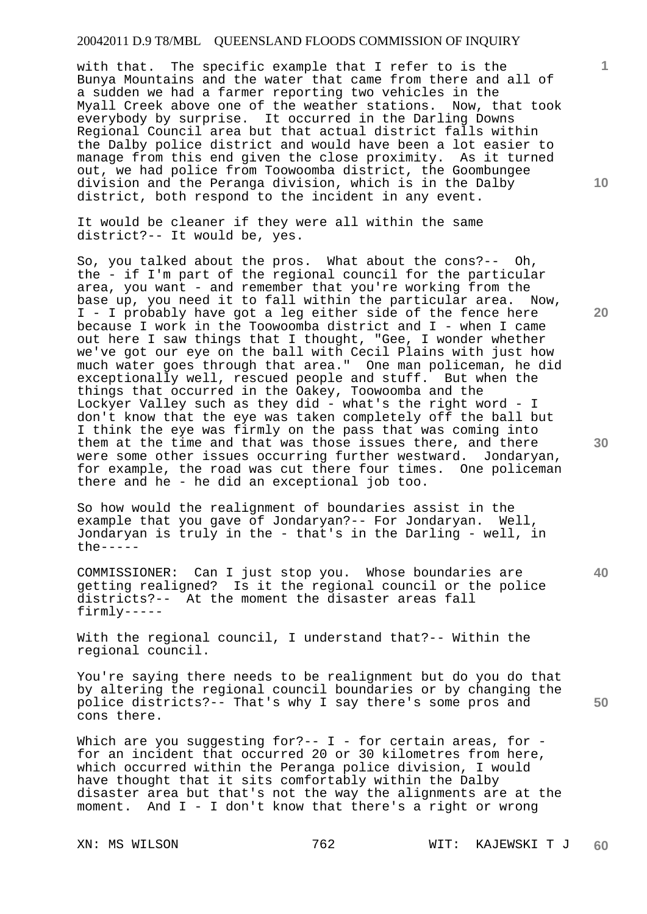with that. The specific example that I refer to is the Bunya Mountains and the water that came from there and all of a sudden we had a farmer reporting two vehicles in the Myall Creek above one of the weather stations. Now, that took everybody by surprise. It occurred in the Darling Downs Regional Council area but that actual district falls within the Dalby police district and would have been a lot easier to manage from this end given the close proximity. As it turned out, we had police from Toowoomba district, the Goombungee division and the Peranga division, which is in the Dalby district, both respond to the incident in any event.

It would be cleaner if they were all within the same district?-- It would be, yes.

So, you talked about the pros. What about the cons?-- Oh, the - if I'm part of the regional council for the particular area, you want - and remember that you're working from the base up, you need it to fall within the particular area. Now, I - I probably have got a leg either side of the fence here because I work in the Toowoomba district and I - when I came out here I saw things that I thought, "Gee, I wonder whether we've got our eye on the ball with Cecil Plains with just how much water goes through that area." One man policeman, he did exceptionally well, rescued people and stuff. But when the things that occurred in the Oakey, Toowoomba and the Lockyer Valley such as they did - what's the right word - I don't know that the eye was taken completely off the ball but I think the eye was firmly on the pass that was coming into them at the time and that was those issues there, and there were some other issues occurring further westward. Jondaryan, for example, the road was cut there four times. One policeman there and he - he did an exceptional job too.

So how would the realignment of boundaries assist in the example that you gave of Jondaryan?-- For Jondaryan. Well, Jondaryan is truly in the - that's in the Darling - well, in  $the$  -----

COMMISSIONER: Can I just stop you. Whose boundaries are getting realigned? Is it the regional council or the police districts?-- At the moment the disaster areas fall firmly-----

With the regional council, I understand that?-- Within the regional council.

You're saying there needs to be realignment but do you do that by altering the regional council boundaries or by changing the police districts?-- That's why I say there's some pros and cons there.

Which are you suggesting for ?--  $I$  - for certain areas, for for an incident that occurred 20 or 30 kilometres from here, which occurred within the Peranga police division, I would have thought that it sits comfortably within the Dalby disaster area but that's not the way the alignments are at the moment. And I - I don't know that there's a right or wrong

**10** 

**1**

**20** 

**30** 

**40**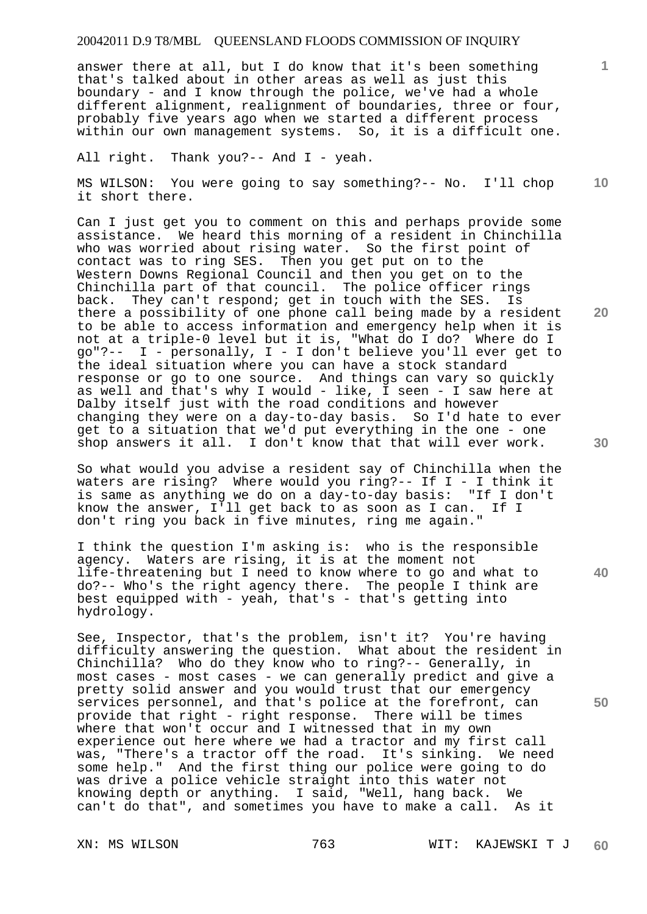answer there at all, but I do know that it's been something that's talked about in other areas as well as just this boundary - and I know through the police, we've had a whole different alignment, realignment of boundaries, three or four, probably five years ago when we started a different process within our own management systems. So, it is a difficult one.

All right. Thank you?-- And I - yeah.

MS WILSON: You were going to say something?-- No. I'll chop it short there.

Can I just get you to comment on this and perhaps provide some assistance. We heard this morning of a resident in Chinchilla who was worried about rising water. So the first point of contact was to ring SES. Then you get put on to the Western Downs Regional Council and then you get on to the Chinchilla part of that council. The police officer rings back. They can't respond; get in touch with the SES. Is there a possibility of one phone call being made by a resident to be able to access information and emergency help when it is not at a triple-0 level but it is, "What do I do? Where do I go"?-- I - personally, I - I don't believe you'll ever get to the ideal situation where you can have a stock standard response or go to one source. And things can vary so quickly as well and that's why I would - like, I seen - I saw here at Dalby itself just with the road conditions and however changing they were on a day-to-day basis. So I'd hate to ever get to a situation that we'd put everything in the one - one shop answers it all. I don't know that that will ever work.

So what would you advise a resident say of Chinchilla when the waters are rising? Where would you ring?-- If I - I think it is same as anything we do on a day-to-day basis: "If I don't know the answer, I'll get back to as soon as I can. If I don't ring you back in five minutes, ring me again."

I think the question I'm asking is: who is the responsible agency. Waters are rising, it is at the moment not life-threatening but I need to know where to go and what to do?-- Who's the right agency there. The people I think are best equipped with - yeah, that's - that's getting into hydrology.

See, Inspector, that's the problem, isn't it? You're having difficulty answering the question. What about the resident in Chinchilla? Who do they know who to ring?-- Generally, in most cases - most cases - we can generally predict and give a pretty solid answer and you would trust that our emergency services personnel, and that's police at the forefront, can provide that right - right response. There will be times where that won't occur and I witnessed that in my own experience out here where we had a tractor and my first call was, "There's a tractor off the road. It's sinking. We need some help." And the first thing our police were going to do was drive a police vehicle straight into this water not knowing depth or anything. I said, "Well, hang back. We can't do that", and sometimes you have to make a call. As it

**10** 

**1**

**20** 

**40**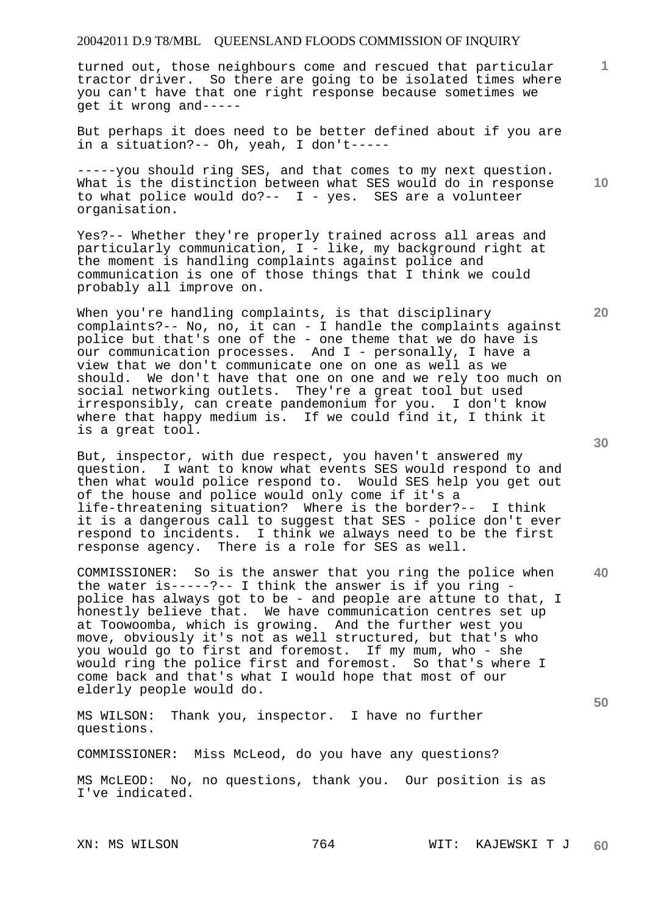turned out, those neighbours come and rescued that particular tractor driver. So there are going to be isolated times where you can't have that one right response because sometimes we get it wrong and-----

But perhaps it does need to be better defined about if you are in a situation?-- Oh, yeah, I don't-----

-----you should ring SES, and that comes to my next question. What is the distinction between what SES would do in response to what police would do?-- I - yes. SES are a volunteer organisation.

Yes?-- Whether they're properly trained across all areas and particularly communication,  $I -$  like, my background right at the moment is handling complaints against police and communication is one of those things that I think we could probably all improve on.

When you're handling complaints, is that disciplinary complaints?-- No, no, it can - I handle the complaints against police but that's one of the - one theme that we do have is our communication processes. And I - personally, I have a view that we don't communicate one on one as well as we should. We don't have that one on one and we rely too much on social networking outlets. They're a great tool but used irresponsibly, can create pandemonium for you. I don't know where that happy medium is. If we could find it, I think it is a great tool.

But, inspector, with due respect, you haven't answered my question. I want to know what events SES would respond to and then what would police respond to. Would SES help you get out of the house and police would only come if it's a life-threatening situation? Where is the border?-- I think it is a dangerous call to suggest that SES - police don't ever respond to incidents. I think we always need to be the first response agency. There is a role for SES as well.

COMMISSIONER: So is the answer that you ring the police when the water is-----?-- I think the answer is if you ring police has always got to be - and people are attune to that, I honestly believe that. We have communication centres set up at Toowoomba, which is growing. And the further west you move, obviously it's not as well structured, but that's who you would go to first and foremost. If my mum, who - she would ring the police first and foremost. So that's where I come back and that's what I would hope that most of our elderly people would do.

MS WILSON: Thank you, inspector. I have no further questions.

COMMISSIONER: Miss McLeod, do you have any questions?

MS McLEOD: No, no questions, thank you. Our position is as I've indicated.

**30** 

**40** 

**50** 

**1**

**10**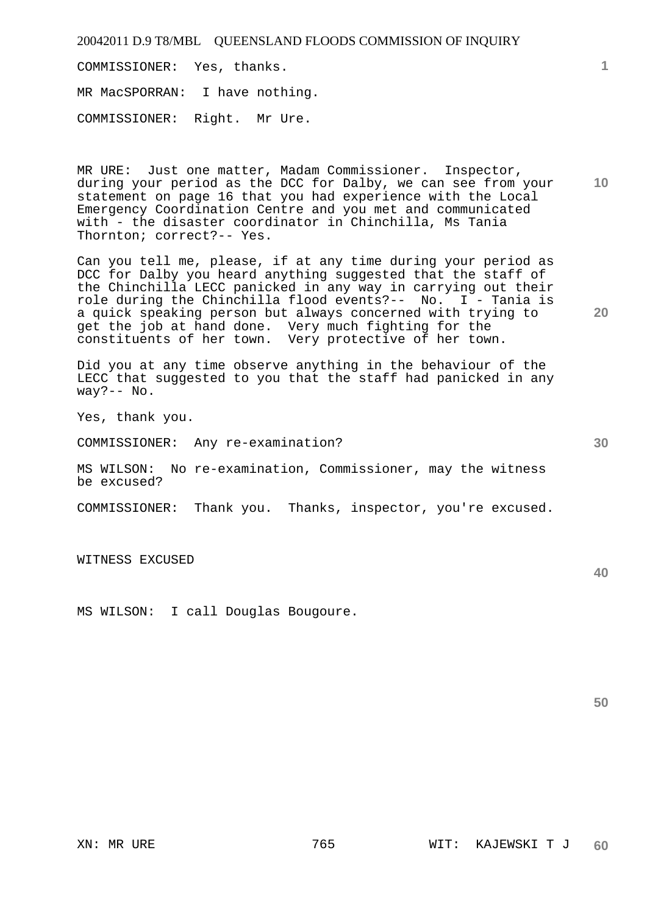COMMISSIONER: Yes, thanks.

MR MacSPORRAN: I have nothing.

COMMISSIONER: Right. Mr Ure.

MR URE: Just one matter, Madam Commissioner. Inspector, during your period as the DCC for Dalby, we can see from your statement on page 16 that you had experience with the Local Emergency Coordination Centre and you met and communicated with - the disaster coordinator in Chinchilla, Ms Tania Thornton; correct?-- Yes.

Can you tell me, please, if at any time during your period as DCC for Dalby you heard anything suggested that the staff of the Chinchilla LECC panicked in any way in carrying out their role during the Chinchilla flood events?-- No. I - Tania is a quick speaking person but always concerned with trying to get the job at hand done. Very much fighting for the constituents of her town. Very protective of her town.

Did you at any time observe anything in the behaviour of the LECC that suggested to you that the staff had panicked in any way?-- No.

Yes, thank you.

COMMISSIONER: Any re-examination?

MS WILSON: No re-examination, Commissioner, may the witness be excused?

COMMISSIONER: Thank you. Thanks, inspector, you're excused.

WITNESS EXCUSED

MS WILSON: I call Douglas Bougoure.

**50** 

**10** 

**20** 

**1**

**30**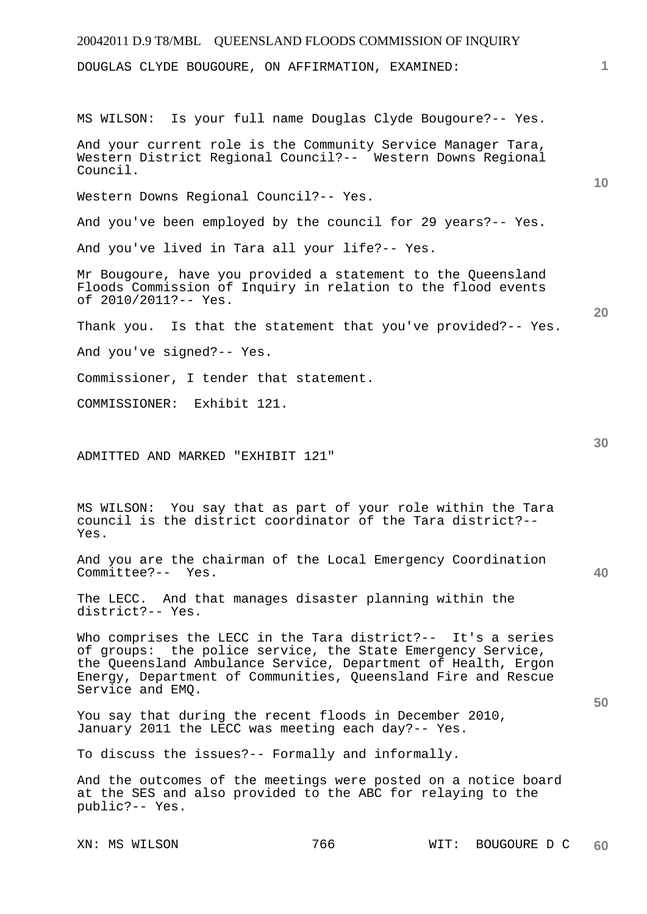| 20042011 D.9 T8/MBL QUEENSLAND FLOODS COMMISSION OF INQUIRY                                                                                                                                                                                                                       |                 |
|-----------------------------------------------------------------------------------------------------------------------------------------------------------------------------------------------------------------------------------------------------------------------------------|-----------------|
| DOUGLAS CLYDE BOUGOURE, ON AFFIRMATION, EXAMINED:                                                                                                                                                                                                                                 | 1               |
| MS WILSON: Is your full name Douglas Clyde Bougoure?-- Yes.                                                                                                                                                                                                                       |                 |
| And your current role is the Community Service Manager Tara,<br>Western District Regional Council?-- Western Downs Regional<br>Council.                                                                                                                                           | 10 <sup>°</sup> |
| Western Downs Regional Council?-- Yes.                                                                                                                                                                                                                                            |                 |
| And you've been employed by the council for 29 years?-- Yes.                                                                                                                                                                                                                      |                 |
| And you've lived in Tara all your life?-- Yes.                                                                                                                                                                                                                                    |                 |
| Mr Bougoure, have you provided a statement to the Queensland<br>Floods Commission of Inquiry in relation to the flood events<br>of 2010/2011?-- Yes.                                                                                                                              |                 |
| Thank you. Is that the statement that you've provided?-- Yes.                                                                                                                                                                                                                     | 20              |
| And you've signed?-- Yes.                                                                                                                                                                                                                                                         |                 |
| Commissioner, I tender that statement.                                                                                                                                                                                                                                            |                 |
| COMMISSIONER: Exhibit 121.                                                                                                                                                                                                                                                        |                 |
| ADMITTED AND MARKED "EXHIBIT 121"                                                                                                                                                                                                                                                 | 30              |
| MS WILSON: You say that as part of your role within the Tara<br>council is the district coordinator of the Tara district?--<br>Yes.                                                                                                                                               |                 |
| And you are the chairman of the Local Emergency Coordination<br>Committee?-- Yes.                                                                                                                                                                                                 | 40              |
| The LECC. And that manages disaster planning within the<br>district?-- Yes.                                                                                                                                                                                                       |                 |
| Who comprises the LECC in the Tara district?-- It's a series<br>of groups: the police service, the State Emergency Service,<br>the Queensland Ambulance Service, Department of Health, Ergon<br>Energy, Department of Communities, Queensland Fire and Rescue<br>Service and EMQ. |                 |
| You say that during the recent floods in December 2010,<br>January 2011 the LECC was meeting each day?-- Yes.                                                                                                                                                                     | 50              |
| To discuss the issues?-- Formally and informally.                                                                                                                                                                                                                                 |                 |
| And the outcomes of the meetings were posted on a notice board<br>at the SES and also provided to the ABC for relaying to the<br>public?-- Yes.                                                                                                                                   |                 |

XN: MS WILSON 766 WIT: BOUGOURE D C **60**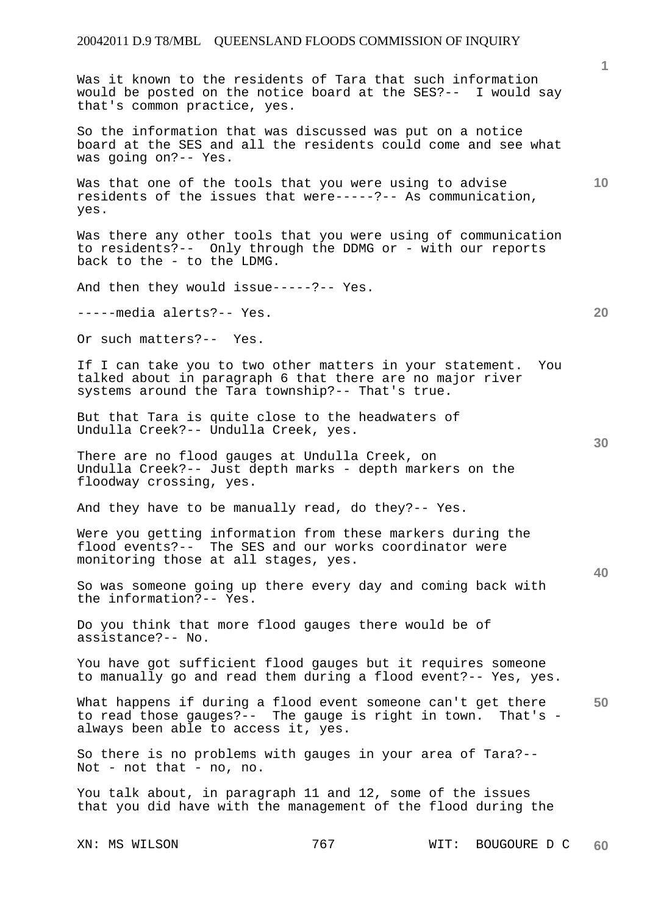Was it known to the residents of Tara that such information would be posted on the notice board at the SES?-- I would say that's common practice, yes.

So the information that was discussed was put on a notice board at the SES and all the residents could come and see what was going on?-- Yes.

Was that one of the tools that you were using to advise residents of the issues that were-----?-- As communication, yes.

Was there any other tools that you were using of communication to residents?-- Only through the DDMG or - with our reports back to the - to the LDMG.

And then they would issue-----?-- Yes.

-----media alerts?-- Yes.

Or such matters?-- Yes.

If I can take you to two other matters in your statement. You talked about in paragraph 6 that there are no major river systems around the Tara township?-- That's true.

But that Tara is quite close to the headwaters of Undulla Creek?-- Undulla Creek, yes.

There are no flood gauges at Undulla Creek, on Undulla Creek?-- Just depth marks - depth markers on the floodway crossing, yes.

And they have to be manually read, do they?-- Yes.

Were you getting information from these markers during the flood events?-- The SES and our works coordinator were monitoring those at all stages, yes.

So was someone going up there every day and coming back with the information?-- Yes.

Do you think that more flood gauges there would be of assistance?-- No.

You have got sufficient flood gauges but it requires someone to manually go and read them during a flood event?-- Yes, yes.

**50**  What happens if during a flood event someone can't get there to read those gauges?-- The gauge is right in town. That's always been able to access it, yes.

So there is no problems with gauges in your area of Tara?-- Not - not that - no, no.

You talk about, in paragraph 11 and 12, some of the issues that you did have with the management of the flood during the

**1**

**10** 

**30** 

**40**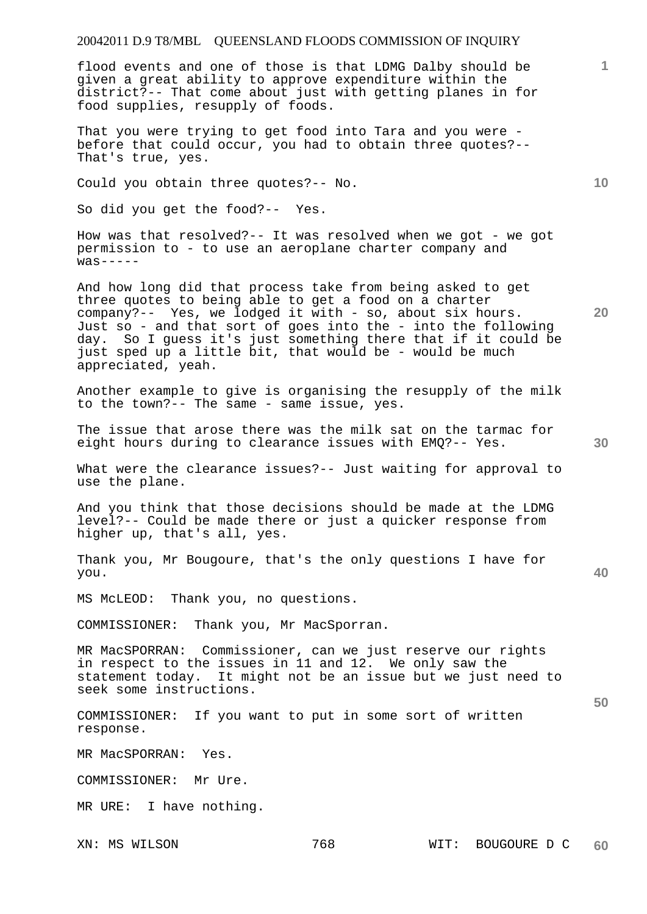flood events and one of those is that LDMG Dalby should be given a great ability to approve expenditure within the district?-- That come about just with getting planes in for food supplies, resupply of foods.

That you were trying to get food into Tara and you were before that could occur, you had to obtain three quotes?-- That's true, yes.

Could you obtain three quotes?-- No.

So did you get the food?-- Yes.

How was that resolved?-- It was resolved when we got - we got permission to - to use an aeroplane charter company and  $was---$ 

And how long did that process take from being asked to get three quotes to being able to get a food on a charter company?-- Yes, we lodged it with - so, about six hours. Just so - and that sort of goes into the - into the following day. So I guess it's just something there that if it could be just sped up a little bit, that would be - would be much appreciated, yeah.

Another example to give is organising the resupply of the milk to the town?-- The same - same issue, yes.

The issue that arose there was the milk sat on the tarmac for eight hours during to clearance issues with EMQ?-- Yes.

What were the clearance issues?-- Just waiting for approval to use the plane.

And you think that those decisions should be made at the LDMG level?-- Could be made there or just a quicker response from higher up, that's all, yes.

Thank you, Mr Bougoure, that's the only questions I have for you.

MS McLEOD: Thank you, no questions.

COMMISSIONER: Thank you, Mr MacSporran.

MR MacSPORRAN: Commissioner, can we just reserve our rights in respect to the issues in 11 and 12. We only saw the statement today. It might not be an issue but we just need to seek some instructions.

COMMISSIONER: If you want to put in some sort of written response.

MR MacSPORRAN: Yes.

COMMISSIONER: Mr Ure.

MR URE: I have nothing.

**10** 

**1**

**20** 

**50**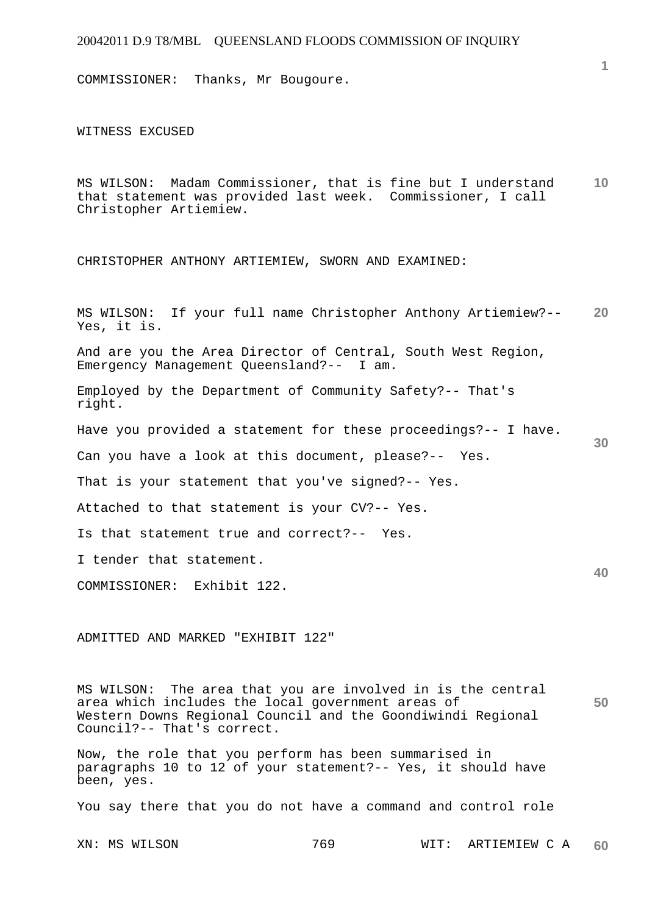COMMISSIONER: Thanks, Mr Bougoure.

WITNESS EXCUSED

**10**  MS WILSON: Madam Commissioner, that is fine but I understand that statement was provided last week. Commissioner, I call Christopher Artiemiew.

CHRISTOPHER ANTHONY ARTIEMIEW, SWORN AND EXAMINED:

**20 30 40**  MS WILSON: If your full name Christopher Anthony Artiemiew?-- Yes, it is. And are you the Area Director of Central, South West Region, Emergency Management Queensland?-- I am. Employed by the Department of Community Safety?-- That's right. Have you provided a statement for these proceedings?-- I have. Can you have a look at this document, please?-- Yes. That is your statement that you've signed?-- Yes. Attached to that statement is your CV?-- Yes. Is that statement true and correct?-- Yes. I tender that statement. COMMISSIONER: Exhibit 122.

ADMITTED AND MARKED "EXHIBIT 122"

**50**  MS WILSON: The area that you are involved in is the central area which includes the local government areas of Western Downs Regional Council and the Goondiwindi Regional Council?-- That's correct.

Now, the role that you perform has been summarised in paragraphs 10 to 12 of your statement?-- Yes, it should have been, yes.

You say there that you do not have a command and control role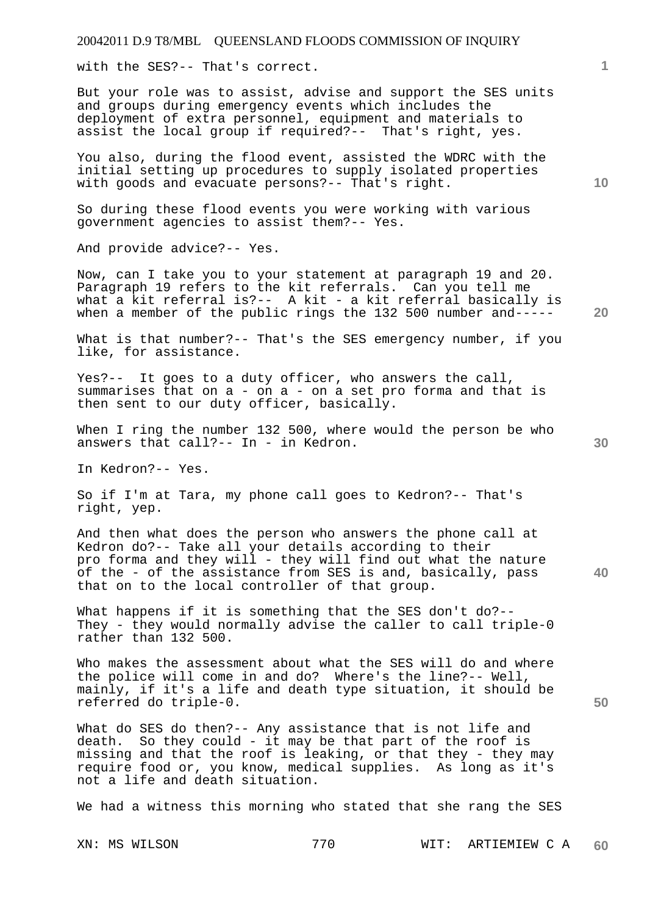with the SES?-- That's correct.

But your role was to assist, advise and support the SES units and groups during emergency events which includes the deployment of extra personnel, equipment and materials to assist the local group if required?-- That's right, yes.

You also, during the flood event, assisted the WDRC with the initial setting up procedures to supply isolated properties with goods and evacuate persons?-- That's right.

So during these flood events you were working with various government agencies to assist them?-- Yes.

And provide advice?-- Yes.

Now, can I take you to your statement at paragraph 19 and 20. Paragraph 19 refers to the kit referrals. Can you tell me what a kit referral is?-- A kit - a kit referral basically is when a member of the public rings the 132 500 number and-----

What is that number?-- That's the SES emergency number, if you like, for assistance.

Yes?-- It goes to a duty officer, who answers the call, summarises that on a - on a - on a set pro forma and that is then sent to our duty officer, basically.

When I ring the number 132 500, where would the person be who answers that call?-- In - in Kedron.

In Kedron?-- Yes.

So if I'm at Tara, my phone call goes to Kedron?-- That's right, yep.

And then what does the person who answers the phone call at Kedron do?-- Take all your details according to their pro forma and they will - they will find out what the nature of the - of the assistance from SES is and, basically, pass that on to the local controller of that group.

What happens if it is something that the SES don't do?-- They - they would normally advise the caller to call triple-0 rather than 132 500.

Who makes the assessment about what the SES will do and where the police will come in and do? Where's the line?-- Well, mainly, if it's a life and death type situation, it should be referred do triple-0.

What do SES do then?-- Any assistance that is not life and death. So they could -  $i\bar{t}$  may be that part of the roof is missing and that the roof is leaking, or that they - they may require food or, you know, medical supplies. As long as it's not a life and death situation.

We had a witness this morning who stated that she rang the SES

XN: MS WILSON 770 WIT: ARTIEMIEW C A **60** 

**20** 

**10** 

**1**

**30** 

**40**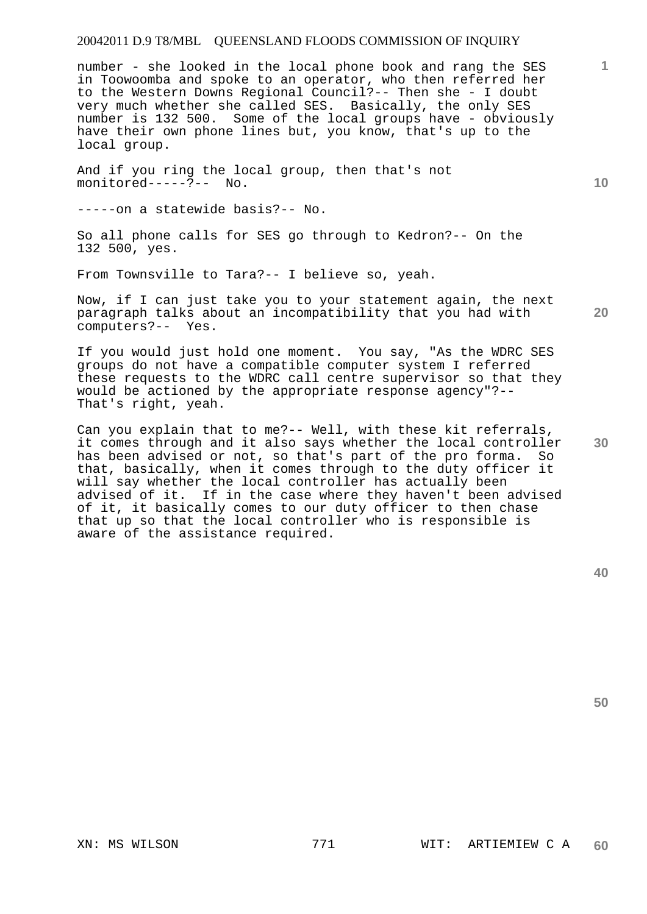number - she looked in the local phone book and rang the SES in Toowoomba and spoke to an operator, who then referred her to the Western Downs Regional Council?-- Then she - I doubt very much whether she called SES. Basically, the only SES number is 132 500. Some of the local groups have - obviously have their own phone lines but, you know, that's up to the local group.

And if you ring the local group, then that's not monitored-----?-- No.

-----on a statewide basis?-- No.

So all phone calls for SES go through to Kedron?-- On the 132 500, yes.

From Townsville to Tara?-- I believe so, yeah.

Now, if I can just take you to your statement again, the next paragraph talks about an incompatibility that you had with computers?-- Yes.

If you would just hold one moment. You say, "As the WDRC SES groups do not have a compatible computer system I referred these requests to the WDRC call centre supervisor so that they would be actioned by the appropriate response agency"?-- That's right, yeah.

**30**  Can you explain that to me?-- Well, with these kit referrals, it comes through and it also says whether the local controller has been advised or not, so that's part of the pro forma. So that, basically, when it comes through to the duty officer it will say whether the local controller has actually been advised of it. If in the case where they haven't been advised of it, it basically comes to our duty officer to then chase that up so that the local controller who is responsible is aware of the assistance required.

**50** 

**10** 

**1**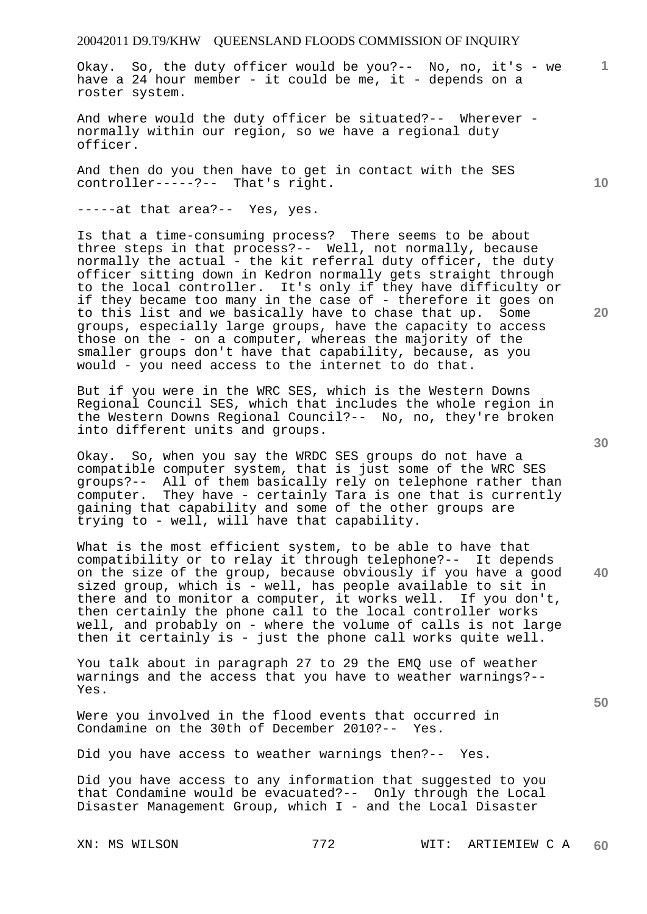Okay. So, the duty officer would be you?-- No, no, it's - we have a 24 hour member - it could be me, it - depends on a roster system.

And where would the duty officer be situated?-- Wherever normally within our region, so we have a regional duty officer.

And then do you then have to get in contact with the SES controller-----?-- That's right.

-----at that area?-- Yes, yes.

Is that a time-consuming process? There seems to be about three steps in that process?-- Well, not normally, because normally the actual - the kit referral duty officer, the duty officer sitting down in Kedron normally gets straight through to the local controller. It's only if they have difficulty or if they became too many in the case of - therefore it goes on to this list and we basically have to chase that up. Some groups, especially large groups, have the capacity to access those on the - on a computer, whereas the majority of the smaller groups don't have that capability, because, as you would - you need access to the internet to do that.

But if you were in the WRC SES, which is the Western Downs Regional Council SES, which that includes the whole region in the Western Downs Regional Council?-- No, no, they're broken into different units and groups.

Okay. So, when you say the WRDC SES groups do not have a compatible computer system, that is just some of the WRC SES groups?-- All of them basically rely on telephone rather than computer. They have - certainly Tara is one that is currently gaining that capability and some of the other groups are trying to - well, will have that capability.

What is the most efficient system, to be able to have that compatibility or to relay it through telephone?-- It depends on the size of the group, because obviously if you have a good sized group, which is - well, has people available to sit in there and to monitor a computer, it works well. If you don't, then certainly the phone call to the local controller works well, and probably on - where the volume of calls is not large then it certainly is - just the phone call works quite well.

You talk about in paragraph 27 to 29 the EMQ use of weather warnings and the access that you have to weather warnings?-- Yes.

Were you involved in the flood events that occurred in Condamine on the 30th of December 2010?-- Yes. Condamine on the 30th of December 2010?--

Did you have access to weather warnings then?-- Yes.

Did you have access to any information that suggested to you that Condamine would be evacuated?-- Only through the Local Disaster Management Group, which I - and the Local Disaster

**30** 

**20** 

**40** 

**50** 

**1**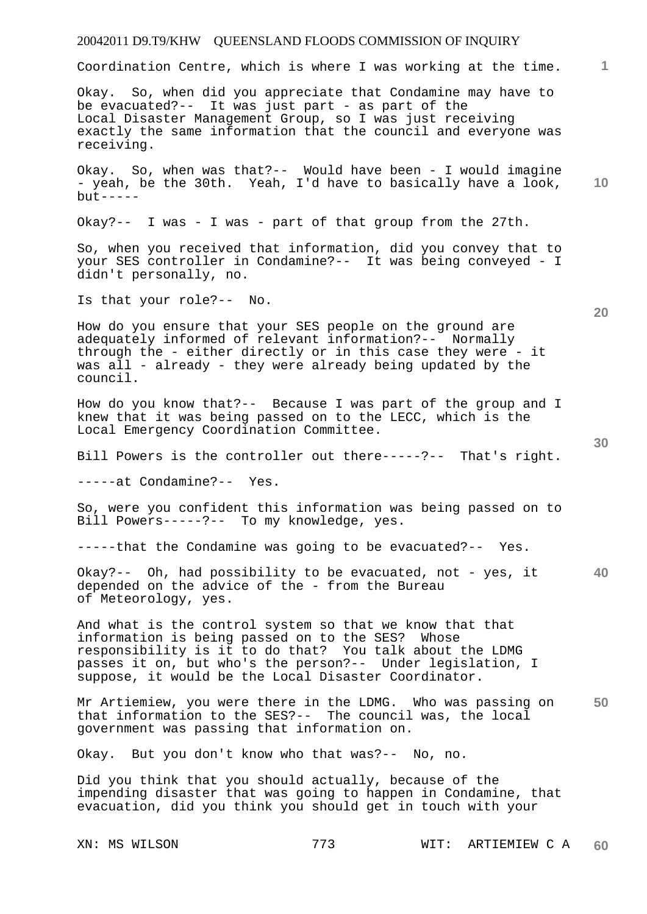Coordination Centre, which is where I was working at the time.

Okay. So, when did you appreciate that Condamine may have to be evacuated?-- It was just part - as part of the Local Disaster Management Group, so I was just receiving exactly the same information that the council and everyone was receiving.

**10**  Okay. So, when was that?-- Would have been - I would imagine - yeah, be the 30th. Yeah, I'd have to basically have a look,  $but --- -$ 

Okay?-- I was - I was - part of that group from the 27th.

So, when you received that information, did you convey that to your SES controller in Condamine?-- It was being conveyed - I didn't personally, no.

Is that your role?-- No.

How do you ensure that your SES people on the ground are adequately informed of relevant information?-- Normally through the - either directly or in this case they were - it was all - already - they were already being updated by the council.

How do you know that?-- Because I was part of the group and I knew that it was being passed on to the LECC, which is the Local Emergency Coordination Committee.

Bill Powers is the controller out there-----?-- That's right.

-----at Condamine?-- Yes.

So, were you confident this information was being passed on to Bill Powers-----?-- To my knowledge, yes.

-----that the Condamine was going to be evacuated?-- Yes.

**40**  Okay?-- Oh, had possibility to be evacuated, not - yes, it depended on the advice of the - from the Bureau of Meteorology, yes.

And what is the control system so that we know that that information is being passed on to the SES? Whose responsibility is it to do that? You talk about the LDMG passes it on, but who's the person?-- Under legislation, I suppose, it would be the Local Disaster Coordinator.

**50**  Mr Artiemiew, you were there in the LDMG. Who was passing on that information to the SES?-- The council was, the local government was passing that information on.

Okay. But you don't know who that was?-- No, no.

Did you think that you should actually, because of the impending disaster that was going to happen in Condamine, that evacuation, did you think you should get in touch with your

XN: MS WILSON 773 WIT: ARTIEMIEW C A **60** 

**20**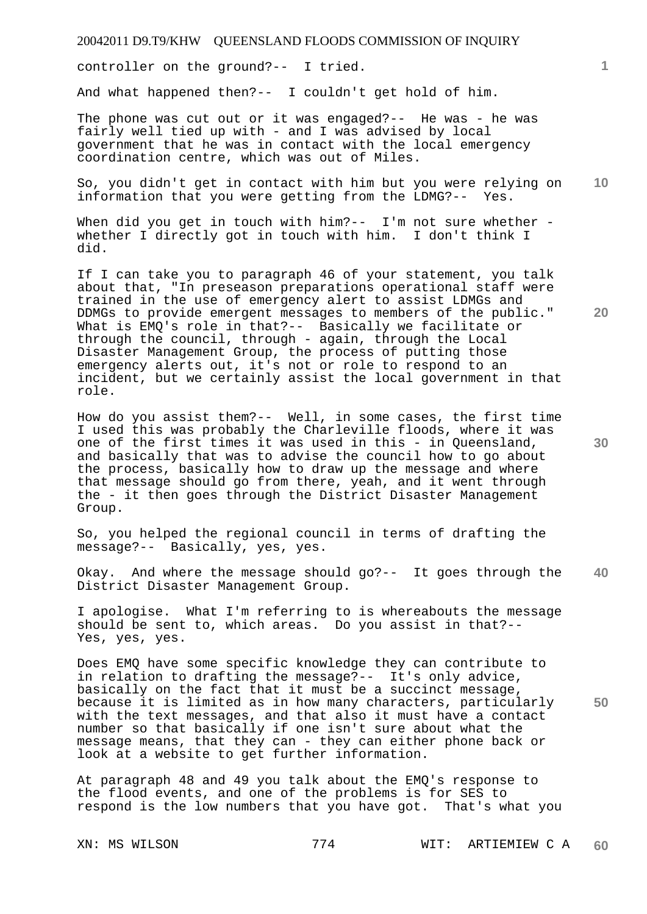controller on the ground?-- I tried.

And what happened then?-- I couldn't get hold of him.

The phone was cut out or it was engaged?-- He was - he was fairly well tied up with - and I was advised by local government that he was in contact with the local emergency coordination centre, which was out of Miles.

**10**  So, you didn't get in contact with him but you were relying on information that you were getting from the LDMG?-- Yes.

When did you get in touch with him?-- I'm not sure whether whether I directly got in touch with him. I don't think I did.

If I can take you to paragraph 46 of your statement, you talk about that, "In preseason preparations operational staff were trained in the use of emergency alert to assist LDMGs and DDMGs to provide emergent messages to members of the public." What is EMQ's role in that?-- Basically we facilitate or through the council, through - again, through the Local Disaster Management Group, the process of putting those emergency alerts out, it's not or role to respond to an incident, but we certainly assist the local government in that role.

How do you assist them?-- Well, in some cases, the first time I used this was probably the Charleville floods, where it was one of the first times it was used in this - in Queensland, and basically that was to advise the council how to go about the process, basically how to draw up the message and where that message should go from there, yeah, and it went through the - it then goes through the District Disaster Management Group.

So, you helped the regional council in terms of drafting the message?-- Basically, yes, yes.

**40**  Okay. And where the message should go?-- It goes through the District Disaster Management Group.

I apologise. What I'm referring to is whereabouts the message should be sent to, which areas. Do you assist in that?-- Yes, yes, yes.

**50**  Does EMQ have some specific knowledge they can contribute to in relation to drafting the message?-- It's only advice, basically on the fact that it must be a succinct message, because it is limited as in how many characters, particularly with the text messages, and that also it must have a contact number so that basically if one isn't sure about what the message means, that they can - they can either phone back or look at a website to get further information.

At paragraph 48 and 49 you talk about the EMQ's response to the flood events, and one of the problems is for SES to respond is the low numbers that you have got. That's what you

**20** 

**1**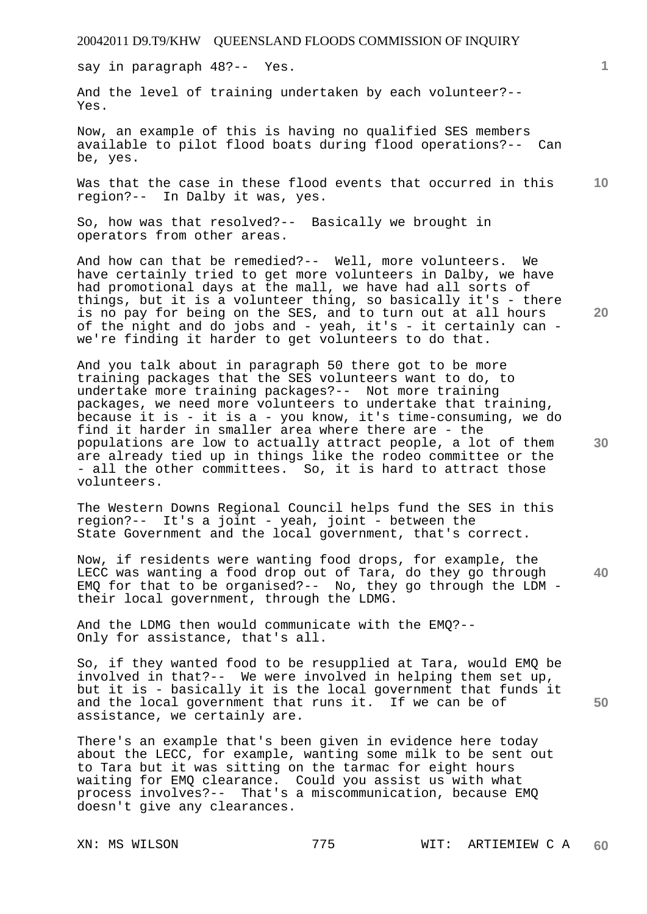say in paragraph 48?-- Yes.

And the level of training undertaken by each volunteer?-- Yes.

Now, an example of this is having no qualified SES members available to pilot flood boats during flood operations?-- Can be, yes.

**10**  Was that the case in these flood events that occurred in this region?-- In Dalby it was, yes.

So, how was that resolved?-- Basically we brought in operators from other areas.

And how can that be remedied?-- Well, more volunteers. We have certainly tried to get more volunteers in Dalby, we have had promotional days at the mall, we have had all sorts of things, but it is a volunteer thing, so basically it's - there is no pay for being on the SES, and to turn out at all hours of the night and do jobs and - yeah, it's - it certainly can we're finding it harder to get volunteers to do that.

And you talk about in paragraph 50 there got to be more training packages that the SES volunteers want to do, to undertake more training packages?-- Not more training packages, we need more volunteers to undertake that training, because it is - it is a - you know, it's time-consuming, we do find it harder in smaller area where there are - the populations are low to actually attract people, a lot of them are already tied up in things like the rodeo committee or the - all the other committees. So, it is hard to attract those volunteers.

The Western Downs Regional Council helps fund the SES in this region?-- It's a joint - yeah, joint - between the State Government and the local government, that's correct.

Now, if residents were wanting food drops, for example, the LECC was wanting a food drop out of Tara, do they go through EMQ for that to be organised?-- No, they go through the LDM their local government, through the LDMG.

And the LDMG then would communicate with the EMQ?-- Only for assistance, that's all.

So, if they wanted food to be resupplied at Tara, would EMQ be involved in that?-- We were involved in helping them set up, but it is - basically it is the local government that funds it and the local government that runs it. If we can be of assistance, we certainly are.

There's an example that's been given in evidence here today about the LECC, for example, wanting some milk to be sent out to Tara but it was sitting on the tarmac for eight hours waiting for EMQ clearance. Could you assist us with what process involves?-- That's a miscommunication, because EMQ doesn't give any clearances.

**20** 

**1**

**30** 

**40**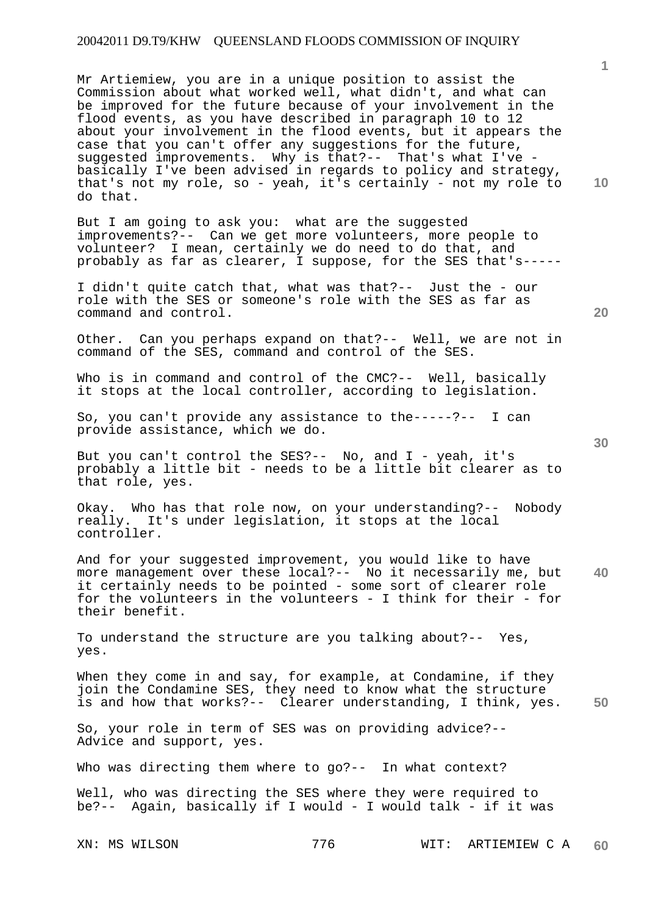Mr Artiemiew, you are in a unique position to assist the Commission about what worked well, what didn't, and what can be improved for the future because of your involvement in the flood events, as you have described in paragraph 10 to 12 about your involvement in the flood events, but it appears the case that you can't offer any suggestions for the future, suggested improvements. Why is that?-- That's what I've basically I've been advised in regards to policy and strategy, that's not my role, so - yeah, it's certainly - not my role to do that.

But I am going to ask you: what are the suggested improvements?-- Can we get more volunteers, more people to volunteer? I mean, certainly we do need to do that, and probably as far as clearer, I suppose, for the SES that's-----

I didn't quite catch that, what was that?-- Just the - our role with the SES or someone's role with the SES as far as command and control.

Other. Can you perhaps expand on that?-- Well, we are not in command of the SES, command and control of the SES.

Who is in command and control of the CMC?-- Well, basically it stops at the local controller, according to legislation.

So, you can't provide any assistance to the-----?-- I can provide assistance, which we do.

But you can't control the SES?-- No, and I - yeah, it's probably a little bit - needs to be a little bit clearer as to that role, yes.

Okay. Who has that role now, on your understanding?-- Nobody really. It's under legislation, it stops at the local controller.

**40**  And for your suggested improvement, you would like to have more management over these local?-- No it necessarily me, but it certainly needs to be pointed - some sort of clearer role for the volunteers in the volunteers - I think for their - for their benefit.

To understand the structure are you talking about?-- Yes, yes.

**50**  When they come in and say, for example, at Condamine, if they join the Condamine SES, they need to know what the structure is and how that works?-- Clearer understanding, I think, yes.

So, your role in term of SES was on providing advice?-- Advice and support, yes.

Who was directing them where to go?-- In what context?

Well, who was directing the SES where they were required to be?-- Again, basically if I would - I would talk - if it was

XN: MS WILSON 776 WIT: ARTIEMIEW C A **60** 

**1**

**10**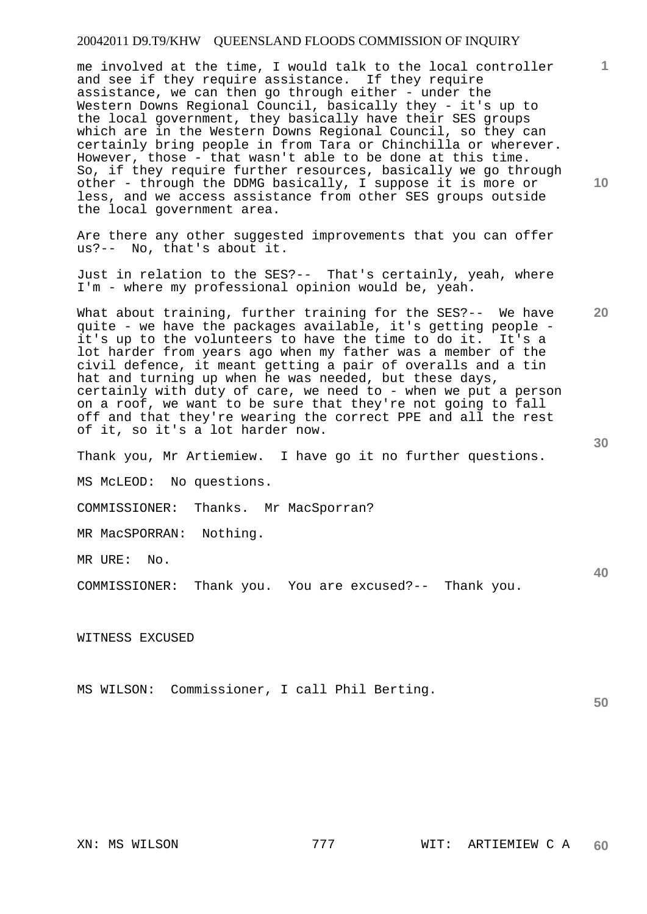me involved at the time, I would talk to the local controller and see if they require assistance. If they require assistance, we can then go through either - under the Western Downs Regional Council, basically they - it's up to the local government, they basically have their SES groups which are in the Western Downs Regional Council, so they can certainly bring people in from Tara or Chinchilla or wherever. However, those - that wasn't able to be done at this time. So, if they require further resources, basically we go through other - through the DDMG basically, I suppose it is more or less, and we access assistance from other SES groups outside the local government area.

Are there any other suggested improvements that you can offer us?-- No, that's about it.

Just in relation to the SES?-- That's certainly, yeah, where I'm - where my professional opinion would be, yeah.

What about training, further training for the SES?-- We have quite - we have the packages available, it's getting people it's up to the volunteers to have the time to do it. It's a lot harder from years ago when my father was a member of the civil defence, it meant getting a pair of overalls and a tin hat and turning up when he was needed, but these days, certainly with duty of care, we need to - when we put a person on a roof, we want to be sure that they're not going to fall off and that they're wearing the correct PPE and all the rest of it, so it's a lot harder now.

Thank you, Mr Artiemiew. I have go it no further questions.

MS McLEOD: No questions.

COMMISSIONER: Thanks. Mr MacSporran?

MR MacSPORRAN: Nothing.

MR URE: No.

COMMISSIONER: Thank you. You are excused?-- Thank you.

WITNESS EXCUSED

MS WILSON: Commissioner, I call Phil Berting.

**10** 

**1**

**20** 

**40**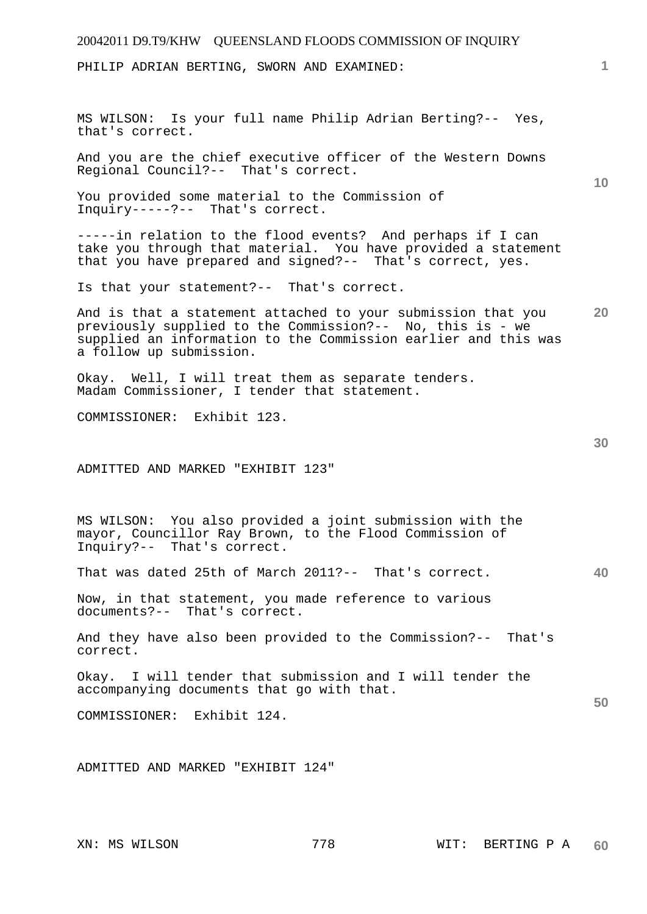# 20042011 D9.T9/KHW QUEENSLAND FLOODS COMMISSION OF INQUIRY **1 10 20 30 40 50**  PHILIP ADRIAN BERTING, SWORN AND EXAMINED: MS WILSON: Is your full name Philip Adrian Berting?-- Yes, that's correct. And you are the chief executive officer of the Western Downs Regional Council?-- That's correct. You provided some material to the Commission of Inquiry-----?-- That's correct. -----in relation to the flood events? And perhaps if I can take you through that material. You have provided a statement that you have prepared and signed?-- That's correct, yes. Is that your statement?-- That's correct. And is that a statement attached to your submission that you previously supplied to the Commission?-- No, this is - we supplied an information to the Commission earlier and this was a follow up submission. Okay. Well, I will treat them as separate tenders. Madam Commissioner, I tender that statement. COMMISSIONER: Exhibit 123. ADMITTED AND MARKED "EXHIBIT 123" MS WILSON: You also provided a joint submission with the mayor, Councillor Ray Brown, to the Flood Commission of Inquiry?-- That's correct. That was dated 25th of March 2011?-- That's correct. Now, in that statement, you made reference to various documents?-- That's correct. And they have also been provided to the Commission?-- That's correct. Okay. I will tender that submission and I will tender the accompanying documents that go with that. COMMISSIONER: Exhibit 124. ADMITTED AND MARKED "EXHIBIT 124"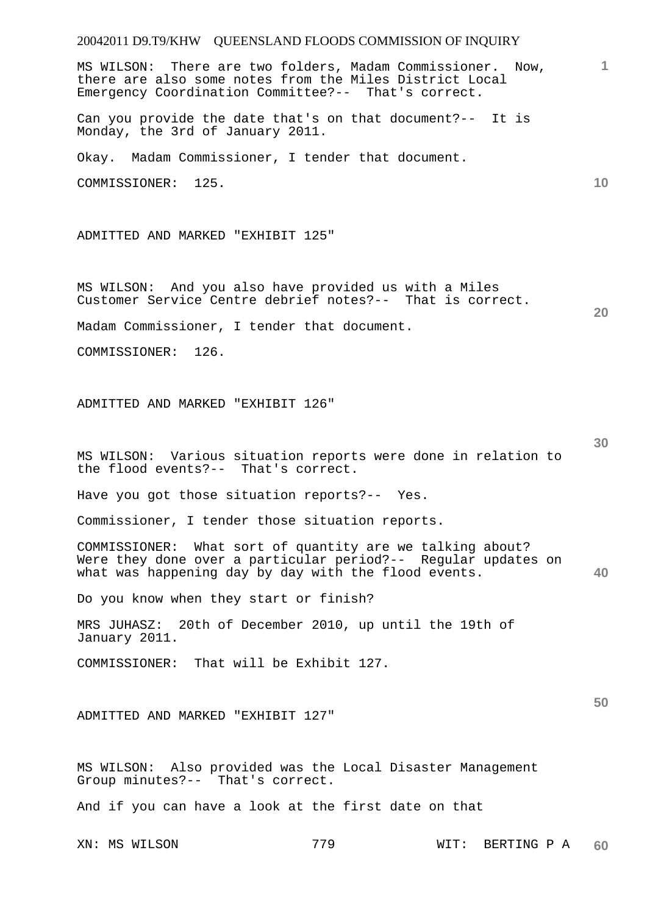**1** MS WILSON: There are two folders, Madam Commissioner. Now, there are also some notes from the Miles District Local Emergency Coordination Committee?-- That's correct.

Can you provide the date that's on that document?-- It is Monday, the 3rd of January 2011.

Okay. Madam Commissioner, I tender that document.

COMMISSIONER: 125.

ADMITTED AND MARKED "EXHIBIT 125"

MS WILSON: And you also have provided us with a Miles Customer Service Centre debrief notes?-- That is correct.

Madam Commissioner, I tender that document.

COMMISSIONER: 126.

ADMITTED AND MARKED "EXHIBIT 126"

MS WILSON: Various situation reports were done in relation to the flood events?-- That's correct.

Have you got those situation reports?-- Yes.

Commissioner, I tender those situation reports.

**40**  COMMISSIONER: What sort of quantity are we talking about? Were they done over a particular period?-- Regular updates on what was happening day by day with the flood events.

Do you know when they start or finish?

MRS JUHASZ: 20th of December 2010, up until the 19th of January 2011.

COMMISSIONER: That will be Exhibit 127.

ADMITTED AND MARKED "EXHIBIT 127"

MS WILSON: Also provided was the Local Disaster Management Group minutes?-- That's correct.

And if you can have a look at the first date on that

**10** 

**20** 

**30**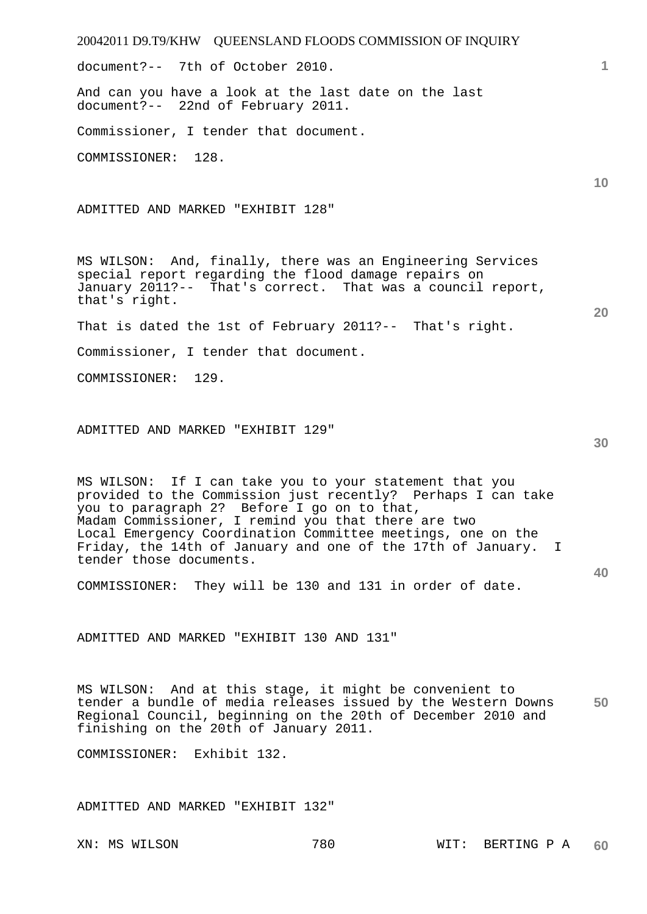20042011 D9.T9/KHW QUEENSLAND FLOODS COMMISSION OF INQUIRY **1 10 20 30 40**  document?-- 7th of October 2010. And can you have a look at the last date on the last document?-- 22nd of February 2011. Commissioner, I tender that document. COMMISSIONER: 128. ADMITTED AND MARKED "EXHIBIT 128" MS WILSON: And, finally, there was an Engineering Services special report regarding the flood damage repairs on January 2011?-- That's correct. That was a council report, that's right. That is dated the 1st of February 2011?-- That's right. Commissioner, I tender that document. COMMISSIONER: 129. ADMITTED AND MARKED "EXHIBIT 129" MS WILSON: If I can take you to your statement that you provided to the Commission just recently? Perhaps I can take you to paragraph 2? Before I go on to that, Madam Commissioner, I remind you that there are two Local Emergency Coordination Committee meetings, one on the Friday, the 14th of January and one of the 17th of January. I tender those documents. COMMISSIONER: They will be 130 and 131 in order of date. ADMITTED AND MARKED "EXHIBIT 130 AND 131"

**50**  MS WILSON: And at this stage, it might be convenient to tender a bundle of media releases issued by the Western Downs Regional Council, beginning on the 20th of December 2010 and finishing on the 20th of January 2011.

COMMISSIONER: Exhibit 132.

ADMITTED AND MARKED "EXHIBIT 132"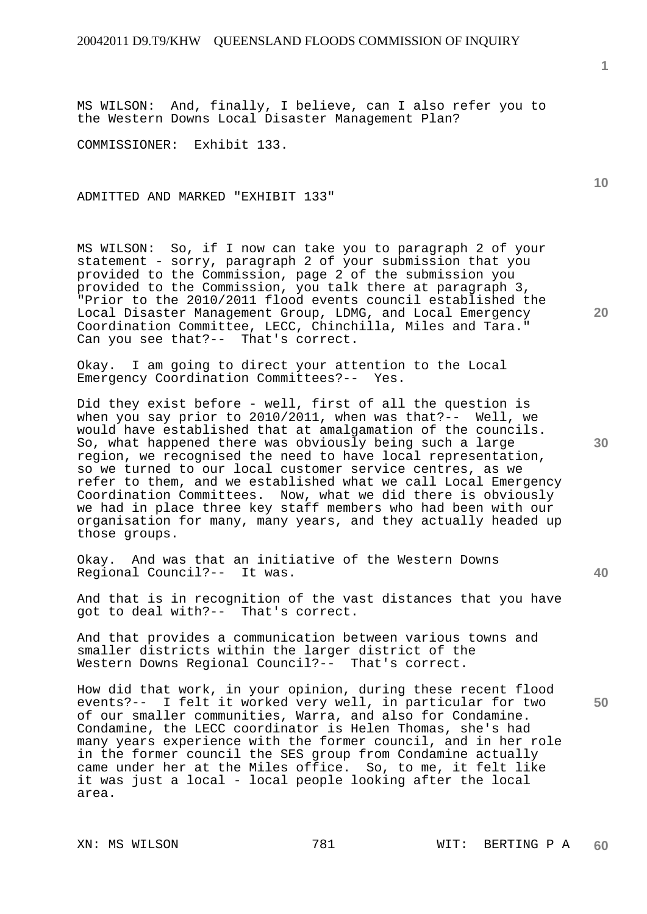MS WILSON: And, finally, I believe, can I also refer you to the Western Downs Local Disaster Management Plan?

COMMISSIONER: Exhibit 133.

ADMITTED AND MARKED "EXHIBIT 133"

MS WILSON: So, if I now can take you to paragraph 2 of your statement - sorry, paragraph 2 of your submission that you provided to the Commission, page 2 of the submission you provided to the Commission, you talk there at paragraph 3, "Prior to the 2010/2011 flood events council established the Local Disaster Management Group, LDMG, and Local Emergency Coordination Committee, LECC, Chinchilla, Miles and Tara." Can you see that?-- That's correct.

Okay. I am going to direct your attention to the Local Emergency Coordination Committees?-- Yes.

Did they exist before - well, first of all the question is when you say prior to 2010/2011, when was that?-- Well, we would have established that at amalgamation of the councils. So, what happened there was obviously being such a large region, we recognised the need to have local representation, so we turned to our local customer service centres, as we refer to them, and we established what we call Local Emergency Coordination Committees. Now, what we did there is obviously we had in place three key staff members who had been with our organisation for many, many years, and they actually headed up those groups.

Okay. And was that an initiative of the Western Downs Regional Council?-- It was.

And that is in recognition of the vast distances that you have got to deal with?-- That's correct.

And that provides a communication between various towns and smaller districts within the larger district of the Western Downs Regional Council?-- That's correct.

How did that work, in your opinion, during these recent flood events?-- I felt it worked very well, in particular for two of our smaller communities, Warra, and also for Condamine. Condamine, the LECC coordinator is Helen Thomas, she's had many years experience with the former council, and in her role in the former council the SES group from Condamine actually came under her at the Miles office. So, to me, it felt like it was just a local - local people looking after the local area.

**10** 

**20** 

**1**

**40**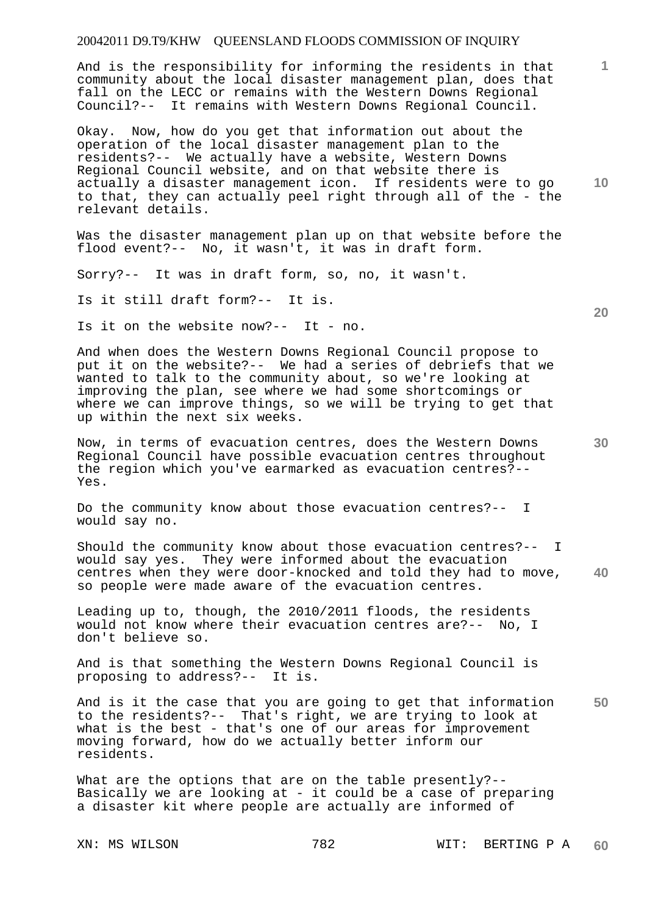And is the responsibility for informing the residents in that community about the local disaster management plan, does that fall on the LECC or remains with the Western Downs Regional Council?-- It remains with Western Downs Regional Council.

**10**  Okay. Now, how do you get that information out about the operation of the local disaster management plan to the residents?-- We actually have a website, Western Downs Regional Council website, and on that website there is actually a disaster management icon. If residents were to go to that, they can actually peel right through all of the - the relevant details.

Was the disaster management plan up on that website before the flood event?-- No, it wasn't, it was in draft form.

Sorry?-- It was in draft form, so, no, it wasn't.

Is it still draft form?-- It is.

Is it on the website now?-- It - no.

And when does the Western Downs Regional Council propose to put it on the website?-- We had a series of debriefs that we wanted to talk to the community about, so we're looking at improving the plan, see where we had some shortcomings or where we can improve things, so we will be trying to get that up within the next six weeks.

Now, in terms of evacuation centres, does the Western Downs Regional Council have possible evacuation centres throughout the region which you've earmarked as evacuation centres?-- Yes.

Do the community know about those evacuation centres?-- I would say no.

**40**  Should the community know about those evacuation centres?-- I would say yes. They were informed about the evacuation centres when they were door-knocked and told they had to move, so people were made aware of the evacuation centres.

Leading up to, though, the 2010/2011 floods, the residents would not know where their evacuation centres are?-- No, I don't believe so.

And is that something the Western Downs Regional Council is proposing to address?-- It is.

**50**  And is it the case that you are going to get that information to the residents?-- That's right, we are trying to look at what is the best - that's one of our areas for improvement moving forward, how do we actually better inform our residents.

What are the options that are on the table presently?--Basically we are looking at - it could be a case of preparing a disaster kit where people are actually are informed of

**20**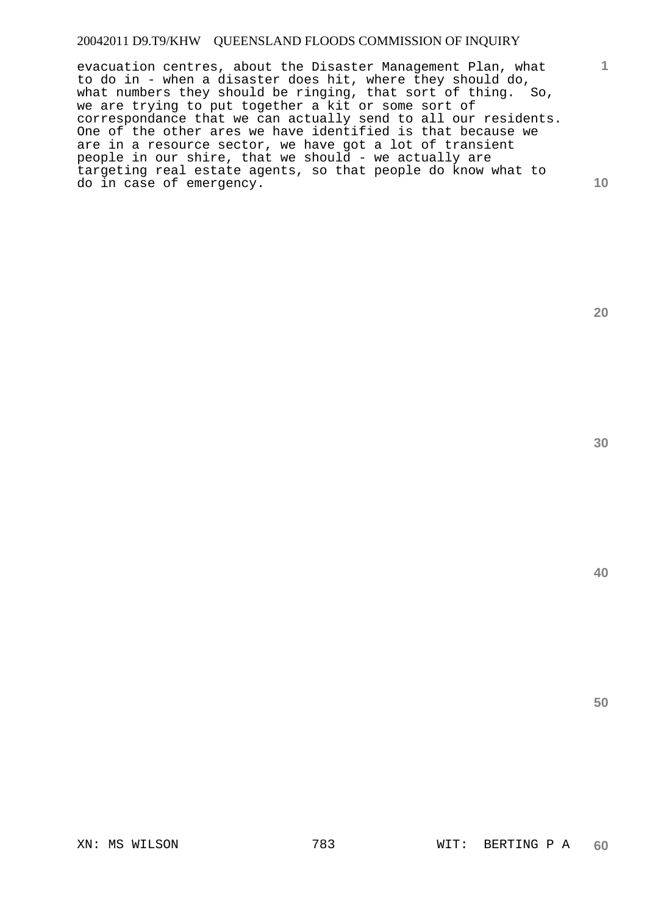evacuation centres, about the Disaster Management Plan, what to do in - when a disaster does hit, where they should do, what numbers they should be ringing, that sort of thing. So, we are trying to put together a kit or some sort of correspondance that we can actually send to all our residents. One of the other ares we have identified is that because we are in a resource sector, we have got a lot of transient people in our shire, that we should - we actually are targeting real estate agents, so that people do know what to do in case of emergency.

**20** 

**1**

**10** 

**40**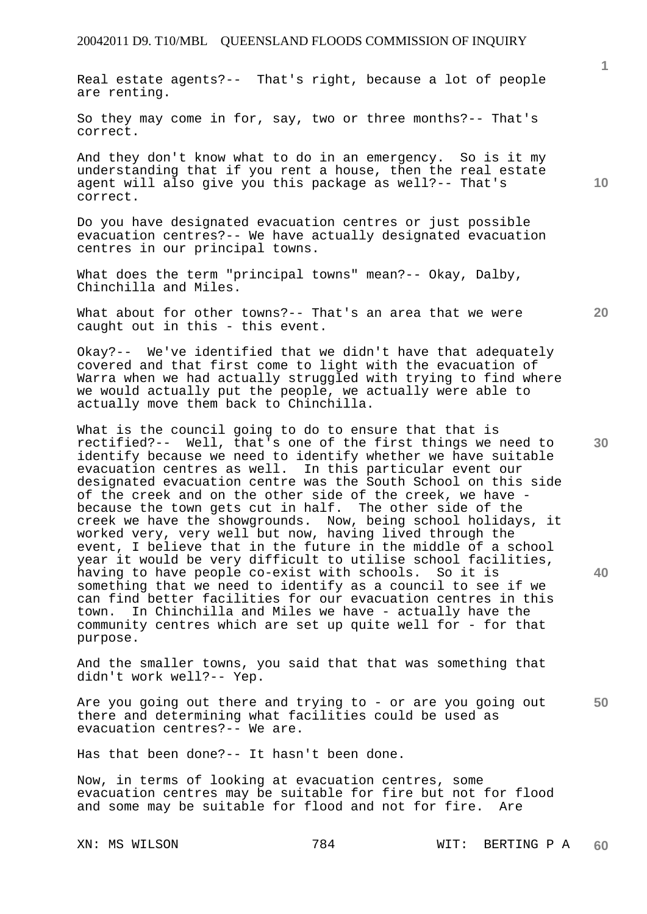Real estate agents?-- That's right, because a lot of people are renting.

So they may come in for, say, two or three months?-- That's correct.

And they don't know what to do in an emergency. So is it my understanding that if you rent a house, then the real estate agent will also give you this package as well?-- That's correct.

Do you have designated evacuation centres or just possible evacuation centres?-- We have actually designated evacuation centres in our principal towns.

What does the term "principal towns" mean?-- Okay, Dalby, Chinchilla and Miles.

What about for other towns?-- That's an area that we were caught out in this - this event.

Okay?-- We've identified that we didn't have that adequately covered and that first come to light with the evacuation of Warra when we had actually struggled with trying to find where we would actually put the people, we actually were able to actually move them back to Chinchilla.

What is the council going to do to ensure that that is rectified?-- Well, that's one of the first things we need to identify because we need to identify whether we have suitable evacuation centres as well. In this particular event our designated evacuation centre was the South School on this side of the creek and on the other side of the creek, we have because the town gets cut in half. The other side of the creek we have the showgrounds. Now, being school holidays, it worked very, very well but now, having lived through the event, I believe that in the future in the middle of a school year it would be very difficult to utilise school facilities, having to have people co-exist with schools. So it is something that we need to identify as a council to see if we can find better facilities for our evacuation centres in this town. In Chinchilla and Miles we have - actually have the community centres which are set up quite well for - for that purpose.

And the smaller towns, you said that that was something that didn't work well?-- Yep.

**50**  Are you going out there and trying to - or are you going out there and determining what facilities could be used as evacuation centres?-- We are.

Has that been done?-- It hasn't been done.

Now, in terms of looking at evacuation centres, some evacuation centres may be suitable for fire but not for flood and some may be suitable for flood and not for fire. Are

**20** 

**10** 

**30**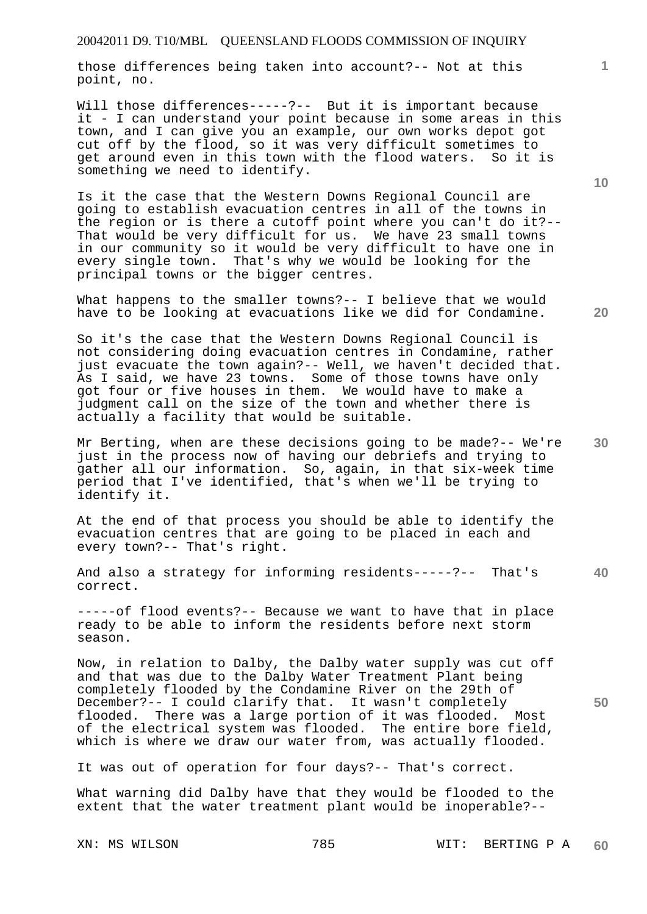those differences being taken into account?-- Not at this point, no.

Will those differences-----?-- But it is important because it - I can understand your point because in some areas in this town, and I can give you an example, our own works depot got cut off by the flood, so it was very difficult sometimes to get around even in this town with the flood waters. So it is something we need to identify.

Is it the case that the Western Downs Regional Council are going to establish evacuation centres in all of the towns in the region or is there a cutoff point where you can't do it?-- That would be very difficult for us. We have 23 small towns in our community so it would be very difficult to have one in every single town. That's why we would be looking for the principal towns or the bigger centres.

What happens to the smaller towns?-- I believe that we would have to be looking at evacuations like we did for Condamine.

So it's the case that the Western Downs Regional Council is not considering doing evacuation centres in Condamine, rather just evacuate the town again?-- Well, we haven't decided that. As I said, we have 23 towns. Some of those towns have only got four or five houses in them. We would have to make a judgment call on the size of the town and whether there is actually a facility that would be suitable.

**30**  Mr Berting, when are these decisions going to be made?-- We're just in the process now of having our debriefs and trying to gather all our information. So, again, in that six-week time period that I've identified, that's when we'll be trying to identify it.

At the end of that process you should be able to identify the evacuation centres that are going to be placed in each and every town?-- That's right.

**40**  And also a strategy for informing residents-----?-- That's correct.

-----of flood events?-- Because we want to have that in place ready to be able to inform the residents before next storm season.

Now, in relation to Dalby, the Dalby water supply was cut off and that was due to the Dalby Water Treatment Plant being completely flooded by the Condamine River on the 29th of December?-- I could clarify that. It wasn't completely flooded. There was a large portion of it was flooded. Most of the electrical system was flooded. The entire bore field, which is where we draw our water from, was actually flooded.

It was out of operation for four days?-- That's correct.

What warning did Dalby have that they would be flooded to the extent that the water treatment plant would be inoperable?--

XN: MS WILSON 785 WIT: BERTING P A **60** 

**10** 

**1**

**20**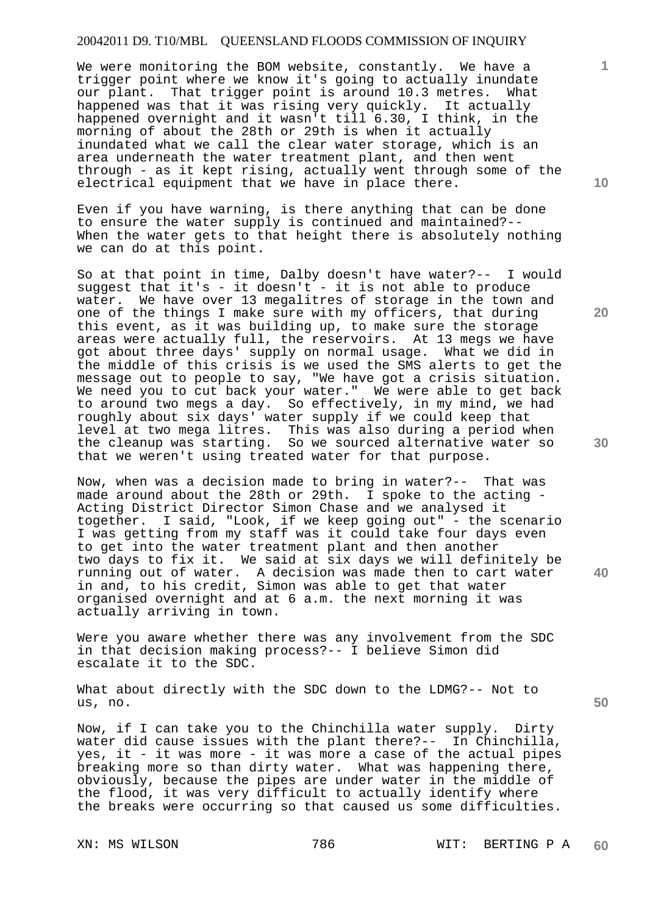We were monitoring the BOM website, constantly. We have a trigger point where we know it's going to actually inundate our plant. That trigger point is around 10.3 metres. What happened was that it was rising very quickly. It actually happened overnight and it wasn't till 6.30, I think, in the morning of about the 28th or 29th is when it actually inundated what we call the clear water storage, which is an area underneath the water treatment plant, and then went through - as it kept rising, actually went through some of the electrical equipment that we have in place there.

Even if you have warning, is there anything that can be done to ensure the water supply is continued and maintained?-- When the water gets to that height there is absolutely nothing we can do at this point.

So at that point in time, Dalby doesn't have water?-- I would suggest that it's - it doesn't - it is not able to produce water. We have over 13 megalitres of storage in the town and one of the things I make sure with my officers, that during this event, as it was building up, to make sure the storage areas were actually full, the reservoirs. At 13 megs we have got about three days' supply on normal usage. What we did in the middle of this crisis is we used the SMS alerts to get the message out to people to say, "We have got a crisis situation. We need you to cut back your water." We were able to get back to around two megs a day. So effectively, in my mind, we had roughly about six days' water supply if we could keep that level at two mega litres. This was also during a period when the cleanup was starting. So we sourced alternative water so that we weren't using treated water for that purpose.

Now, when was a decision made to bring in water?-- That was made around about the 28th or 29th. I spoke to the acting - Acting District Director Simon Chase and we analysed it together. I said, "Look, if we keep going out" - the scenario I was getting from my staff was it could take four days even to get into the water treatment plant and then another two days to fix it. We said at six days we will definitely be running out of water. A decision was made then to cart water in and, to his credit, Simon was able to get that water organised overnight and at 6 a.m. the next morning it was actually arriving in town.

Were you aware whether there was any involvement from the SDC in that decision making process?-- I believe Simon did escalate it to the SDC.

What about directly with the SDC down to the LDMG?-- Not to us, no.

Now, if I can take you to the Chinchilla water supply. Dirty water did cause issues with the plant there?-- In Chinchilla, yes, it - it was more - it was more a case of the actual pipes breaking more so than dirty water. What was happening there, obviously, because the pipes are under water in the middle of the flood, it was very difficult to actually identify where the breaks were occurring so that caused us some difficulties.

**10** 

**1**

**20** 

**30** 

**50**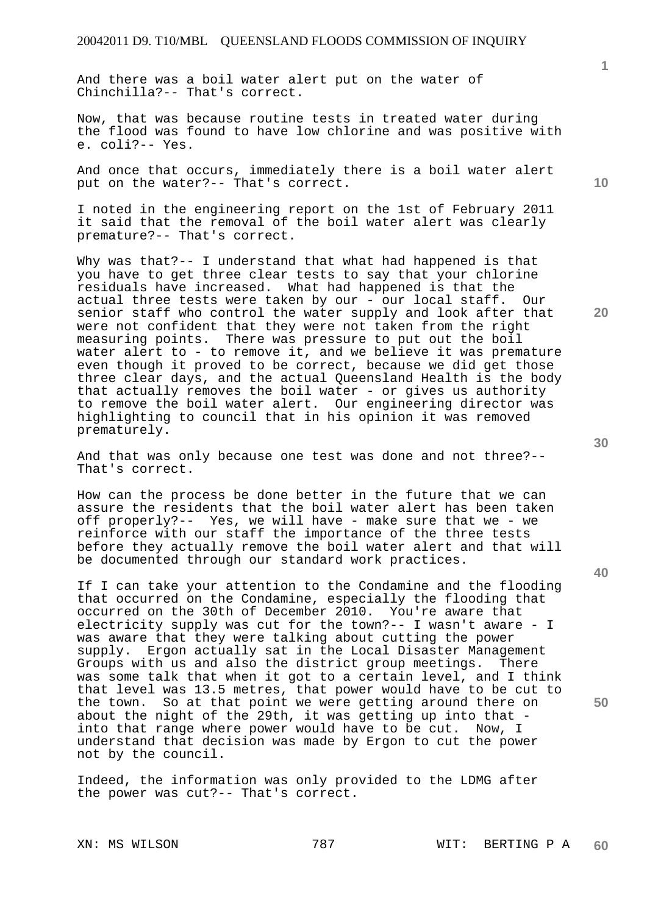And there was a boil water alert put on the water of Chinchilla?-- That's correct.

Now, that was because routine tests in treated water during the flood was found to have low chlorine and was positive with e. coli?-- Yes.

And once that occurs, immediately there is a boil water alert put on the water?-- That's correct.

I noted in the engineering report on the 1st of February 2011 it said that the removal of the boil water alert was clearly premature?-- That's correct.

Why was that?-- I understand that what had happened is that you have to get three clear tests to say that your chlorine residuals have increased. What had happened is that the actual three tests were taken by our - our local staff. Our senior staff who control the water supply and look after that were not confident that they were not taken from the right measuring points. There was pressure to put out the boil water alert to - to remove it, and we believe it was premature even though it proved to be correct, because we did get those three clear days, and the actual Queensland Health is the body that actually removes the boil water - or gives us authority to remove the boil water alert. Our engineering director was highlighting to council that in his opinion it was removed prematurely.

And that was only because one test was done and not three?-- That's correct.

How can the process be done better in the future that we can assure the residents that the boil water alert has been taken off properly?-- Yes, we will have - make sure that we - we reinforce with our staff the importance of the three tests before they actually remove the boil water alert and that will be documented through our standard work practices.

If I can take your attention to the Condamine and the flooding that occurred on the Condamine, especially the flooding that occurred on the 30th of December 2010. You're aware that electricity supply was cut for the town?-- I wasn't aware - I was aware that they were talking about cutting the power supply. Ergon actually sat in the Local Disaster Management Groups with us and also the district group meetings. There was some talk that when it got to a certain level, and I think that level was 13.5 metres, that power would have to be cut to the town. So at that point we were getting around there on about the night of the 29th, it was getting up into that into that range where power would have to be cut. Now, I understand that decision was made by Ergon to cut the power not by the council.

Indeed, the information was only provided to the LDMG after the power was cut?-- That's correct.

**40** 

**50** 

**20** 

**10**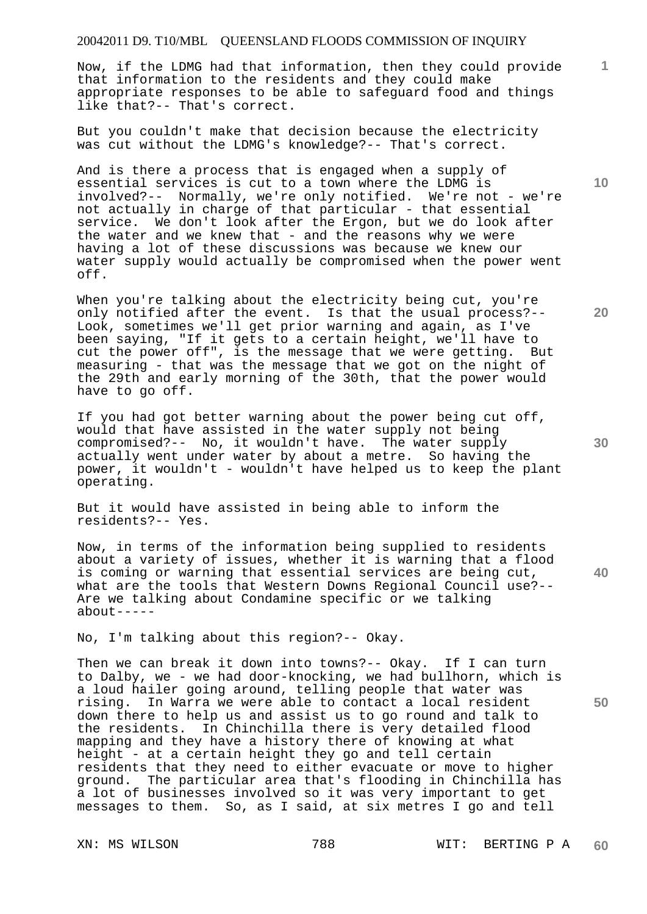Now, if the LDMG had that information, then they could provide that information to the residents and they could make appropriate responses to be able to safeguard food and things like that?-- That's correct.

But you couldn't make that decision because the electricity was cut without the LDMG's knowledge?-- That's correct.

And is there a process that is engaged when a supply of essential services is cut to a town where the LDMG is involved?-- Normally, we're only notified. We're not - we're not actually in charge of that particular - that essential service. We don't look after the Ergon, but we do look after the water and we knew that - and the reasons why we were having a lot of these discussions was because we knew our water supply would actually be compromised when the power went off.

When you're talking about the electricity being cut, you're only notified after the event. Is that the usual process?-- Look, sometimes we'll get prior warning and again, as I've been saying, "If it gets to a certain height, we'll have to cut the power off", is the message that we were getting. But measuring - that was the message that we got on the night of the 29th and early morning of the 30th, that the power would have to go off.

If you had got better warning about the power being cut off, would that have assisted in the water supply not being compromised?-- No, it wouldn't have. The water supply actually went under water by about a metre. So having the power, it wouldn't - wouldn't have helped us to keep the plant operating.

But it would have assisted in being able to inform the residents?-- Yes.

Now, in terms of the information being supplied to residents about a variety of issues, whether it is warning that a flood is coming or warning that essential services are being cut, what are the tools that Western Downs Regional Council use?-- Are we talking about Condamine specific or we talking about-----

No, I'm talking about this region?-- Okay.

Then we can break it down into towns?-- Okay. If I can turn to Dalby, we - we had door-knocking, we had bullhorn, which is a loud hailer going around, telling people that water was rising. In Warra we were able to contact a local resident down there to help us and assist us to go round and talk to the residents. In Chinchilla there is very detailed flood mapping and they have a history there of knowing at what height - at a certain height they go and tell certain residents that they need to either evacuate or move to higher ground. The particular area that's flooding in Chinchilla has a lot of businesses involved so it was very important to get messages to them. So, as I said, at six metres I go and tell

**20** 

**10** 

**1**

**30** 

**40**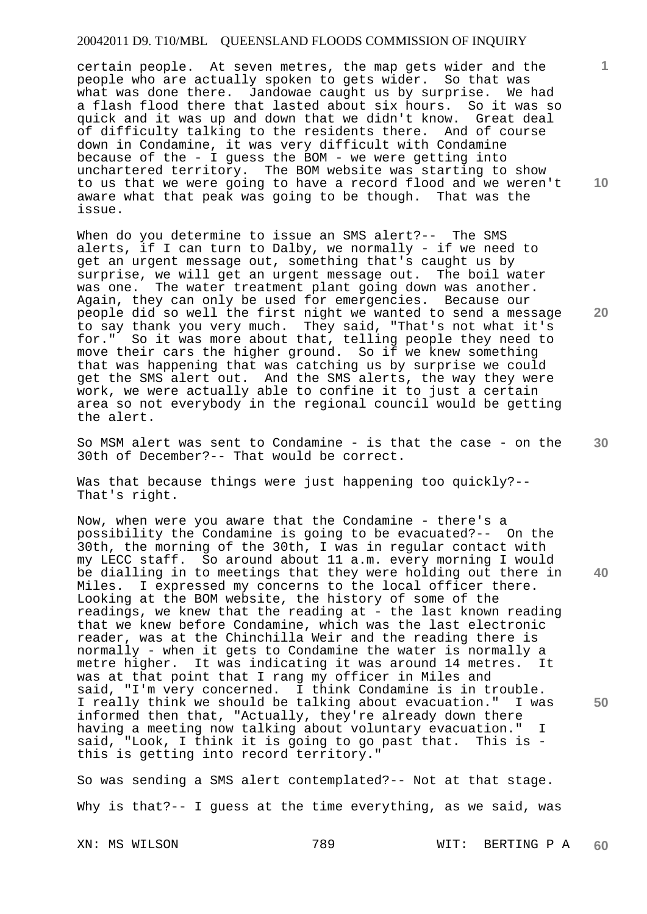certain people. At seven metres, the map gets wider and the people who are actually spoken to gets wider. So that was what was done there. Jandowae caught us by surprise. We had a flash flood there that lasted about six hours. So it was so quick and it was up and down that we didn't know. Great deal of difficulty talking to the residents there. And of course down in Condamine, it was very difficult with Condamine because of the - I guess the BOM - we were getting into unchartered territory. The BOM website was starting to show to us that we were going to have a record flood and we weren't aware what that peak was going to be though. That was the issue.

When do you determine to issue an SMS alert?-- The SMS alerts, if I can turn to Dalby, we normally - if we need to get an urgent message out, something that's caught us by surprise, we will get an urgent message out. The boil water was one. The water treatment plant going down was another. Again, they can only be used for emergencies. Because our people did so well the first night we wanted to send a message to say thank you very much. They said, "That's not what it's for." So it was more about that, telling people they need to move their cars the higher ground. So if we knew something that was happening that was catching us by surprise we could get the SMS alert out. And the SMS alerts, the way they were work, we were actually able to confine it to just a certain area so not everybody in the regional council would be getting the alert.

So MSM alert was sent to Condamine - is that the case - on the 30th of December?-- That would be correct.

Was that because things were just happening too quickly?-- That's right.

**40 50**  Now, when were you aware that the Condamine - there's a possibility the Condamine is going to be evacuated?-- On the 30th, the morning of the 30th, I was in regular contact with my LECC staff. So around about 11 a.m. every morning I would be dialling in to meetings that they were holding out there in Miles. I expressed my concerns to the local officer there. Looking at the BOM website, the history of some of the readings, we knew that the reading at - the last known reading that we knew before Condamine, which was the last electronic reader, was at the Chinchilla Weir and the reading there is normally - when it gets to Condamine the water is normally a metre higher. It was indicating it was around 14 metres. It was at that point that I rang my officer in Miles and said, "I'm very concerned. I think Condamine is in trouble. I really think we should be talking about evacuation." I was informed then that, "Actually, they're already down there having a meeting now talking about voluntary evacuation." I said, "Look, I think it is going to go past that. This is this is getting into record territory."

So was sending a SMS alert contemplated?-- Not at that stage. Why is that?-- I guess at the time everything, as we said, was

XN: MS WILSON 789 WIT: BERTING P A **60** 

**20** 

**10** 

**1**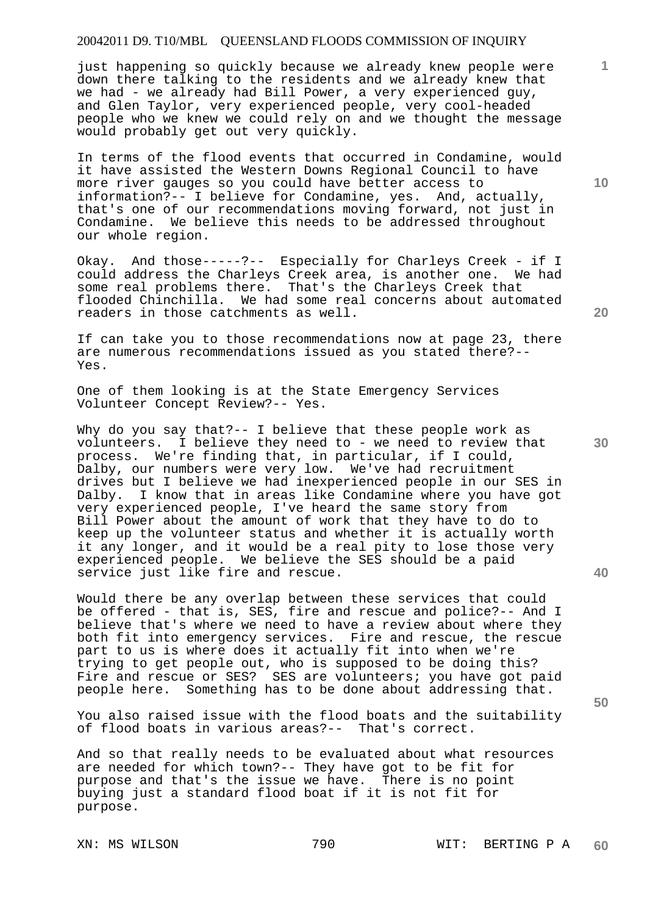just happening so quickly because we already knew people were down there talking to the residents and we already knew that we had - we already had Bill Power, a very experienced guy, and Glen Taylor, very experienced people, very cool-headed people who we knew we could rely on and we thought the message would probably get out very quickly.

In terms of the flood events that occurred in Condamine, would it have assisted the Western Downs Regional Council to have more river gauges so you could have better access to information?-- I believe for Condamine, yes. And, actually, that's one of our recommendations moving forward, not just in Condamine. We believe this needs to be addressed throughout our whole region.

Okay. And those-----?-- Especially for Charleys Creek - if I could address the Charleys Creek area, is another one. We had some real problems there. That's the Charleys Creek that flooded Chinchilla. We had some real concerns about automated readers in those catchments as well.

If can take you to those recommendations now at page 23, there are numerous recommendations issued as you stated there?-- Yes.

One of them looking is at the State Emergency Services Volunteer Concept Review?-- Yes.

Why do you say that?-- I believe that these people work as volunteers. I believe they need to - we need to review that process. We're finding that, in particular, if I could, Dalby, our numbers were very low. We've had recruitment drives but I believe we had inexperienced people in our SES in Dalby. I know that in areas like Condamine where you have got very experienced people, I've heard the same story from Bill Power about the amount of work that they have to do to keep up the volunteer status and whether it is actually worth it any longer, and it would be a real pity to lose those very experienced people. We believe the SES should be a paid service just like fire and rescue.

Would there be any overlap between these services that could be offered - that is, SES, fire and rescue and police?-- And I believe that's where we need to have a review about where they both fit into emergency services. Fire and rescue, the rescue part to us is where does it actually fit into when we're trying to get people out, who is supposed to be doing this? Fire and rescue or SES? SES are volunteers; you have got paid people here. Something has to be done about addressing that.

You also raised issue with the flood boats and the suitability of flood boats in various areas?-- That's correct.

And so that really needs to be evaluated about what resources are needed for which town?-- They have got to be fit for purpose and that's the issue we have. There is no point buying just a standard flood boat if it is not fit for purpose.

**10** 

**1**

**20** 

**30** 

**40**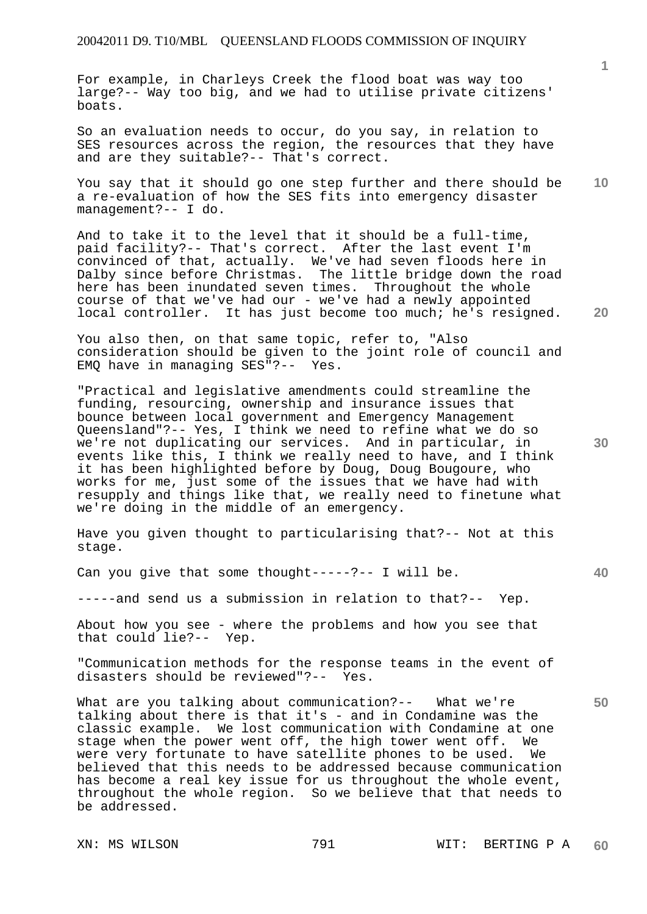For example, in Charleys Creek the flood boat was way too large?-- Way too big, and we had to utilise private citizens' boats.

So an evaluation needs to occur, do you say, in relation to SES resources across the region, the resources that they have and are they suitable?-- That's correct.

**10**  You say that it should go one step further and there should be a re-evaluation of how the SES fits into emergency disaster management?-- I do.

And to take it to the level that it should be a full-time, paid facility?-- That's correct. After the last event I'm convinced of that, actually. We've had seven floods here in Dalby since before Christmas. The little bridge down the road here has been inundated seven times. Throughout the whole course of that we've had our - we've had a newly appointed local controller. It has just become too much; he's resigned.

You also then, on that same topic, refer to, "Also consideration should be given to the joint role of council and EMQ have in managing SES"?-- Yes.

"Practical and legislative amendments could streamline the funding, resourcing, ownership and insurance issues that bounce between local government and Emergency Management Queensland"?-- Yes, I think we need to refine what we do so we're not duplicating our services. And in particular, in events like this, I think we really need to have, and I think it has been highlighted before by Doug, Doug Bougoure, who works for me, just some of the issues that we have had with resupply and things like that, we really need to finetune what we're doing in the middle of an emergency.

Have you given thought to particularising that?-- Not at this stage.

Can you give that some thought-----?-- I will be.

-----and send us a submission in relation to that?-- Yep.

About how you see - where the problems and how you see that that could lie?-- Yep.

"Communication methods for the response teams in the event of disasters should be reviewed"?-- Yes.

What are you talking about communication?-- What we're talking about there is that it's - and in Condamine was the classic example. We lost communication with Condamine at one stage when the power went off, the high tower went off. We were very fortunate to have satellite phones to be used. We believed that this needs to be addressed because communication has become a real key issue for us throughout the whole event, throughout the whole region. So we believe that that needs to be addressed.

**1**

**30** 

**20** 

**40**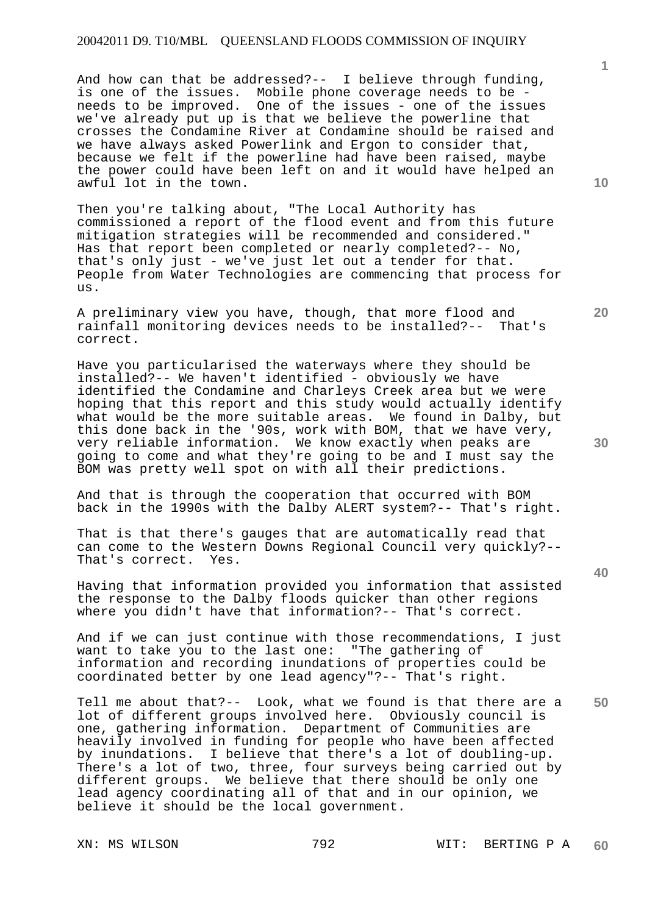And how can that be addressed?-- I believe through funding, is one of the issues. Mobile phone coverage needs to be needs to be improved. One of the issues - one of the issues we've already put up is that we believe the powerline that crosses the Condamine River at Condamine should be raised and we have always asked Powerlink and Ergon to consider that, because we felt if the powerline had have been raised, maybe the power could have been left on and it would have helped an awful lot in the town.

Then you're talking about, "The Local Authority has commissioned a report of the flood event and from this future mitigation strategies will be recommended and considered." Has that report been completed or nearly completed?-- No, that's only just - we've just let out a tender for that. People from Water Technologies are commencing that process for us.

A preliminary view you have, though, that more flood and rainfall monitoring devices needs to be installed?-- That's rainfall monitoring devices needs to be installed?-correct.

Have you particularised the waterways where they should be installed?-- We haven't identified - obviously we have identified the Condamine and Charleys Creek area but we were hoping that this report and this study would actually identify what would be the more suitable areas. We found in Dalby, but this done back in the '90s, work with BOM, that we have very, very reliable information. We know exactly when peaks are going to come and what they're going to be and I must say the BOM was pretty well spot on with all their predictions.

And that is through the cooperation that occurred with BOM back in the 1990s with the Dalby ALERT system?-- That's right.

That is that there's gauges that are automatically read that can come to the Western Downs Regional Council very quickly?-- That's correct. Yes.

Having that information provided you information that assisted the response to the Dalby floods quicker than other regions where you didn't have that information?-- That's correct.

And if we can just continue with those recommendations, I just want to take you to the last one: "The gathering of information and recording inundations of properties could be coordinated better by one lead agency"?-- That's right.

Tell me about that?-- Look, what we found is that there are a lot of different groups involved here. Obviously council is one, gathering information. Department of Communities are heavily involved in funding for people who have been affected by inundations. I believe that there's a lot of doubling-up. There's a lot of two, three, four surveys being carried out by different groups. We believe that there should be only one lead agency coordinating all of that and in our opinion, we believe it should be the local government.

**10** 

**1**

**20** 

**40**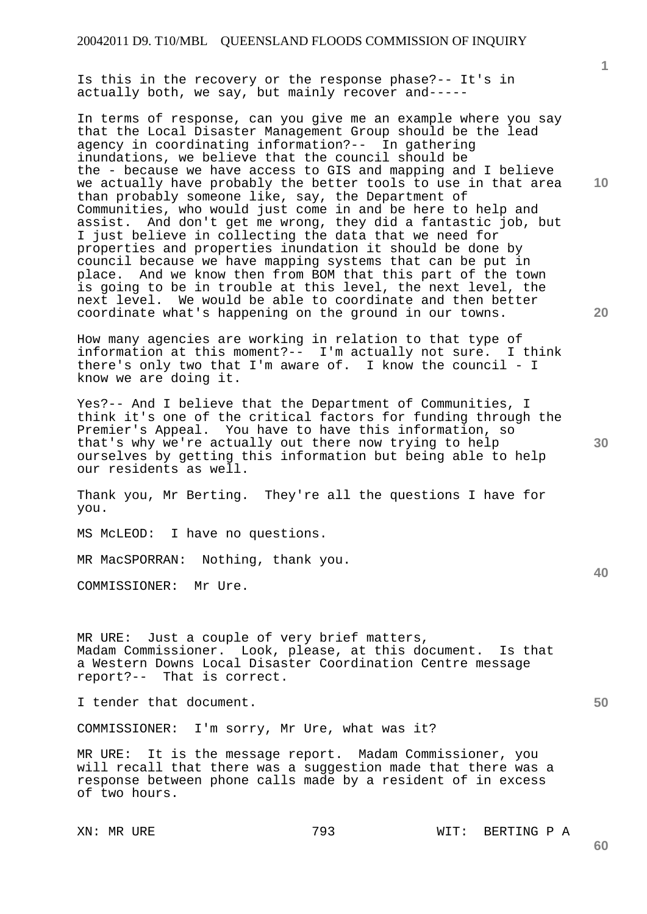Is this in the recovery or the response phase?-- It's in actually both, we say, but mainly recover and-----

In terms of response, can you give me an example where you say that the Local Disaster Management Group should be the lead agency in coordinating information?-- In gathering inundations, we believe that the council should be the - because we have access to GIS and mapping and I believe we actually have probably the better tools to use in that area than probably someone like, say, the Department of Communities, who would just come in and be here to help and assist. And don't get me wrong, they did a fantastic job, but I just believe in collecting the data that we need for properties and properties inundation it should be done by council because we have mapping systems that can be put in place. And we know then from BOM that this part of the town is going to be in trouble at this level, the next level, the next level. We would be able to coordinate and then better coordinate what's happening on the ground in our towns.

How many agencies are working in relation to that type of information at this moment?-- I'm actually not sure. I think there's only two that I'm aware of. I know the council - I know we are doing it.

Yes?-- And I believe that the Department of Communities, I think it's one of the critical factors for funding through the Premier's Appeal. You have to have this information, so that's why we're actually out there now trying to help ourselves by getting this information but being able to help our residents as well.

Thank you, Mr Berting. They're all the questions I have for you.

MS McLEOD: I have no questions.

MR MacSPORRAN: Nothing, thank you.

COMMISSIONER: Mr Ure.

MR URE: Just a couple of very brief matters, Madam Commissioner. Look, please, at this document. Is that a Western Downs Local Disaster Coordination Centre message report?-- That is correct.

I tender that document.

COMMISSIONER: I'm sorry, Mr Ure, what was it?

MR URE: It is the message report. Madam Commissioner, you will recall that there was a suggestion made that there was a response between phone calls made by a resident of in excess of two hours.

XN: MR URE 793 WIT: BERTING P A

**30** 

**20** 

**50**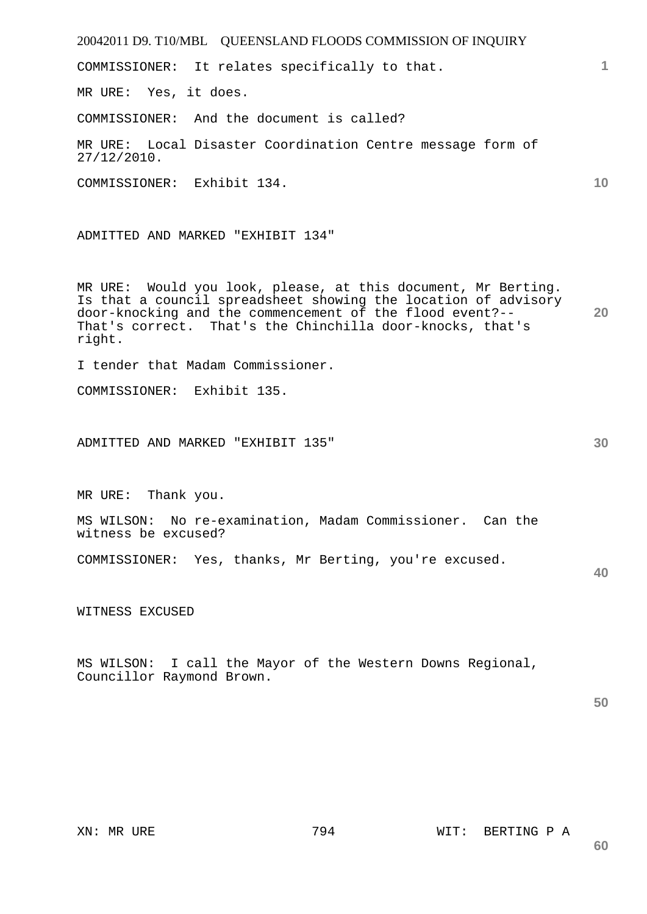| 1<br>COMMISSIONER: It relates specifically to that.<br>MR URE: Yes, it does.<br>COMMISSIONER: And the document is called?<br>MR URE: Local Disaster Coordination Centre message form of<br>$27/12/2010$ .<br>10<br>COMMISSIONER: Exhibit 134.<br>ADMITTED AND MARKED "EXHIBIT 134"<br>MR URE: Would you look, please, at this document, Mr Berting.<br>Is that a council spreadsheet showing the location of advisory<br>door-knocking and the commencement of the flood event?--<br>20<br>That's correct. That's the Chinchilla door-knocks, that's<br>right.<br>I tender that Madam Commissioner.<br>COMMISSIONER: Exhibit 135.<br>30<br>ADMITTED AND MARKED "EXHIBIT 135"<br>MR URE: Thank you.<br>MS WILSON: No re-examination, Madam Commissioner. Can the<br>witness be excused?<br>COMMISSIONER: Yes, thanks, Mr Berting, you're excused.<br>40<br>WITNESS EXCUSED<br>MS WILSON: I call the Mayor of the Western Downs Regional,<br>Councillor Raymond Brown.<br>50 | 20042011 D9. T10/MBL QUEENSLAND FLOODS COMMISSION OF INQUIRY |  |
|----------------------------------------------------------------------------------------------------------------------------------------------------------------------------------------------------------------------------------------------------------------------------------------------------------------------------------------------------------------------------------------------------------------------------------------------------------------------------------------------------------------------------------------------------------------------------------------------------------------------------------------------------------------------------------------------------------------------------------------------------------------------------------------------------------------------------------------------------------------------------------------------------------------------------------------------------------------------------|--------------------------------------------------------------|--|
|                                                                                                                                                                                                                                                                                                                                                                                                                                                                                                                                                                                                                                                                                                                                                                                                                                                                                                                                                                            |                                                              |  |
|                                                                                                                                                                                                                                                                                                                                                                                                                                                                                                                                                                                                                                                                                                                                                                                                                                                                                                                                                                            |                                                              |  |
|                                                                                                                                                                                                                                                                                                                                                                                                                                                                                                                                                                                                                                                                                                                                                                                                                                                                                                                                                                            |                                                              |  |
|                                                                                                                                                                                                                                                                                                                                                                                                                                                                                                                                                                                                                                                                                                                                                                                                                                                                                                                                                                            |                                                              |  |
|                                                                                                                                                                                                                                                                                                                                                                                                                                                                                                                                                                                                                                                                                                                                                                                                                                                                                                                                                                            |                                                              |  |
|                                                                                                                                                                                                                                                                                                                                                                                                                                                                                                                                                                                                                                                                                                                                                                                                                                                                                                                                                                            |                                                              |  |
|                                                                                                                                                                                                                                                                                                                                                                                                                                                                                                                                                                                                                                                                                                                                                                                                                                                                                                                                                                            |                                                              |  |
|                                                                                                                                                                                                                                                                                                                                                                                                                                                                                                                                                                                                                                                                                                                                                                                                                                                                                                                                                                            |                                                              |  |
|                                                                                                                                                                                                                                                                                                                                                                                                                                                                                                                                                                                                                                                                                                                                                                                                                                                                                                                                                                            |                                                              |  |
|                                                                                                                                                                                                                                                                                                                                                                                                                                                                                                                                                                                                                                                                                                                                                                                                                                                                                                                                                                            |                                                              |  |
|                                                                                                                                                                                                                                                                                                                                                                                                                                                                                                                                                                                                                                                                                                                                                                                                                                                                                                                                                                            |                                                              |  |
|                                                                                                                                                                                                                                                                                                                                                                                                                                                                                                                                                                                                                                                                                                                                                                                                                                                                                                                                                                            |                                                              |  |
|                                                                                                                                                                                                                                                                                                                                                                                                                                                                                                                                                                                                                                                                                                                                                                                                                                                                                                                                                                            |                                                              |  |
|                                                                                                                                                                                                                                                                                                                                                                                                                                                                                                                                                                                                                                                                                                                                                                                                                                                                                                                                                                            |                                                              |  |
|                                                                                                                                                                                                                                                                                                                                                                                                                                                                                                                                                                                                                                                                                                                                                                                                                                                                                                                                                                            |                                                              |  |
|                                                                                                                                                                                                                                                                                                                                                                                                                                                                                                                                                                                                                                                                                                                                                                                                                                                                                                                                                                            |                                                              |  |
|                                                                                                                                                                                                                                                                                                                                                                                                                                                                                                                                                                                                                                                                                                                                                                                                                                                                                                                                                                            |                                                              |  |
|                                                                                                                                                                                                                                                                                                                                                                                                                                                                                                                                                                                                                                                                                                                                                                                                                                                                                                                                                                            |                                                              |  |
|                                                                                                                                                                                                                                                                                                                                                                                                                                                                                                                                                                                                                                                                                                                                                                                                                                                                                                                                                                            |                                                              |  |
|                                                                                                                                                                                                                                                                                                                                                                                                                                                                                                                                                                                                                                                                                                                                                                                                                                                                                                                                                                            |                                                              |  |
|                                                                                                                                                                                                                                                                                                                                                                                                                                                                                                                                                                                                                                                                                                                                                                                                                                                                                                                                                                            |                                                              |  |
|                                                                                                                                                                                                                                                                                                                                                                                                                                                                                                                                                                                                                                                                                                                                                                                                                                                                                                                                                                            |                                                              |  |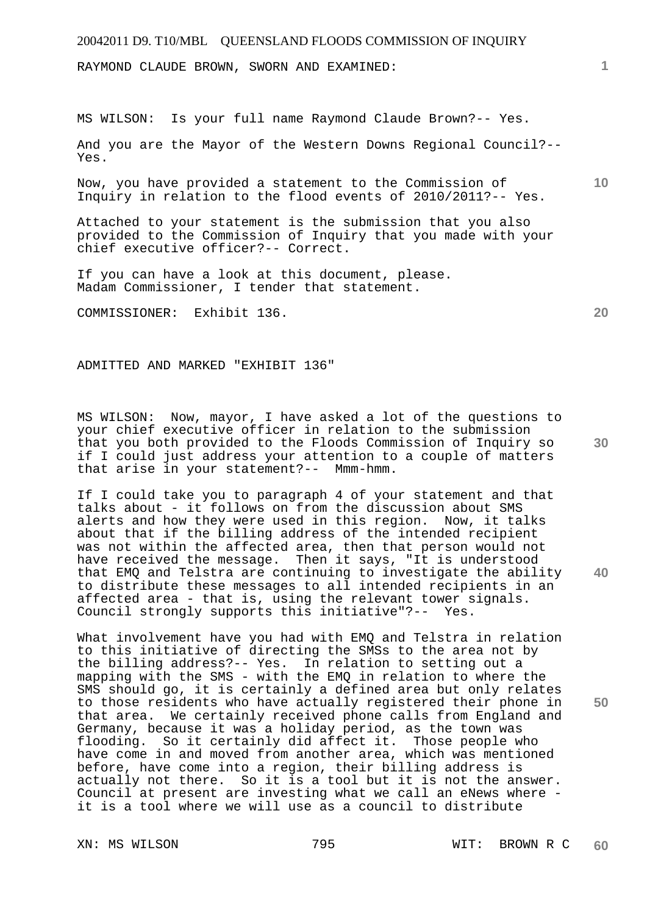RAYMOND CLAUDE BROWN, SWORN AND EXAMINED:

MS WILSON: Is your full name Raymond Claude Brown?-- Yes.

And you are the Mayor of the Western Downs Regional Council?-- Yes.

Now, you have provided a statement to the Commission of Inquiry in relation to the flood events of 2010/2011?-- Yes.

Attached to your statement is the submission that you also provided to the Commission of Inquiry that you made with your chief executive officer?-- Correct.

If you can have a look at this document, please. Madam Commissioner, I tender that statement.

COMMISSIONER: Exhibit 136.

ADMITTED AND MARKED "EXHIBIT 136"

MS WILSON: Now, mayor, I have asked a lot of the questions to your chief executive officer in relation to the submission that you both provided to the Floods Commission of Inquiry so if I could just address your attention to a couple of matters that arise in your statement?-- Mmm-hmm.

If I could take you to paragraph 4 of your statement and that talks about - it follows on from the discussion about SMS alerts and how they were used in this region. Now, it talks about that if the billing address of the intended recipient was not within the affected area, then that person would not have received the message. Then it says, "It is understood that EMQ and Telstra are continuing to investigate the ability to distribute these messages to all intended recipients in an affected area - that is, using the relevant tower signals. Council strongly supports this initiative"?-- Yes.

What involvement have you had with EMQ and Telstra in relation to this initiative of directing the SMSs to the area not by the billing address?-- Yes. In relation to setting out a mapping with the SMS - with the EMQ in relation to where the SMS should go, it is certainly a defined area but only relates to those residents who have actually registered their phone in that area. We certainly received phone calls from England and Germany, because it was a holiday period, as the town was flooding. So it certainly did affect it. Those people who have come in and moved from another area, which was mentioned before, have come into a region, their billing address is actually not there. So it is a tool but it is not the answer. Council at present are investing what we call an eNews where it is a tool where we will use as a council to distribute

**20** 

**1**

**10** 

**40**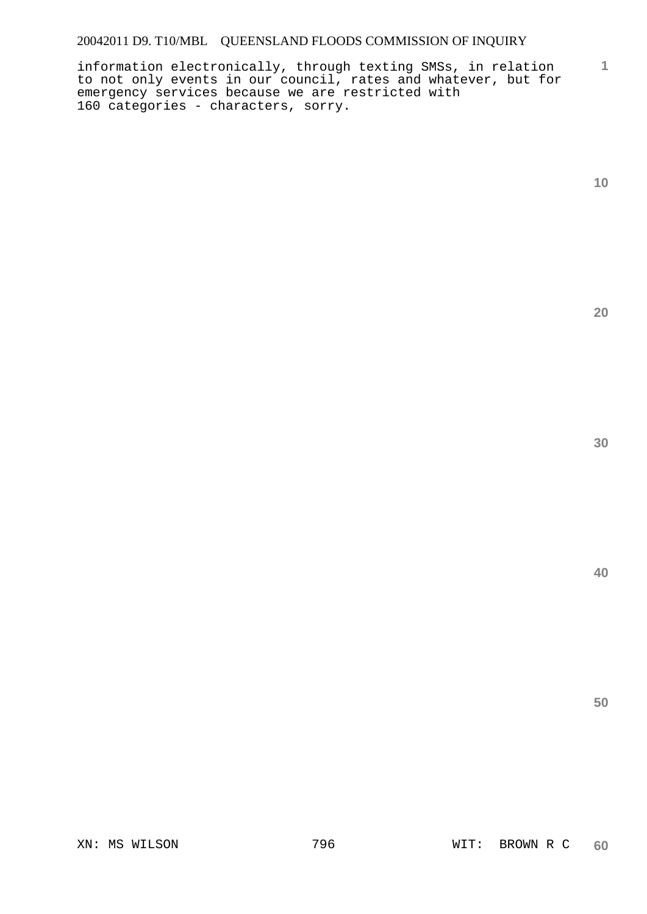information electronically, through texting SMSs, in relation to not only events in our council, rates and whatever, but for emergency services because we are restricted with 160 categories - characters, sorry.

**1**

**20**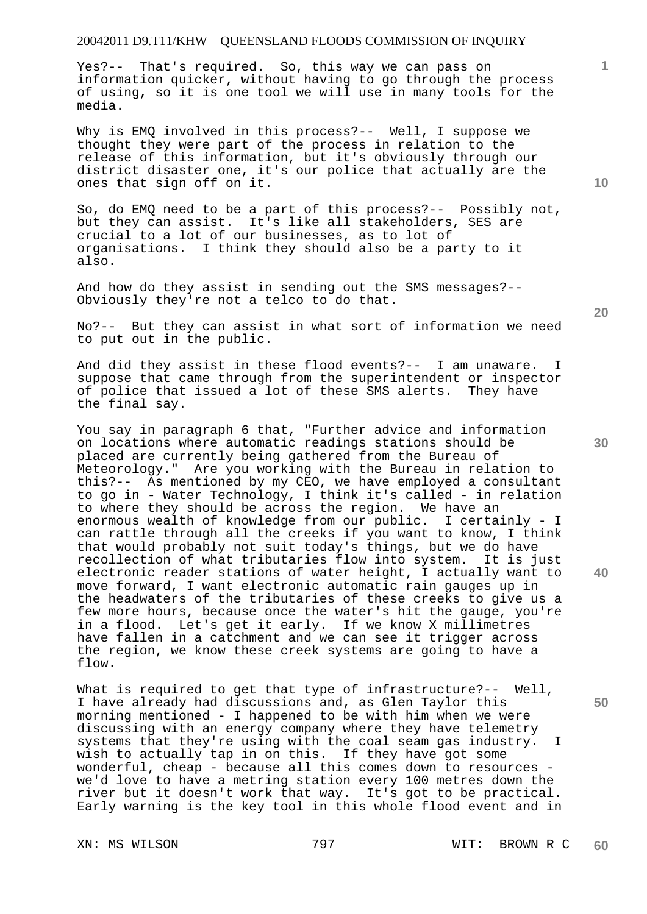Yes?-- That's required. So, this way we can pass on information quicker, without having to go through the process of using, so it is one tool we will use in many tools for the media.

Why is EMQ involved in this process?-- Well, I suppose we thought they were part of the process in relation to the release of this information, but it's obviously through our district disaster one, it's our police that actually are the ones that sign off on it.

So, do EMQ need to be a part of this process?-- Possibly not, but they can assist. It's like all stakeholders, SES are crucial to a lot of our businesses, as to lot of organisations. I think they should also be a party to it also.

And how do they assist in sending out the SMS messages?-- Obviously they're not a telco to do that.

No?-- But they can assist in what sort of information we need to put out in the public.

And did they assist in these flood events?-- I am unaware. I suppose that came through from the superintendent or inspector of police that issued a lot of these SMS alerts. They have the final say.

You say in paragraph 6 that, "Further advice and information on locations where automatic readings stations should be placed are currently being gathered from the Bureau of Meteorology." Are you working with the Bureau in relation to this?-- As mentioned by my CEO, we have employed a consultant to go in - Water Technology, I think it's called - in relation to where they should be across the region. We have an enormous wealth of knowledge from our public. I certainly - I can rattle through all the creeks if you want to know, I think that would probably not suit today's things, but we do have recollection of what tributaries flow into system. It is just electronic reader stations of water height, I actually want to move forward, I want electronic automatic rain gauges up in the headwaters of the tributaries of these creeks to give us a few more hours, because once the water's hit the gauge, you're in a flood. Let's get it early. If we know X millimetres have fallen in a catchment and we can see it trigger across the region, we know these creek systems are going to have a flow.

What is required to get that type of infrastructure?-- Well, I have already had discussions and, as Glen Taylor this morning mentioned - I happened to be with him when we were discussing with an energy company where they have telemetry systems that they're using with the coal seam gas industry. I wish to actually tap in on this. If they have got some wonderful, cheap - because all this comes down to resources we'd love to have a metring station every 100 metres down the river but it doesn't work that way. It's got to be practical. Early warning is the key tool in this whole flood event and in

**10** 

**1**

**30** 

**20** 

**40**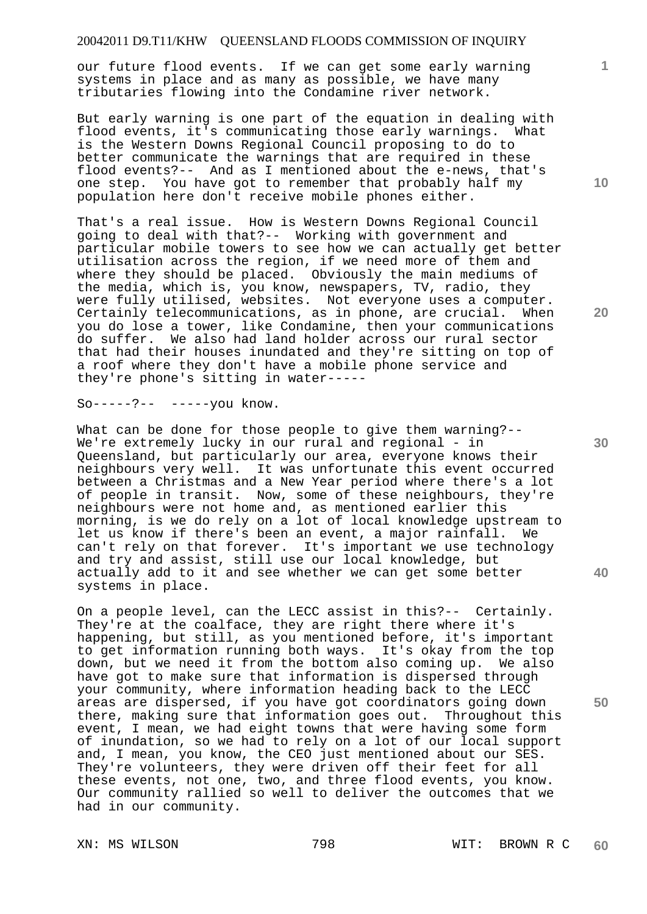our future flood events. If we can get some early warning systems in place and as many as possible, we have many tributaries flowing into the Condamine river network.

But early warning is one part of the equation in dealing with flood events, it's communicating those early warnings. What is the Western Downs Regional Council proposing to do to better communicate the warnings that are required in these flood events?-- And as I mentioned about the e-news, that's one step. You have got to remember that probably half my population here don't receive mobile phones either.

That's a real issue. How is Western Downs Regional Council going to deal with that?-- Working with government and particular mobile towers to see how we can actually get better utilisation across the region, if we need more of them and where they should be placed. Obviously the main mediums of the media, which is, you know, newspapers, TV, radio, they were fully utilised, websites. Not everyone uses a computer. Certainly telecommunications, as in phone, are crucial. When you do lose a tower, like Condamine, then your communications do suffer. We also had land holder across our rural sector that had their houses inundated and they're sitting on top of a roof where they don't have a mobile phone service and they're phone's sitting in water-----

So-----?-- -----you know.

What can be done for those people to give them warning?-- We're extremely lucky in our rural and regional - in Queensland, but particularly our area, everyone knows their neighbours very well. It was unfortunate this event occurred between a Christmas and a New Year period where there's a lot of people in transit. Now, some of these neighbours, they're neighbours were not home and, as mentioned earlier this morning, is we do rely on a lot of local knowledge upstream to let us know if there's been an event, a major rainfall. We can't rely on that forever. It's important we use technology and try and assist, still use our local knowledge, but actually add to it and see whether we can get some better systems in place.

On a people level, can the LECC assist in this?-- Certainly. They're at the coalface, they are right there where it's happening, but still, as you mentioned before, it's important to get information running both ways. It's okay from the top down, but we need it from the bottom also coming up. We also have got to make sure that information is dispersed through your community, where information heading back to the LECC areas are dispersed, if you have got coordinators going down there, making sure that information goes out. Throughout this event, I mean, we had eight towns that were having some form of inundation, so we had to rely on a lot of our local support and, I mean, you know, the CEO just mentioned about our SES. They're volunteers, they were driven off their feet for all these events, not one, two, and three flood events, you know. Our community rallied so well to deliver the outcomes that we had in our community.

**10** 

**1**

**30** 

**20** 

**40**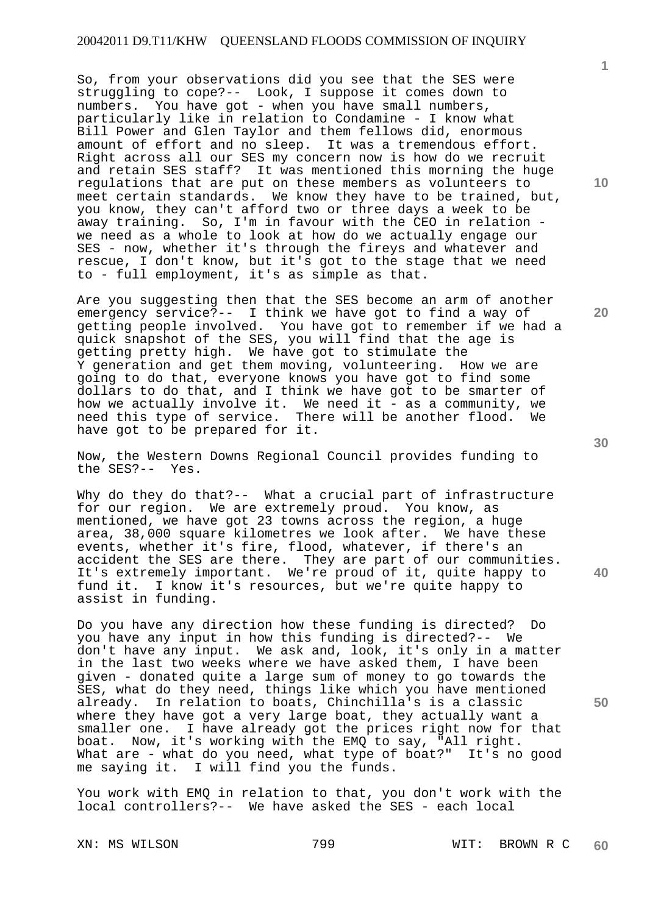So, from your observations did you see that the SES were struggling to cope?-- Look, I suppose it comes down to numbers. You have got - when you have small numbers, particularly like in relation to Condamine - I know what Bill Power and Glen Taylor and them fellows did, enormous amount of effort and no sleep. It was a tremendous effort. Right across all our SES my concern now is how do we recruit and retain SES staff? It was mentioned this morning the huge regulations that are put on these members as volunteers to meet certain standards. We know they have to be trained, but, you know, they can't afford two or three days a week to be away training. So, I'm in favour with the CEO in relation we need as a whole to look at how do we actually engage our SES - now, whether it's through the fireys and whatever and rescue, I don't know, but it's got to the stage that we need to - full employment, it's as simple as that.

Are you suggesting then that the SES become an arm of another emergency service?-- I think we have got to find a way of getting people involved. You have got to remember if we had a quick snapshot of the SES, you will find that the age is getting pretty high. We have got to stimulate the Y generation and get them moving, volunteering. How we are going to do that, everyone knows you have got to find some dollars to do that, and I think we have got to be smarter of how we actually involve it. We need it - as a community, we need this type of service. There will be another flood. We have got to be prepared for it.

Now, the Western Downs Regional Council provides funding to the SES?-- Yes.

Why do they do that?-- What a crucial part of infrastructure for our region. We are extremely proud. You know, as mentioned, we have got 23 towns across the region, a huge area, 38,000 square kilometres we look after. We have these events, whether it's fire, flood, whatever, if there's an accident the SES are there. They are part of our communities. It's extremely important. We're proud of it, quite happy to fund it. I know it's resources, but we're quite happy to assist in funding.

Do you have any direction how these funding is directed? Do you have any input in how this funding is directed?-- We don't have any input. We ask and, look, it's only in a matter in the last two weeks where we have asked them, I have been given - donated quite a large sum of money to go towards the SES, what do they need, things like which you have mentioned already. In relation to boats, Chinchilla's is a classic where they have got a very large boat, they actually want a smaller one. I have already got the prices right now for that boat. Now, it's working with the EMQ to say, "All right. What are - what do you need, what type of boat?" It's no good me saying it. I will find you the funds.

You work with EMQ in relation to that, you don't work with the local controllers?-- We have asked the SES - each local

**10** 

**1**

**20** 

**30** 

**40**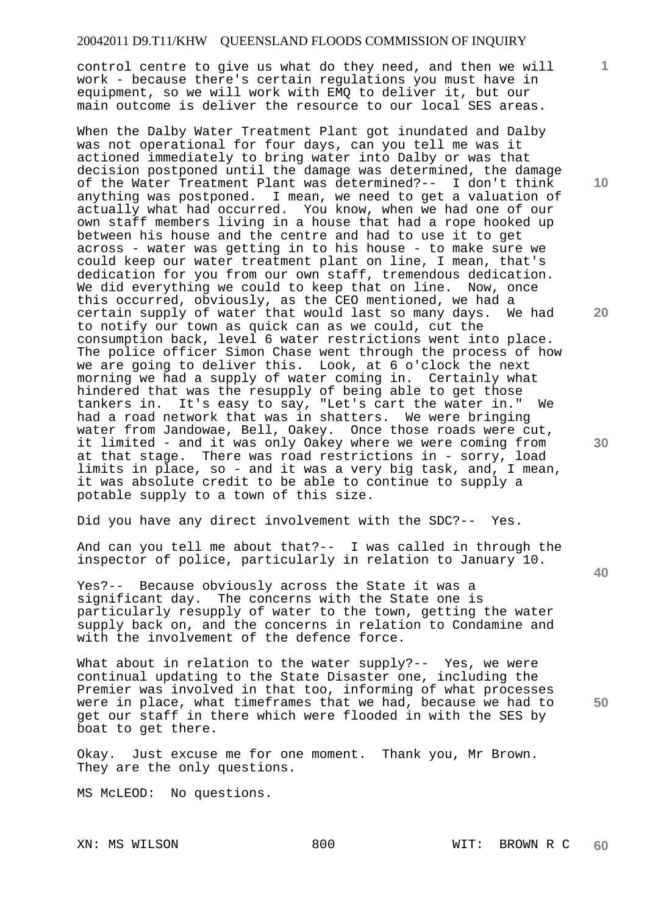control centre to give us what do they need, and then we will work - because there's certain regulations you must have in equipment, so we will work with EMQ to deliver it, but our main outcome is deliver the resource to our local SES areas.

When the Dalby Water Treatment Plant got inundated and Dalby was not operational for four days, can you tell me was it actioned immediately to bring water into Dalby or was that decision postponed until the damage was determined, the damage of the Water Treatment Plant was determined?-- I don't think anything was postponed. I mean, we need to get a valuation of actually what had occurred. You know, when we had one of our own staff members living in a house that had a rope hooked up between his house and the centre and had to use it to get across - water was getting in to his house - to make sure we could keep our water treatment plant on line, I mean, that's dedication for you from our own staff, tremendous dedication. We did everything we could to keep that on line. Now, once this occurred, obviously, as the CEO mentioned, we had a certain supply of water that would last so many days. to notify our town as quick can as we could, cut the consumption back, level 6 water restrictions went into place. The police officer Simon Chase went through the process of how we are going to deliver this. Look, at 6 o'clock the next morning we had a supply of water coming in. Certainly what hindered that was the resupply of being able to get those tankers in. It's easy to say, "Let's cart the water in." We had a road network that was in shatters. We were bringing water from Jandowae, Bell, Oakey. Once those roads were cut, it limited - and it was only Oakey where we were coming from at that stage. There was road restrictions in - sorry, load limits in place, so - and it was a very big task, and, I mean, it was absolute credit to be able to continue to supply a potable supply to a town of this size.

Did you have any direct involvement with the SDC?-- Yes.

And can you tell me about that?-- I was called in through the inspector of police, particularly in relation to January 10.

Yes?-- Because obviously across the State it was a significant day. The concerns with the State one is particularly resupply of water to the town, getting the water supply back on, and the concerns in relation to Condamine and with the involvement of the defence force.

What about in relation to the water supply?-- Yes, we were continual updating to the State Disaster one, including the Premier was involved in that too, informing of what processes were in place, what timeframes that we had, because we had to get our staff in there which were flooded in with the SES by boat to get there.

Okay. Just excuse me for one moment. Thank you, Mr Brown. They are the only questions.

MS McLEOD: No questions.

**10** 

**1**

**20** 

**30** 

**40**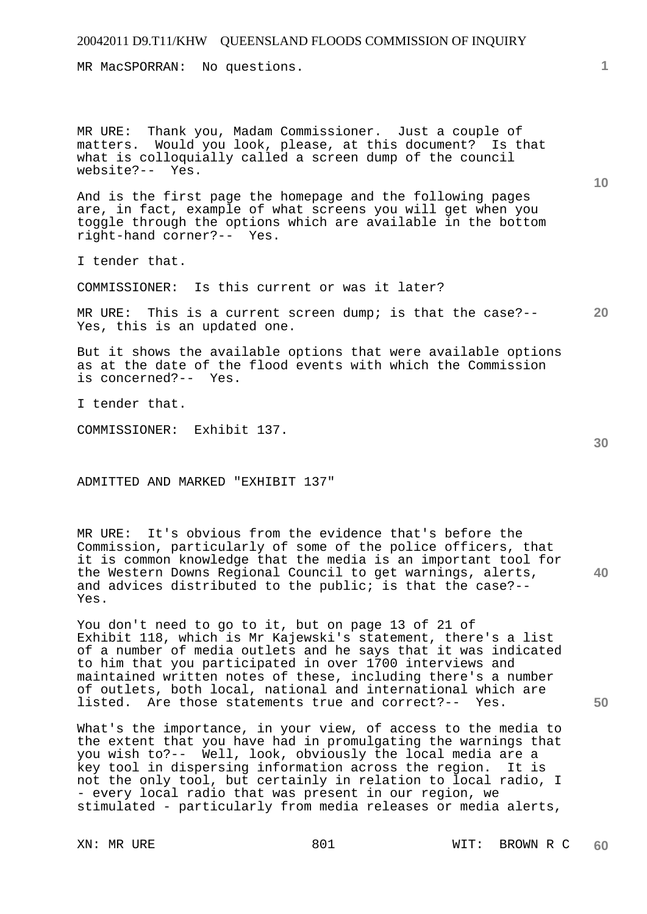MR MacSPORRAN: No questions.

MR URE: Thank you, Madam Commissioner. Just a couple of matters. Would you look, please, at this document? Is that what is colloquially called a screen dump of the council website?-- Yes.

And is the first page the homepage and the following pages are, in fact, example of what screens you will get when you toggle through the options which are available in the bottom right-hand corner?-- Yes.

I tender that.

COMMISSIONER: Is this current or was it later?

**20**  MR URE: This is a current screen dump; is that the case?-- Yes, this is an updated one.

But it shows the available options that were available options as at the date of the flood events with which the Commission is concerned?-- Yes.

I tender that.

COMMISSIONER: Exhibit 137.

ADMITTED AND MARKED "EXHIBIT 137"

**40**  MR URE: It's obvious from the evidence that's before the Commission, particularly of some of the police officers, that it is common knowledge that the media is an important tool for the Western Downs Regional Council to get warnings, alerts, and advices distributed to the public; is that the case?-- Yes.

You don't need to go to it, but on page 13 of 21 of Exhibit 118, which is Mr Kajewski's statement, there's a list of a number of media outlets and he says that it was indicated to him that you participated in over 1700 interviews and maintained written notes of these, including there's a number of outlets, both local, national and international which are listed. Are those statements true and correct?-- Yes.

What's the importance, in your view, of access to the media to the extent that you have had in promulgating the warnings that you wish to?-- Well, look, obviously the local media are a<br>key tool in dispersing information across the region. It is key tool in dispersing information across the region. not the only tool, but certainly in relation to local radio, I - every local radio that was present in our region, we stimulated - particularly from media releases or media alerts,

**30** 

**50** 

**1**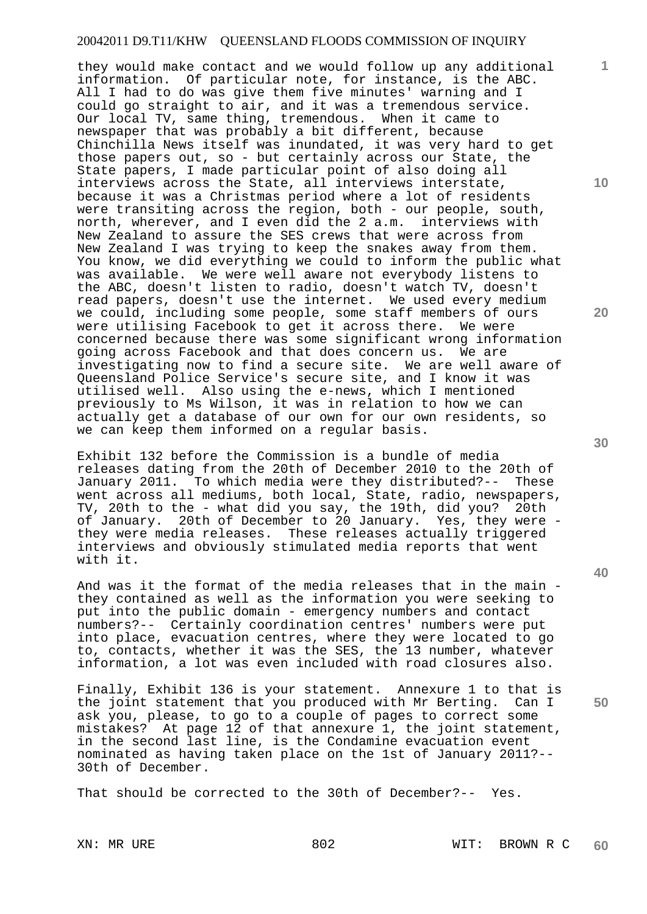they would make contact and we would follow up any additional information. Of particular note, for instance, is the ABC. All I had to do was give them five minutes' warning and I could go straight to air, and it was a tremendous service. Our local TV, same thing, tremendous. When it came to newspaper that was probably a bit different, because Chinchilla News itself was inundated, it was very hard to get those papers out, so - but certainly across our State, the State papers, I made particular point of also doing all interviews across the State, all interviews interstate, because it was a Christmas period where a lot of residents were transiting across the region, both - our people, south, north, wherever, and I even did the 2 a.m. interviews with New Zealand to assure the SES crews that were across from New Zealand I was trying to keep the snakes away from them. You know, we did everything we could to inform the public what was available. We were well aware not everybody listens to the ABC, doesn't listen to radio, doesn't watch TV, doesn't read papers, doesn't use the internet. We used every medium we could, including some people, some staff members of ours were utilising Facebook to get it across there. We were concerned because there was some significant wrong information going across Facebook and that does concern us. We are investigating now to find a secure site. We are well aware of Queensland Police Service's secure site, and I know it was utilised well. Also using the e-news, which I mentioned previously to Ms Wilson, it was in relation to how we can actually get a database of our own for our own residents, so we can keep them informed on a regular basis.

Exhibit 132 before the Commission is a bundle of media releases dating from the 20th of December 2010 to the 20th of January 2011. To which media were they distributed?-- These went across all mediums, both local, State, radio, newspapers, TV, 20th to the - what did you say, the 19th, did you? 20th of January. 20th of December to 20 January. Yes, they were they were media releases. These releases actually triggered interviews and obviously stimulated media reports that went with it.

And was it the format of the media releases that in the main they contained as well as the information you were seeking to put into the public domain - emergency numbers and contact numbers?-- Certainly coordination centres' numbers were put into place, evacuation centres, where they were located to go to, contacts, whether it was the SES, the 13 number, whatever information, a lot was even included with road closures also.

Finally, Exhibit 136 is your statement. Annexure 1 to that is the joint statement that you produced with Mr Berting. Can I ask you, please, to go to a couple of pages to correct some mistakes? At page 12 of that annexure 1, the joint statement, in the second last line, is the Condamine evacuation event nominated as having taken place on the 1st of January 2011?-- 30th of December.

That should be corrected to the 30th of December?-- Yes.

**10** 

**1**

**20** 

**30** 

**40**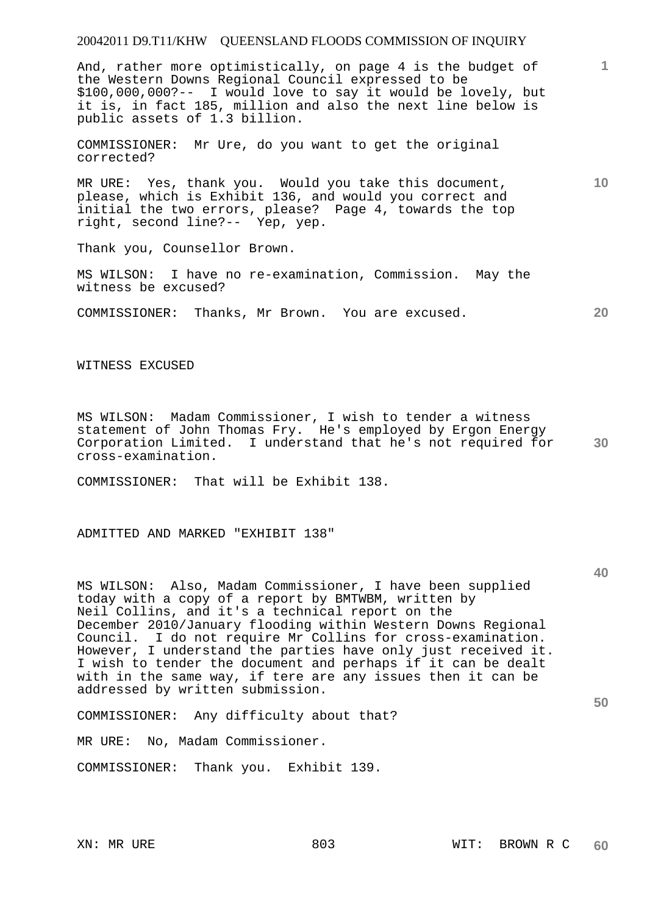And, rather more optimistically, on page 4 is the budget of the Western Downs Regional Council expressed to be \$100,000,000?-- I would love to say it would be lovely, but it is, in fact 185, million and also the next line below is public assets of 1.3 billion.

COMMISSIONER: Mr Ure, do you want to get the original corrected?

MR URE: Yes, thank you. Would you take this document, please, which is Exhibit 136, and would you correct and initial the two errors, please? Page 4, towards the top right, second line?-- Yep, yep.

Thank you, Counsellor Brown.

MS WILSON: I have no re-examination, Commission. May the witness be excused?

COMMISSIONER: Thanks, Mr Brown. You are excused.

WITNESS EXCUSED

**30**  MS WILSON: Madam Commissioner, I wish to tender a witness statement of John Thomas Fry. He's employed by Ergon Energy Corporation Limited. I understand that he's not required for cross-examination.

COMMISSIONER: That will be Exhibit 138.

ADMITTED AND MARKED "EXHIBIT 138"

MS WILSON: Also, Madam Commissioner, I have been supplied today with a copy of a report by BMTWBM, written by Neil Collins, and it's a technical report on the December 2010/January flooding within Western Downs Regional Council. I do not require Mr Collins for cross-examination. However, I understand the parties have only just received it. I wish to tender the document and perhaps if it can be dealt with in the same way, if tere are any issues then it can be addressed by written submission.

COMMISSIONER: Any difficulty about that?

MR URE: No, Madam Commissioner.

COMMISSIONER: Thank you. Exhibit 139.

**10** 

**20** 

**1**

**40**